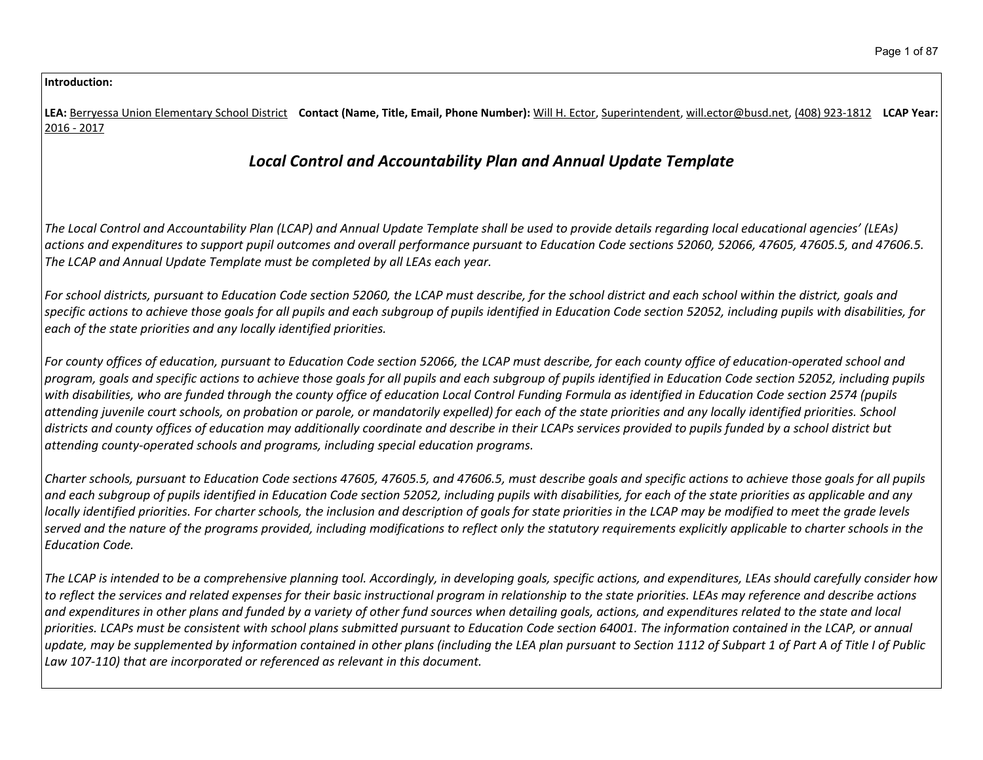#### **Introduction:**

LEA: Berryessa Union Elementary School District Contact (Name, Title, Email, Phone Number): Will H. Ector, Superintendent, will.ector@busd.net, (408) 923-1812 LCAP Year: 2016 - 2017

# *Local Control and Accountability Plan and Annual Update Template*

The Local Control and Accountability Plan (LCAP) and Annual Update Template shall be used to provide details regarding local educational agencies' (LEAs) actions and expenditures to support pupil outcomes and overall performance pursuant to Education Code sections 52060, 52066, 47605, 47605.5, and 47606.5. *The LCAP and Annual Update Template must be completed by all LEAs each year.*

For school districts, pursuant to Education Code section 52060, the LCAP must describe, for the school district and each school within the district, goals and specific actions to achieve those goals for all pupils and each subgroup of pupils identified in Education Code section 52052, including pupils with disabilities, for *each of the state priorities and any locally identified priorities.*

For county offices of education, pursuant to Education Code section 52066, the LCAP must describe, for each county office of education-operated school and program, goals and specific actions to achieve those goals for all pupils and each subaroup of pupils identified in Education Code section 52052, including pupils with disabilities, who are funded through the county office of education Local Control Funding Formula as identified in Education Code section 2574 (pupils attending juvenile court schools, on probation or parole, or mandatorily expelled) for each of the state priorities and any locally identified priorities. School districts and county offices of education may additionally coordinate and describe in their LCAPs services provided to pupils funded by a school district but *attending county-operated schools and programs, including special education programs.*

Charter schools, pursuant to Education Code sections 47605, 47605.5, and 47606.5, must describe goals and specific actions to achieve those goals for all pupils and each subgroup of pupils identified in Education Code section 52052, including pupils with disabilities, for each of the state priorities as applicable and any locally identified priorities. For charter schools, the inclusion and description of goals for state priorities in the LCAP may be modified to meet the grade levels served and the nature of the programs provided, including modifications to reflect only the statutory requirements explicitly applicable to charter schools in the *Education Code.*

The LCAP is intended to be a comprehensive planning tool. Accordingly, in developing goals, specific actions, and expenditures, LEAs should carefully consider how to reflect the services and related expenses for their basic instructional program in relationship to the state priorities. LEAs may reference and describe actions and expenditures in other plans and funded by a variety of other fund sources when detailing goals, actions, and expenditures related to the state and local priorities. LCAPs must be consistent with school plans submitted pursuant to Education Code section 64001. The information contained in the LCAP, or annual update, may be supplemented by information contained in other plans (including the LEA plan pursuant to Section 1112 of Subpart 1 of Part A of Title I of Public *Law 107-110) that are incorporated or referenced as relevant in this document.*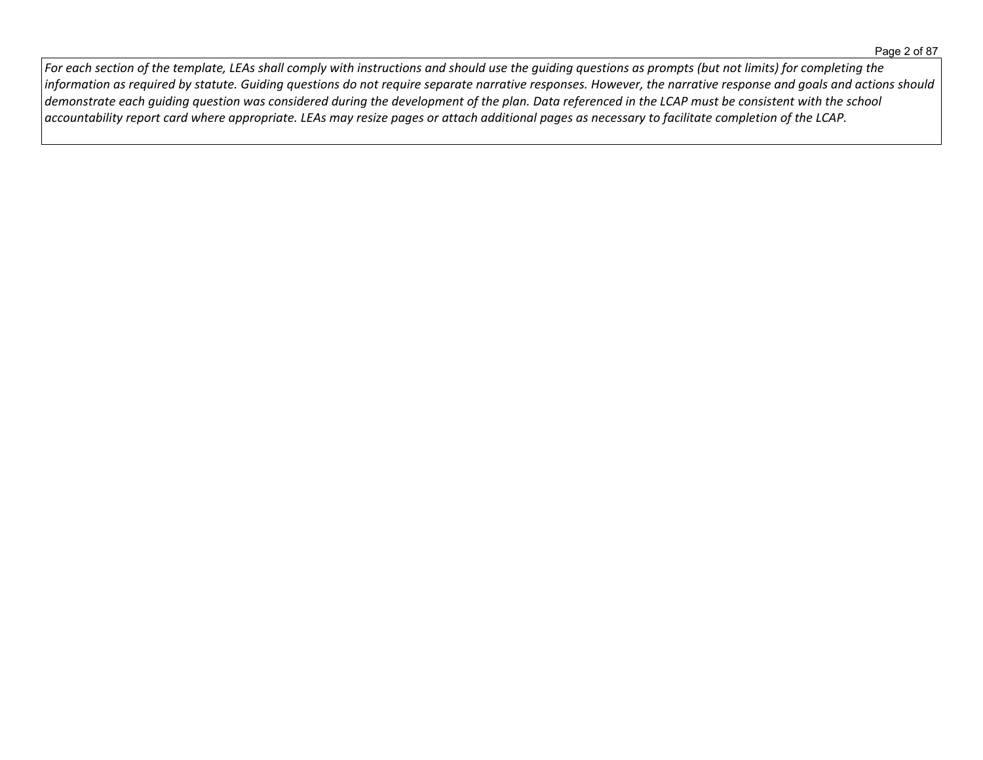For each section of the template, LEAs shall comply with instructions and should use the guiding questions as prompts (but not limits) for completing the information as required by statute. Guiding questions do not require separate narrative responses. However, the narrative response and goals and actions should demonstrate each guiding question was considered during the development of the plan. Data referenced in the LCAP must be consistent with the school  $\vert$  accountability report card where appropriate. LEAs may resize pages or attach additional pages as necessary to facilitate completion of the LCAP.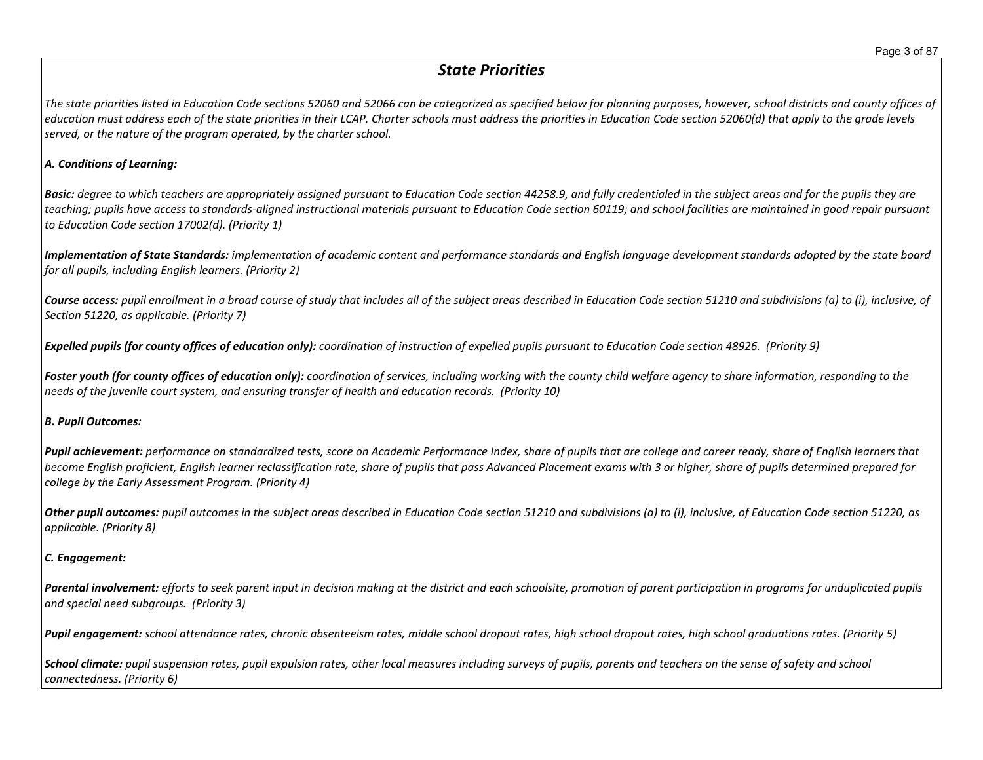# *State Priorities*

The state priorities listed in Education Code sections 52060 and 52066 can be categorized as specified below for planning purposes, however, school districts and county offices of education must address each of the state priorities in their LCAP. Charter schools must address the priorities in Education Code section 52060(d) that apply to the grade levels *served, or the nature of the program operated, by the charter school.*

#### *A. Conditions of Learning:*

**Basic:** degree to which teachers are appropriately assigned pursuant to Education Code section 44258.9, and fully credentialed in the subject areas and for the pupils they are teaching; pupils have access to standards-aligned instructional materials pursuant to Education Code section 60119; and school facilities are maintained in good repair pursuant *to Education Code section 17002(d). (Priority 1)*

Implementation of State Standards: implementation of academic content and performance standards and English language development standards adopted by the state board *for all pupils, including English learners. (Priority 2)*

Course access: pupil enrollment in a broad course of study that includes all of the subject areas described in Education Code section 51210 and subdivisions (a) to (i), inclusive, of *Section 51220, as applicable. (Priority 7)*

Expelled pupils (for county offices of education only): coordination of instruction of expelled pupils pursuant to Education Code section 48926. (Priority 9)

Foster youth (for county offices of education only): coordination of services, including working with the county child welfare agency to share information, responding to the *needs of the juvenile court system, and ensuring transfer of health and education records. (Priority 10)*

#### *B. Pupil Outcomes:*

Pupil achievement: performance on standardized tests, score on Academic Performance Index, share of pupils that are college and career ready, share of English learners that become English proficient, English learner reclassification rate, share of pupils that pass Advanced Placement exams with 3 or higher, share of pupils determined prepared for *college by the Early Assessment Program. (Priority 4)*

Other pupil outcomes: pupil outcomes in the subject areas described in Education Code section 51210 and subdivisions (a) to (i), inclusive, of Education Code section 51220, as *applicable. (Priority 8)* 

### *C. Engagement:*

Parental involvement: efforts to seek parent input in decision making at the district and each schoolsite, promotion of parent participation in programs for unduplicated pupils *and special need subgroups. (Priority 3)*

Pupil engagement: school attendance rates, chronic absenteeism rates, middle school dropout rates, high school dropout rates, high school graduations rates. (Priority 5)

School climate: pupil suspension rates, pupil expulsion rates, other local measures including surveys of pupils, parents and teachers on the sense of safety and school *connectedness. (Priority 6)*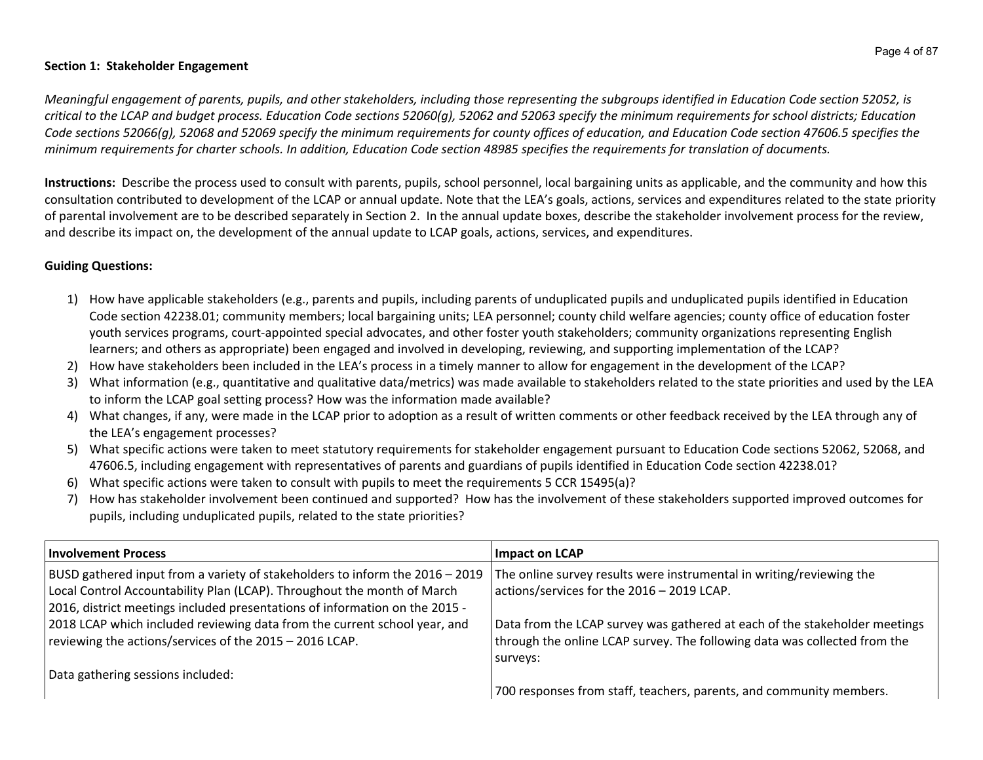#### **Section 1: Stakeholder Engagement**

Meaningful engagement of parents, pupils, and other stakeholders, including those representing the subgroups identified in Education Code section 52052, is critical to the LCAP and budget process. Education Code sections 52060(g), 52062 and 52063 specify the minimum requirements for school districts; Education Code sections 52066(g), 52068 and 52069 specify the minimum requirements for county offices of education, and Education Code section 47606.5 specifies the minimum requirements for charter schools. In addition, Education Code section 48985 specifies the requirements for translation of documents.

**Instructions:** Describe the process used to consult with parents, pupils, school personnel, local bargaining units as applicable, and the community and how this consultation contributed to development of the LCAP or annual update. Note that the LEA's goals, actions, services and expenditures related to the state priority of parental involvement are to be described separately in Section 2. In the annual update boxes, describe the stakeholder involvement process for the review, and describe its impact on, the development of the annual update to LCAP goals, actions, services, and expenditures.

### **Guiding Questions:**

- 1) How have applicable stakeholders (e.g., parents and pupils, including parents of unduplicated pupils and unduplicated pupils identified in Education Code section 42238.01; community members; local bargaining units; LEA personnel; county child welfare agencies; county office of education foster youth services programs, court-appointed special advocates, and other foster youth stakeholders; community organizations representing English learners; and others as appropriate) been engaged and involved in developing, reviewing, and supporting implementation of the LCAP?
- 2) How have stakeholders been included in the LEA's process in a timely manner to allow for engagement in the development of the LCAP?
- 3) What information (e.g., quantitative and qualitative data/metrics) was made available to stakeholders related to the state priorities and used by the LEA to inform the LCAP goal setting process? How was the information made available?
- 4) What changes, if any, were made in the LCAP prior to adoption as a result of written comments or other feedback received by the LEA through any of the LEA's engagement processes?
- 5) What specific actions were taken to meet statutory requirements for stakeholder engagement pursuant to Education Code sections 52062, 52068, and 47606.5, including engagement with representatives of parents and guardians of pupils identified in Education Code section 42238.01?
- 6) What specific actions were taken to consult with pupils to meet the requirements 5 CCR 15495(a)?
- 7) How has stakeholder involvement been continued and supported? How has the involvement of these stakeholders supported improved outcomes for pupils, including unduplicated pupils, related to the state priorities?

| <b>Involvement Process</b>                                                   | Impact on LCAP                                                             |
|------------------------------------------------------------------------------|----------------------------------------------------------------------------|
| BUSD gathered input from a variety of stakeholders to inform the 2016 - 2019 | The online survey results were instrumental in writing/reviewing the       |
| Local Control Accountability Plan (LCAP). Throughout the month of March      | actions/services for the 2016 - 2019 LCAP.                                 |
| 2016, district meetings included presentations of information on the 2015 -  |                                                                            |
| 2018 LCAP which included reviewing data from the current school year, and    | Data from the LCAP survey was gathered at each of the stakeholder meetings |
| reviewing the actions/services of the 2015 - 2016 LCAP.                      | through the online LCAP survey. The following data was collected from the  |
|                                                                              | surveys:                                                                   |
| Data gathering sessions included:                                            |                                                                            |
|                                                                              | 700 responses from staff, teachers, parents, and community members.        |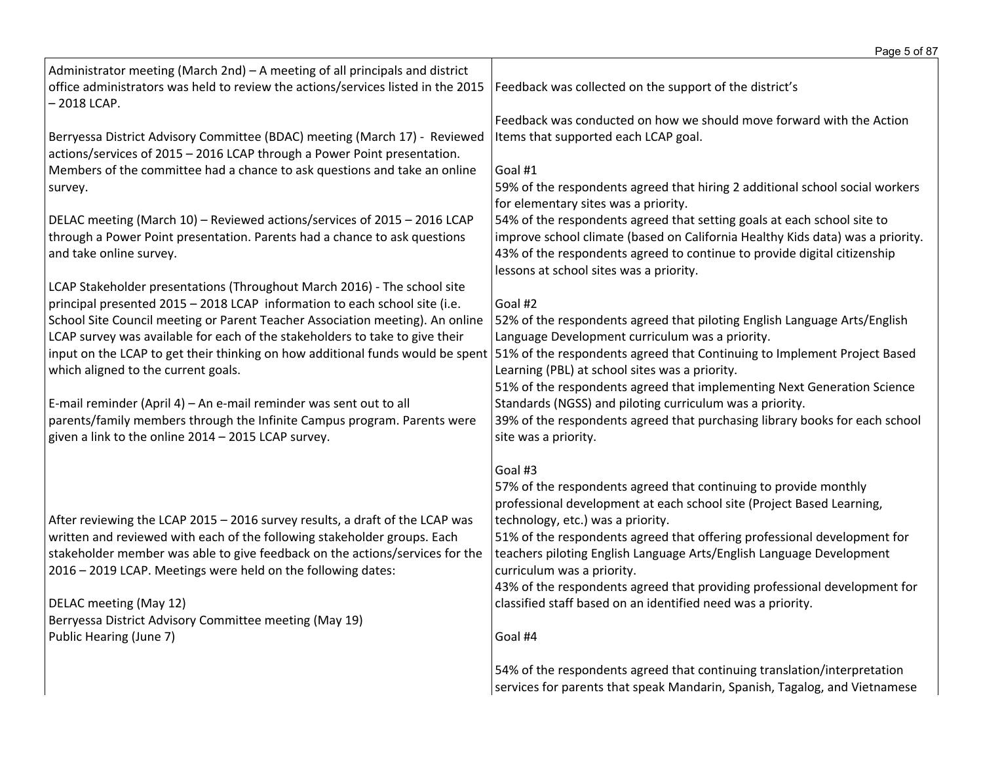|                                                                                                                                                                                  | Page 5 of 87                                                                   |
|----------------------------------------------------------------------------------------------------------------------------------------------------------------------------------|--------------------------------------------------------------------------------|
| Administrator meeting (March 2nd) - A meeting of all principals and district<br>office administrators was held to review the actions/services listed in the 2015<br>- 2018 LCAP. | Feedback was collected on the support of the district's                        |
|                                                                                                                                                                                  | Feedback was conducted on how we should move forward with the Action           |
| Berryessa District Advisory Committee (BDAC) meeting (March 17) - Reviewed<br>actions/services of 2015 - 2016 LCAP through a Power Point presentation.                           | Items that supported each LCAP goal.                                           |
| Members of the committee had a chance to ask questions and take an online                                                                                                        | Goal #1                                                                        |
| survey.                                                                                                                                                                          | 59% of the respondents agreed that hiring 2 additional school social workers   |
|                                                                                                                                                                                  | for elementary sites was a priority.                                           |
| DELAC meeting (March 10) - Reviewed actions/services of 2015 - 2016 LCAP                                                                                                         | 54% of the respondents agreed that setting goals at each school site to        |
| through a Power Point presentation. Parents had a chance to ask questions                                                                                                        | improve school climate (based on California Healthy Kids data) was a priority. |
| and take online survey.                                                                                                                                                          | 43% of the respondents agreed to continue to provide digital citizenship       |
|                                                                                                                                                                                  | lessons at school sites was a priority.                                        |
| LCAP Stakeholder presentations (Throughout March 2016) - The school site                                                                                                         |                                                                                |
| principal presented 2015 - 2018 LCAP information to each school site (i.e.                                                                                                       | Goal #2                                                                        |
| School Site Council meeting or Parent Teacher Association meeting). An online                                                                                                    | 52% of the respondents agreed that piloting English Language Arts/English      |
| LCAP survey was available for each of the stakeholders to take to give their                                                                                                     | Language Development curriculum was a priority.                                |
| input on the LCAP to get their thinking on how additional funds would be spent                                                                                                   | 51% of the respondents agreed that Continuing to Implement Project Based       |
| which aligned to the current goals.                                                                                                                                              | Learning (PBL) at school sites was a priority.                                 |
|                                                                                                                                                                                  | 51% of the respondents agreed that implementing Next Generation Science        |
| E-mail reminder (April 4) - An e-mail reminder was sent out to all                                                                                                               | Standards (NGSS) and piloting curriculum was a priority.                       |
| parents/family members through the Infinite Campus program. Parents were                                                                                                         | 39% of the respondents agreed that purchasing library books for each school    |
| given a link to the online 2014 - 2015 LCAP survey.                                                                                                                              | site was a priority.                                                           |
|                                                                                                                                                                                  | Goal #3                                                                        |
|                                                                                                                                                                                  | 57% of the respondents agreed that continuing to provide monthly               |
|                                                                                                                                                                                  | professional development at each school site (Project Based Learning,          |
| After reviewing the LCAP 2015 - 2016 survey results, a draft of the LCAP was                                                                                                     | technology, etc.) was a priority.                                              |
| written and reviewed with each of the following stakeholder groups. Each                                                                                                         | 51% of the respondents agreed that offering professional development for       |
| stakeholder member was able to give feedback on the actions/services for the                                                                                                     | teachers piloting English Language Arts/English Language Development           |
| 2016 - 2019 LCAP. Meetings were held on the following dates:                                                                                                                     | curriculum was a priority.                                                     |
|                                                                                                                                                                                  | 43% of the respondents agreed that providing professional development for      |
| DELAC meeting (May 12)                                                                                                                                                           | classified staff based on an identified need was a priority.                   |
| Berryessa District Advisory Committee meeting (May 19)                                                                                                                           |                                                                                |
| Public Hearing (June 7)                                                                                                                                                          | Goal #4                                                                        |
|                                                                                                                                                                                  | 54% of the respondents agreed that continuing translation/interpretation       |
|                                                                                                                                                                                  | services for parents that speak Mandarin, Spanish, Tagalog, and Vietnamese     |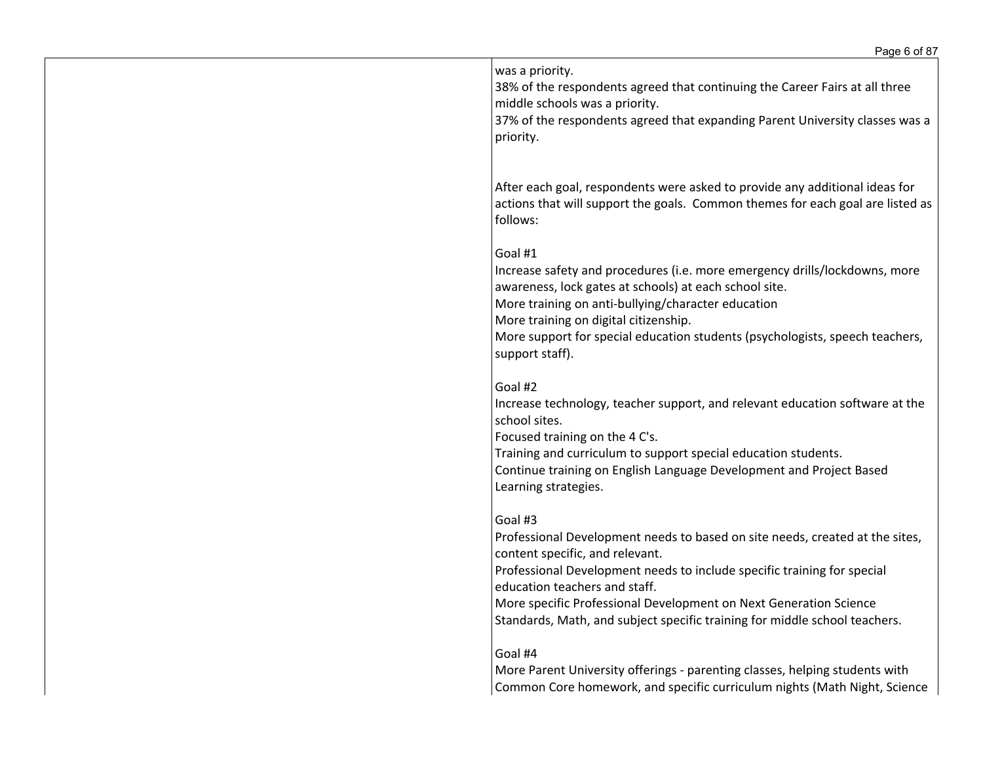| was a priority.<br>38% of the respondents agreed that continuing the Career Fairs at all three<br>middle schools was a priority.<br>37% of the respondents agreed that expanding Parent University classes was a<br>priority.                                                                                                                                                             |
|-------------------------------------------------------------------------------------------------------------------------------------------------------------------------------------------------------------------------------------------------------------------------------------------------------------------------------------------------------------------------------------------|
| After each goal, respondents were asked to provide any additional ideas for<br>actions that will support the goals. Common themes for each goal are listed as<br>follows:                                                                                                                                                                                                                 |
| Goal #1<br>Increase safety and procedures (i.e. more emergency drills/lockdowns, more<br>awareness, lock gates at schools) at each school site.<br>More training on anti-bullying/character education<br>More training on digital citizenship.<br>More support for special education students (psychologists, speech teachers,<br>support staff).                                         |
| Goal #2<br>Increase technology, teacher support, and relevant education software at the<br>school sites.<br>Focused training on the 4 C's.<br>Training and curriculum to support special education students.<br>Continue training on English Language Development and Project Based<br>Learning strategies.                                                                               |
| Goal #3<br>Professional Development needs to based on site needs, created at the sites,<br>content specific, and relevant.<br>Professional Development needs to include specific training for special<br>education teachers and staff.<br>More specific Professional Development on Next Generation Science<br>Standards, Math, and subject specific training for middle school teachers. |
| Goal #4<br>More Parent University offerings - parenting classes, helping students with<br>Common Core homework, and specific curriculum nights (Math Night, Science                                                                                                                                                                                                                       |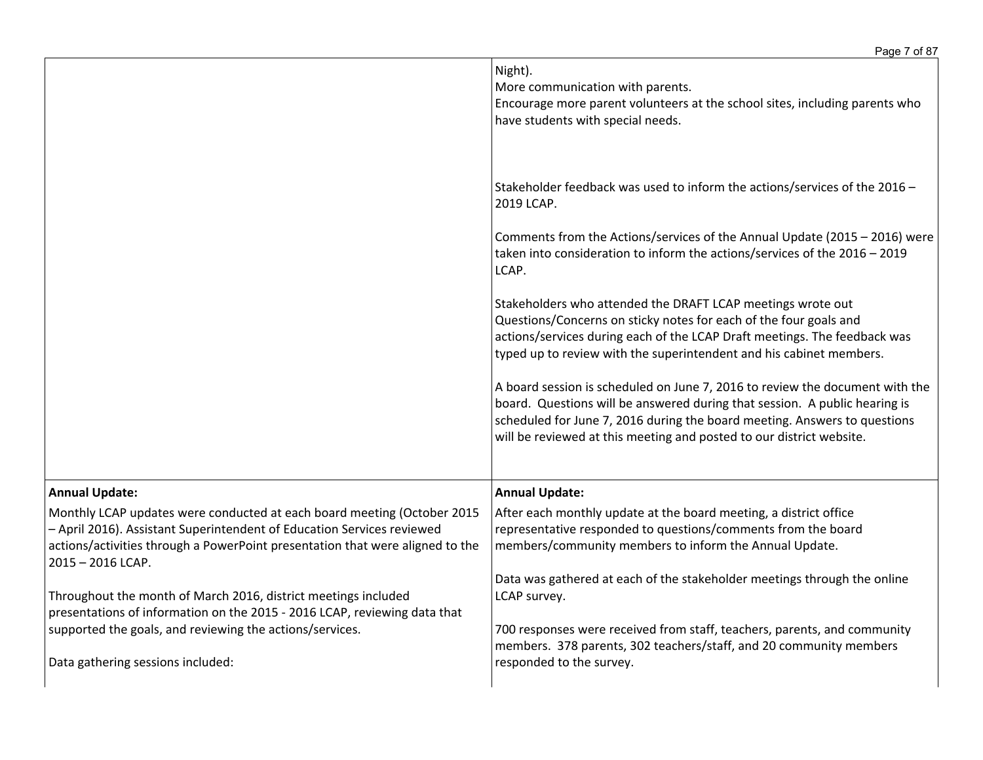|                                                                                                                                                                                                                                                                                  | Night).<br>More communication with parents.<br>Encourage more parent volunteers at the school sites, including parents who<br>have students with special needs.                                                                                                                                                 |
|----------------------------------------------------------------------------------------------------------------------------------------------------------------------------------------------------------------------------------------------------------------------------------|-----------------------------------------------------------------------------------------------------------------------------------------------------------------------------------------------------------------------------------------------------------------------------------------------------------------|
|                                                                                                                                                                                                                                                                                  | Stakeholder feedback was used to inform the actions/services of the 2016 -<br>2019 LCAP.                                                                                                                                                                                                                        |
|                                                                                                                                                                                                                                                                                  | Comments from the Actions/services of the Annual Update (2015 - 2016) were<br>taken into consideration to inform the actions/services of the 2016 - 2019<br>LCAP.                                                                                                                                               |
|                                                                                                                                                                                                                                                                                  | Stakeholders who attended the DRAFT LCAP meetings wrote out<br>Questions/Concerns on sticky notes for each of the four goals and<br>actions/services during each of the LCAP Draft meetings. The feedback was<br>typed up to review with the superintendent and his cabinet members.                            |
|                                                                                                                                                                                                                                                                                  | A board session is scheduled on June 7, 2016 to review the document with the<br>board. Questions will be answered during that session. A public hearing is<br>scheduled for June 7, 2016 during the board meeting. Answers to questions<br>will be reviewed at this meeting and posted to our district website. |
|                                                                                                                                                                                                                                                                                  |                                                                                                                                                                                                                                                                                                                 |
| <b>Annual Update:</b><br>Monthly LCAP updates were conducted at each board meeting (October 2015<br>- April 2016). Assistant Superintendent of Education Services reviewed<br>actions/activities through a PowerPoint presentation that were aligned to the<br>2015 - 2016 LCAP. | <b>Annual Update:</b><br>After each monthly update at the board meeting, a district office<br>representative responded to questions/comments from the board<br>members/community members to inform the Annual Update.                                                                                           |
| Throughout the month of March 2016, district meetings included<br>presentations of information on the 2015 - 2016 LCAP, reviewing data that                                                                                                                                      | Data was gathered at each of the stakeholder meetings through the online<br>LCAP survey.                                                                                                                                                                                                                        |
| supported the goals, and reviewing the actions/services.<br>Data gathering sessions included:                                                                                                                                                                                    | 700 responses were received from staff, teachers, parents, and community<br>members. 378 parents, 302 teachers/staff, and 20 community members<br>responded to the survey.                                                                                                                                      |
|                                                                                                                                                                                                                                                                                  |                                                                                                                                                                                                                                                                                                                 |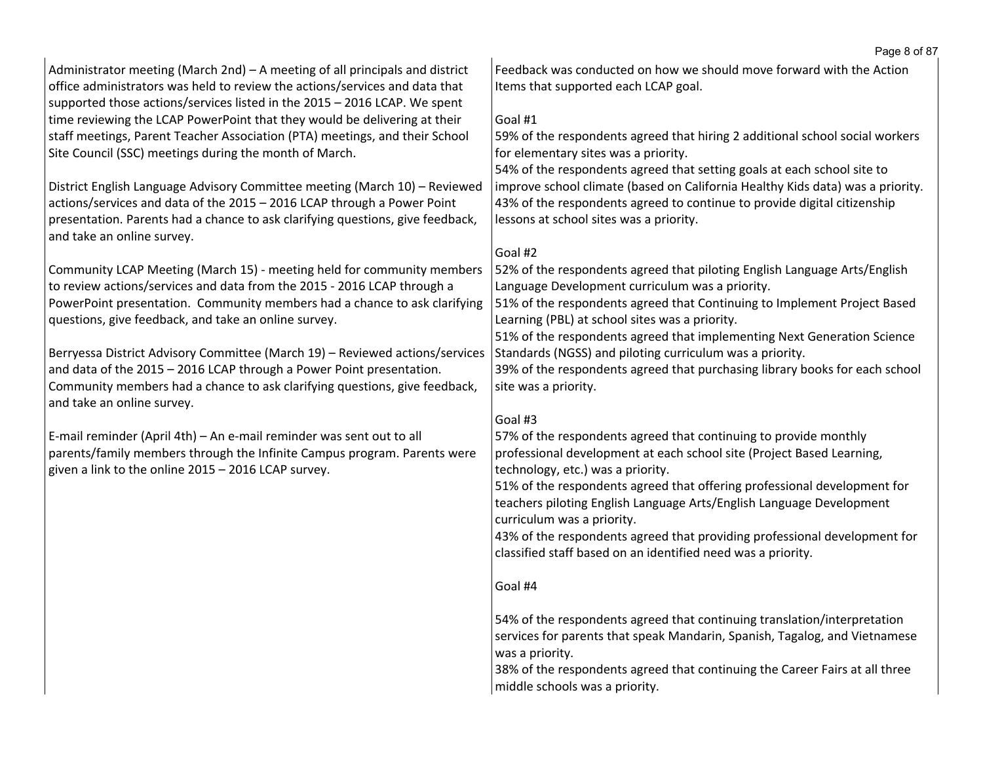| Administrator meeting (March 2nd) – A meeting of all principals and district<br>office administrators was held to review the actions/services and data that<br>supported those actions/services listed in the 2015 - 2016 LCAP. We spent                              | Feedback was conducted on how we should move forward with the Action<br>Items that supported each LCAP goal.<br>Goal #1                                                                                                                                                          |
|-----------------------------------------------------------------------------------------------------------------------------------------------------------------------------------------------------------------------------------------------------------------------|----------------------------------------------------------------------------------------------------------------------------------------------------------------------------------------------------------------------------------------------------------------------------------|
| time reviewing the LCAP PowerPoint that they would be delivering at their<br>staff meetings, Parent Teacher Association (PTA) meetings, and their School<br>Site Council (SSC) meetings during the month of March.                                                    | 59% of the respondents agreed that hiring 2 additional school social workers<br>for elementary sites was a priority.                                                                                                                                                             |
| District English Language Advisory Committee meeting (March 10) - Reviewed<br>actions/services and data of the 2015 - 2016 LCAP through a Power Point<br>presentation. Parents had a chance to ask clarifying questions, give feedback,<br>and take an online survey. | 54% of the respondents agreed that setting goals at each school site to<br>improve school climate (based on California Healthy Kids data) was a priority.<br>43% of the respondents agreed to continue to provide digital citizenship<br>lessons at school sites was a priority. |
| Community LCAP Meeting (March 15) - meeting held for community members<br>to review actions/services and data from the 2015 - 2016 LCAP through a<br>PowerPoint presentation. Community members had a chance to ask clarifying                                        | Goal #2<br>52% of the respondents agreed that piloting English Language Arts/English<br>Language Development curriculum was a priority.<br>51% of the respondents agreed that Continuing to Implement Project Based                                                              |
| questions, give feedback, and take an online survey.                                                                                                                                                                                                                  | Learning (PBL) at school sites was a priority.<br>51% of the respondents agreed that implementing Next Generation Science                                                                                                                                                        |
| Berryessa District Advisory Committee (March 19) - Reviewed actions/services<br>and data of the 2015 - 2016 LCAP through a Power Point presentation.<br>Community members had a chance to ask clarifying questions, give feedback,<br>and take an online survey.      | Standards (NGSS) and piloting curriculum was a priority.<br>39% of the respondents agreed that purchasing library books for each school<br>site was a priority.                                                                                                                  |
|                                                                                                                                                                                                                                                                       | Goal #3                                                                                                                                                                                                                                                                          |
| E-mail reminder (April 4th) - An e-mail reminder was sent out to all<br>parents/family members through the Infinite Campus program. Parents were<br>given a link to the online 2015 - 2016 LCAP survey.                                                               | 57% of the respondents agreed that continuing to provide monthly<br>professional development at each school site (Project Based Learning,                                                                                                                                        |
|                                                                                                                                                                                                                                                                       | technology, etc.) was a priority.<br>51% of the respondents agreed that offering professional development for<br>teachers piloting English Language Arts/English Language Development<br>curriculum was a priority.                                                              |
|                                                                                                                                                                                                                                                                       | 43% of the respondents agreed that providing professional development for<br>classified staff based on an identified need was a priority.                                                                                                                                        |
|                                                                                                                                                                                                                                                                       | Goal #4                                                                                                                                                                                                                                                                          |
|                                                                                                                                                                                                                                                                       | 54% of the respondents agreed that continuing translation/interpretation<br>services for parents that speak Mandarin, Spanish, Tagalog, and Vietnamese<br>was a priority.<br>38% of the respondents agreed that continuing the Career Fairs at all three                         |
|                                                                                                                                                                                                                                                                       | middle schools was a priority.                                                                                                                                                                                                                                                   |

Page 8 of 87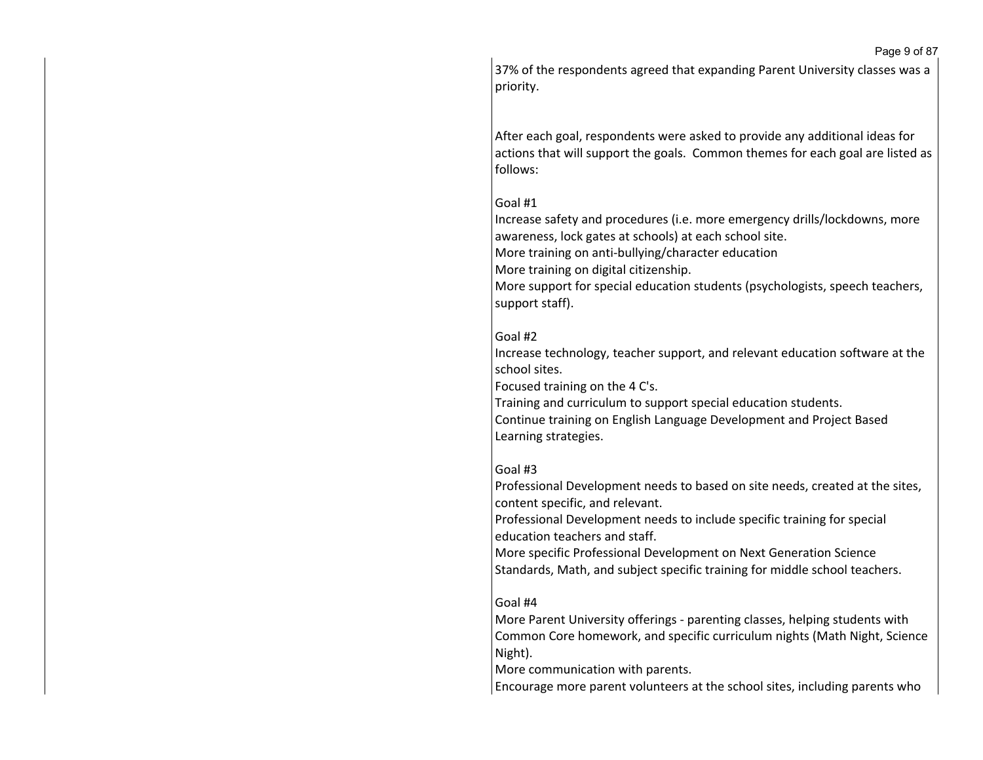Page 9 of 87

37% of the respondents agreed that expanding Parent University classes was a priority.

After each goal, respondents were asked to provide any additional ideas for actions that will support the goals. Common themes for each goal are listed as follows:

## Goal #1

Increase safety and procedures (i.e. more emergency drills/lockdowns, more awareness, lock gates at schools) at each school site. More training on anti-bullying/character education More training on digital citizenship. More support for special education students (psychologists, speech teachers, support staff).

# Goal #2

Increase technology, teacher support, and relevant education software at the school sites.

Focused training on the 4 C's.

Training and curriculum to support special education students. Continue training on English Language Development and Project Based Learning strategies.

## Goal #3

Professional Development needs to based on site needs, created at the sites, content specific, and relevant.

Professional Development needs to include specific training for special education teachers and staff.

More specific Professional Development on Next Generation Science Standards, Math, and subject specific training for middle school teachers.

## Goal #4

More Parent University offerings - parenting classes, helping students with Common Core homework, and specific curriculum nights (Math Night, Science Night).

More communication with parents.

Encourage more parent volunteers at the school sites, including parents who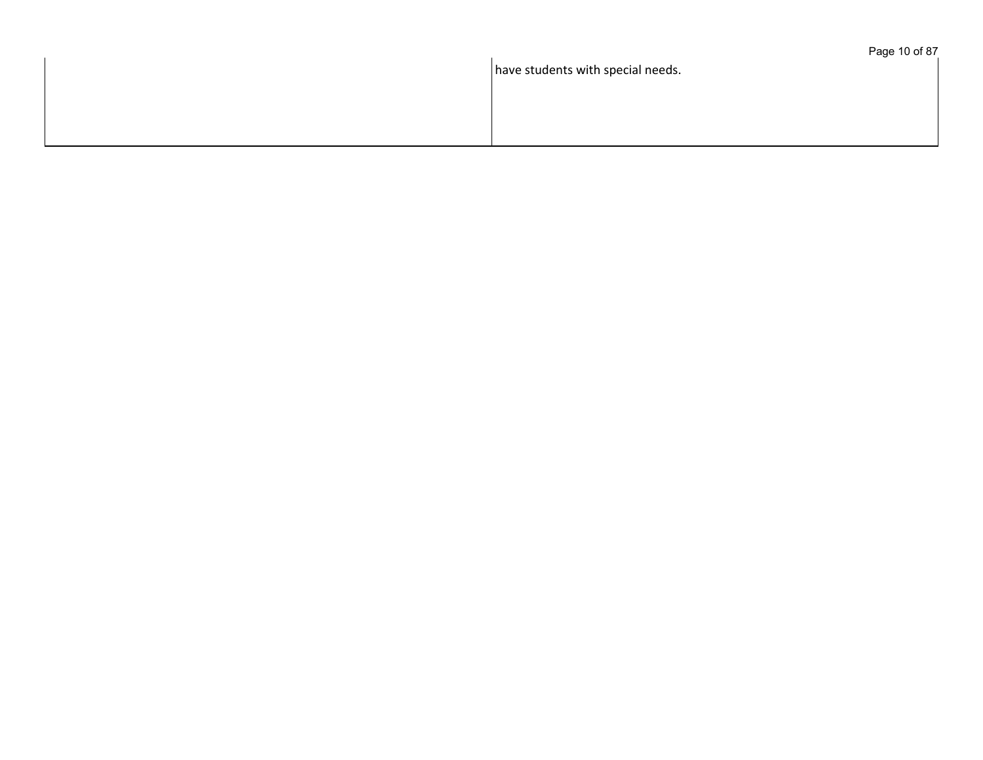have students with special needs.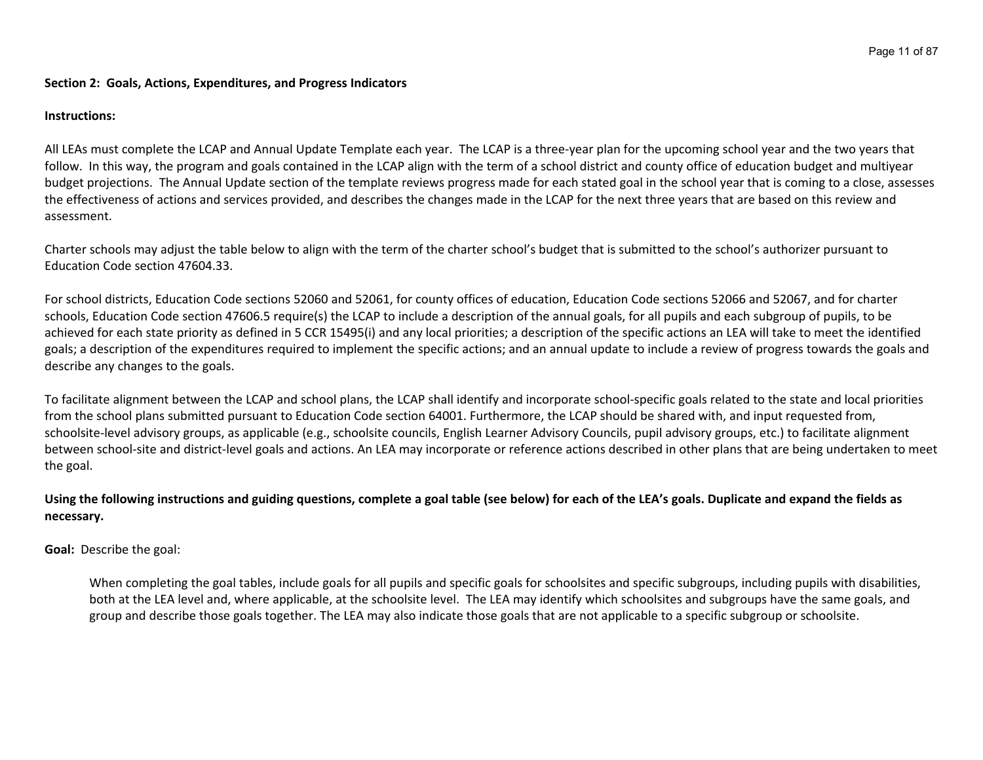#### **Section 2: Goals, Actions, Expenditures, and Progress Indicators**

#### **Instructions:**

All LEAs must complete the LCAP and Annual Update Template each year. The LCAP is a three-year plan for the upcoming school year and the two years that follow. In this way, the program and goals contained in the LCAP align with the term of a school district and county office of education budget and multiyear budget projections. The Annual Update section of the template reviews progress made for each stated goal in the school year that is coming to a close, assesses the effectiveness of actions and services provided, and describes the changes made in the LCAP for the next three years that are based on this review and assessment.

Charter schools may adjust the table below to align with the term of the charter school's budget that is submitted to the school's authorizer pursuant to Education Code section 47604.33.

For school districts, Education Code sections 52060 and 52061, for county offices of education, Education Code sections 52066 and 52067, and for charter schools, Education Code section 47606.5 require(s) the LCAP to include a description of the annual goals, for all pupils and each subgroup of pupils, to be achieved for each state priority as defined in 5 CCR 15495(i) and any local priorities; a description of the specific actions an LEA will take to meet the identified goals; a description of the expenditures required to implement the specific actions; and an annual update to include a review of progress towards the goals and describe any changes to the goals.

To facilitate alignment between the LCAP and school plans, the LCAP shall identify and incorporate school-specific goals related to the state and local priorities from the school plans submitted pursuant to Education Code section 64001. Furthermore, the LCAP should be shared with, and input requested from, schoolsite-level advisory groups, as applicable (e.g., schoolsite councils, English Learner Advisory Councils, pupil advisory groups, etc.) to facilitate alignment between school-site and district-level goals and actions. An LEA may incorporate or reference actions described in other plans that are being undertaken to meet the goal.

## Using the following instructions and guiding questions, complete a goal table (see below) for each of the LEA's goals. Duplicate and expand the fields as **necessary.**

**Goal:** Describe the goal:

When completing the goal tables, include goals for all pupils and specific goals for schoolsites and specific subgroups, including pupils with disabilities, both at the LEA level and, where applicable, at the schoolsite level. The LEA may identify which schoolsites and subgroups have the same goals, and group and describe those goals together. The LEA may also indicate those goals that are not applicable to a specific subgroup or schoolsite.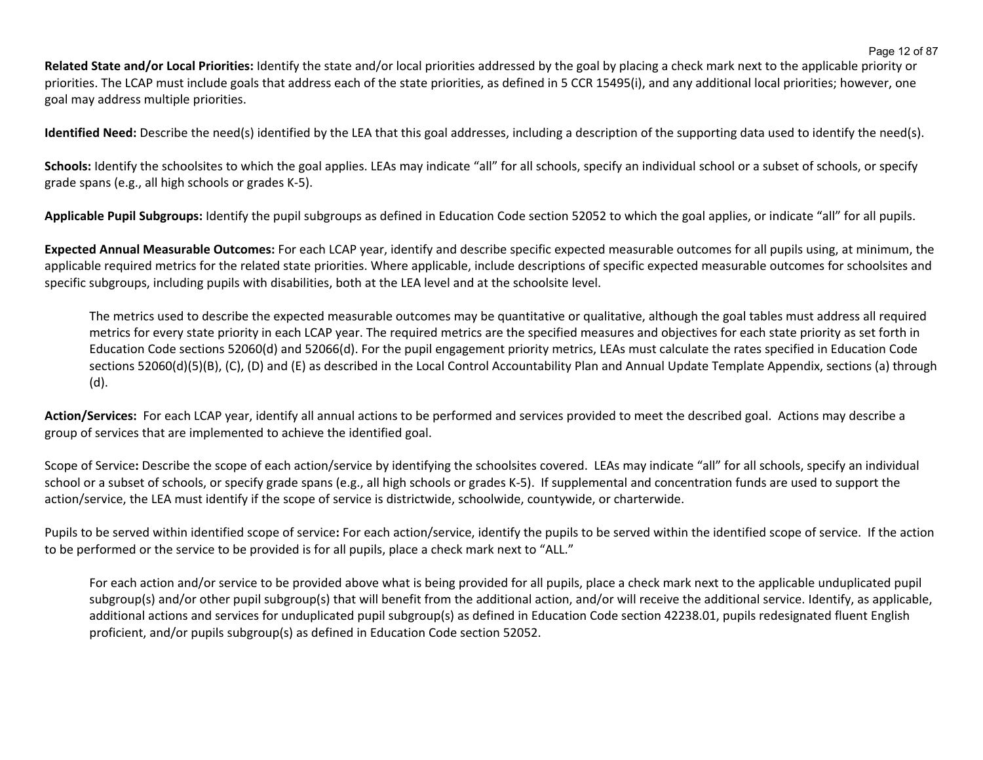**Related State and/or Local Priorities:** Identify the state and/or local priorities addressed by the goal by placing a check mark next to the applicable priority or priorities. The LCAP must include goals that address each of the state priorities, as defined in 5 CCR 15495(i), and any additional local priorities; however, one goal may address multiple priorities.

**Identified Need:** Describe the need(s) identified by the LEA that this goal addresses, including a description of the supporting data used to identify the need(s).

Schools: Identify the schoolsites to which the goal applies. LEAs may indicate "all" for all schools, specify an individual school or a subset of schools, or specify grade spans (e.g., all high schools or grades K-5).

**Applicable Pupil Subgroups:** Identify the pupil subgroups as defined in Education Code section 52052 to which the goal applies, or indicate "all" for all pupils.

**Expected Annual Measurable Outcomes:** For each LCAP year, identify and describe specific expected measurable outcomes for all pupils using, at minimum, the applicable required metrics for the related state priorities. Where applicable, include descriptions of specific expected measurable outcomes for schoolsites and specific subgroups, including pupils with disabilities, both at the LEA level and at the schoolsite level.

The metrics used to describe the expected measurable outcomes may be quantitative or qualitative, although the goal tables must address all required metrics for every state priority in each LCAP year. The required metrics are the specified measures and objectives for each state priority as set forth in Education Code sections 52060(d) and 52066(d). For the pupil engagement priority metrics, LEAs must calculate the rates specified in Education Code sections 52060(d)(5)(B), (C), (D) and (E) as described in the Local Control Accountability Plan and Annual Update Template Appendix, sections (a) through (d).

**Action/Services:** For each LCAP year, identify all annual actions to be performed and services provided to meet the described goal. Actions may describe a group of services that are implemented to achieve the identified goal.

Scope of Service**:** Describe the scope of each action/service by identifying the schoolsites covered. LEAs may indicate "all" for all schools, specify an individual school or a subset of schools, or specify grade spans (e.g., all high schools or grades K-5). If supplemental and concentration funds are used to support the action/service, the LEA must identify if the scope of service is districtwide, schoolwide, countywide, or charterwide.

Pupils to be served within identified scope of service**:** For each action/service, identify the pupils to be served within the identified scope of service. If the action to be performed or the service to be provided is for all pupils, place a check mark next to "ALL."

For each action and/or service to be provided above what is being provided for all pupils, place a check mark next to the applicable unduplicated pupil subgroup(s) and/or other pupil subgroup(s) that will benefit from the additional action, and/or will receive the additional service. Identify, as applicable, additional actions and services for unduplicated pupil subgroup(s) as defined in Education Code section 42238.01, pupils redesignated fluent English proficient, and/or pupils subgroup(s) as defined in Education Code section 52052.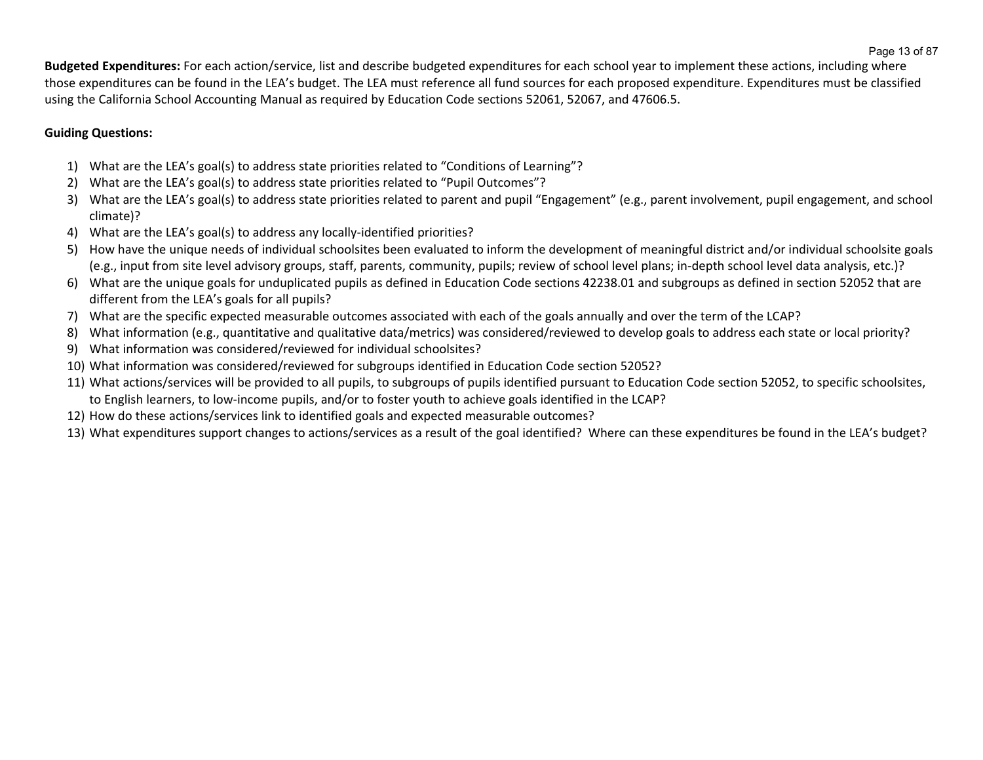**Budgeted Expenditures:** For each action/service, list and describe budgeted expenditures for each school year to implement these actions, including where those expenditures can be found in the LEA's budget. The LEA must reference all fund sources for each proposed expenditure. Expenditures must be classified using the California School Accounting Manual as required by Education Code sections 52061, 52067, and 47606.5.

# **Guiding Questions:**

- 1) What are the LEA's goal(s) to address state priorities related to "Conditions of Learning"?
- 2) What are the LEA's goal(s) to address state priorities related to "Pupil Outcomes"?
- 3) What are the LEA's goal(s) to address state priorities related to parent and pupil "Engagement" (e.g., parent involvement, pupil engagement, and school climate)?
- 4) What are the LEA's goal(s) to address any locally-identified priorities?
- 5) How have the unique needs of individual schoolsites been evaluated to inform the development of meaningful district and/or individual schoolsite goals (e.g., input from site level advisory groups, staff, parents, community, pupils; review of school level plans; in-depth school level data analysis, etc.)?
- 6) What are the unique goals for unduplicated pupils as defined in Education Code sections 42238.01 and subgroups as defined in section 52052 that are different from the LEA's goals for all pupils?
- 7) What are the specific expected measurable outcomes associated with each of the goals annually and over the term of the LCAP?
- 8) What information (e.g., quantitative and qualitative data/metrics) was considered/reviewed to develop goals to address each state or local priority?
- 9) What information was considered/reviewed for individual schoolsites?
- 10) What information was considered/reviewed for subgroups identified in Education Code section 52052?
- 11) What actions/services will be provided to all pupils, to subgroups of pupils identified pursuant to Education Code section 52052, to specific schoolsites, to English learners, to low-income pupils, and/or to foster youth to achieve goals identified in the LCAP?
- 12) How do these actions/services link to identified goals and expected measurable outcomes?
- 13) What expenditures support changes to actions/services as a result of the goal identified? Where can these expenditures be found in the LEA's budget?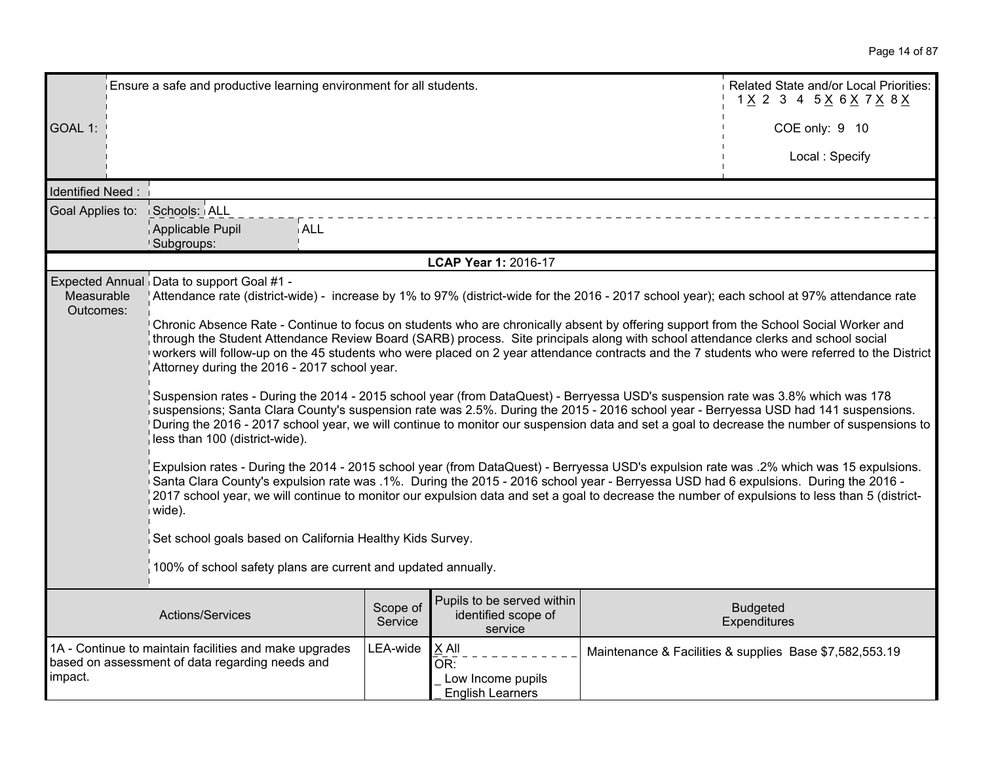Page 14 of 87

|                         | Ensure a safe and productive learning environment for all students.                                                                                                                                                                                                                                                                                                                                                                                                                                                                                                                                                                                                                                                                                                                                                                                                                                                                                                                                                                                                                                                                                                                                                                                                                                                                                                                                                                                                                                                                                                                                                                                                                                            |                     |                                                              |  | Related State and/or Local Priorities:<br>1 X 2 3 4 5 X 6 X 7 X 8 X |
|-------------------------|----------------------------------------------------------------------------------------------------------------------------------------------------------------------------------------------------------------------------------------------------------------------------------------------------------------------------------------------------------------------------------------------------------------------------------------------------------------------------------------------------------------------------------------------------------------------------------------------------------------------------------------------------------------------------------------------------------------------------------------------------------------------------------------------------------------------------------------------------------------------------------------------------------------------------------------------------------------------------------------------------------------------------------------------------------------------------------------------------------------------------------------------------------------------------------------------------------------------------------------------------------------------------------------------------------------------------------------------------------------------------------------------------------------------------------------------------------------------------------------------------------------------------------------------------------------------------------------------------------------------------------------------------------------------------------------------------------------|---------------------|--------------------------------------------------------------|--|---------------------------------------------------------------------|
| GOAL 1:                 |                                                                                                                                                                                                                                                                                                                                                                                                                                                                                                                                                                                                                                                                                                                                                                                                                                                                                                                                                                                                                                                                                                                                                                                                                                                                                                                                                                                                                                                                                                                                                                                                                                                                                                                |                     |                                                              |  | COE only: 9 10                                                      |
|                         |                                                                                                                                                                                                                                                                                                                                                                                                                                                                                                                                                                                                                                                                                                                                                                                                                                                                                                                                                                                                                                                                                                                                                                                                                                                                                                                                                                                                                                                                                                                                                                                                                                                                                                                |                     |                                                              |  | Local: Specify                                                      |
| Identified Need:        |                                                                                                                                                                                                                                                                                                                                                                                                                                                                                                                                                                                                                                                                                                                                                                                                                                                                                                                                                                                                                                                                                                                                                                                                                                                                                                                                                                                                                                                                                                                                                                                                                                                                                                                |                     |                                                              |  |                                                                     |
| Goal Applies to:        | Schools: ALL                                                                                                                                                                                                                                                                                                                                                                                                                                                                                                                                                                                                                                                                                                                                                                                                                                                                                                                                                                                                                                                                                                                                                                                                                                                                                                                                                                                                                                                                                                                                                                                                                                                                                                   |                     |                                                              |  |                                                                     |
|                         | Applicable Pupil<br><b>ALL</b><br>Subgroups:                                                                                                                                                                                                                                                                                                                                                                                                                                                                                                                                                                                                                                                                                                                                                                                                                                                                                                                                                                                                                                                                                                                                                                                                                                                                                                                                                                                                                                                                                                                                                                                                                                                                   |                     |                                                              |  |                                                                     |
|                         |                                                                                                                                                                                                                                                                                                                                                                                                                                                                                                                                                                                                                                                                                                                                                                                                                                                                                                                                                                                                                                                                                                                                                                                                                                                                                                                                                                                                                                                                                                                                                                                                                                                                                                                |                     | LCAP Year 1: 2016-17                                         |  |                                                                     |
| Measurable<br>Outcomes: | Expected Annual Data to support Goal #1 -<br>Attendance rate (district-wide) - increase by 1% to 97% (district-wide for the 2016 - 2017 school year); each school at 97% attendance rate<br>Chronic Absence Rate - Continue to focus on students who are chronically absent by offering support from the School Social Worker and<br>through the Student Attendance Review Board (SARB) process. Site principals along with school attendance clerks and school social<br>workers will follow-up on the 45 students who were placed on 2 year attendance contracts and the 7 students who were referred to the District<br>Attorney during the 2016 - 2017 school year.<br>Suspension rates - During the 2014 - 2015 school year (from DataQuest) - Berryessa USD's suspension rate was 3.8% which was 178<br>suspensions; Santa Clara County's suspension rate was 2.5%. During the 2015 - 2016 school year - Berryessa USD had 141 suspensions.<br>During the 2016 - 2017 school year, we will continue to monitor our suspension data and set a goal to decrease the number of suspensions to<br>less than 100 (district-wide).<br>Expulsion rates - During the 2014 - 2015 school year (from DataQuest) - Berryessa USD's expulsion rate was .2% which was 15 expulsions.<br>Santa Clara County's expulsion rate was .1%. During the 2015 - 2016 school year - Berryessa USD had 6 expulsions. During the 2016 -<br>2017 school year, we will continue to monitor our expulsion data and set a goal to decrease the number of expulsions to less than 5 (district-<br>wide).<br>Set school goals based on California Healthy Kids Survey.<br>100% of school safety plans are current and updated annually. |                     |                                                              |  |                                                                     |
|                         | Actions/Services                                                                                                                                                                                                                                                                                                                                                                                                                                                                                                                                                                                                                                                                                                                                                                                                                                                                                                                                                                                                                                                                                                                                                                                                                                                                                                                                                                                                                                                                                                                                                                                                                                                                                               | Scope of<br>Service | Pupils to be served within<br>identified scope of<br>service |  | <b>Budgeted</b><br>Expenditures                                     |
| impact.                 | 1A - Continue to maintain facilities and make upgrades<br>based on assessment of data regarding needs and                                                                                                                                                                                                                                                                                                                                                                                                                                                                                                                                                                                                                                                                                                                                                                                                                                                                                                                                                                                                                                                                                                                                                                                                                                                                                                                                                                                                                                                                                                                                                                                                      | LEA-wide            | X All<br>OR:<br>Low Income pupils<br><b>English Learners</b> |  | Maintenance & Facilities & supplies Base \$7,582,553.19             |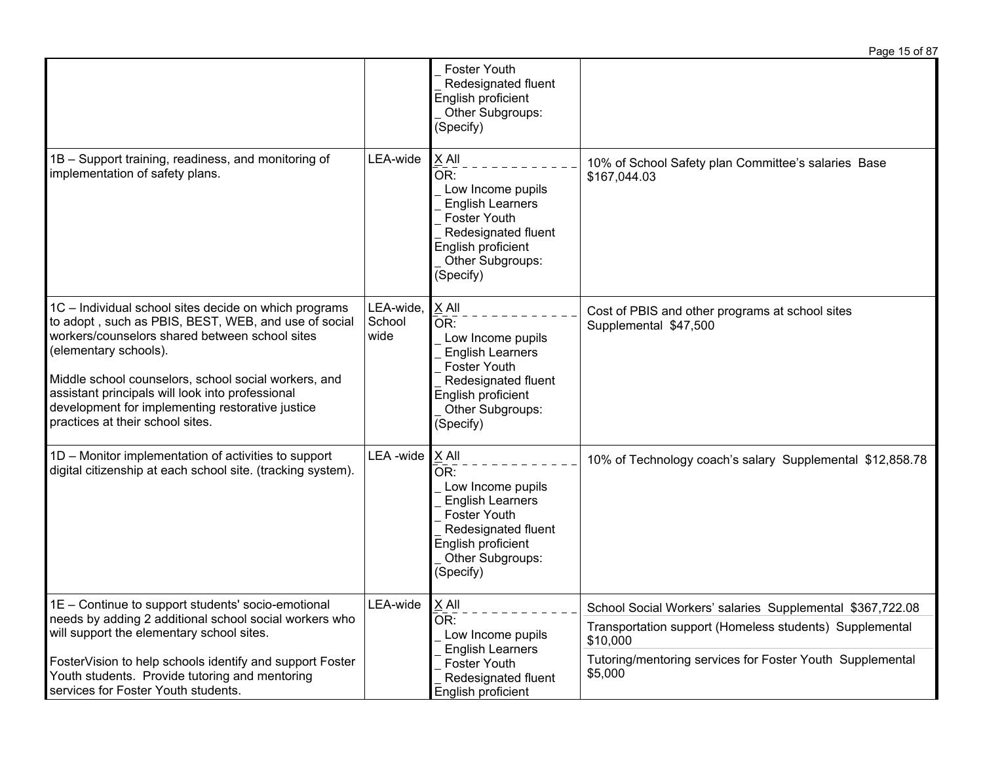|                                                                                                                                                                                                                                                                                                                                                                                              |                              |                                                                                                                                                                   | Page 15 of 87                                                                                                                                                                                            |
|----------------------------------------------------------------------------------------------------------------------------------------------------------------------------------------------------------------------------------------------------------------------------------------------------------------------------------------------------------------------------------------------|------------------------------|-------------------------------------------------------------------------------------------------------------------------------------------------------------------|----------------------------------------------------------------------------------------------------------------------------------------------------------------------------------------------------------|
|                                                                                                                                                                                                                                                                                                                                                                                              |                              | <b>Foster Youth</b><br>Redesignated fluent<br>English proficient<br>Other Subgroups:<br>(Specify)                                                                 |                                                                                                                                                                                                          |
| 1B - Support training, readiness, and monitoring of<br>implementation of safety plans.                                                                                                                                                                                                                                                                                                       | LEA-wide                     | X All<br>OR:<br>Low Income pupils<br><b>English Learners</b><br><b>Foster Youth</b><br>Redesignated fluent<br>English proficient<br>Other Subgroups:<br>(Specify) | 10% of School Safety plan Committee's salaries Base<br>\$167,044.03                                                                                                                                      |
| 1C - Individual school sites decide on which programs<br>to adopt, such as PBIS, BEST, WEB, and use of social<br>workers/counselors shared between school sites<br>(elementary schools).<br>Middle school counselors, school social workers, and<br>assistant principals will look into professional<br>development for implementing restorative justice<br>practices at their school sites. | LEA-wide,<br>School<br>wide  | X All<br>OR:<br>Low Income pupils<br><b>English Learners</b><br><b>Foster Youth</b><br>Redesignated fluent<br>English proficient<br>Other Subgroups:<br>(Specify) | Cost of PBIS and other programs at school sites<br>Supplemental \$47,500                                                                                                                                 |
| 1D - Monitor implementation of activities to support<br>digital citizenship at each school site. (tracking system).                                                                                                                                                                                                                                                                          | LEA -wide $\overline{X}$ All | OR:<br>Low Income pupils<br><b>English Learners</b><br><b>Foster Youth</b><br>Redesignated fluent<br>English proficient<br>Other Subgroups:<br>(Specify)          | 10% of Technology coach's salary Supplemental \$12,858.78                                                                                                                                                |
| 1E – Continue to support students' socio-emotional<br>needs by adding 2 additional school social workers who<br>will support the elementary school sites.<br>FosterVision to help schools identify and support Foster<br>Youth students. Provide tutoring and mentoring<br>services for Foster Youth students.                                                                               | LEA-wide                     | $\underline{X}$ All<br>OR:<br>Low Income pupils<br><b>English Learners</b><br>Foster Youth<br>Redesignated fluent<br>English proficient                           | School Social Workers' salaries Supplemental \$367,722.08<br>Transportation support (Homeless students) Supplemental<br>\$10,000<br>Tutoring/mentoring services for Foster Youth Supplemental<br>\$5,000 |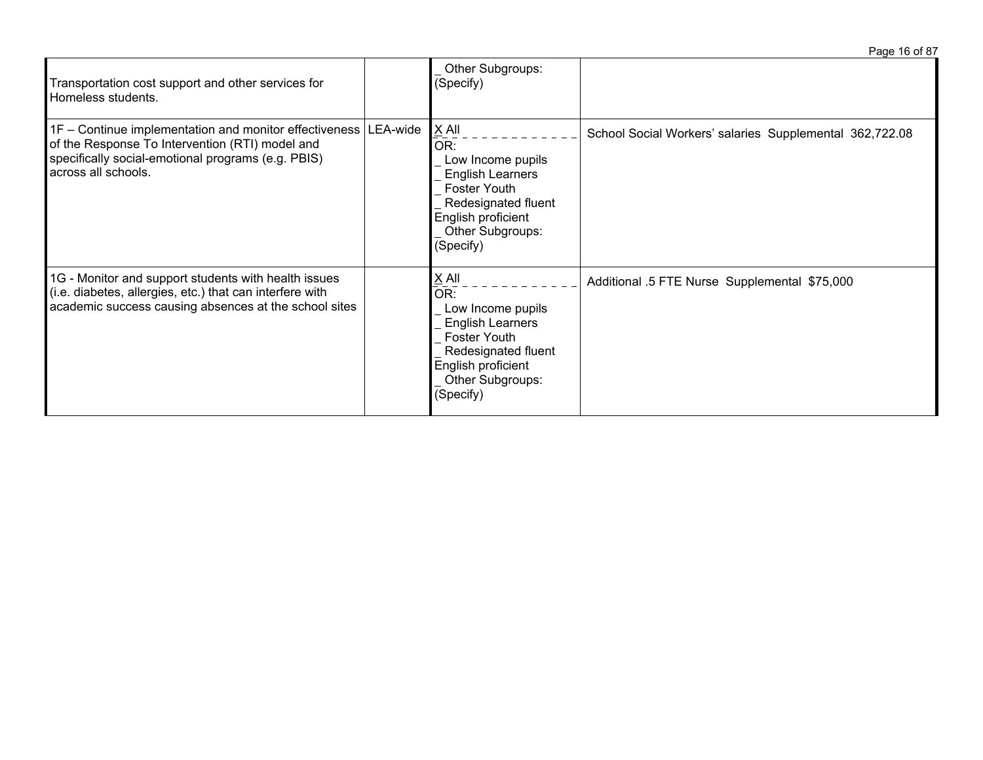|                                                                                                                                                                                                   |                                                                                                                                                            | Page 16 of 87                                           |
|---------------------------------------------------------------------------------------------------------------------------------------------------------------------------------------------------|------------------------------------------------------------------------------------------------------------------------------------------------------------|---------------------------------------------------------|
| Transportation cost support and other services for<br>Homeless students.                                                                                                                          | Other Subgroups:<br>(Specify)                                                                                                                              |                                                         |
| $1F$ – Continue implementation and monitor effectiveness LEA-wide<br>of the Response To Intervention (RTI) model and<br>specifically social-emotional programs (e.g. PBIS)<br>across all schools. | X All<br>OR:<br>Low Income pupils<br><b>English Learners</b><br>Foster Youth<br>Redesignated fluent<br>English proficient<br>Other Subgroups:<br>(Specify) | School Social Workers' salaries Supplemental 362,722.08 |
| 1G - Monitor and support students with health issues<br>(i.e. diabetes, allergies, etc.) that can interfere with<br>academic success causing absences at the school sites                         | X All<br>OR:<br>Low Income pupils<br><b>English Learners</b><br>Foster Youth<br>Redesignated fluent<br>English proficient<br>Other Subgroups:<br>(Specify) | Additional .5 FTE Nurse Supplemental \$75,000           |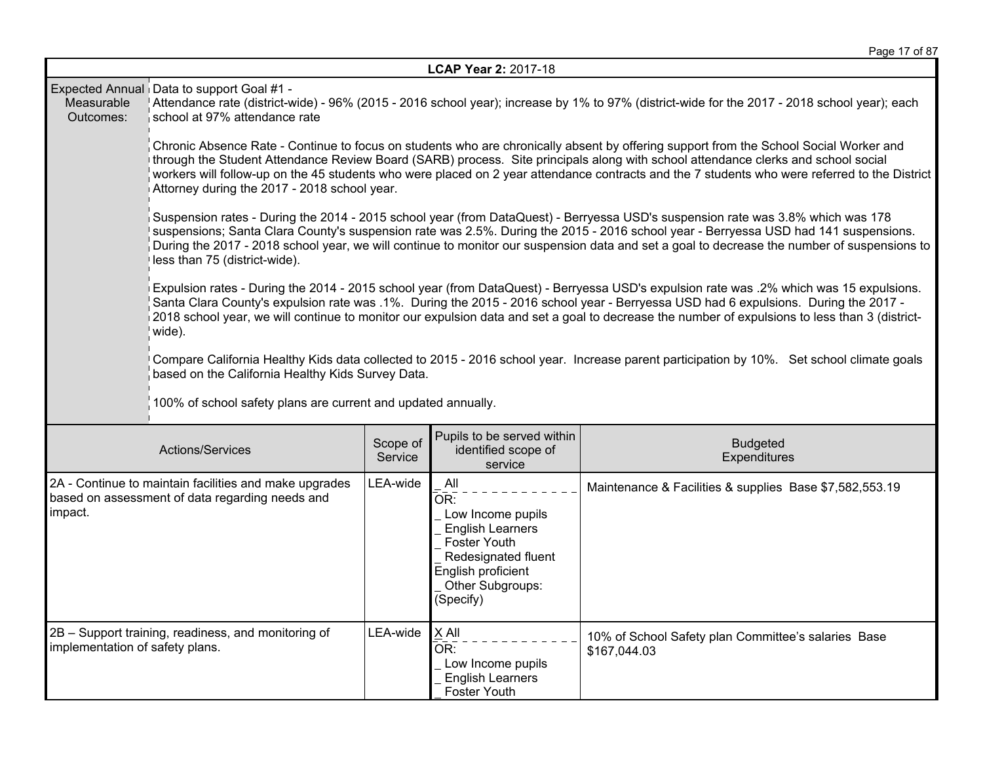|                                 |                                                                                                                                                                                                                                                                                                                                                                                                                                                                             |                     | LCAP Year 2: 2017-18                                                                                                                                                            |                                                                                                                                                                                                                                                                                                                                                                                                                                  |  |
|---------------------------------|-----------------------------------------------------------------------------------------------------------------------------------------------------------------------------------------------------------------------------------------------------------------------------------------------------------------------------------------------------------------------------------------------------------------------------------------------------------------------------|---------------------|---------------------------------------------------------------------------------------------------------------------------------------------------------------------------------|----------------------------------------------------------------------------------------------------------------------------------------------------------------------------------------------------------------------------------------------------------------------------------------------------------------------------------------------------------------------------------------------------------------------------------|--|
| Measurable<br>Outcomes:         | Expected Annual Data to support Goal #1 -<br>Attendance rate (district-wide) - 96% (2015 - 2016 school year); increase by 1% to 97% (district-wide for the 2017 - 2018 school year); each<br>school at 97% attendance rate                                                                                                                                                                                                                                                  |                     |                                                                                                                                                                                 |                                                                                                                                                                                                                                                                                                                                                                                                                                  |  |
|                                 | Chronic Absence Rate - Continue to focus on students who are chronically absent by offering support from the School Social Worker and<br>through the Student Attendance Review Board (SARB) process. Site principals along with school attendance clerks and school social<br>workers will follow-up on the 45 students who were placed on 2 year attendance contracts and the 7 students who were referred to the District<br>Attorney during the 2017 - 2018 school year. |                     |                                                                                                                                                                                 |                                                                                                                                                                                                                                                                                                                                                                                                                                  |  |
|                                 | Suspension rates - During the 2014 - 2015 school year (from DataQuest) - Berryessa USD's suspension rate was 3.8% which was 178<br>suspensions; Santa Clara County's suspension rate was 2.5%. During the 2015 - 2016 school year - Berryessa USD had 141 suspensions.<br>During the 2017 - 2018 school year, we will continue to monitor our suspension data and set a goal to decrease the number of suspensions to<br>less than 75 (district-wide).                      |                     |                                                                                                                                                                                 |                                                                                                                                                                                                                                                                                                                                                                                                                                  |  |
|                                 | wide).                                                                                                                                                                                                                                                                                                                                                                                                                                                                      |                     |                                                                                                                                                                                 | Expulsion rates - During the 2014 - 2015 school year (from DataQuest) - Berryessa USD's expulsion rate was .2% which was 15 expulsions.<br>Santa Clara County's expulsion rate was .1%. During the 2015 - 2016 school year - Berryessa USD had 6 expulsions. During the 2017 -<br>2018 school year, we will continue to monitor our expulsion data and set a goal to decrease the number of expulsions to less than 3 (district- |  |
|                                 | based on the California Healthy Kids Survey Data.                                                                                                                                                                                                                                                                                                                                                                                                                           |                     |                                                                                                                                                                                 | Compare California Healthy Kids data collected to 2015 - 2016 school year. Increase parent participation by 10%. Set school climate goals                                                                                                                                                                                                                                                                                        |  |
|                                 | 100% of school safety plans are current and updated annually.                                                                                                                                                                                                                                                                                                                                                                                                               |                     |                                                                                                                                                                                 |                                                                                                                                                                                                                                                                                                                                                                                                                                  |  |
|                                 | Actions/Services                                                                                                                                                                                                                                                                                                                                                                                                                                                            | Scope of<br>Service | Pupils to be served within<br>identified scope of<br>service                                                                                                                    | <b>Budgeted</b><br>Expenditures                                                                                                                                                                                                                                                                                                                                                                                                  |  |
| impact.                         | 2A - Continue to maintain facilities and make upgrades<br>based on assessment of data regarding needs and                                                                                                                                                                                                                                                                                                                                                                   | LEA-wide            | All<br>$\overline{\mathsf{OR}}$ :<br>Low Income pupils<br><b>English Learners</b><br>Foster Youth<br>Redesignated fluent<br>English proficient<br>Other Subgroups:<br>(Specify) | Maintenance & Facilities & supplies Base \$7,582,553.19                                                                                                                                                                                                                                                                                                                                                                          |  |
| implementation of safety plans. | 2B - Support training, readiness, and monitoring of                                                                                                                                                                                                                                                                                                                                                                                                                         | LEA-wide            | X All<br>OR:<br>Low Income pupils<br><b>English Learners</b><br>Foster Youth                                                                                                    | 10% of School Safety plan Committee's salaries Base<br>\$167,044.03                                                                                                                                                                                                                                                                                                                                                              |  |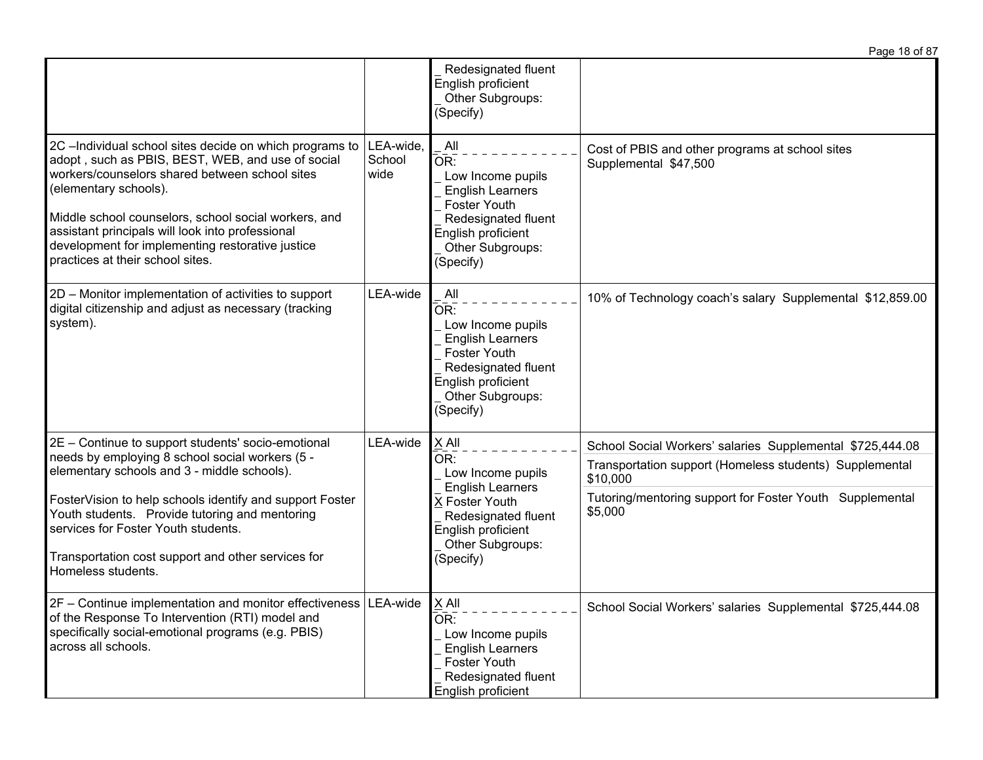|                                                                                                                                                                                                                                                                                                                                                                                             |                             |                                                                                                                                                                 | Page 18 of 87                                                                                                                                                                                           |
|---------------------------------------------------------------------------------------------------------------------------------------------------------------------------------------------------------------------------------------------------------------------------------------------------------------------------------------------------------------------------------------------|-----------------------------|-----------------------------------------------------------------------------------------------------------------------------------------------------------------|---------------------------------------------------------------------------------------------------------------------------------------------------------------------------------------------------------|
|                                                                                                                                                                                                                                                                                                                                                                                             |                             | Redesignated fluent<br>English proficient<br>Other Subgroups:<br>(Specify)                                                                                      |                                                                                                                                                                                                         |
| 2C -Individual school sites decide on which programs to<br>adopt, such as PBIS, BEST, WEB, and use of social<br>workers/counselors shared between school sites<br>(elementary schools).<br>Middle school counselors, school social workers, and<br>assistant principals will look into professional<br>development for implementing restorative justice<br>practices at their school sites. | LEA-wide,<br>School<br>wide | All<br>OR:<br>Low Income pupils<br><b>English Learners</b><br><b>Foster Youth</b><br>Redesignated fluent<br>English proficient<br>Other Subgroups:<br>(Specify) | Cost of PBIS and other programs at school sites<br>Supplemental \$47,500                                                                                                                                |
| 2D - Monitor implementation of activities to support<br>digital citizenship and adjust as necessary (tracking<br>system).                                                                                                                                                                                                                                                                   | LEA-wide                    | All<br>OR:<br>Low Income pupils<br><b>English Learners</b><br><b>Foster Youth</b><br>Redesignated fluent<br>English proficient<br>Other Subgroups:<br>(Specify) | 10% of Technology coach's salary Supplemental \$12,859.00                                                                                                                                               |
| 2E - Continue to support students' socio-emotional<br>needs by employing 8 school social workers (5 -<br>elementary schools and 3 - middle schools).<br>FosterVision to help schools identify and support Foster<br>Youth students. Provide tutoring and mentoring<br>services for Foster Youth students.<br>Transportation cost support and other services for<br>Homeless students.       | LEA-wide                    | X All<br>OR:<br>Low Income pupils<br><b>English Learners</b><br>X Foster Youth<br>Redesignated fluent<br>English proficient<br>Other Subgroups:<br>(Specify)    | School Social Workers' salaries Supplemental \$725,444.08<br>Transportation support (Homeless students) Supplemental<br>\$10,000<br>Tutoring/mentoring support for Foster Youth Supplemental<br>\$5,000 |
| 2F - Continue implementation and monitor effectiveness LEA-wide<br>of the Response To Intervention (RTI) model and<br>specifically social-emotional programs (e.g. PBIS)<br>across all schools.                                                                                                                                                                                             |                             | $X$ All<br>OR:<br>Low Income pupils<br><b>English Learners</b><br>Foster Youth<br>Redesignated fluent<br>English proficient                                     | School Social Workers' salaries Supplemental \$725,444.08                                                                                                                                               |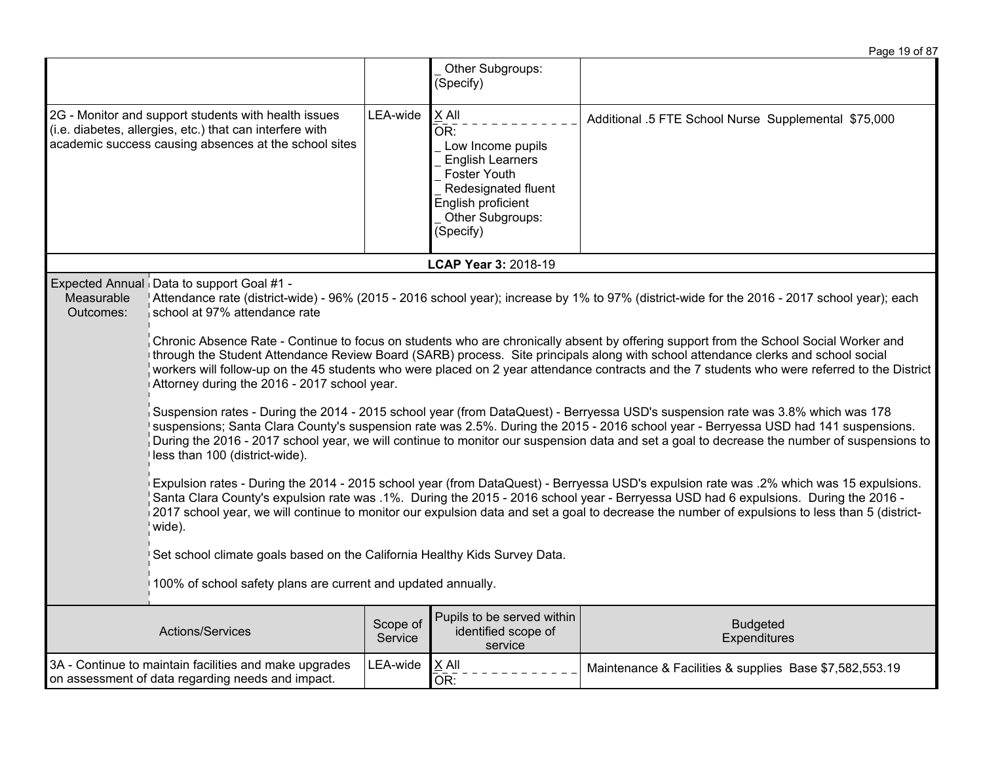|                         |                                                                                                                                                                                                                                                                                                                                                                                                                                                                                                                                                                                                                                                                                                                                                                                                                                                                                                                                                                                                                                                                                                                                                                                                                                                                                                                                                                                                                                                                                                                                                                                                                                                                                                                                                                   |                     |                                                                                                                                                            | Page 19 of 87                                           |
|-------------------------|-------------------------------------------------------------------------------------------------------------------------------------------------------------------------------------------------------------------------------------------------------------------------------------------------------------------------------------------------------------------------------------------------------------------------------------------------------------------------------------------------------------------------------------------------------------------------------------------------------------------------------------------------------------------------------------------------------------------------------------------------------------------------------------------------------------------------------------------------------------------------------------------------------------------------------------------------------------------------------------------------------------------------------------------------------------------------------------------------------------------------------------------------------------------------------------------------------------------------------------------------------------------------------------------------------------------------------------------------------------------------------------------------------------------------------------------------------------------------------------------------------------------------------------------------------------------------------------------------------------------------------------------------------------------------------------------------------------------------------------------------------------------|---------------------|------------------------------------------------------------------------------------------------------------------------------------------------------------|---------------------------------------------------------|
|                         |                                                                                                                                                                                                                                                                                                                                                                                                                                                                                                                                                                                                                                                                                                                                                                                                                                                                                                                                                                                                                                                                                                                                                                                                                                                                                                                                                                                                                                                                                                                                                                                                                                                                                                                                                                   |                     | Other Subgroups:<br>(Specify)                                                                                                                              |                                                         |
|                         | 2G - Monitor and support students with health issues<br>(i.e. diabetes, allergies, etc.) that can interfere with<br>academic success causing absences at the school sites                                                                                                                                                                                                                                                                                                                                                                                                                                                                                                                                                                                                                                                                                                                                                                                                                                                                                                                                                                                                                                                                                                                                                                                                                                                                                                                                                                                                                                                                                                                                                                                         | LEA-wide            | X All<br>OR:<br>Low Income pupils<br><b>English Learners</b><br>Foster Youth<br>Redesignated fluent<br>English proficient<br>Other Subgroups:<br>(Specify) | Additional .5 FTE School Nurse Supplemental \$75,000    |
|                         |                                                                                                                                                                                                                                                                                                                                                                                                                                                                                                                                                                                                                                                                                                                                                                                                                                                                                                                                                                                                                                                                                                                                                                                                                                                                                                                                                                                                                                                                                                                                                                                                                                                                                                                                                                   |                     | LCAP Year 3: 2018-19                                                                                                                                       |                                                         |
| Measurable<br>Outcomes: | Expected Annual Data to support Goal #1 -<br>Attendance rate (district-wide) - 96% (2015 - 2016 school year); increase by 1% to 97% (district-wide for the 2016 - 2017 school year); each<br>school at 97% attendance rate<br>Chronic Absence Rate - Continue to focus on students who are chronically absent by offering support from the School Social Worker and<br>through the Student Attendance Review Board (SARB) process. Site principals along with school attendance clerks and school social<br>workers will follow-up on the 45 students who were placed on 2 year attendance contracts and the 7 students who were referred to the District<br>Attorney during the 2016 - 2017 school year.<br>Suspension rates - During the 2014 - 2015 school year (from DataQuest) - Berryessa USD's suspension rate was 3.8% which was 178<br>suspensions; Santa Clara County's suspension rate was 2.5%. During the 2015 - 2016 school year - Berryessa USD had 141 suspensions.<br>During the 2016 - 2017 school year, we will continue to monitor our suspension data and set a goal to decrease the number of suspensions to<br>less than 100 (district-wide).<br>Expulsion rates - During the 2014 - 2015 school year (from DataQuest) - Berryessa USD's expulsion rate was .2% which was 15 expulsions.<br>Santa Clara County's expulsion rate was .1%. During the 2015 - 2016 school year - Berryessa USD had 6 expulsions. During the 2016 -<br>2017 school year, we will continue to monitor our expulsion data and set a goal to decrease the number of expulsions to less than 5 (district-<br>wide).<br>Set school climate goals based on the California Healthy Kids Survey Data.<br>100% of school safety plans are current and updated annually. |                     |                                                                                                                                                            |                                                         |
|                         | Actions/Services                                                                                                                                                                                                                                                                                                                                                                                                                                                                                                                                                                                                                                                                                                                                                                                                                                                                                                                                                                                                                                                                                                                                                                                                                                                                                                                                                                                                                                                                                                                                                                                                                                                                                                                                                  | Scope of<br>Service | Pupils to be served within<br>identified scope of<br>service                                                                                               | <b>Budgeted</b><br>Expenditures                         |
|                         | 3A - Continue to maintain facilities and make upgrades<br>on assessment of data regarding needs and impact.                                                                                                                                                                                                                                                                                                                                                                                                                                                                                                                                                                                                                                                                                                                                                                                                                                                                                                                                                                                                                                                                                                                                                                                                                                                                                                                                                                                                                                                                                                                                                                                                                                                       | LEA-wide            | $X$ All<br>OR:                                                                                                                                             | Maintenance & Facilities & supplies Base \$7,582,553.19 |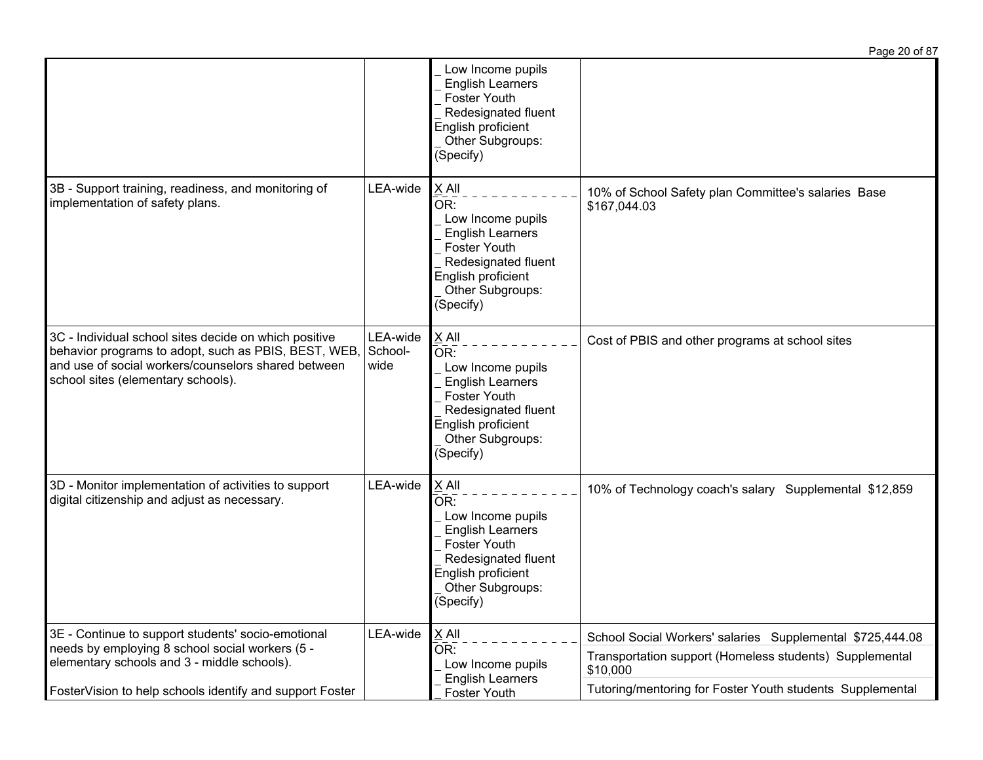|                                                                                                                                                                                                            |                             |                                                                                                                                                                     | Page 20 of 87                                                       |
|------------------------------------------------------------------------------------------------------------------------------------------------------------------------------------------------------------|-----------------------------|---------------------------------------------------------------------------------------------------------------------------------------------------------------------|---------------------------------------------------------------------|
|                                                                                                                                                                                                            |                             | Low Income pupils<br><b>English Learners</b><br><b>Foster Youth</b><br>Redesignated fluent<br>English proficient<br>Other Subgroups:<br>(Specify)                   |                                                                     |
| 3B - Support training, readiness, and monitoring of<br>implementation of safety plans.                                                                                                                     | LEA-wide                    | $X$ All<br>OR:<br>Low Income pupils<br><b>English Learners</b><br><b>Foster Youth</b><br>Redesignated fluent<br>English proficient<br>Other Subgroups:<br>(Specify) | 10% of School Safety plan Committee's salaries Base<br>\$167,044.03 |
| 3C - Individual school sites decide on which positive<br>behavior programs to adopt, such as PBIS, BEST, WEB,<br>and use of social workers/counselors shared between<br>school sites (elementary schools). | LEA-wide<br>School-<br>wide | X All<br>OR:<br>Low Income pupils<br><b>English Learners</b><br><b>Foster Youth</b><br>Redesignated fluent<br>English proficient<br>Other Subgroups:<br>(Specify)   | Cost of PBIS and other programs at school sites                     |
| 3D - Monitor implementation of activities to support<br>digital citizenship and adjust as necessary.                                                                                                       | LEA-wide                    | X All<br>OR:<br>Low Income pupils<br><b>English Learners</b><br><b>Foster Youth</b><br>Redesignated fluent<br>English proficient<br>Other Subgroups:<br>(Specify)   | 10% of Technology coach's salary Supplemental \$12,859              |
| 3E - Continue to support students' socio-emotional<br>needs by employing 8 school social workers (5 -                                                                                                      | LEA-wide                    | $\times$ All<br>OR:<br>Low Income pupils<br><b>English Learners</b>                                                                                                 | School Social Workers' salaries Supplemental \$725,444.08           |
| elementary schools and 3 - middle schools).                                                                                                                                                                |                             |                                                                                                                                                                     | Transportation support (Homeless students) Supplemental<br>\$10,000 |
| FosterVision to help schools identify and support Foster                                                                                                                                                   |                             | Foster Youth                                                                                                                                                        | Tutoring/mentoring for Foster Youth students Supplemental           |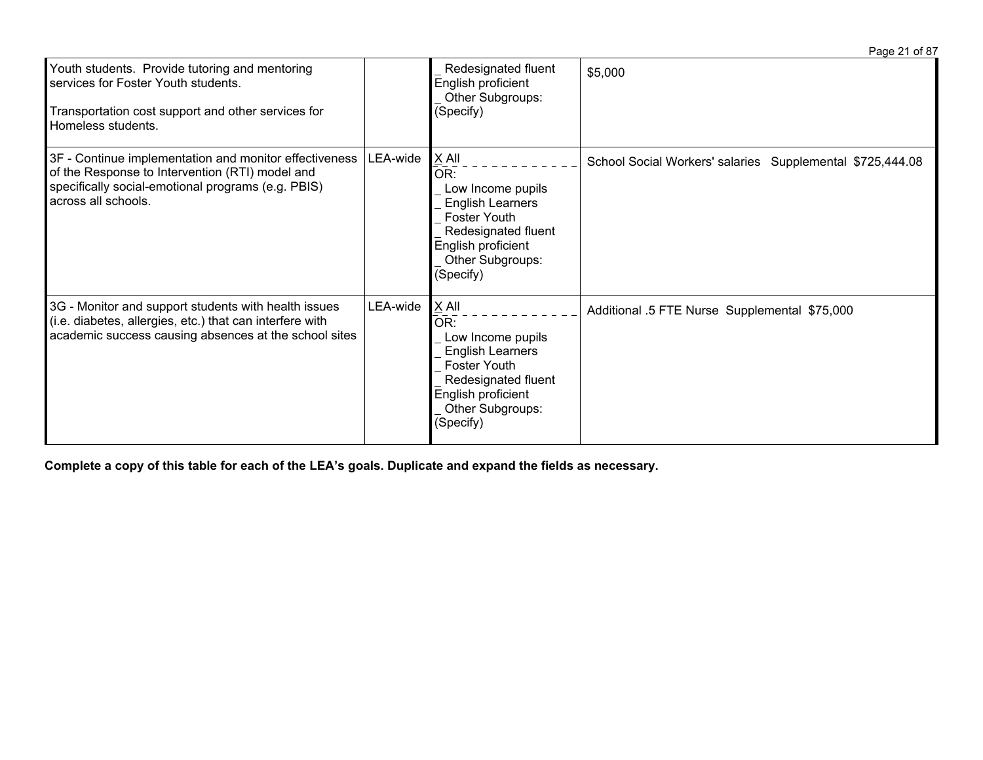|                                                                                                                                                                                        |          |                                                                                                                                                            | Page 21 of 87                                             |
|----------------------------------------------------------------------------------------------------------------------------------------------------------------------------------------|----------|------------------------------------------------------------------------------------------------------------------------------------------------------------|-----------------------------------------------------------|
| Youth students. Provide tutoring and mentoring<br>services for Foster Youth students.<br>Transportation cost support and other services for<br>Homeless students.                      |          | Redesignated fluent<br>English proficient<br>Other Subgroups:<br>(Specify)                                                                                 | \$5,000                                                   |
| 3F - Continue implementation and monitor effectiveness<br>of the Response to Intervention (RTI) model and<br>specifically social-emotional programs (e.g. PBIS)<br>across all schools. | LEA-wide | X All<br>OR:<br>Low Income pupils<br><b>English Learners</b><br>Foster Youth<br>Redesignated fluent<br>English proficient<br>Other Subgroups:<br>(Specify) | School Social Workers' salaries Supplemental \$725,444.08 |
| 3G - Monitor and support students with health issues<br>(i.e. diabetes, allergies, etc.) that can interfere with<br>academic success causing absences at the school sites              | LEA-wide | X All<br>OR:<br>Low Income pupils<br><b>English Learners</b><br>Foster Youth<br>Redesignated fluent<br>English proficient<br>Other Subgroups:<br>(Specify) | Additional .5 FTE Nurse Supplemental \$75,000             |

Complete a copy of this table for each of the LEA's goals. Duplicate and expand the fields as necessary.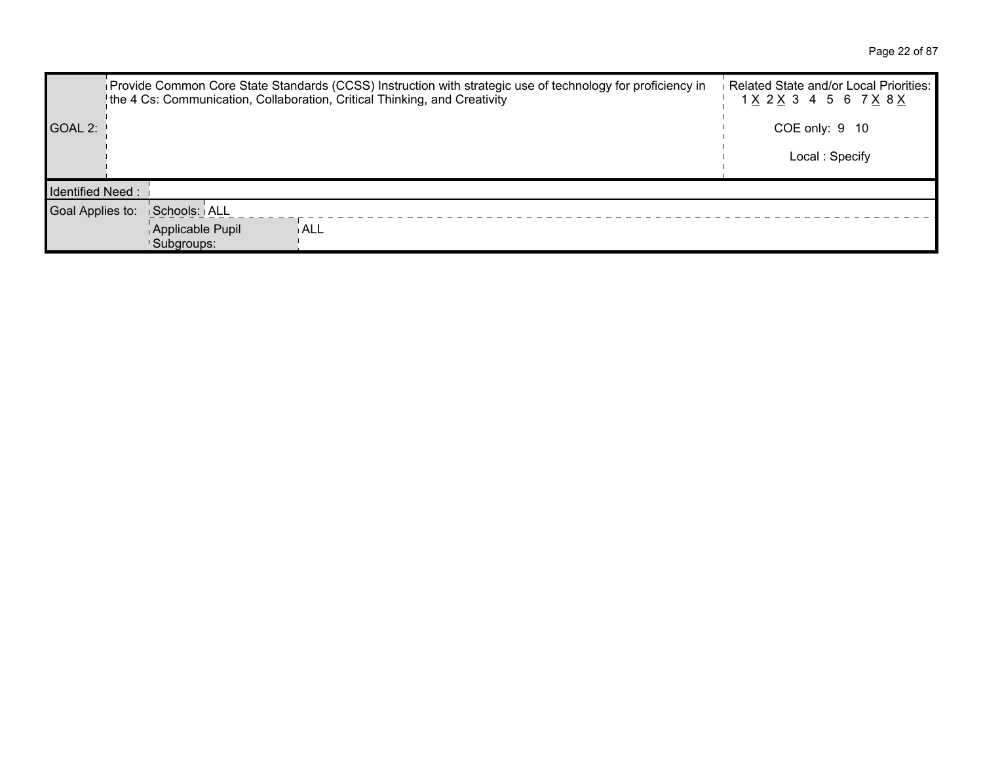Page 22 of 87

|                         | Provide Common Core State Standards (CCSS) Instruction with strategic use of technology for proficiency in<br>the 4 Cs: Communication, Collaboration, Critical Thinking, and Creativity | Related State and/or Local Priorities:<br>1 X 2 X 3 4 5 6 7 X 8 X |
|-------------------------|-----------------------------------------------------------------------------------------------------------------------------------------------------------------------------------------|-------------------------------------------------------------------|
| GOAL 2:                 |                                                                                                                                                                                         | COE only: 9 10                                                    |
|                         |                                                                                                                                                                                         | Local: Specify                                                    |
| <b>Identified Need:</b> |                                                                                                                                                                                         |                                                                   |
| Goal Applies to:        | Schools: ALL                                                                                                                                                                            |                                                                   |
|                         | Applicable Pupil<br>ALL<br>Subgroups:                                                                                                                                                   |                                                                   |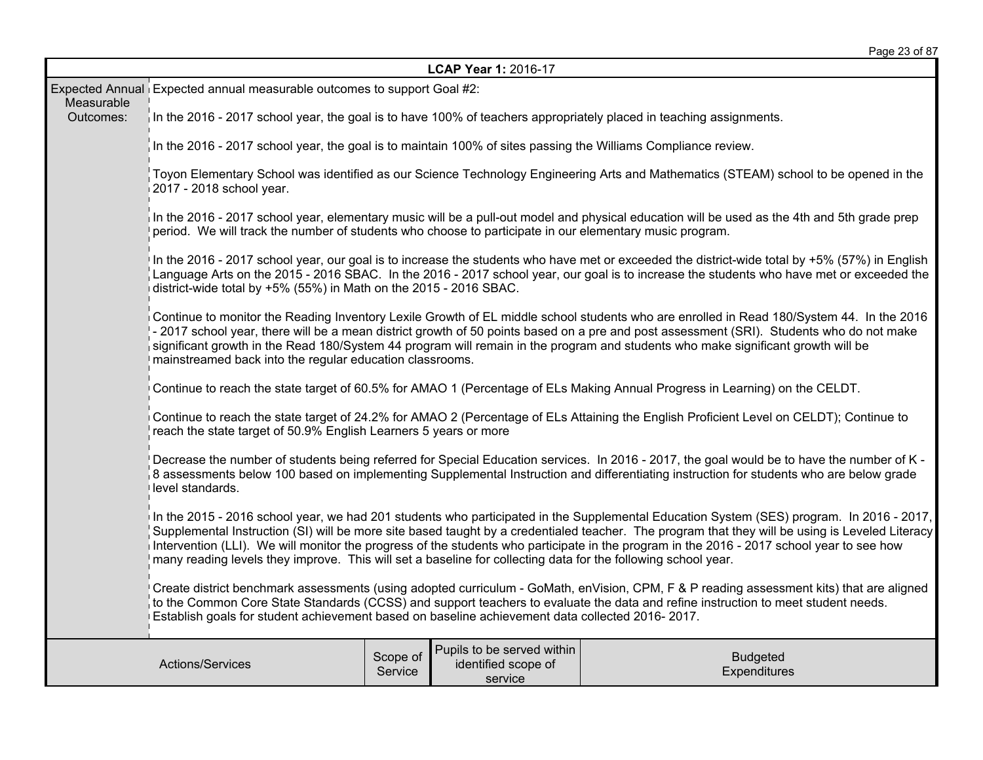| Page 23 of 87 |  |  |  |
|---------------|--|--|--|
|---------------|--|--|--|

| LCAP Year 1: 2016-17                                                                                                                                                                                                                                                                                                                                                             |                                                                                                                                                                                                                                                                                                                                                                                                                                                                                                                                                           |                     |                                                              |                                 |  |  |  |  |
|----------------------------------------------------------------------------------------------------------------------------------------------------------------------------------------------------------------------------------------------------------------------------------------------------------------------------------------------------------------------------------|-----------------------------------------------------------------------------------------------------------------------------------------------------------------------------------------------------------------------------------------------------------------------------------------------------------------------------------------------------------------------------------------------------------------------------------------------------------------------------------------------------------------------------------------------------------|---------------------|--------------------------------------------------------------|---------------------------------|--|--|--|--|
|                                                                                                                                                                                                                                                                                                                                                                                  | Expected Annual Expected annual measurable outcomes to support Goal #2:                                                                                                                                                                                                                                                                                                                                                                                                                                                                                   |                     |                                                              |                                 |  |  |  |  |
| Measurable<br>Outcomes:                                                                                                                                                                                                                                                                                                                                                          | In the 2016 - 2017 school year, the goal is to have 100% of teachers appropriately placed in teaching assignments.                                                                                                                                                                                                                                                                                                                                                                                                                                        |                     |                                                              |                                 |  |  |  |  |
|                                                                                                                                                                                                                                                                                                                                                                                  | In the 2016 - 2017 school year, the goal is to maintain 100% of sites passing the Williams Compliance review.                                                                                                                                                                                                                                                                                                                                                                                                                                             |                     |                                                              |                                 |  |  |  |  |
|                                                                                                                                                                                                                                                                                                                                                                                  | Toyon Elementary School was identified as our Science Technology Engineering Arts and Mathematics (STEAM) school to be opened in the<br>2017 - 2018 school year.                                                                                                                                                                                                                                                                                                                                                                                          |                     |                                                              |                                 |  |  |  |  |
|                                                                                                                                                                                                                                                                                                                                                                                  | In the 2016 - 2017 school year, elementary music will be a pull-out model and physical education will be used as the 4th and 5th grade prep<br>period. We will track the number of students who choose to participate in our elementary music program.                                                                                                                                                                                                                                                                                                    |                     |                                                              |                                 |  |  |  |  |
|                                                                                                                                                                                                                                                                                                                                                                                  | In the 2016 - 2017 school year, our goal is to increase the students who have met or exceeded the district-wide total by +5% (57%) in English<br>Language Arts on the 2015 - 2016 SBAC. In the 2016 - 2017 school year, our goal is to increase the students who have met or exceeded the<br>district-wide total by +5% (55%) in Math on the 2015 - 2016 SBAC.                                                                                                                                                                                            |                     |                                                              |                                 |  |  |  |  |
|                                                                                                                                                                                                                                                                                                                                                                                  | Continue to monitor the Reading Inventory Lexile Growth of EL middle school students who are enrolled in Read 180/System 44. In the 2016<br>- 2017 school year, there will be a mean district growth of 50 points based on a pre and post assessment (SRI). Students who do not make<br>significant growth in the Read 180/System 44 program will remain in the program and students who make significant growth will be<br>mainstreamed back into the regular education classrooms.                                                                      |                     |                                                              |                                 |  |  |  |  |
|                                                                                                                                                                                                                                                                                                                                                                                  | Continue to reach the state target of 60.5% for AMAO 1 (Percentage of ELs Making Annual Progress in Learning) on the CELDT.                                                                                                                                                                                                                                                                                                                                                                                                                               |                     |                                                              |                                 |  |  |  |  |
|                                                                                                                                                                                                                                                                                                                                                                                  | Continue to reach the state target of 24.2% for AMAO 2 (Percentage of ELs Attaining the English Proficient Level on CELDT); Continue to<br>reach the state target of 50.9% English Learners 5 years or more                                                                                                                                                                                                                                                                                                                                               |                     |                                                              |                                 |  |  |  |  |
|                                                                                                                                                                                                                                                                                                                                                                                  | Decrease the number of students being referred for Special Education services. In 2016 - 2017, the goal would be to have the number of K -<br>8 assessments below 100 based on implementing Supplemental Instruction and differentiating instruction for students who are below grade<br>level standards.                                                                                                                                                                                                                                                 |                     |                                                              |                                 |  |  |  |  |
|                                                                                                                                                                                                                                                                                                                                                                                  | In the 2015 - 2016 school year, we had 201 students who participated in the Supplemental Education System (SES) program. In 2016 - 2017,<br>Supplemental Instruction (SI) will be more site based taught by a credentialed teacher. The program that they will be using is Leveled Literacy<br>Intervention (LLI). We will monitor the progress of the students who participate in the program in the 2016 - 2017 school year to see how<br>many reading levels they improve. This will set a baseline for collecting data for the following school year. |                     |                                                              |                                 |  |  |  |  |
| Create district benchmark assessments (using adopted curriculum - GoMath, enVision, CPM, F & P reading assessment kits) that are aligned<br>to the Common Core State Standards (CCSS) and support teachers to evaluate the data and refine instruction to meet student needs.<br>Establish goals for student achievement based on baseline achievement data collected 2016-2017. |                                                                                                                                                                                                                                                                                                                                                                                                                                                                                                                                                           |                     |                                                              |                                 |  |  |  |  |
|                                                                                                                                                                                                                                                                                                                                                                                  | Actions/Services                                                                                                                                                                                                                                                                                                                                                                                                                                                                                                                                          | Scope of<br>Service | Pupils to be served within<br>identified scope of<br>service | <b>Budgeted</b><br>Expenditures |  |  |  |  |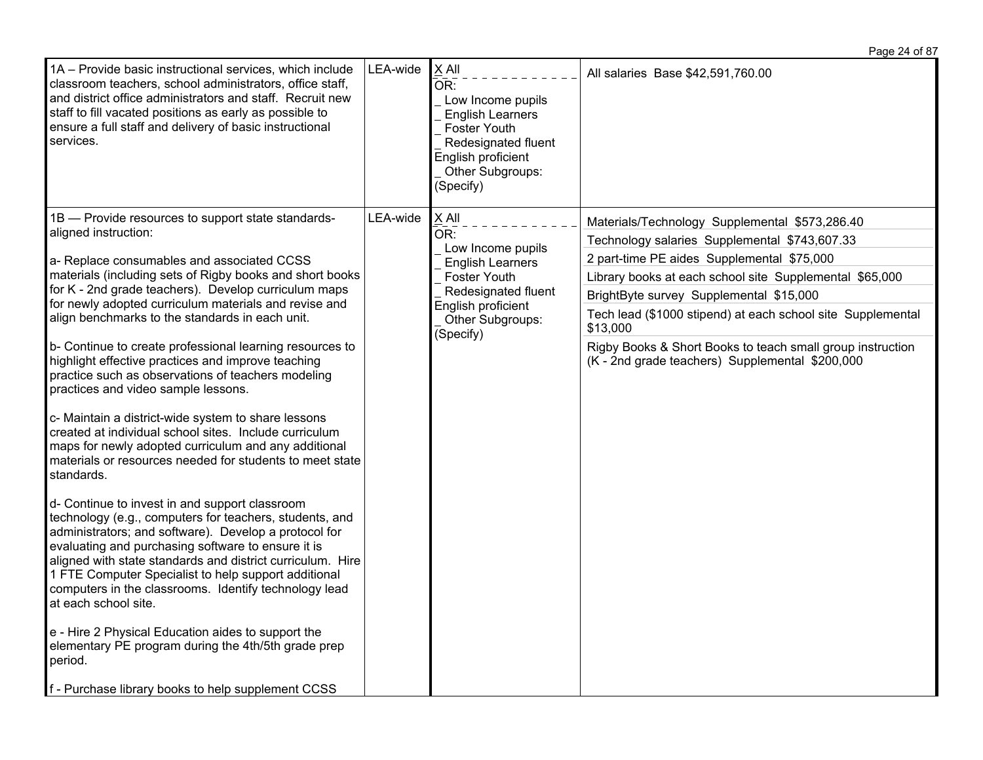| 1A - Provide basic instructional services, which include<br>classroom teachers, school administrators, office staff,<br>and district office administrators and staff. Recruit new<br>staff to fill vacated positions as early as possible to<br>ensure a full staff and delivery of basic instructional<br>services.                                                                                                            | LEA-wide | $X$ All<br>OR:<br>Low Income pupils<br><b>English Learners</b><br>Foster Youth<br>Redesignated fluent<br>English proficient<br>Other Subgroups:<br>(Specify) | All salaries Base \$42,591,760.00                                       |                                                                                                               |
|---------------------------------------------------------------------------------------------------------------------------------------------------------------------------------------------------------------------------------------------------------------------------------------------------------------------------------------------------------------------------------------------------------------------------------|----------|--------------------------------------------------------------------------------------------------------------------------------------------------------------|-------------------------------------------------------------------------|---------------------------------------------------------------------------------------------------------------|
| 1B - Provide resources to support state standards-                                                                                                                                                                                                                                                                                                                                                                              | LEA-wide | $X$ All                                                                                                                                                      | Materials/Technology Supplemental \$573,286.40                          |                                                                                                               |
| aligned instruction:                                                                                                                                                                                                                                                                                                                                                                                                            |          | OR:<br>Low Income pupils                                                                                                                                     | Technology salaries Supplemental \$743,607.33                           |                                                                                                               |
| a- Replace consumables and associated CCSS                                                                                                                                                                                                                                                                                                                                                                                      |          | <b>English Learners</b>                                                                                                                                      | 2 part-time PE aides Supplemental \$75,000                              |                                                                                                               |
| materials (including sets of Rigby books and short books                                                                                                                                                                                                                                                                                                                                                                        |          | Foster Youth                                                                                                                                                 | Library books at each school site Supplemental \$65,000                 |                                                                                                               |
| for K - 2nd grade teachers). Develop curriculum maps<br>for newly adopted curriculum materials and revise and                                                                                                                                                                                                                                                                                                                   |          | Redesignated fluent                                                                                                                                          | BrightByte survey Supplemental \$15,000                                 |                                                                                                               |
| align benchmarks to the standards in each unit.                                                                                                                                                                                                                                                                                                                                                                                 |          | English proficient<br>Other Subgroups:<br>(Specify)                                                                                                          | Tech lead (\$1000 stipend) at each school site Supplemental<br>\$13,000 |                                                                                                               |
| b- Continue to create professional learning resources to<br>highlight effective practices and improve teaching<br>practice such as observations of teachers modeling<br>practices and video sample lessons.                                                                                                                                                                                                                     |          |                                                                                                                                                              |                                                                         | Rigby Books & Short Books to teach small group instruction<br>(K - 2nd grade teachers) Supplemental \$200,000 |
| c- Maintain a district-wide system to share lessons<br>created at individual school sites. Include curriculum<br>maps for newly adopted curriculum and any additional<br>materials or resources needed for students to meet state<br>standards.                                                                                                                                                                                 |          |                                                                                                                                                              |                                                                         |                                                                                                               |
| d- Continue to invest in and support classroom<br>technology (e.g., computers for teachers, students, and<br>administrators; and software). Develop a protocol for<br>evaluating and purchasing software to ensure it is<br>aligned with state standards and district curriculum. Hire<br>1 FTE Computer Specialist to help support additional<br>computers in the classrooms. Identify technology lead<br>at each school site. |          |                                                                                                                                                              |                                                                         |                                                                                                               |
| e - Hire 2 Physical Education aides to support the<br>elementary PE program during the 4th/5th grade prep<br>period.                                                                                                                                                                                                                                                                                                            |          |                                                                                                                                                              |                                                                         |                                                                                                               |
| f - Purchase library books to help supplement CCSS                                                                                                                                                                                                                                                                                                                                                                              |          |                                                                                                                                                              |                                                                         |                                                                                                               |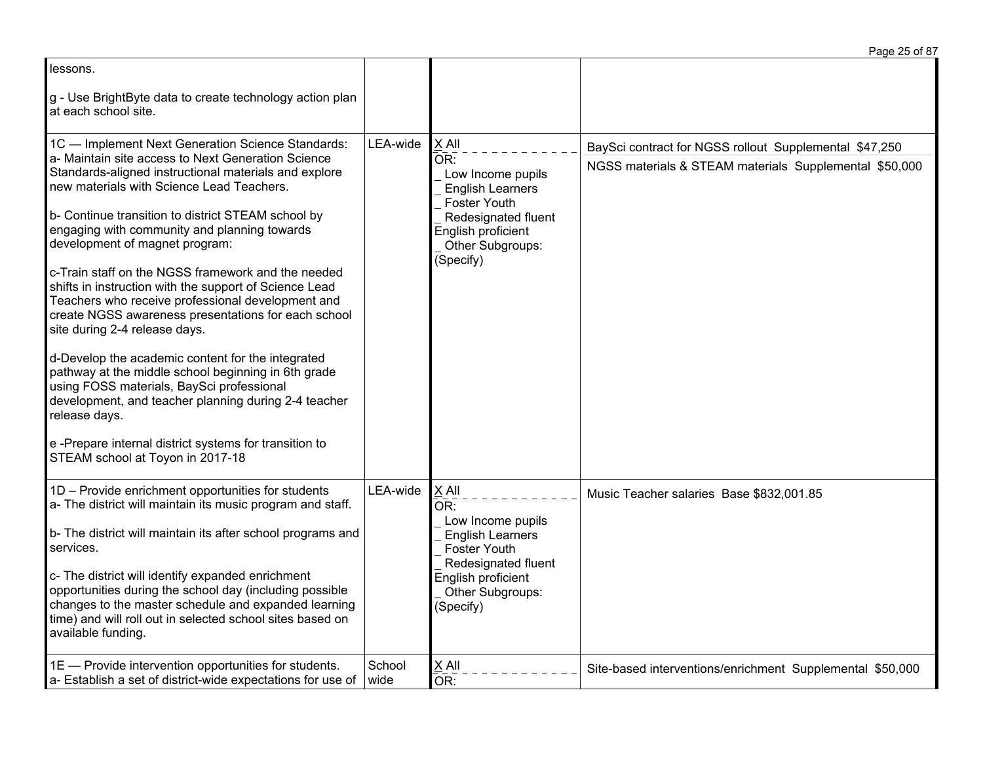|                                                                                                                                                                                                                                                                                                                                                                                                                                                                                                                                                                                                                                                                                                                                                                                                                                                                                                               |                |                                                                                                                                                                   | Page 25 of 87                                                                                                    |
|---------------------------------------------------------------------------------------------------------------------------------------------------------------------------------------------------------------------------------------------------------------------------------------------------------------------------------------------------------------------------------------------------------------------------------------------------------------------------------------------------------------------------------------------------------------------------------------------------------------------------------------------------------------------------------------------------------------------------------------------------------------------------------------------------------------------------------------------------------------------------------------------------------------|----------------|-------------------------------------------------------------------------------------------------------------------------------------------------------------------|------------------------------------------------------------------------------------------------------------------|
| lessons.                                                                                                                                                                                                                                                                                                                                                                                                                                                                                                                                                                                                                                                                                                                                                                                                                                                                                                      |                |                                                                                                                                                                   |                                                                                                                  |
| g - Use BrightByte data to create technology action plan<br>at each school site.                                                                                                                                                                                                                                                                                                                                                                                                                                                                                                                                                                                                                                                                                                                                                                                                                              |                |                                                                                                                                                                   |                                                                                                                  |
| 1C - Implement Next Generation Science Standards:<br>a- Maintain site access to Next Generation Science<br>Standards-aligned instructional materials and explore<br>new materials with Science Lead Teachers.<br>b- Continue transition to district STEAM school by<br>engaging with community and planning towards<br>development of magnet program:<br>c-Train staff on the NGSS framework and the needed<br>shifts in instruction with the support of Science Lead<br>Teachers who receive professional development and<br>create NGSS awareness presentations for each school<br>site during 2-4 release days.<br>d-Develop the academic content for the integrated<br>pathway at the middle school beginning in 6th grade<br>using FOSS materials, BaySci professional<br>development, and teacher planning during 2-4 teacher<br>release days.<br>e-Prepare internal district systems for transition to | LEA-wide       | X All<br>OR:<br>Low Income pupils<br><b>English Learners</b><br>Foster Youth<br>Redesignated fluent<br>English proficient<br>Other Subgroups:<br>(Specify)        | BaySci contract for NGSS rollout Supplemental \$47,250<br>NGSS materials & STEAM materials Supplemental \$50,000 |
| STEAM school at Toyon in 2017-18                                                                                                                                                                                                                                                                                                                                                                                                                                                                                                                                                                                                                                                                                                                                                                                                                                                                              |                |                                                                                                                                                                   |                                                                                                                  |
| 1D - Provide enrichment opportunities for students<br>a- The district will maintain its music program and staff.<br>b- The district will maintain its after school programs and<br>services.<br>c- The district will identify expanded enrichment<br>opportunities during the school day (including possible<br>changes to the master schedule and expanded learning<br>time) and will roll out in selected school sites based on<br>available funding.                                                                                                                                                                                                                                                                                                                                                                                                                                                       | LEA-wide       | X All<br>OR:<br>Low Income pupils<br><b>English Learners</b><br><b>Foster Youth</b><br>Redesignated fluent<br>English proficient<br>Other Subgroups:<br>(Specify) | Music Teacher salaries Base \$832,001.85                                                                         |
| 1E - Provide intervention opportunities for students.<br>a- Establish a set of district-wide expectations for use of                                                                                                                                                                                                                                                                                                                                                                                                                                                                                                                                                                                                                                                                                                                                                                                          | School<br>wide | X All<br>OR:                                                                                                                                                      | Site-based interventions/enrichment Supplemental \$50,000                                                        |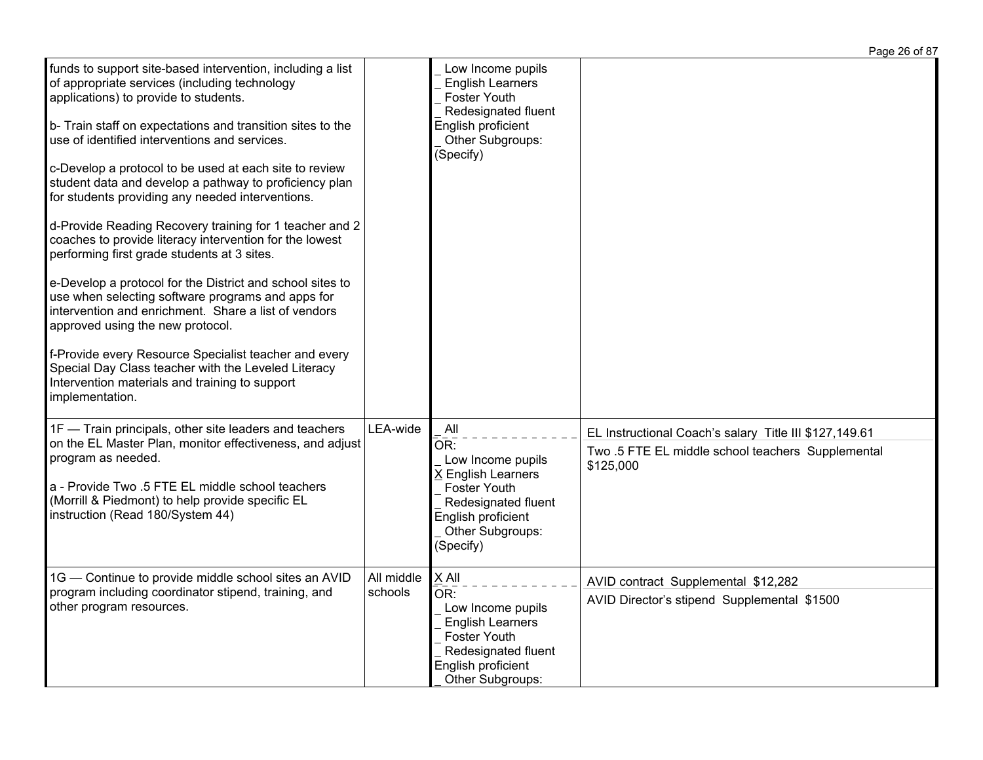|                                                                                                                                                                                                                                                                                                                                                                                                                                                                                                                                                                                                                                                                                                                                                                                                                                                                                                                                                                                                                     |                       |                                                                                                                                                            | Page 26 of 87                                                                                                            |
|---------------------------------------------------------------------------------------------------------------------------------------------------------------------------------------------------------------------------------------------------------------------------------------------------------------------------------------------------------------------------------------------------------------------------------------------------------------------------------------------------------------------------------------------------------------------------------------------------------------------------------------------------------------------------------------------------------------------------------------------------------------------------------------------------------------------------------------------------------------------------------------------------------------------------------------------------------------------------------------------------------------------|-----------------------|------------------------------------------------------------------------------------------------------------------------------------------------------------|--------------------------------------------------------------------------------------------------------------------------|
| funds to support site-based intervention, including a list<br>of appropriate services (including technology<br>applications) to provide to students.<br>b- Train staff on expectations and transition sites to the<br>use of identified interventions and services.<br>c-Develop a protocol to be used at each site to review<br>student data and develop a pathway to proficiency plan<br>for students providing any needed interventions.<br>d-Provide Reading Recovery training for 1 teacher and 2<br>coaches to provide literacy intervention for the lowest<br>performing first grade students at 3 sites.<br>e-Develop a protocol for the District and school sites to<br>use when selecting software programs and apps for<br>intervention and enrichment. Share a list of vendors<br>approved using the new protocol.<br>f-Provide every Resource Specialist teacher and every<br>Special Day Class teacher with the Leveled Literacy<br>Intervention materials and training to support<br>implementation. |                       | Low Income pupils<br><b>English Learners</b><br><b>Foster Youth</b><br>Redesignated fluent<br>English proficient<br>Other Subgroups:<br>(Specify)          |                                                                                                                          |
| 1F - Train principals, other site leaders and teachers<br>on the EL Master Plan, monitor effectiveness, and adjust<br>program as needed.<br>a - Provide Two .5 FTE EL middle school teachers<br>(Morrill & Piedmont) to help provide specific EL<br>instruction (Read 180/System 44)                                                                                                                                                                                                                                                                                                                                                                                                                                                                                                                                                                                                                                                                                                                                | LEA-wide              | All<br>OR:<br>Low Income pupils<br>X English Learners<br><b>Foster Youth</b><br>Redesignated fluent<br>English proficient<br>Other Subgroups:<br>(Specify) | EL Instructional Coach's salary Title III \$127,149.61<br>Two .5 FTE EL middle school teachers Supplemental<br>\$125,000 |
| 1G - Continue to provide middle school sites an AVID<br>program including coordinator stipend, training, and<br>other program resources.                                                                                                                                                                                                                                                                                                                                                                                                                                                                                                                                                                                                                                                                                                                                                                                                                                                                            | All middle<br>schools | X All<br>OR:<br>Low Income pupils<br><b>English Learners</b><br><b>Foster Youth</b><br>Redesignated fluent<br>English proficient<br>Other Subgroups:       | AVID contract Supplemental \$12,282<br>AVID Director's stipend Supplemental \$1500                                       |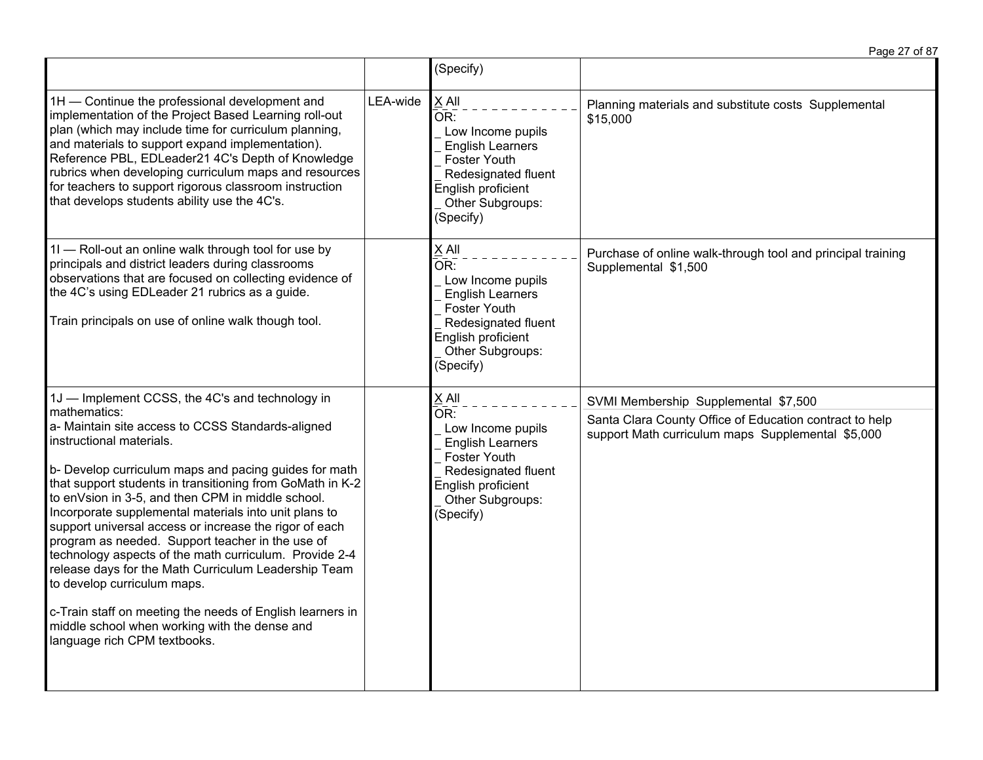|                                                                                                                                                                                                                                                                                                                                                                                                                                                                                                                                                                                                                                                                                                                                                |          | (Specify)                                                                                                                                                                               |                                                                                                              |
|------------------------------------------------------------------------------------------------------------------------------------------------------------------------------------------------------------------------------------------------------------------------------------------------------------------------------------------------------------------------------------------------------------------------------------------------------------------------------------------------------------------------------------------------------------------------------------------------------------------------------------------------------------------------------------------------------------------------------------------------|----------|-----------------------------------------------------------------------------------------------------------------------------------------------------------------------------------------|--------------------------------------------------------------------------------------------------------------|
| 1H - Continue the professional development and<br>implementation of the Project Based Learning roll-out<br>plan (which may include time for curriculum planning,<br>and materials to support expand implementation).<br>Reference PBL, EDLeader21 4C's Depth of Knowledge<br>rubrics when developing curriculum maps and resources<br>for teachers to support rigorous classroom instruction<br>that develops students ability use the 4C's.                                                                                                                                                                                                                                                                                                   | LEA-wide | X All<br>OR:<br>Low Income pupils<br><b>English Learners</b><br><b>Foster Youth</b><br>Redesignated fluent<br>English proficient<br>Other Subgroups:<br>(Specify)                       | Planning materials and substitute costs Supplemental<br>\$15,000                                             |
| 11 - Roll-out an online walk through tool for use by<br>principals and district leaders during classrooms<br>observations that are focused on collecting evidence of<br>the 4C's using EDLeader 21 rubrics as a guide.<br>Train principals on use of online walk though tool.                                                                                                                                                                                                                                                                                                                                                                                                                                                                  |          | <b>XAII</b><br>$\overline{\mathsf{OR}}$ :<br>Low Income pupils<br><b>English Learners</b><br>Foster Youth<br>Redesignated fluent<br>English proficient<br>Other Subgroups:<br>(Specify) | Purchase of online walk-through tool and principal training<br>Supplemental \$1,500                          |
| 1J - Implement CCSS, the 4C's and technology in                                                                                                                                                                                                                                                                                                                                                                                                                                                                                                                                                                                                                                                                                                |          | X All                                                                                                                                                                                   | SVMI Membership Supplemental \$7,500                                                                         |
| mathematics:<br>a- Maintain site access to CCSS Standards-aligned<br>instructional materials.<br>b- Develop curriculum maps and pacing guides for math<br>that support students in transitioning from GoMath in K-2<br>to enVsion in 3-5, and then CPM in middle school.<br>Incorporate supplemental materials into unit plans to<br>support universal access or increase the rigor of each<br>program as needed. Support teacher in the use of<br>technology aspects of the math curriculum. Provide 2-4<br>release days for the Math Curriculum Leadership Team<br>to develop curriculum maps.<br>c-Train staff on meeting the needs of English learners in<br>middle school when working with the dense and<br>language rich CPM textbooks. |          | ŌR:<br>Low Income pupils<br><b>English Learners</b><br><b>Foster Youth</b><br>Redesignated fluent<br>English proficient<br>Other Subgroups:<br>(Specify)                                | Santa Clara County Office of Education contract to help<br>support Math curriculum maps Supplemental \$5,000 |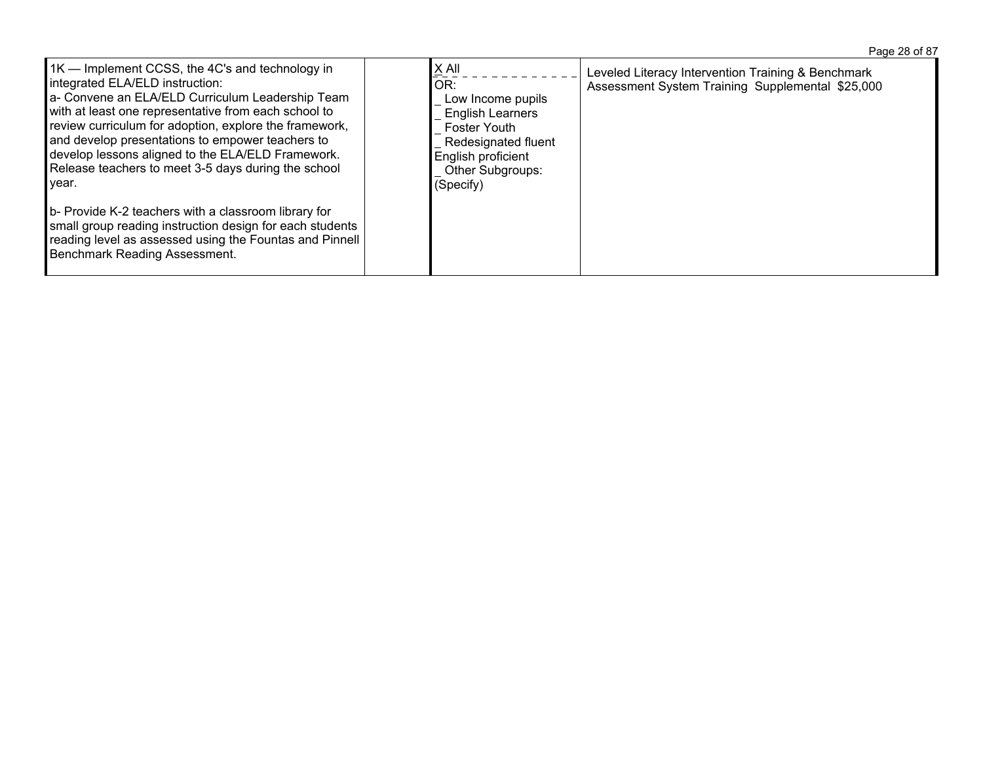| $\underline{X}$ All<br>1K — Implement CCSS, the 4C's and technology in<br>Leveled Literacy Intervention Training & Benchmark<br>integrated ELA/ELD instruction:<br>OR:<br>Assessment System Training Supplemental \$25,000<br>a- Convene an ELA/ELD Curriculum Leadership Team<br>Low Income pupils<br>with at least one representative from each school to<br><b>English Learners</b><br>review curriculum for adoption, explore the framework,<br><b>Foster Youth</b><br>and develop presentations to empower teachers to<br>Redesignated fluent<br>develop lessons aligned to the ELA/ELD Framework.<br>English proficient<br>Release teachers to meet 3-5 days during the school<br>Other Subgroups:<br>(Specify)<br>year.<br>b- Provide K-2 teachers with a classroom library for<br>small group reading instruction design for each students<br>reading level as assessed using the Fountas and Pinnell<br>Benchmark Reading Assessment. |  |  |
|------------------------------------------------------------------------------------------------------------------------------------------------------------------------------------------------------------------------------------------------------------------------------------------------------------------------------------------------------------------------------------------------------------------------------------------------------------------------------------------------------------------------------------------------------------------------------------------------------------------------------------------------------------------------------------------------------------------------------------------------------------------------------------------------------------------------------------------------------------------------------------------------------------------------------------------------|--|--|
|                                                                                                                                                                                                                                                                                                                                                                                                                                                                                                                                                                                                                                                                                                                                                                                                                                                                                                                                                |  |  |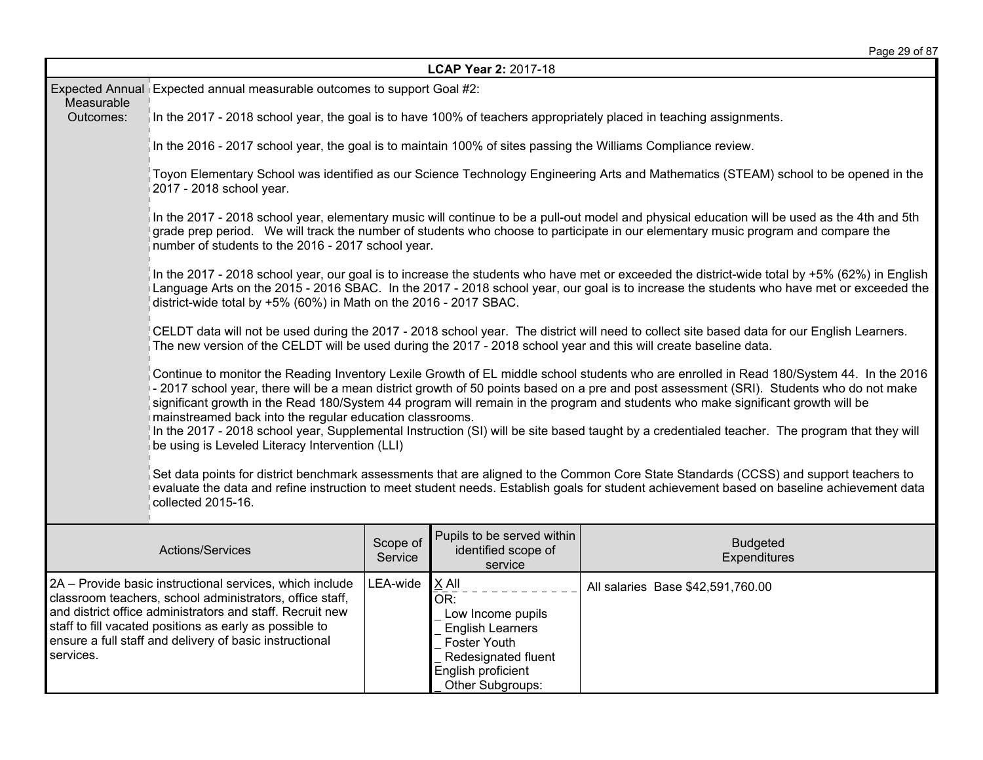| LCAP Year 2: 2017-18 |                                                                                                                                                                                                                                                                                                                                                                                                                                                                                                                                                                                                                                                                                          |                     |                                                                                                                                               |                                                                                                                                                                                                                                                                                   |  |  |
|----------------------|------------------------------------------------------------------------------------------------------------------------------------------------------------------------------------------------------------------------------------------------------------------------------------------------------------------------------------------------------------------------------------------------------------------------------------------------------------------------------------------------------------------------------------------------------------------------------------------------------------------------------------------------------------------------------------------|---------------------|-----------------------------------------------------------------------------------------------------------------------------------------------|-----------------------------------------------------------------------------------------------------------------------------------------------------------------------------------------------------------------------------------------------------------------------------------|--|--|
| Measurable           | Expected Annual Expected annual measurable outcomes to support Goal #2:                                                                                                                                                                                                                                                                                                                                                                                                                                                                                                                                                                                                                  |                     |                                                                                                                                               |                                                                                                                                                                                                                                                                                   |  |  |
| Outcomes:            | In the 2017 - 2018 school year, the goal is to have 100% of teachers appropriately placed in teaching assignments.                                                                                                                                                                                                                                                                                                                                                                                                                                                                                                                                                                       |                     |                                                                                                                                               |                                                                                                                                                                                                                                                                                   |  |  |
|                      | In the 2016 - 2017 school year, the goal is to maintain 100% of sites passing the Williams Compliance review.                                                                                                                                                                                                                                                                                                                                                                                                                                                                                                                                                                            |                     |                                                                                                                                               |                                                                                                                                                                                                                                                                                   |  |  |
|                      | 2017 - 2018 school year.                                                                                                                                                                                                                                                                                                                                                                                                                                                                                                                                                                                                                                                                 |                     |                                                                                                                                               | Toyon Elementary School was identified as our Science Technology Engineering Arts and Mathematics (STEAM) school to be opened in the                                                                                                                                              |  |  |
|                      | number of students to the 2016 - 2017 school year.                                                                                                                                                                                                                                                                                                                                                                                                                                                                                                                                                                                                                                       |                     |                                                                                                                                               | In the 2017 - 2018 school year, elementary music will continue to be a pull-out model and physical education will be used as the 4th and 5th<br>grade prep period. We will track the number of students who choose to participate in our elementary music program and compare the |  |  |
|                      | In the 2017 - 2018 school year, our goal is to increase the students who have met or exceeded the district-wide total by +5% (62%) in English<br>Language Arts on the 2015 - 2016 SBAC. In the 2017 - 2018 school year, our goal is to increase the students who have met or exceeded the<br>district-wide total by +5% (60%) in Math on the 2016 - 2017 SBAC.                                                                                                                                                                                                                                                                                                                           |                     |                                                                                                                                               |                                                                                                                                                                                                                                                                                   |  |  |
|                      | The new version of the CELDT will be used during the 2017 - 2018 school year and this will create baseline data.                                                                                                                                                                                                                                                                                                                                                                                                                                                                                                                                                                         |                     |                                                                                                                                               | CELDT data will not be used during the 2017 - 2018 school year. The district will need to collect site based data for our English Learners.                                                                                                                                       |  |  |
|                      | Continue to monitor the Reading Inventory Lexile Growth of EL middle school students who are enrolled in Read 180/System 44. In the 2016<br>- 2017 school year, there will be a mean district growth of 50 points based on a pre and post assessment (SRI). Students who do not make<br>significant growth in the Read 180/System 44 program will remain in the program and students who make significant growth will be<br>mainstreamed back into the regular education classrooms.<br>In the 2017 - 2018 school year, Supplemental Instruction (SI) will be site based taught by a credentialed teacher. The program that they will<br>be using is Leveled Literacy Intervention (LLI) |                     |                                                                                                                                               |                                                                                                                                                                                                                                                                                   |  |  |
|                      | Set data points for district benchmark assessments that are aligned to the Common Core State Standards (CCSS) and support teachers to<br>evaluate the data and refine instruction to meet student needs. Establish goals for student achievement based on baseline achievement data<br>collected 2015-16.                                                                                                                                                                                                                                                                                                                                                                                |                     |                                                                                                                                               |                                                                                                                                                                                                                                                                                   |  |  |
|                      | Actions/Services                                                                                                                                                                                                                                                                                                                                                                                                                                                                                                                                                                                                                                                                         | Scope of<br>Service | Pupils to be served within<br>identified scope of<br>service                                                                                  | <b>Budgeted</b><br>Expenditures                                                                                                                                                                                                                                                   |  |  |
| services.            | 2A - Provide basic instructional services, which include<br>classroom teachers, school administrators, office staff,<br>and district office administrators and staff. Recruit new<br>staff to fill vacated positions as early as possible to<br>ensure a full staff and delivery of basic instructional                                                                                                                                                                                                                                                                                                                                                                                  | LEA-wide            | X All<br>OR:<br>Low Income pupils<br><b>English Learners</b><br>Foster Youth<br>Redesignated fluent<br>English proficient<br>Other Subgroups: | All salaries Base \$42,591,760.00                                                                                                                                                                                                                                                 |  |  |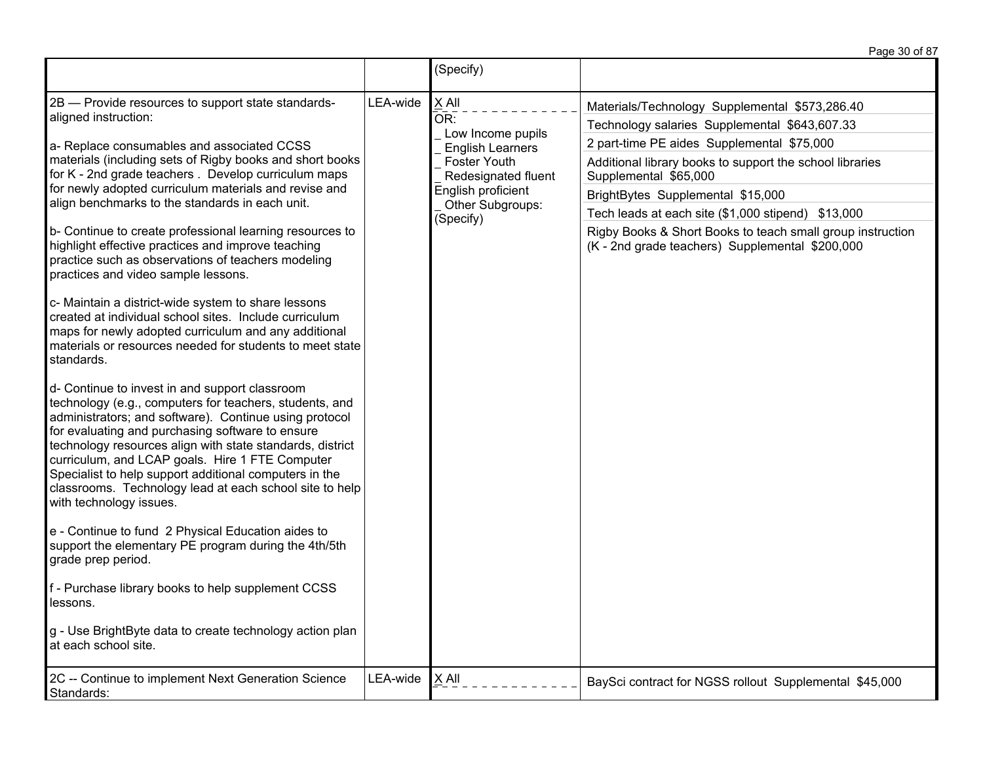Page 30 of 87

|                                                                                                                                                                                                                                                                                                                                                                                                                                                                                                                                                                                                                                                                                                                                                                                                                                                                                                                                                                                                                                                                                                                                                                                                                                                                                                                                                                                                                                                                                                                                                                                         |          | (Specify)                                                                                                                                                  |                                                                                                                                                                                                                                                                                                                                                                                                                                                |
|-----------------------------------------------------------------------------------------------------------------------------------------------------------------------------------------------------------------------------------------------------------------------------------------------------------------------------------------------------------------------------------------------------------------------------------------------------------------------------------------------------------------------------------------------------------------------------------------------------------------------------------------------------------------------------------------------------------------------------------------------------------------------------------------------------------------------------------------------------------------------------------------------------------------------------------------------------------------------------------------------------------------------------------------------------------------------------------------------------------------------------------------------------------------------------------------------------------------------------------------------------------------------------------------------------------------------------------------------------------------------------------------------------------------------------------------------------------------------------------------------------------------------------------------------------------------------------------------|----------|------------------------------------------------------------------------------------------------------------------------------------------------------------|------------------------------------------------------------------------------------------------------------------------------------------------------------------------------------------------------------------------------------------------------------------------------------------------------------------------------------------------------------------------------------------------------------------------------------------------|
| 2B - Provide resources to support state standards-<br>aligned instruction:<br>a- Replace consumables and associated CCSS<br>materials (including sets of Rigby books and short books<br>for K - 2nd grade teachers . Develop curriculum maps<br>for newly adopted curriculum materials and revise and<br>align benchmarks to the standards in each unit.<br>b- Continue to create professional learning resources to<br>highlight effective practices and improve teaching<br>practice such as observations of teachers modeling<br>practices and video sample lessons.<br>c- Maintain a district-wide system to share lessons<br>created at individual school sites. Include curriculum<br>maps for newly adopted curriculum and any additional<br>materials or resources needed for students to meet state<br>standards.<br>d- Continue to invest in and support classroom<br>technology (e.g., computers for teachers, students, and<br>administrators; and software). Continue using protocol<br>for evaluating and purchasing software to ensure<br>technology resources align with state standards, district<br>curriculum, and LCAP goals. Hire 1 FTE Computer<br>Specialist to help support additional computers in the<br>classrooms. Technology lead at each school site to help<br>with technology issues.<br>e - Continue to fund 2 Physical Education aides to<br>support the elementary PE program during the 4th/5th<br>grade prep period.<br>f - Purchase library books to help supplement CCSS<br>lessons.<br>g - Use BrightByte data to create technology action plan | LEA-wide | X All<br>OR:<br>Low Income pupils<br><b>English Learners</b><br>Foster Youth<br>Redesignated fluent<br>English proficient<br>Other Subgroups:<br>(Specify) | Materials/Technology Supplemental \$573,286.40<br>Technology salaries Supplemental \$643,607.33<br>2 part-time PE aides Supplemental \$75,000<br>Additional library books to support the school libraries<br>Supplemental \$65,000<br>BrightBytes Supplemental \$15,000<br>Tech leads at each site (\$1,000 stipend) \$13,000<br>Rigby Books & Short Books to teach small group instruction<br>(K - 2nd grade teachers) Supplemental \$200,000 |
| at each school site.<br>2C -- Continue to implement Next Generation Science                                                                                                                                                                                                                                                                                                                                                                                                                                                                                                                                                                                                                                                                                                                                                                                                                                                                                                                                                                                                                                                                                                                                                                                                                                                                                                                                                                                                                                                                                                             | LEA-wide | X All                                                                                                                                                      | BaySci contract for NGSS rollout Supplemental \$45,000                                                                                                                                                                                                                                                                                                                                                                                         |
| Standards:                                                                                                                                                                                                                                                                                                                                                                                                                                                                                                                                                                                                                                                                                                                                                                                                                                                                                                                                                                                                                                                                                                                                                                                                                                                                                                                                                                                                                                                                                                                                                                              |          |                                                                                                                                                            |                                                                                                                                                                                                                                                                                                                                                                                                                                                |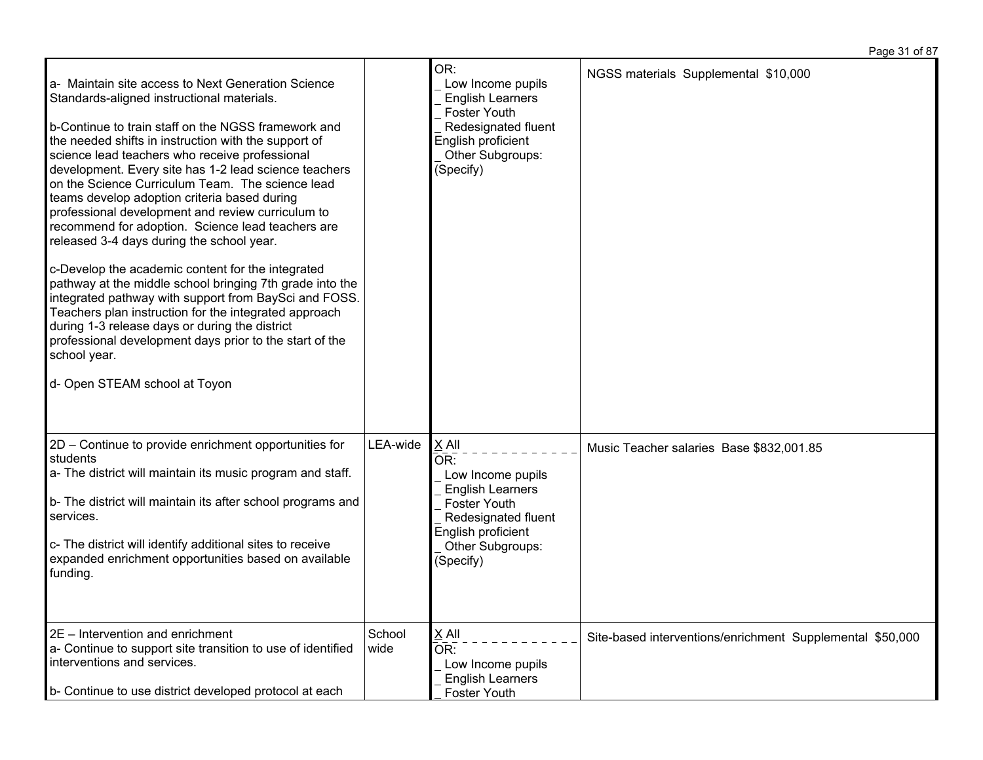| a- Maintain site access to Next Generation Science<br>Standards-aligned instructional materials.<br>b-Continue to train staff on the NGSS framework and<br>the needed shifts in instruction with the support of<br>science lead teachers who receive professional<br>development. Every site has 1-2 lead science teachers<br>on the Science Curriculum Team. The science lead<br>teams develop adoption criteria based during<br>professional development and review curriculum to<br>recommend for adoption. Science lead teachers are<br>released 3-4 days during the school year.<br>c-Develop the academic content for the integrated<br>pathway at the middle school bringing 7th grade into the<br>integrated pathway with support from BaySci and FOSS.<br>Teachers plan instruction for the integrated approach<br>during 1-3 release days or during the district<br>professional development days prior to the start of the<br>school year.<br>d- Open STEAM school at Toyon |                | OR:<br>Low Income pupils<br><b>English Learners</b><br>Foster Youth<br>Redesignated fluent<br>English proficient<br>Other Subgroups:<br>(Specify)                 | NGSS materials Supplemental \$10,000                      |
|----------------------------------------------------------------------------------------------------------------------------------------------------------------------------------------------------------------------------------------------------------------------------------------------------------------------------------------------------------------------------------------------------------------------------------------------------------------------------------------------------------------------------------------------------------------------------------------------------------------------------------------------------------------------------------------------------------------------------------------------------------------------------------------------------------------------------------------------------------------------------------------------------------------------------------------------------------------------------------------|----------------|-------------------------------------------------------------------------------------------------------------------------------------------------------------------|-----------------------------------------------------------|
| 2D - Continue to provide enrichment opportunities for<br>students<br>a- The district will maintain its music program and staff.<br>b- The district will maintain its after school programs and<br>services.<br>c- The district will identify additional sites to receive<br>expanded enrichment opportunities based on available<br>funding.                                                                                                                                                                                                                                                                                                                                                                                                                                                                                                                                                                                                                                           | LEA-wide       | X All<br>OR:<br>Low Income pupils<br><b>English Learners</b><br><b>Foster Youth</b><br>Redesignated fluent<br>English proficient<br>Other Subgroups:<br>(Specify) | Music Teacher salaries Base \$832,001.85                  |
| 2E - Intervention and enrichment<br>a- Continue to support site transition to use of identified<br>interventions and services.<br>b- Continue to use district developed protocol at each                                                                                                                                                                                                                                                                                                                                                                                                                                                                                                                                                                                                                                                                                                                                                                                               | School<br>wide | $X$ All<br>OR:<br>Low Income pupils<br><b>English Learners</b><br><b>Foster Youth</b>                                                                             | Site-based interventions/enrichment Supplemental \$50,000 |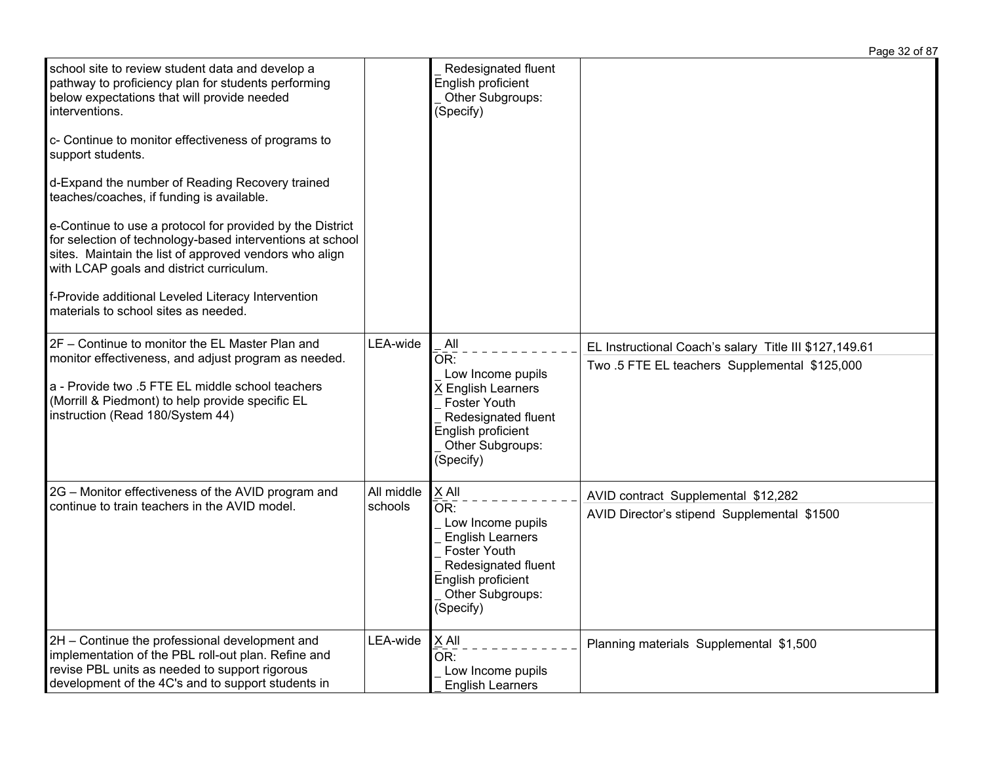school site to review student data and develop a pathway to proficiency plan for students performing below expectations that will provide needed interventions. c- Continue to monitor effectiveness of programs to support students. d-Expand the number of Reading Recovery trained teaches/coaches, if funding is available. e-Continue to use a protocol for provided by the District for selection of technology-based interventions at school sites. Maintain the list of approved vendors who align with LCAP goals and district curriculum. f-Provide additional Leveled Literacy Intervention materials to school sites as needed. Redesignated fluent English proficient Other Subgroups: (Specify) 2F – Continue to monitor the EL Master Plan and monitor effectiveness, and adjust program as needed. a - Provide two .5 FTE EL middle school teachers (Morrill & Piedmont) to help provide specific EL instruction (Read 180/System 44)  $LEA$ -wide  $\parallel$  All  $\overline{\mathsf{OR}^+}$  Low Income pupils X English Learners Foster Youth Redesignated fluent English proficient Other Subgroups: (Specify) EL Instructional Coach's salary Title III \$127,149.61 Two .5 FTE EL teachers Supplemental \$125,000 2G – Monitor effectiveness of the AVID program and continue to train teachers in the AVID model. All middle schools X All  $OR:$  Low Income pupils English Learners Foster Youth Redesignated fluent English proficient Other Subgroups: (Specify) AVID contract Supplemental \$12,282 AVID Director's stipend Supplemental \$1500 2H – Continue the professional development and implementation of the PBL roll-out plan. Refine and revise PBL units as needed to support rigorous development of the 4C's and to support students in  $LEA$ -wide  $X$  All  $\overline{\overline{OR}}$ : Low Income pupils English Learners Planning materials Supplemental \$1,500

Page 32 of 87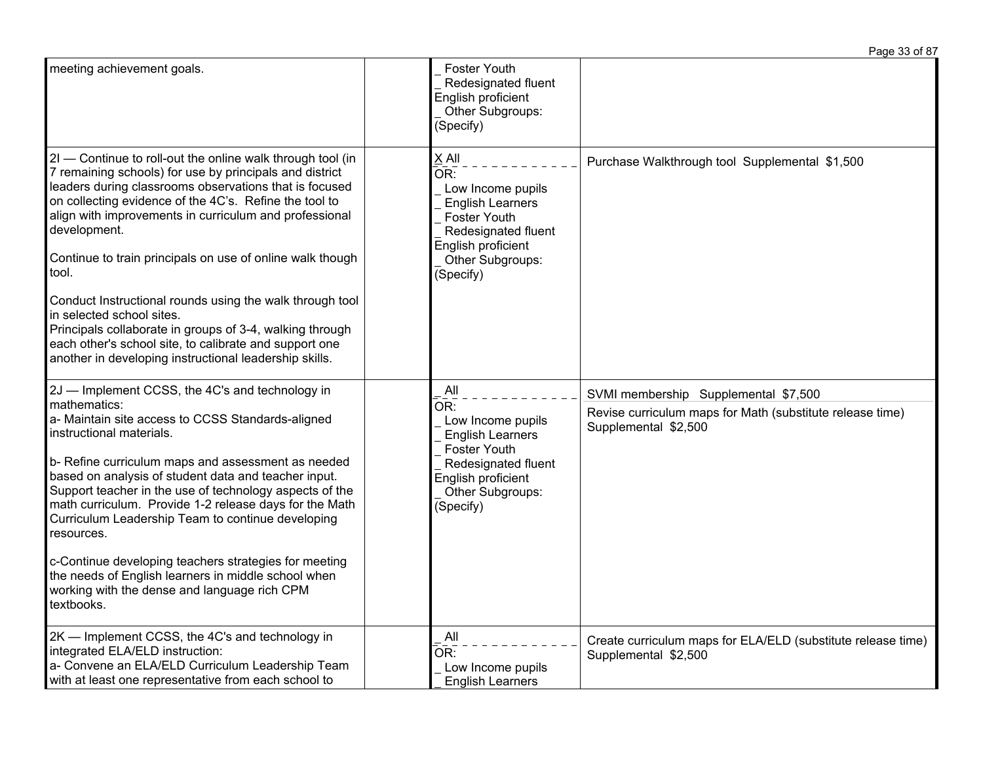|                                                                                                                                                                                                                                                                                                                                                                                                                                                                                                                                                                                                                                                                    |                                                                                                                                                                            | Page 33 of 87                                                                                                             |
|--------------------------------------------------------------------------------------------------------------------------------------------------------------------------------------------------------------------------------------------------------------------------------------------------------------------------------------------------------------------------------------------------------------------------------------------------------------------------------------------------------------------------------------------------------------------------------------------------------------------------------------------------------------------|----------------------------------------------------------------------------------------------------------------------------------------------------------------------------|---------------------------------------------------------------------------------------------------------------------------|
| meeting achievement goals.                                                                                                                                                                                                                                                                                                                                                                                                                                                                                                                                                                                                                                         | Foster Youth<br>Redesignated fluent<br>English proficient<br>Other Subgroups:<br>(Specify)                                                                                 |                                                                                                                           |
| 2I - Continue to roll-out the online walk through tool (in<br>7 remaining schools) for use by principals and district<br>leaders during classrooms observations that is focused<br>on collecting evidence of the 4C's. Refine the tool to<br>align with improvements in curriculum and professional<br>development.<br>Continue to train principals on use of online walk though<br>tool.<br>Conduct Instructional rounds using the walk through tool<br>in selected school sites.<br>Principals collaborate in groups of 3-4, walking through<br>each other's school site, to calibrate and support one<br>another in developing instructional leadership skills. | $X$ All<br>OR:<br>Low Income pupils<br><b>English Learners</b><br>Foster Youth<br>Redesignated fluent<br>English proficient<br>Other Subgroups:<br>(Specify)               | Purchase Walkthrough tool Supplemental \$1,500                                                                            |
| 2J - Implement CCSS, the 4C's and technology in<br>mathematics:<br>a- Maintain site access to CCSS Standards-aligned<br>instructional materials.<br>b- Refine curriculum maps and assessment as needed<br>based on analysis of student data and teacher input.<br>Support teacher in the use of technology aspects of the<br>math curriculum. Provide 1-2 release days for the Math<br>Curriculum Leadership Team to continue developing<br>resources.<br>c-Continue developing teachers strategies for meeting<br>the needs of English learners in middle school when<br>working with the dense and language rich CPM<br>textbooks.                               | All<br>$\bar{\mathsf{OR}}$ :<br>Low Income pupils<br><b>English Learners</b><br>Foster Youth<br>Redesignated fluent<br>English proficient<br>Other Subgroups:<br>(Specify) | SVMI membership Supplemental \$7,500<br>Revise curriculum maps for Math (substitute release time)<br>Supplemental \$2,500 |
| 2K - Implement CCSS, the 4C's and technology in<br>integrated ELA/ELD instruction:<br>a- Convene an ELA/ELD Curriculum Leadership Team<br>with at least one representative from each school to                                                                                                                                                                                                                                                                                                                                                                                                                                                                     | All<br>$\bar{\mathsf{OR}}$ :<br>Low Income pupils<br><b>English Learners</b>                                                                                               | Create curriculum maps for ELA/ELD (substitute release time)<br>Supplemental \$2,500                                      |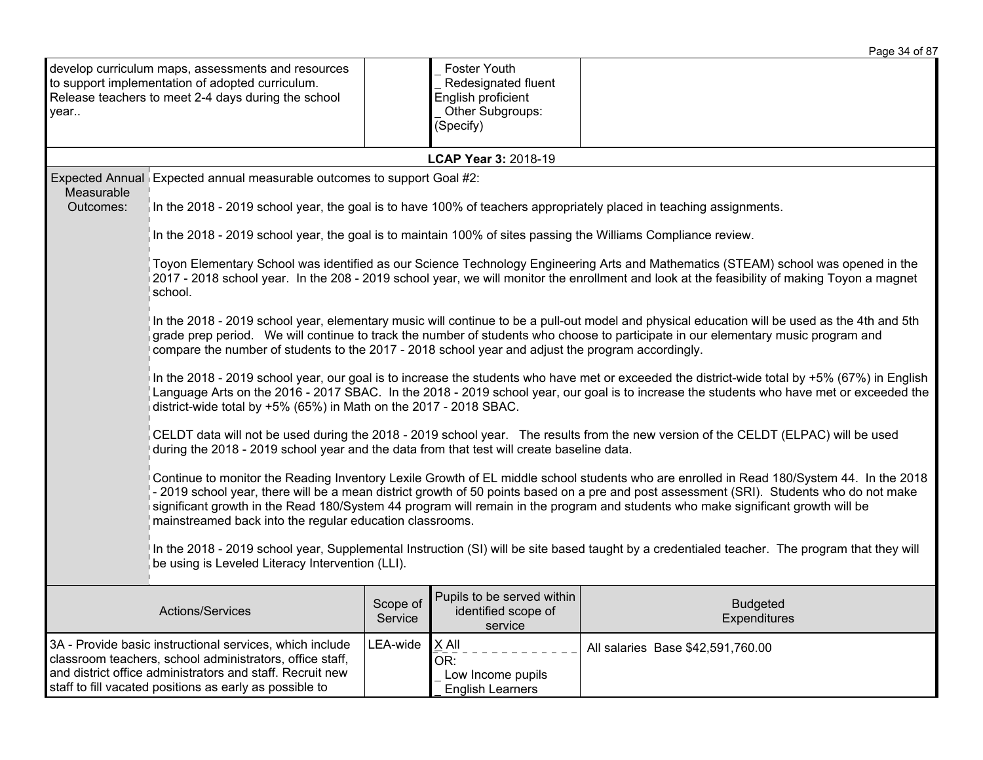|                                                                                                                                                                                                                                              |                                                                                                                                                                                                                                                                                                                                                                                                                                                                                      |                     |                                                                                            | Page 34 of 87                                                                                                                                 |  |  |  |
|----------------------------------------------------------------------------------------------------------------------------------------------------------------------------------------------------------------------------------------------|--------------------------------------------------------------------------------------------------------------------------------------------------------------------------------------------------------------------------------------------------------------------------------------------------------------------------------------------------------------------------------------------------------------------------------------------------------------------------------------|---------------------|--------------------------------------------------------------------------------------------|-----------------------------------------------------------------------------------------------------------------------------------------------|--|--|--|
| year                                                                                                                                                                                                                                         | develop curriculum maps, assessments and resources<br>to support implementation of adopted curriculum.<br>Release teachers to meet 2-4 days during the school                                                                                                                                                                                                                                                                                                                        |                     | Foster Youth<br>Redesignated fluent<br>English proficient<br>Other Subgroups:<br>(Specify) |                                                                                                                                               |  |  |  |
|                                                                                                                                                                                                                                              |                                                                                                                                                                                                                                                                                                                                                                                                                                                                                      |                     | LCAP Year 3: 2018-19                                                                       |                                                                                                                                               |  |  |  |
| Measurable<br>Outcomes:                                                                                                                                                                                                                      | Expected Annual Expected annual measurable outcomes to support Goal #2:<br>In the 2018 - 2019 school year, the goal is to have 100% of teachers appropriately placed in teaching assignments.                                                                                                                                                                                                                                                                                        |                     |                                                                                            |                                                                                                                                               |  |  |  |
|                                                                                                                                                                                                                                              | In the 2018 - 2019 school year, the goal is to maintain 100% of sites passing the Williams Compliance review.                                                                                                                                                                                                                                                                                                                                                                        |                     |                                                                                            |                                                                                                                                               |  |  |  |
|                                                                                                                                                                                                                                              | Toyon Elementary School was identified as our Science Technology Engineering Arts and Mathematics (STEAM) school was opened in the<br>2017 - 2018 school year. In the 208 - 2019 school year, we will monitor the enrollment and look at the feasibility of making Toyon a magnet<br>school.                                                                                                                                                                                         |                     |                                                                                            |                                                                                                                                               |  |  |  |
|                                                                                                                                                                                                                                              | In the 2018 - 2019 school year, elementary music will continue to be a pull-out model and physical education will be used as the 4th and 5th<br>grade prep period. We will continue to track the number of students who choose to participate in our elementary music program and<br>compare the number of students to the 2017 - 2018 school year and adjust the program accordingly.                                                                                               |                     |                                                                                            |                                                                                                                                               |  |  |  |
|                                                                                                                                                                                                                                              | In the 2018 - 2019 school year, our goal is to increase the students who have met or exceeded the district-wide total by +5% (67%) in English<br>Language Arts on the 2016 - 2017 SBAC. In the 2018 - 2019 school year, our goal is to increase the students who have met or exceeded the<br>district-wide total by +5% (65%) in Math on the 2017 - 2018 SBAC.                                                                                                                       |                     |                                                                                            |                                                                                                                                               |  |  |  |
|                                                                                                                                                                                                                                              | CELDT data will not be used during the 2018 - 2019 school year. The results from the new version of the CELDT (ELPAC) will be used<br>during the 2018 - 2019 school year and the data from that test will create baseline data.                                                                                                                                                                                                                                                      |                     |                                                                                            |                                                                                                                                               |  |  |  |
|                                                                                                                                                                                                                                              | Continue to monitor the Reading Inventory Lexile Growth of EL middle school students who are enrolled in Read 180/System 44. In the 2018<br>- 2019 school year, there will be a mean district growth of 50 points based on a pre and post assessment (SRI). Students who do not make<br>significant growth in the Read 180/System 44 program will remain in the program and students who make significant growth will be<br>mainstreamed back into the regular education classrooms. |                     |                                                                                            |                                                                                                                                               |  |  |  |
|                                                                                                                                                                                                                                              | be using is Leveled Literacy Intervention (LLI).                                                                                                                                                                                                                                                                                                                                                                                                                                     |                     |                                                                                            | In the 2018 - 2019 school year, Supplemental Instruction (SI) will be site based taught by a credentialed teacher. The program that they will |  |  |  |
|                                                                                                                                                                                                                                              | Actions/Services                                                                                                                                                                                                                                                                                                                                                                                                                                                                     | Scope of<br>Service | Pupils to be served within<br>identified scope of<br>service                               | <b>Budgeted</b><br>Expenditures                                                                                                               |  |  |  |
| 3A - Provide basic instructional services, which include<br>classroom teachers, school administrators, office staff,<br>and district office administrators and staff. Recruit new<br>staff to fill vacated positions as early as possible to |                                                                                                                                                                                                                                                                                                                                                                                                                                                                                      | LEA-wide            | $X$ All<br>OR:<br>Low Income pupils<br><b>English Learners</b>                             | All salaries Base \$42,591,760.00                                                                                                             |  |  |  |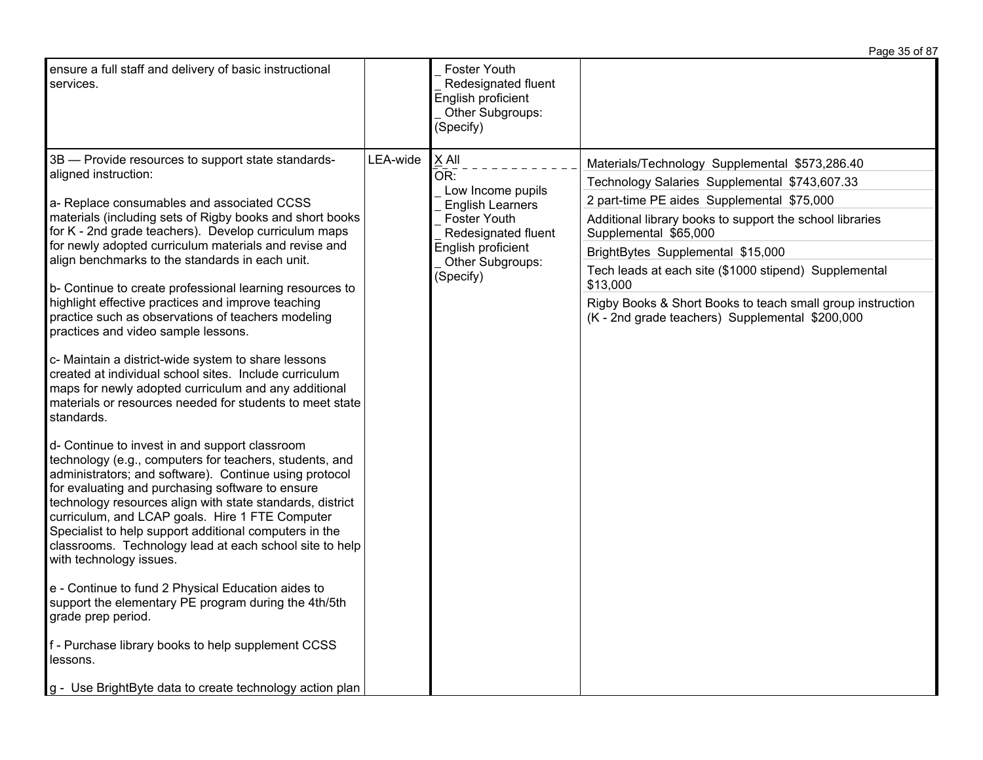|                                                                                                                                                                                                                                                                                                                                                                                                                                                                                                                                                                                                                                                                                                                                                                                                                                                                                                                                                                                                                                                                                                                                                                                                                                                                                                                                                                                                                                                                                                                             |          |                                                                                                                                                                   | Page 35 of 87                                                                                                                                                                                                                                                                                                                                                                                                                                                 |
|-----------------------------------------------------------------------------------------------------------------------------------------------------------------------------------------------------------------------------------------------------------------------------------------------------------------------------------------------------------------------------------------------------------------------------------------------------------------------------------------------------------------------------------------------------------------------------------------------------------------------------------------------------------------------------------------------------------------------------------------------------------------------------------------------------------------------------------------------------------------------------------------------------------------------------------------------------------------------------------------------------------------------------------------------------------------------------------------------------------------------------------------------------------------------------------------------------------------------------------------------------------------------------------------------------------------------------------------------------------------------------------------------------------------------------------------------------------------------------------------------------------------------------|----------|-------------------------------------------------------------------------------------------------------------------------------------------------------------------|---------------------------------------------------------------------------------------------------------------------------------------------------------------------------------------------------------------------------------------------------------------------------------------------------------------------------------------------------------------------------------------------------------------------------------------------------------------|
| ensure a full staff and delivery of basic instructional<br>services.                                                                                                                                                                                                                                                                                                                                                                                                                                                                                                                                                                                                                                                                                                                                                                                                                                                                                                                                                                                                                                                                                                                                                                                                                                                                                                                                                                                                                                                        |          | <b>Foster Youth</b><br>Redesignated fluent<br>English proficient<br>Other Subgroups:<br>(Specify)                                                                 |                                                                                                                                                                                                                                                                                                                                                                                                                                                               |
| 3B - Provide resources to support state standards-<br>aligned instruction:<br>a- Replace consumables and associated CCSS<br>materials (including sets of Rigby books and short books<br>for K - 2nd grade teachers). Develop curriculum maps<br>for newly adopted curriculum materials and revise and<br>align benchmarks to the standards in each unit.<br>b- Continue to create professional learning resources to<br>highlight effective practices and improve teaching<br>practice such as observations of teachers modeling<br>practices and video sample lessons.<br>c- Maintain a district-wide system to share lessons<br>created at individual school sites. Include curriculum<br>maps for newly adopted curriculum and any additional<br>materials or resources needed for students to meet state<br>standards.<br>d- Continue to invest in and support classroom<br>technology (e.g., computers for teachers, students, and<br>administrators; and software). Continue using protocol<br>for evaluating and purchasing software to ensure<br>technology resources align with state standards, district<br>curriculum, and LCAP goals. Hire 1 FTE Computer<br>Specialist to help support additional computers in the<br>classrooms. Technology lead at each school site to help<br>with technology issues.<br>e - Continue to fund 2 Physical Education aides to<br>support the elementary PE program during the 4th/5th<br>grade prep period.<br>f - Purchase library books to help supplement CCSS<br>lessons. | LEA-wide | X All<br>OR:<br>Low Income pupils<br><b>English Learners</b><br><b>Foster Youth</b><br>Redesignated fluent<br>English proficient<br>Other Subgroups:<br>(Specify) | Materials/Technology Supplemental \$573,286.40<br>Technology Salaries Supplemental \$743,607.33<br>2 part-time PE aides Supplemental \$75,000<br>Additional library books to support the school libraries<br>Supplemental \$65,000<br>BrightBytes Supplemental \$15,000<br>Tech leads at each site (\$1000 stipend) Supplemental<br>\$13,000<br>Rigby Books & Short Books to teach small group instruction<br>(K - 2nd grade teachers) Supplemental \$200,000 |
| g - Use BrightByte data to create technology action plan                                                                                                                                                                                                                                                                                                                                                                                                                                                                                                                                                                                                                                                                                                                                                                                                                                                                                                                                                                                                                                                                                                                                                                                                                                                                                                                                                                                                                                                                    |          |                                                                                                                                                                   |                                                                                                                                                                                                                                                                                                                                                                                                                                                               |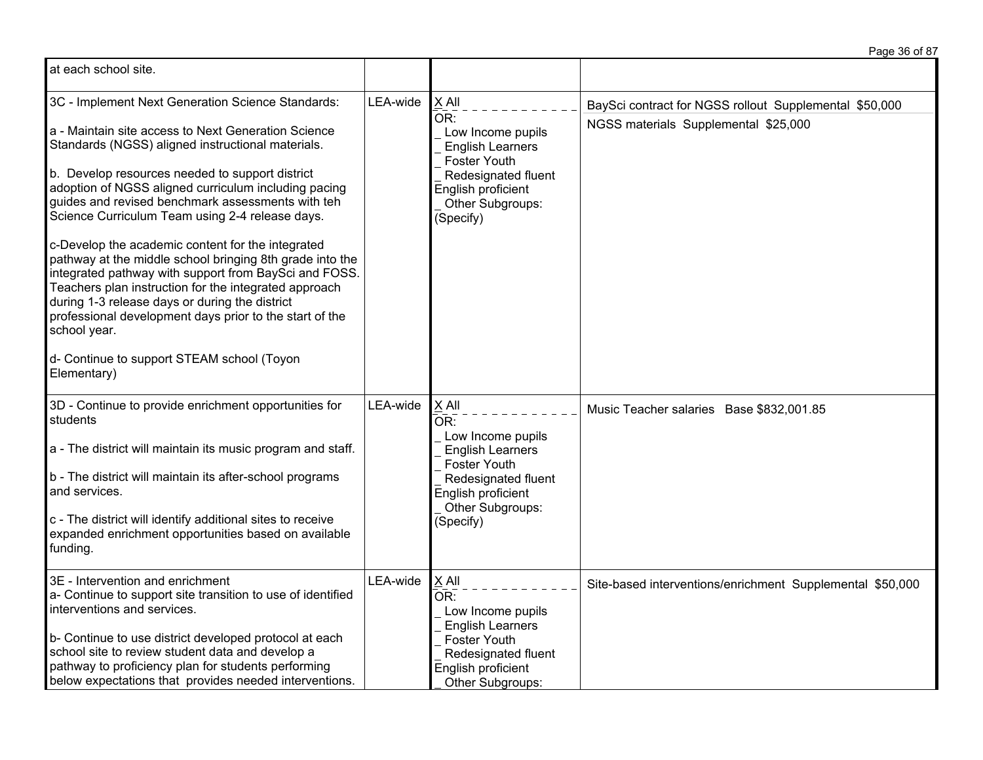| at each school site.                                                                                                                                                                                                                                                                                                                                                                                                                                                                                                                                                                                                                                                                                                                                                                                          |          |                                                                                                                                                              |                                                                                                |
|---------------------------------------------------------------------------------------------------------------------------------------------------------------------------------------------------------------------------------------------------------------------------------------------------------------------------------------------------------------------------------------------------------------------------------------------------------------------------------------------------------------------------------------------------------------------------------------------------------------------------------------------------------------------------------------------------------------------------------------------------------------------------------------------------------------|----------|--------------------------------------------------------------------------------------------------------------------------------------------------------------|------------------------------------------------------------------------------------------------|
| 3C - Implement Next Generation Science Standards:<br>a - Maintain site access to Next Generation Science<br>Standards (NGSS) aligned instructional materials.<br>b. Develop resources needed to support district<br>adoption of NGSS aligned curriculum including pacing<br>guides and revised benchmark assessments with teh<br>Science Curriculum Team using 2-4 release days.<br>c-Develop the academic content for the integrated<br>pathway at the middle school bringing 8th grade into the<br>integrated pathway with support from BaySci and FOSS.<br>Teachers plan instruction for the integrated approach<br>during 1-3 release days or during the district<br>professional development days prior to the start of the<br>school year.<br>d- Continue to support STEAM school (Toyon<br>Elementary) | LEA-wide | $X$ All<br>OR:<br>Low Income pupils<br><b>English Learners</b><br>Foster Youth<br>Redesignated fluent<br>English proficient<br>Other Subgroups:<br>(Specify) | BaySci contract for NGSS rollout Supplemental \$50,000<br>NGSS materials Supplemental \$25,000 |
| 3D - Continue to provide enrichment opportunities for<br>students<br>a - The district will maintain its music program and staff.<br>b - The district will maintain its after-school programs<br>and services.<br>c - The district will identify additional sites to receive<br>expanded enrichment opportunities based on available<br>funding.                                                                                                                                                                                                                                                                                                                                                                                                                                                               | LEA-wide | X All<br>OR:<br>Low Income pupils<br><b>English Learners</b><br>Foster Youth<br>Redesignated fluent<br>English proficient<br>Other Subgroups:<br>(Specify)   | Music Teacher salaries Base \$832,001.85                                                       |
| 3E - Intervention and enrichment<br>a- Continue to support site transition to use of identified<br>interventions and services.<br>b- Continue to use district developed protocol at each<br>school site to review student data and develop a<br>pathway to proficiency plan for students performing<br>below expectations that provides needed interventions.                                                                                                                                                                                                                                                                                                                                                                                                                                                 | LEA-wide | X All<br>OR:<br>Low Income pupils<br><b>English Learners</b><br>Foster Youth<br>Redesignated fluent<br>English proficient<br>Other Subgroups:                | Site-based interventions/enrichment Supplemental \$50,000                                      |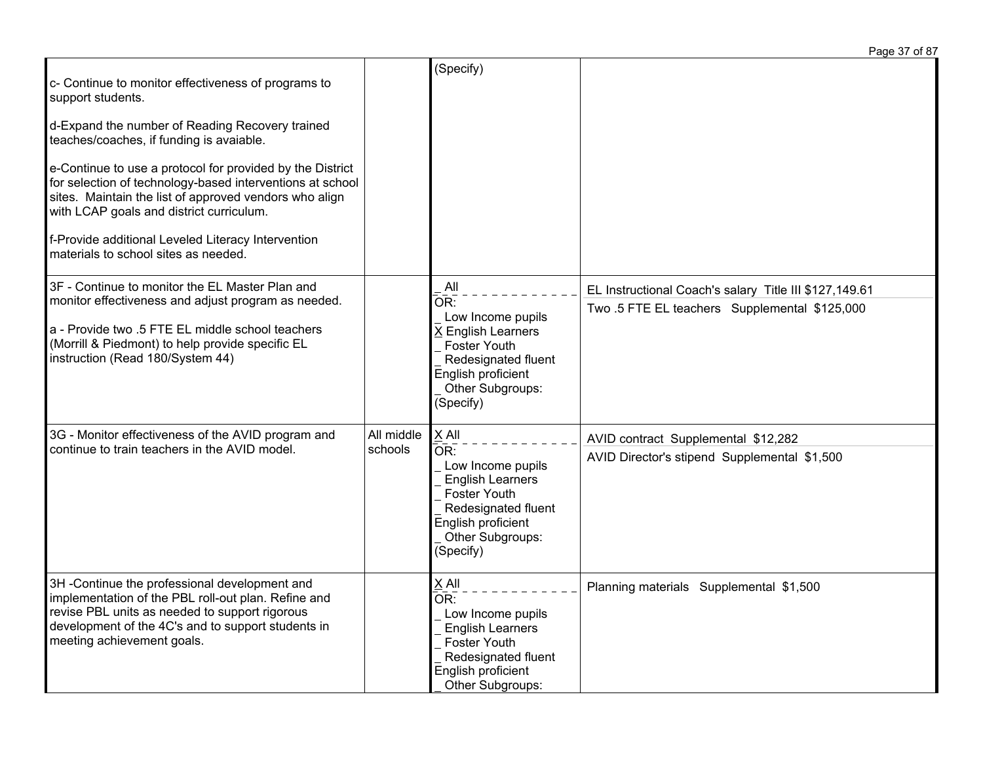Page 37 of 87

| c- Continue to monitor effectiveness of programs to<br>support students.<br>d-Expand the number of Reading Recovery trained<br>teaches/coaches, if funding is avaiable.<br>e-Continue to use a protocol for provided by the District<br>for selection of technology-based interventions at school<br>sites. Maintain the list of approved vendors who align<br>with LCAP goals and district curriculum.<br>f-Provide additional Leveled Literacy Intervention<br>materials to school sites as needed. |                       | (Specify)                                                                                                                                                                                |                                                                                                         |
|-------------------------------------------------------------------------------------------------------------------------------------------------------------------------------------------------------------------------------------------------------------------------------------------------------------------------------------------------------------------------------------------------------------------------------------------------------------------------------------------------------|-----------------------|------------------------------------------------------------------------------------------------------------------------------------------------------------------------------------------|---------------------------------------------------------------------------------------------------------|
| 3F - Continue to monitor the EL Master Plan and<br>monitor effectiveness and adjust program as needed.<br>a - Provide two .5 FTE EL middle school teachers<br>(Morrill & Piedmont) to help provide specific EL<br>instruction (Read 180/System 44)                                                                                                                                                                                                                                                    |                       | All<br>$\overline{\mathsf{OR}}$ :<br>Low Income pupils<br><b>K</b> English Learners<br><b>Foster Youth</b><br>Redesignated fluent<br>English proficient<br>Other Subgroups:<br>(Specify) | EL Instructional Coach's salary Title III \$127,149.61<br>Two .5 FTE EL teachers Supplemental \$125,000 |
| 3G - Monitor effectiveness of the AVID program and<br>continue to train teachers in the AVID model.                                                                                                                                                                                                                                                                                                                                                                                                   | All middle<br>schools | X All<br>OR:<br>Low Income pupils<br><b>English Learners</b><br>Foster Youth<br>Redesignated fluent<br>English proficient<br>Other Subgroups:<br>(Specify)                               | AVID contract Supplemental \$12,282<br>AVID Director's stipend Supplemental \$1,500                     |
| 3H-Continue the professional development and<br>implementation of the PBL roll-out plan. Refine and<br>revise PBL units as needed to support rigorous<br>development of the 4C's and to support students in<br>meeting achievement goals.                                                                                                                                                                                                                                                             |                       | $X$ All<br>$\overline{\mathsf{OR}}$ :<br>Low Income pupils<br><b>English Learners</b><br>Foster Youth<br>Redesignated fluent<br>English proficient<br>Other Subgroups:                   | Planning materials Supplemental \$1,500                                                                 |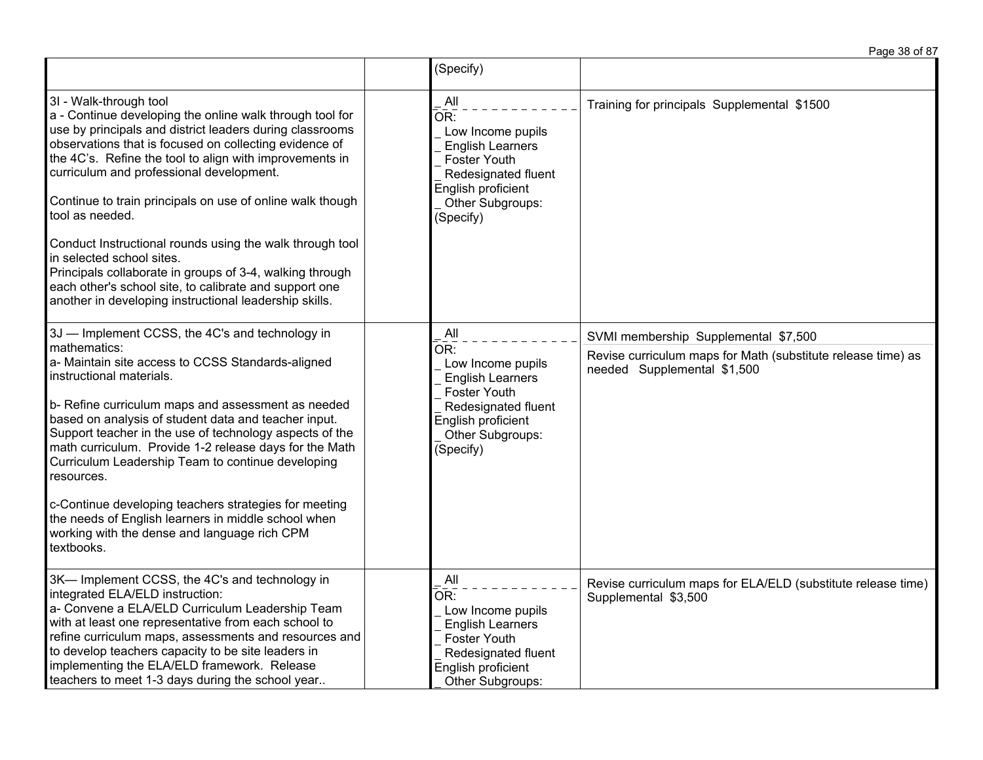|                                                                                                                                                                                                                                                                                                                                                                                                                                                                                                                                                                                                                                                                          | (Specify)                                                                                                                                                |                                                                                                                                     |
|--------------------------------------------------------------------------------------------------------------------------------------------------------------------------------------------------------------------------------------------------------------------------------------------------------------------------------------------------------------------------------------------------------------------------------------------------------------------------------------------------------------------------------------------------------------------------------------------------------------------------------------------------------------------------|----------------------------------------------------------------------------------------------------------------------------------------------------------|-------------------------------------------------------------------------------------------------------------------------------------|
| 3I - Walk-through tool<br>a - Continue developing the online walk through tool for<br>use by principals and district leaders during classrooms<br>observations that is focused on collecting evidence of<br>the 4C's. Refine the tool to align with improvements in<br>curriculum and professional development.<br>Continue to train principals on use of online walk though<br>tool as needed.<br>Conduct Instructional rounds using the walk through tool<br>in selected school sites.<br>Principals collaborate in groups of 3-4, walking through<br>each other's school site, to calibrate and support one<br>another in developing instructional leadership skills. | All<br>OR:<br>Low Income pupils<br><b>English Learners</b><br>Foster Youth<br>Redesignated fluent<br>English proficient<br>Other Subgroups:<br>(Specify) | Training for principals Supplemental \$1500                                                                                         |
| 3J - Implement CCSS, the 4C's and technology in<br>mathematics:<br>a- Maintain site access to CCSS Standards-aligned<br>instructional materials.<br>b- Refine curriculum maps and assessment as needed<br>based on analysis of student data and teacher input.<br>Support teacher in the use of technology aspects of the<br>math curriculum. Provide 1-2 release days for the Math<br>Curriculum Leadership Team to continue developing<br>resources.<br>c-Continue developing teachers strategies for meeting<br>the needs of English learners in middle school when<br>working with the dense and language rich CPM<br>textbooks.                                     | All<br>OR:<br>Low Income pupils<br><b>English Learners</b><br>Foster Youth<br>Redesignated fluent<br>English proficient<br>Other Subgroups:<br>(Specify) | SVMI membership Supplemental \$7,500<br>Revise curriculum maps for Math (substitute release time) as<br>needed Supplemental \$1,500 |
| 3K-Implement CCSS, the 4C's and technology in<br>integrated ELA/ELD instruction:<br>a- Convene a ELA/ELD Curriculum Leadership Team<br>with at least one representative from each school to<br>refine curriculum maps, assessments and resources and<br>to develop teachers capacity to be site leaders in<br>implementing the ELA/ELD framework. Release<br>teachers to meet 1-3 days during the school year                                                                                                                                                                                                                                                            | All<br>OR:<br>Low Income pupils<br><b>English Learners</b><br>Foster Youth<br>Redesignated fluent<br>English proficient<br>Other Subgroups:              | Revise curriculum maps for ELA/ELD (substitute release time)<br>Supplemental \$3,500                                                |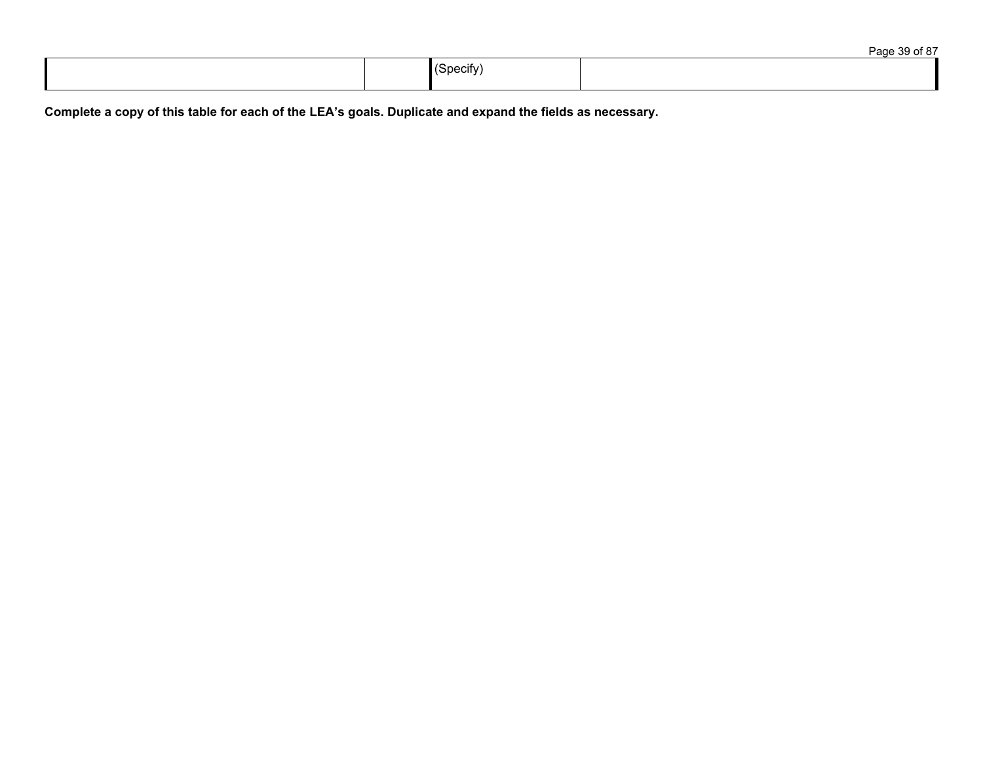|  |                       | $\sim$ $\sim$ $\sim$ |
|--|-----------------------|----------------------|
|  | $\cdot$ .<br>∵nocitv⊤ |                      |

Complete a copy of this table for each of the LEA's goals. Duplicate and expand the fields as necessary.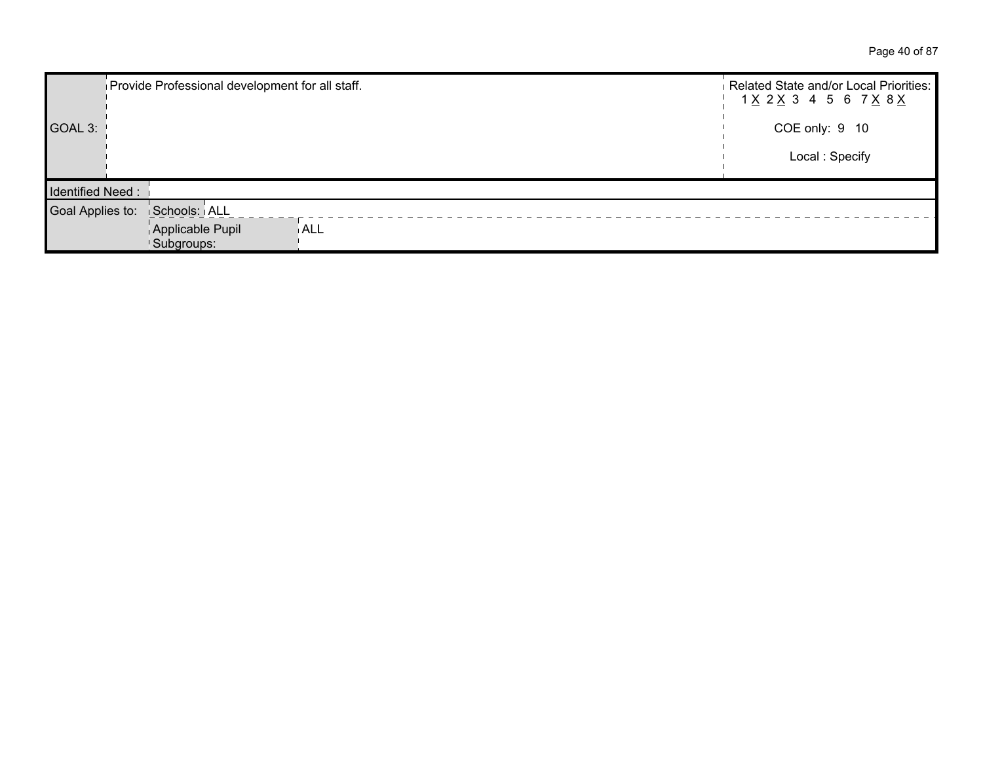Page 40 of 87

|                         | Provide Professional development for all staff. |            | Related State and/or Local Priorities:<br>1 <u>X</u> 2 <u>X</u> 3 4 5 6 7 <u>X</u> 8 <u>X</u> |
|-------------------------|-------------------------------------------------|------------|-----------------------------------------------------------------------------------------------|
| GOAL 3:                 |                                                 |            | COE only: 9 10                                                                                |
|                         |                                                 |            | Local: Specify                                                                                |
| <b>Identified Need:</b> |                                                 |            |                                                                                               |
| Goal Applies to:        | Schools: ALL                                    |            |                                                                                               |
|                         | Applicable Pupil<br>Subgroups:                  | <b>ALL</b> |                                                                                               |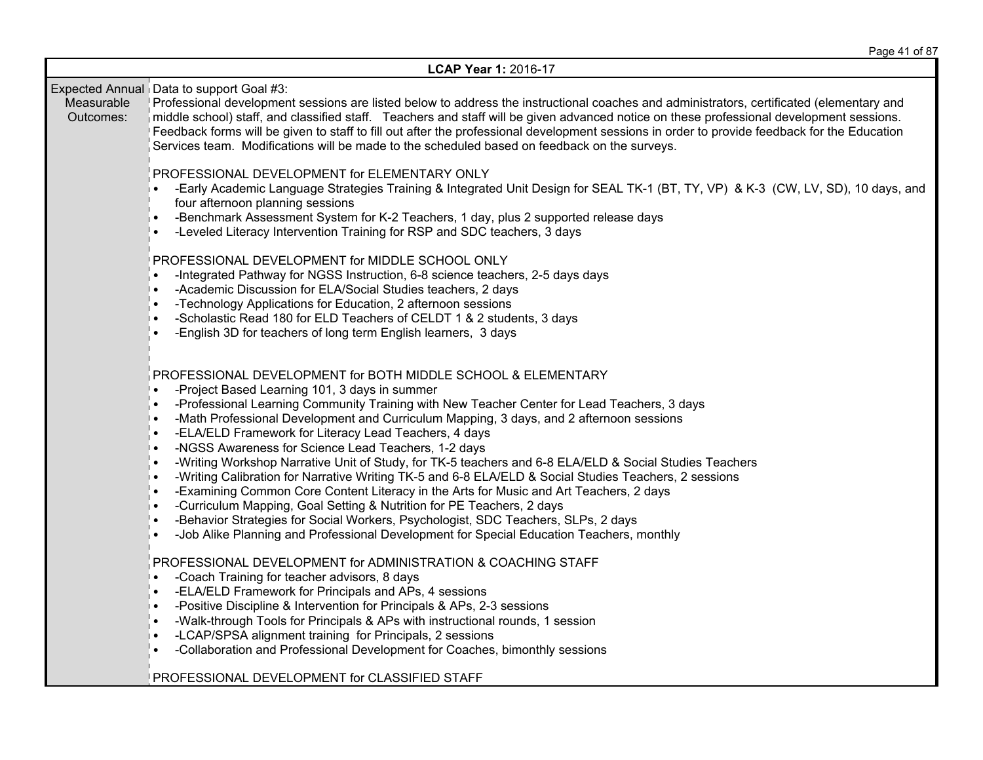|                         | LCAP Year 1: 2016-17                                                                                                                                                                                                                                                                                                                                                                                                                                                                                                                                                                                                                                                                                                                                                                                                                                                                                                                                                                                                     |
|-------------------------|--------------------------------------------------------------------------------------------------------------------------------------------------------------------------------------------------------------------------------------------------------------------------------------------------------------------------------------------------------------------------------------------------------------------------------------------------------------------------------------------------------------------------------------------------------------------------------------------------------------------------------------------------------------------------------------------------------------------------------------------------------------------------------------------------------------------------------------------------------------------------------------------------------------------------------------------------------------------------------------------------------------------------|
| Measurable<br>Outcomes: | Expected Annual Data to support Goal #3:<br>Professional development sessions are listed below to address the instructional coaches and administrators, certificated (elementary and<br>niddle school) staff, and classified staff. Teachers and staff will be given advanced notice on these professional development sessions.<br>Feedback forms will be given to staff to fill out after the professional development sessions in order to provide feedback for the Education<br>Services team. Modifications will be made to the scheduled based on feedback on the surveys.                                                                                                                                                                                                                                                                                                                                                                                                                                         |
|                         | PROFESSIONAL DEVELOPMENT for ELEMENTARY ONLY<br>-Early Academic Language Strategies Training & Integrated Unit Design for SEAL TK-1 (BT, TY, VP) & K-3 (CW, LV, SD), 10 days, and<br>four afternoon planning sessions<br>-Benchmark Assessment System for K-2 Teachers, 1 day, plus 2 supported release days<br>-Leveled Literacy Intervention Training for RSP and SDC teachers, 3 days                                                                                                                                                                                                                                                                                                                                                                                                                                                                                                                                                                                                                                 |
|                         | PROFESSIONAL DEVELOPMENT for MIDDLE SCHOOL ONLY<br>-Integrated Pathway for NGSS Instruction, 6-8 science teachers, 2-5 days days<br>-Academic Discussion for ELA/Social Studies teachers, 2 days<br>$\bullet$<br>-Technology Applications for Education, 2 afternoon sessions<br>-Scholastic Read 180 for ELD Teachers of CELDT 1 & 2 students, 3 days<br>-English 3D for teachers of long term English learners, 3 days                                                                                                                                                                                                                                                                                                                                                                                                                                                                                                                                                                                                 |
|                         | PROFESSIONAL DEVELOPMENT for BOTH MIDDLE SCHOOL & ELEMENTARY<br>-Project Based Learning 101, 3 days in summer<br>-Professional Learning Community Training with New Teacher Center for Lead Teachers, 3 days<br>-Math Professional Development and Curriculum Mapping, 3 days, and 2 afternoon sessions<br>$\bullet$<br>-ELA/ELD Framework for Literacy Lead Teachers, 4 days<br>-NGSS Awareness for Science Lead Teachers, 1-2 days<br>$\bullet$<br>-Writing Workshop Narrative Unit of Study, for TK-5 teachers and 6-8 ELA/ELD & Social Studies Teachers<br>-Writing Calibration for Narrative Writing TK-5 and 6-8 ELA/ELD & Social Studies Teachers, 2 sessions<br>-Examining Common Core Content Literacy in the Arts for Music and Art Teachers, 2 days<br>-Curriculum Mapping, Goal Setting & Nutrition for PE Teachers, 2 days<br>-Behavior Strategies for Social Workers, Psychologist, SDC Teachers, SLPs, 2 days<br>-Job Alike Planning and Professional Development for Special Education Teachers, monthly |
|                         | PROFESSIONAL DEVELOPMENT for ADMINISTRATION & COACHING STAFF<br>-Coach Training for teacher advisors, 8 days<br>$\bullet$<br>-ELA/ELD Framework for Principals and APs, 4 sessions<br>-Positive Discipline & Intervention for Principals & APs, 2-3 sessions<br>$\bullet$<br>-Walk-through Tools for Principals & APs with instructional rounds, 1 session<br>-LCAP/SPSA alignment training for Principals, 2 sessions<br>-Collaboration and Professional Development for Coaches, bimonthly sessions<br>PROFESSIONAL DEVELOPMENT for CLASSIFIED STAFF                                                                                                                                                                                                                                                                                                                                                                                                                                                                   |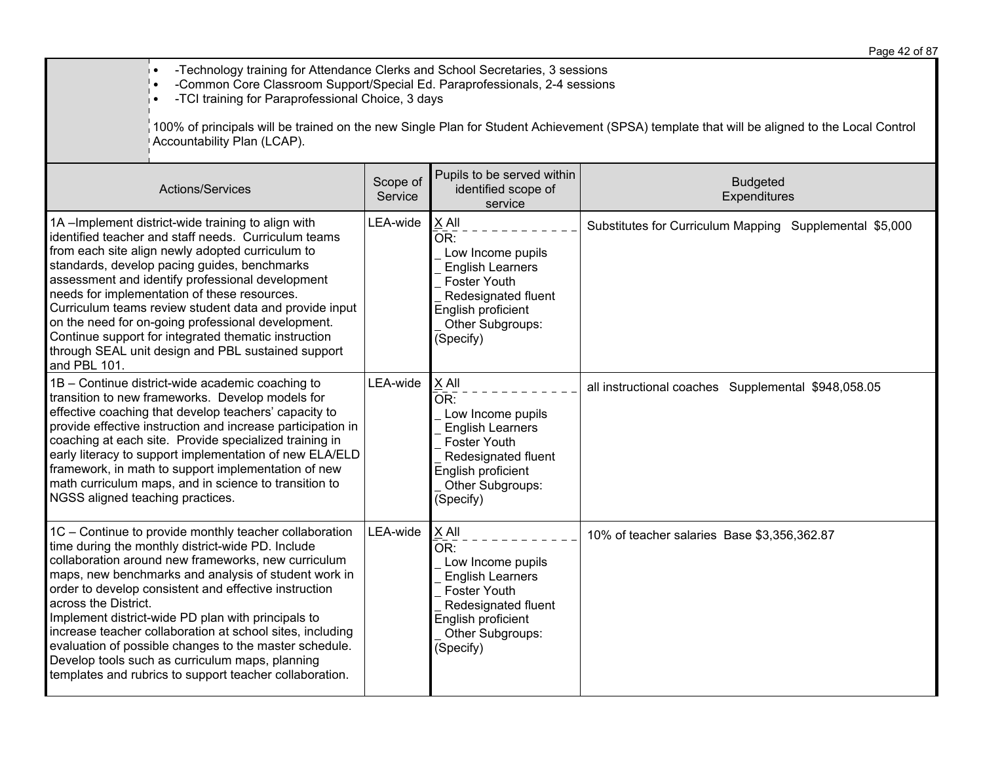• -Technology training for Attendance Clerks and School Secretaries, 3 sessions

• -Common Core Classroom Support/Special Ed. Paraprofessionals, 2-4 sessions

• -TCI training for Paraprofessional Choice, 3 days

 $\vert$ 100% of principals will be trained on the new Single Plan for Student Achievement (SPSA) template that will be aligned to the Local Control Accountability Plan (LCAP).

| Actions/Services                                                                                                                                                                                                                                                                                                                                                                                                                                                                                                                                                                                       | Scope of<br>Service | Pupils to be served within<br>identified scope of<br>service                                                                                                      | <b>Budgeted</b><br>Expenditures                         |
|--------------------------------------------------------------------------------------------------------------------------------------------------------------------------------------------------------------------------------------------------------------------------------------------------------------------------------------------------------------------------------------------------------------------------------------------------------------------------------------------------------------------------------------------------------------------------------------------------------|---------------------|-------------------------------------------------------------------------------------------------------------------------------------------------------------------|---------------------------------------------------------|
| 1A-Implement district-wide training to align with<br>identified teacher and staff needs. Curriculum teams<br>from each site align newly adopted curriculum to<br>standards, develop pacing guides, benchmarks<br>assessment and identify professional development<br>needs for implementation of these resources.<br>Curriculum teams review student data and provide input<br>on the need for on-going professional development.<br>Continue support for integrated thematic instruction<br>through SEAL unit design and PBL sustained support<br>and PBL 101.                                        | LEA-wide            | X All<br>OR:<br>Low Income pupils<br><b>English Learners</b><br><b>Foster Youth</b><br>Redesignated fluent<br>English proficient<br>Other Subgroups:<br>(Specify) | Substitutes for Curriculum Mapping Supplemental \$5,000 |
| 1B - Continue district-wide academic coaching to<br>transition to new frameworks. Develop models for<br>effective coaching that develop teachers' capacity to<br>provide effective instruction and increase participation in<br>coaching at each site. Provide specialized training in<br>early literacy to support implementation of new ELA/ELD<br>framework, in math to support implementation of new<br>math curriculum maps, and in science to transition to<br>NGSS aligned teaching practices.                                                                                                  | LEA-wide            | X All<br>OR:<br>Low Income pupils<br><b>English Learners</b><br><b>Foster Youth</b><br>Redesignated fluent<br>English proficient<br>Other Subgroups:<br>(Specify) | all instructional coaches Supplemental \$948,058.05     |
| 1C - Continue to provide monthly teacher collaboration<br>time during the monthly district-wide PD. Include<br>collaboration around new frameworks, new curriculum<br>maps, new benchmarks and analysis of student work in<br>order to develop consistent and effective instruction<br>across the District.<br>Implement district-wide PD plan with principals to<br>increase teacher collaboration at school sites, including<br>evaluation of possible changes to the master schedule.<br>Develop tools such as curriculum maps, planning<br>templates and rubrics to support teacher collaboration. | LEA-wide            | X All<br>OR:<br>Low Income pupils<br><b>English Learners</b><br><b>Foster Youth</b><br>Redesignated fluent<br>English proficient<br>Other Subgroups:<br>(Specify) | 10% of teacher salaries Base \$3,356,362.87             |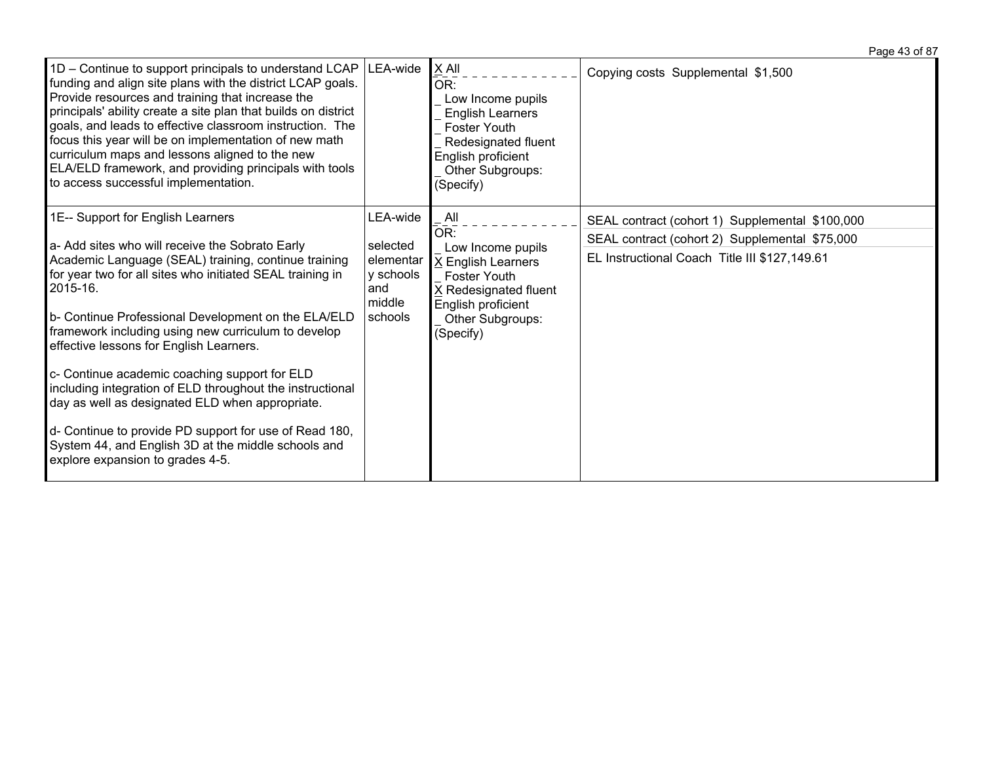| $1D$ – Continue to support principals to understand LCAP   LEA-wide<br>funding and align site plans with the district LCAP goals.<br>Provide resources and training that increase the<br>principals' ability create a site plan that builds on district<br>goals, and leads to effective classroom instruction. The<br>focus this year will be on implementation of new math<br>curriculum maps and lessons aligned to the new<br>ELA/ELD framework, and providing principals with tools<br>to access successful implementation.                                                                                                                                                                     |                                                                            | $X$ All<br>OR:<br>Low Income pupils<br><b>English Learners</b><br><b>Foster Youth</b><br>Redesignated fluent<br>English proficient<br>Other Subgroups:<br>(Specify) | Copying costs Supplemental \$1,500                                                                                                                 |
|------------------------------------------------------------------------------------------------------------------------------------------------------------------------------------------------------------------------------------------------------------------------------------------------------------------------------------------------------------------------------------------------------------------------------------------------------------------------------------------------------------------------------------------------------------------------------------------------------------------------------------------------------------------------------------------------------|----------------------------------------------------------------------------|---------------------------------------------------------------------------------------------------------------------------------------------------------------------|----------------------------------------------------------------------------------------------------------------------------------------------------|
| 1E-- Support for English Learners<br>a- Add sites who will receive the Sobrato Early<br>Academic Language (SEAL) training, continue training<br>for year two for all sites who initiated SEAL training in<br>2015-16.<br>b- Continue Professional Development on the ELA/ELD<br>framework including using new curriculum to develop<br>effective lessons for English Learners.<br>c- Continue academic coaching support for ELD<br>including integration of ELD throughout the instructional<br>day as well as designated ELD when appropriate.<br>d- Continue to provide PD support for use of Read 180,<br>System 44, and English 3D at the middle schools and<br>explore expansion to grades 4-5. | LEA-wide<br>selected<br>elementar<br>y schools<br>and<br>middle<br>schools | All<br>OR:<br>Low Income pupils<br>X English Learners<br>Foster Youth<br>X Redesignated fluent<br>English proficient<br>Other Subgroups:<br>(Specify)               | SEAL contract (cohort 1) Supplemental \$100,000<br>SEAL contract (cohort 2) Supplemental \$75,000<br>EL Instructional Coach Title III \$127,149.61 |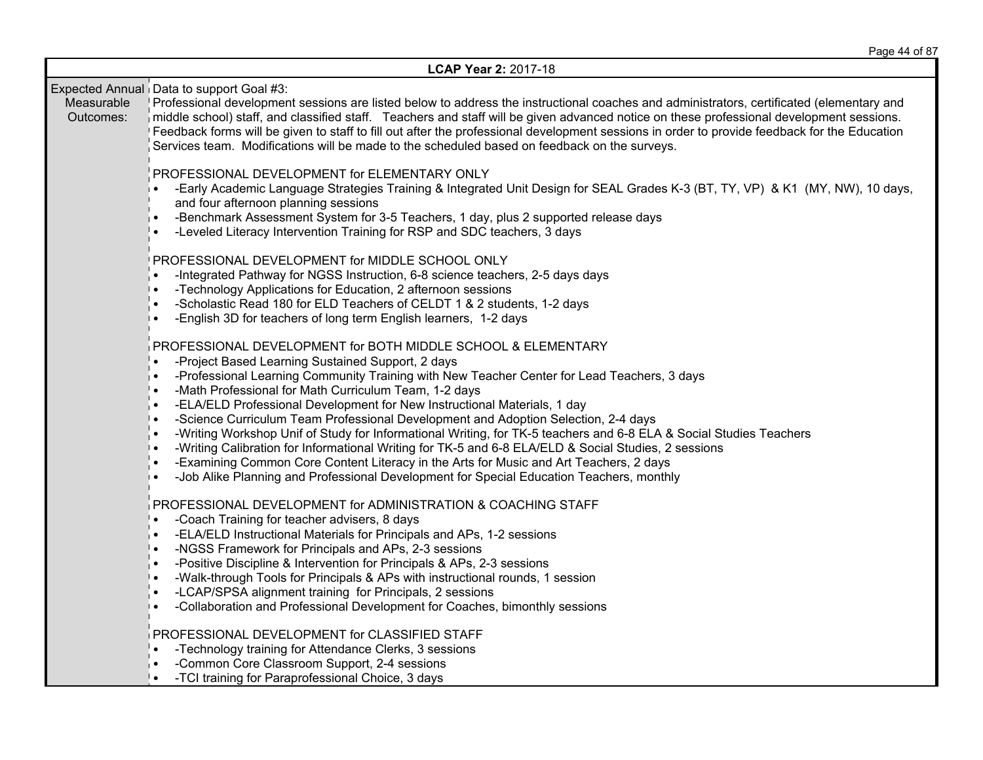|                         | LCAP Year 2: 2017-18                                                                                                                                                                                                                                                                                                                                                                                                                                                                                                                                                                                                                                                                                                                                                                                                                                                                            |
|-------------------------|-------------------------------------------------------------------------------------------------------------------------------------------------------------------------------------------------------------------------------------------------------------------------------------------------------------------------------------------------------------------------------------------------------------------------------------------------------------------------------------------------------------------------------------------------------------------------------------------------------------------------------------------------------------------------------------------------------------------------------------------------------------------------------------------------------------------------------------------------------------------------------------------------|
| Measurable<br>Outcomes: | Expected Annual Data to support Goal #3:<br>Professional development sessions are listed below to address the instructional coaches and administrators, certificated (elementary and<br>niddle school) staff, and classified staff. Teachers and staff will be given advanced notice on these professional development sessions.<br>Feedback forms will be given to staff to fill out after the professional development sessions in order to provide feedback for the Education<br>Services team. Modifications will be made to the scheduled based on feedback on the surveys.                                                                                                                                                                                                                                                                                                                |
|                         | PROFESSIONAL DEVELOPMENT for ELEMENTARY ONLY<br>-Early Academic Language Strategies Training & Integrated Unit Design for SEAL Grades K-3 (BT, TY, VP) & K1 (MY, NW), 10 days,<br>and four afternoon planning sessions<br>-Benchmark Assessment System for 3-5 Teachers, 1 day, plus 2 supported release days<br>$\bullet$<br>-Leveled Literacy Intervention Training for RSP and SDC teachers, 3 days                                                                                                                                                                                                                                                                                                                                                                                                                                                                                          |
|                         | PROFESSIONAL DEVELOPMENT for MIDDLE SCHOOL ONLY<br>-Integrated Pathway for NGSS Instruction, 6-8 science teachers, 2-5 days days<br>-Technology Applications for Education, 2 afternoon sessions<br>ه ا<br>-Scholastic Read 180 for ELD Teachers of CELDT 1 & 2 students, 1-2 days<br>-English 3D for teachers of long term English learners, 1-2 days                                                                                                                                                                                                                                                                                                                                                                                                                                                                                                                                          |
|                         | PROFESSIONAL DEVELOPMENT for BOTH MIDDLE SCHOOL & ELEMENTARY<br>-Project Based Learning Sustained Support, 2 days<br>-Professional Learning Community Training with New Teacher Center for Lead Teachers, 3 days<br>i .<br>-Math Professional for Math Curriculum Team, 1-2 days<br>-ELA/ELD Professional Development for New Instructional Materials, 1 day<br>-Science Curriculum Team Professional Development and Adoption Selection, 2-4 days<br>╹∙<br>-Writing Workshop Unif of Study for Informational Writing, for TK-5 teachers and 6-8 ELA & Social Studies Teachers<br>$\bullet$<br>-Writing Calibration for Informational Writing for TK-5 and 6-8 ELA/ELD & Social Studies, 2 sessions<br>∣∙<br>-Examining Common Core Content Literacy in the Arts for Music and Art Teachers, 2 days<br>-Job Alike Planning and Professional Development for Special Education Teachers, monthly |
|                         | PROFESSIONAL DEVELOPMENT for ADMINISTRATION & COACHING STAFF<br>-Coach Training for teacher advisers, 8 days<br>-ELA/ELD Instructional Materials for Principals and APs, 1-2 sessions<br>-NGSS Framework for Principals and APs, 2-3 sessions<br>╹∙<br>-Positive Discipline & Intervention for Principals & APs, 2-3 sessions<br>-Walk-through Tools for Principals & APs with instructional rounds, 1 session<br>╹∙<br>-LCAP/SPSA alignment training for Principals, 2 sessions<br>-Collaboration and Professional Development for Coaches, bimonthly sessions<br>∣∙                                                                                                                                                                                                                                                                                                                           |
|                         | PROFESSIONAL DEVELOPMENT for CLASSIFIED STAFF<br>-Technology training for Attendance Clerks, 3 sessions<br>$\bullet$<br>-Common Core Classroom Support, 2-4 sessions<br>-TCI training for Paraprofessional Choice, 3 days                                                                                                                                                                                                                                                                                                                                                                                                                                                                                                                                                                                                                                                                       |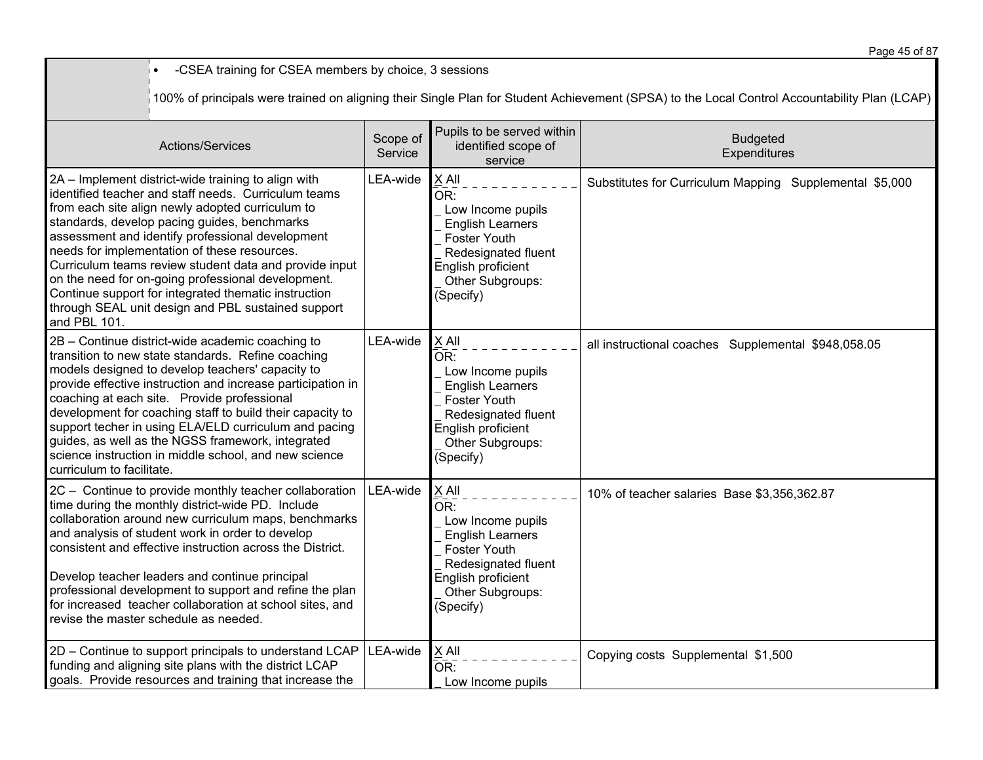• -CSEA training for CSEA members by choice, 3 sessions 100% of principals were trained on aligning their Single Plan for Student Achievement (SPSA) to the Local Control Accountability Plan (LCAP) Actions/Services Scope of **Service** Pupils to be served within identified scope of service Budgeted **Expenditures** 2A – Implement district-wide training to align with identified teacher and staff needs. Curriculum teams from each site align newly adopted curriculum to standards, develop pacing guides, benchmarks assessment and identify professional development needs for implementation of these resources. Curriculum teams review student data and provide input on the need for on-going professional development. Continue support for integrated thematic instruction through SEAL unit design and PBL sustained support and PBL 101.  $LEA$ -wide  $X$  All  $OR:$  Low Income pupils English Learners Foster Youth Redesignated fluent English proficient Other Subgroups: (Specify) Substitutes for Curriculum Mapping Supplemental \$5,000 2B – Continue district-wide academic coaching to transition to new state standards. Refine coaching models designed to develop teachers' capacity to provide effective instruction and increase participation in coaching at each site. Provide professional development for coaching staff to build their capacity to support techer in using ELA/ELD curriculum and pacing guides, as well as the NGSS framework, integrated science instruction in middle school, and new science curriculum to facilitate.  $LEA$ -wide  $X$  All  $OR:$  Low Income pupils English Learners Foster Youth Redesignated fluent English proficient Other Subgroups: (Specify) all instructional coaches Supplemental \$948,058.05 2C – Continue to provide monthly teacher collaboration time during the monthly district-wide PD. Include collaboration around new curriculum maps, benchmarks and analysis of student work in order to develop consistent and effective instruction across the District. Develop teacher leaders and continue principal professional development to support and refine the plan for increased teacher collaboration at school sites, and revise the master schedule as needed.  $LEA$ -wide  $X$  All  $OR:$  Low Income pupils English Learners Foster Youth Redesignated fluent English proficient Other Subgroups: (Specify) 10% of teacher salaries Base \$3,356,362.87 2D – Continue to support principals to understand LCAP funding and aligning site plans with the district LCAP goals. Provide resources and training that increase the  $LEA$ -wide  $X$  All  $\overline{\mathsf{OR}}$ : Low Income pupils Copying costs Supplemental \$1,500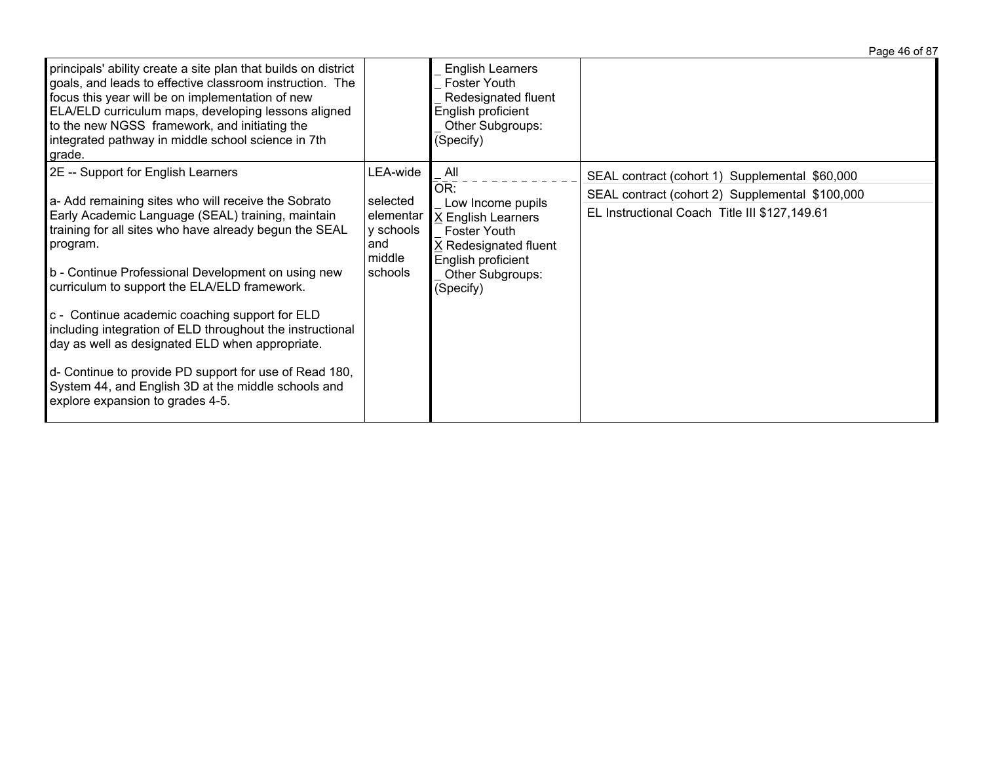|                                                                                                                                                                                                                                                                                                                                                                                                                                                                                                                                                                                                                                                   |                                                                            |                                                                                                                                                              | Page 46 of 87                                                                                                                                      |
|---------------------------------------------------------------------------------------------------------------------------------------------------------------------------------------------------------------------------------------------------------------------------------------------------------------------------------------------------------------------------------------------------------------------------------------------------------------------------------------------------------------------------------------------------------------------------------------------------------------------------------------------------|----------------------------------------------------------------------------|--------------------------------------------------------------------------------------------------------------------------------------------------------------|----------------------------------------------------------------------------------------------------------------------------------------------------|
| principals' ability create a site plan that builds on district<br>goals, and leads to effective classroom instruction. The<br>focus this year will be on implementation of new<br>ELA/ELD curriculum maps, developing lessons aligned<br>to the new NGSS framework, and initiating the<br>integrated pathway in middle school science in 7th<br>grade.                                                                                                                                                                                                                                                                                            |                                                                            | <b>English Learners</b><br>Foster Youth<br>Redesignated fluent<br>English proficient<br>Other Subgroups:<br>(Specify)                                        |                                                                                                                                                    |
| 2E -- Support for English Learners<br>a- Add remaining sites who will receive the Sobrato<br>Early Academic Language (SEAL) training, maintain<br>training for all sites who have already begun the SEAL<br>program.<br>b - Continue Professional Development on using new<br>curriculum to support the ELA/ELD framework.<br>c - Continue academic coaching support for ELD<br>including integration of ELD throughout the instructional<br>day as well as designated ELD when appropriate.<br>d- Continue to provide PD support for use of Read 180,<br>System 44, and English 3D at the middle schools and<br>explore expansion to grades 4-5. | LEA-wide<br>selected<br>elementar<br>y schools<br>and<br>middle<br>schools | All<br>OR:<br>Low Income pupils<br>X English Learners<br><b>Foster Youth</b><br>X Redesignated fluent<br>English proficient<br>Other Subgroups:<br>(Specify) | SEAL contract (cohort 1) Supplemental \$60,000<br>SEAL contract (cohort 2) Supplemental \$100,000<br>EL Instructional Coach Title III \$127,149.61 |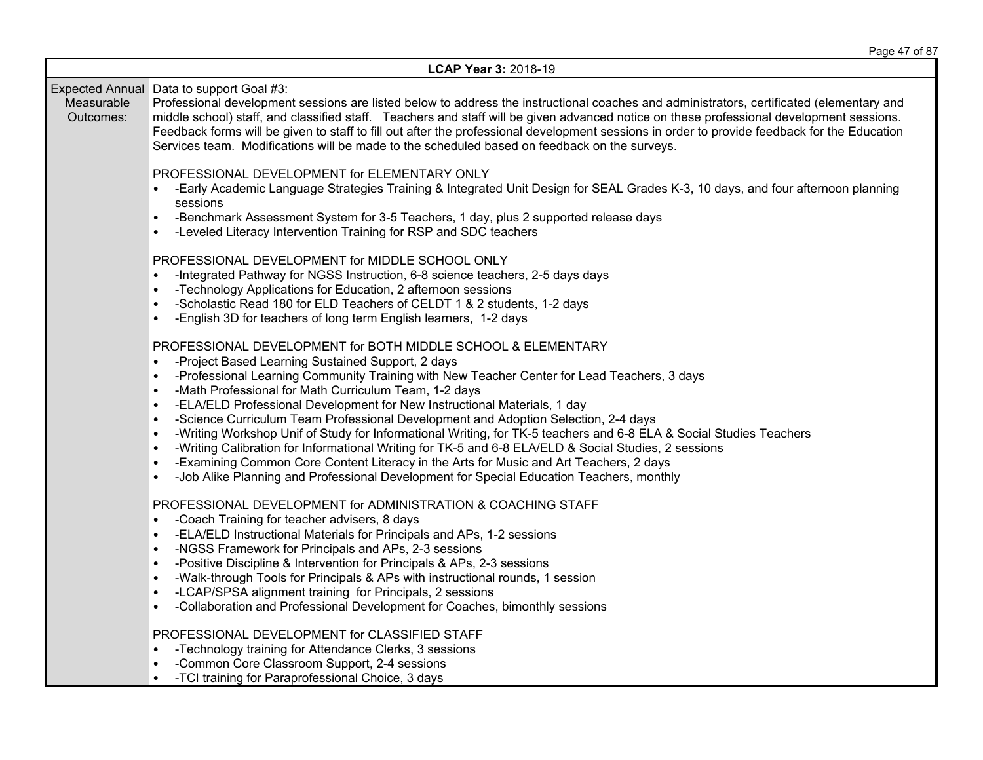|                         | LCAP Year 3: 2018-19                                                                                                                                                                                                                                                                                                                                                                                                                                                                                                                                                                                                                                                                                                                                                                                                                                                                           |
|-------------------------|------------------------------------------------------------------------------------------------------------------------------------------------------------------------------------------------------------------------------------------------------------------------------------------------------------------------------------------------------------------------------------------------------------------------------------------------------------------------------------------------------------------------------------------------------------------------------------------------------------------------------------------------------------------------------------------------------------------------------------------------------------------------------------------------------------------------------------------------------------------------------------------------|
| Measurable<br>Outcomes: | Expected Annual Data to support Goal #3:<br>Professional development sessions are listed below to address the instructional coaches and administrators, certificated (elementary and<br>niddle school) staff, and classified staff. Teachers and staff will be given advanced notice on these professional development sessions.<br>Feedback forms will be given to staff to fill out after the professional development sessions in order to provide feedback for the Education<br>Services team. Modifications will be made to the scheduled based on feedback on the surveys.                                                                                                                                                                                                                                                                                                               |
|                         | PROFESSIONAL DEVELOPMENT for ELEMENTARY ONLY<br>-Early Academic Language Strategies Training & Integrated Unit Design for SEAL Grades K-3, 10 days, and four afternoon planning<br>∣∙<br>sessions<br>-Benchmark Assessment System for 3-5 Teachers, 1 day, plus 2 supported release days<br>∣∙<br>-Leveled Literacy Intervention Training for RSP and SDC teachers                                                                                                                                                                                                                                                                                                                                                                                                                                                                                                                             |
|                         | PROFESSIONAL DEVELOPMENT for MIDDLE SCHOOL ONLY<br>-Integrated Pathway for NGSS Instruction, 6-8 science teachers, 2-5 days days<br>-Technology Applications for Education, 2 afternoon sessions<br>╹∙<br>-Scholastic Read 180 for ELD Teachers of CELDT 1 & 2 students, 1-2 days<br>-English 3D for teachers of long term English learners, 1-2 days<br>∣∙                                                                                                                                                                                                                                                                                                                                                                                                                                                                                                                                    |
|                         | PROFESSIONAL DEVELOPMENT for BOTH MIDDLE SCHOOL & ELEMENTARY<br>-Project Based Learning Sustained Support, 2 days<br>-Professional Learning Community Training with New Teacher Center for Lead Teachers, 3 days<br>-Math Professional for Math Curriculum Team, 1-2 days<br>$\bullet$<br>-ELA/ELD Professional Development for New Instructional Materials, 1 day<br>-Science Curriculum Team Professional Development and Adoption Selection, 2-4 days<br>╹∙<br>-Writing Workshop Unif of Study for Informational Writing, for TK-5 teachers and 6-8 ELA & Social Studies Teachers<br>-Writing Calibration for Informational Writing for TK-5 and 6-8 ELA/ELD & Social Studies, 2 sessions<br>∣∙<br>-Examining Common Core Content Literacy in the Arts for Music and Art Teachers, 2 days<br>-Job Alike Planning and Professional Development for Special Education Teachers, monthly<br>∣∙ |
|                         | PROFESSIONAL DEVELOPMENT for ADMINISTRATION & COACHING STAFF<br>-Coach Training for teacher advisers, 8 days<br>╹∙<br>-ELA/ELD Instructional Materials for Principals and APs, 1-2 sessions<br>-NGSS Framework for Principals and APs, 2-3 sessions<br>╹∙<br>-Positive Discipline & Intervention for Principals & APs, 2-3 sessions<br>-Walk-through Tools for Principals & APs with instructional rounds, 1 session<br>╹∙<br>-LCAP/SPSA alignment training for Principals, 2 sessions<br>-Collaboration and Professional Development for Coaches, bimonthly sessions<br>∣∙                                                                                                                                                                                                                                                                                                                    |
|                         | PROFESSIONAL DEVELOPMENT for CLASSIFIED STAFF<br>-Technology training for Attendance Clerks, 3 sessions<br>-Common Core Classroom Support, 2-4 sessions<br>-TCI training for Paraprofessional Choice, 3 days                                                                                                                                                                                                                                                                                                                                                                                                                                                                                                                                                                                                                                                                                   |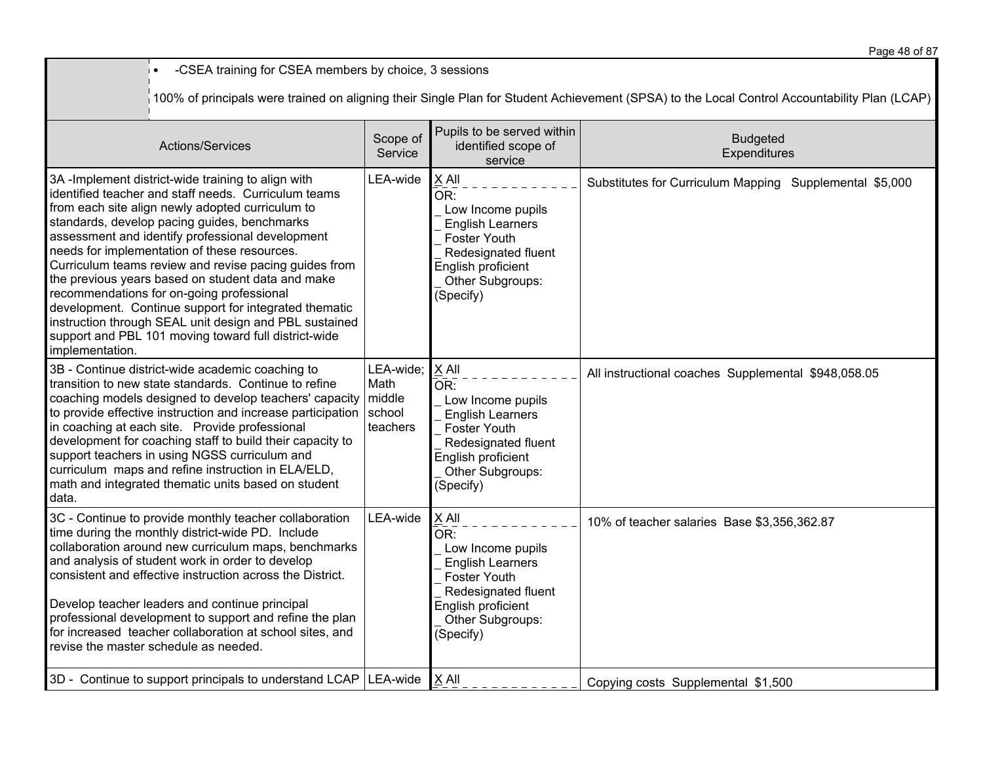• -CSEA training for CSEA members by choice, 3 sessions 100% of principals were trained on aligning their Single Plan for Student Achievement (SPSA) to the Local Control Accountability Plan (LCAP) Actions/Services Scope of **Service** Pupils to be served within identified scope of service Budgeted **Expenditures** 3A -Implement district-wide training to align with identified teacher and staff needs. Curriculum teams from each site align newly adopted curriculum to standards, develop pacing guides, benchmarks assessment and identify professional development needs for implementation of these resources. Curriculum teams review and revise pacing guides from the previous years based on student data and make recommendations for on-going professional development. Continue support for integrated thematic instruction through SEAL unit design and PBL sustained support and PBL 101 moving toward full district-wide implementation.  $LEA$ -wide  $X$  All  $OR:$  Low Income pupils English Learners Foster Youth Redesignated fluent English proficient Other Subgroups: (Specify) Substitutes for Curriculum Mapping Supplemental \$5,000 3B - Continue district-wide academic coaching to transition to new state standards. Continue to refine coaching models designed to develop teachers' capacity to provide effective instruction and increase participation in coaching at each site. Provide professional development for coaching staff to build their capacity to support teachers in using NGSS curriculum and curriculum maps and refine instruction in ELA/ELD, math and integrated thematic units based on student data. LEA-wide; Math middle school teachers X All  $\overline{\overline{\mathsf{OR}^+}}$  Low Income pupils English Learners Foster Youth Redesignated fluent English proficient Other Subgroups: (Specify) All instructional coaches Supplemental \$948,058.05 3C - Continue to provide monthly teacher collaboration time during the monthly district-wide PD. Include collaboration around new curriculum maps, benchmarks and analysis of student work in order to develop consistent and effective instruction across the District. Develop teacher leaders and continue principal professional development to support and refine the plan for increased teacher collaboration at school sites, and revise the master schedule as needed.  $LEA$ -wide  $X$  All  $OR:$  Low Income pupils English Learners Foster Youth Redesignated fluent English proficient Other Subgroups: (Specify) 10% of teacher salaries Base \$3,356,362.87 3D - Continue to support principals to understand LCAP LEA-wide X All Copying costs Supplemental \$1,500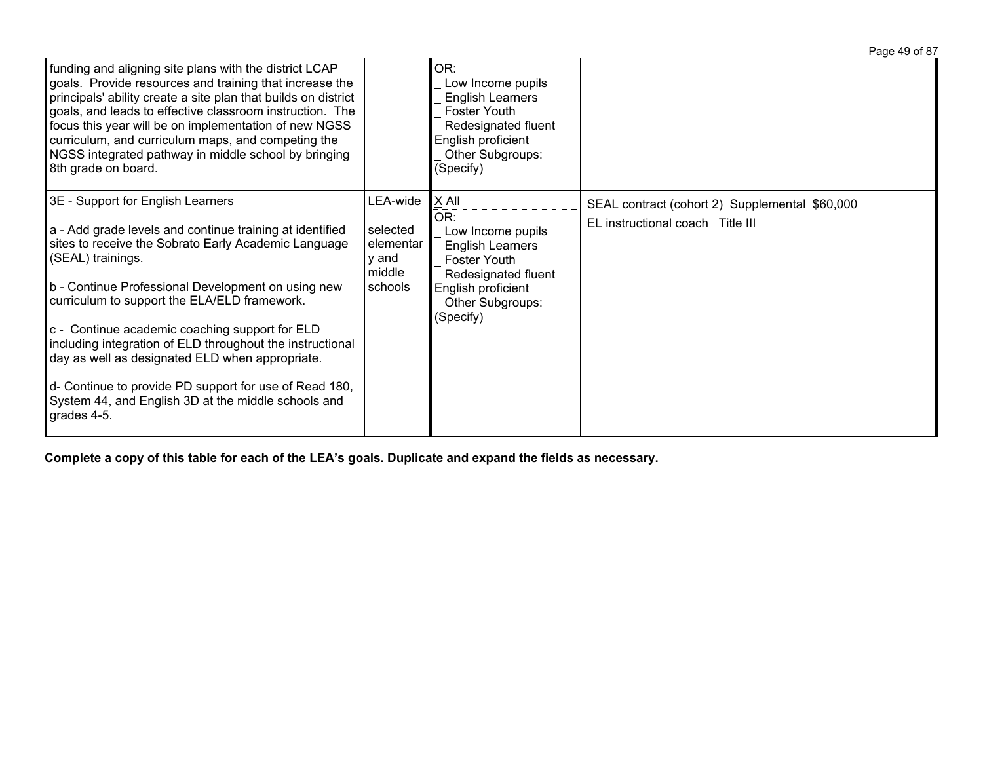|                                                                                                                                                                                                                                                                                                                                                                                                                                               |                                          |                                                                                                                                                          | Page 49 of 87                                  |
|-----------------------------------------------------------------------------------------------------------------------------------------------------------------------------------------------------------------------------------------------------------------------------------------------------------------------------------------------------------------------------------------------------------------------------------------------|------------------------------------------|----------------------------------------------------------------------------------------------------------------------------------------------------------|------------------------------------------------|
| funding and aligning site plans with the district LCAP<br>goals. Provide resources and training that increase the<br>principals' ability create a site plan that builds on district<br>goals, and leads to effective classroom instruction. The<br>focus this year will be on implementation of new NGSS<br>curriculum, and curriculum maps, and competing the<br>NGSS integrated pathway in middle school by bringing<br>8th grade on board. |                                          | OR:<br>Low Income pupils<br><b>English Learners</b><br><b>Foster Youth</b><br>Redesignated fluent<br>English proficient<br>Other Subgroups:<br>(Specify) |                                                |
| 3E - Support for English Learners                                                                                                                                                                                                                                                                                                                                                                                                             | LEA-wide                                 | X All<br>OR:                                                                                                                                             | SEAL contract (cohort 2) Supplemental \$60,000 |
| a - Add grade levels and continue training at identified<br>sites to receive the Sobrato Early Academic Language<br>(SEAL) trainings.                                                                                                                                                                                                                                                                                                         | selected<br>elementar<br>v and<br>middle | Low Income pupils<br><b>English Learners</b><br>Foster Youth<br>Redesignated fluent                                                                      | EL instructional coach Title III               |
| b - Continue Professional Development on using new<br>curriculum to support the ELA/ELD framework.                                                                                                                                                                                                                                                                                                                                            | schools                                  | English proficient<br>Other Subgroups:<br>(Specify)                                                                                                      |                                                |
| c - Continue academic coaching support for ELD<br>including integration of ELD throughout the instructional<br>day as well as designated ELD when appropriate.                                                                                                                                                                                                                                                                                |                                          |                                                                                                                                                          |                                                |
| d- Continue to provide PD support for use of Read 180,<br>System 44, and English 3D at the middle schools and<br>grades 4-5.                                                                                                                                                                                                                                                                                                                  |                                          |                                                                                                                                                          |                                                |

Complete a copy of this table for each of the LEA's goals. Duplicate and expand the fields as necessary.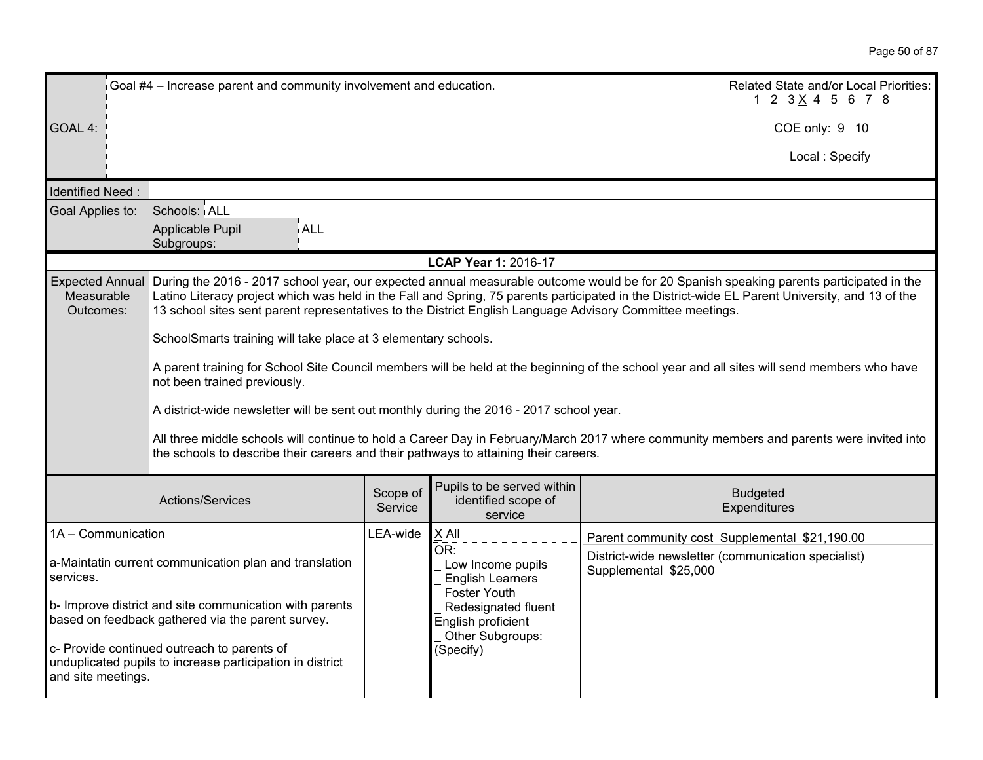|                         | Goal #4 - Increase parent and community involvement and education.                                                                                                                                                                                                                                                                                                                                                      | Related State and/or Local Priorities:<br>1 2 3 X 4 5 6 7 8 |                                                                     |                       |                                                     |
|-------------------------|-------------------------------------------------------------------------------------------------------------------------------------------------------------------------------------------------------------------------------------------------------------------------------------------------------------------------------------------------------------------------------------------------------------------------|-------------------------------------------------------------|---------------------------------------------------------------------|-----------------------|-----------------------------------------------------|
| GOAL 4:                 |                                                                                                                                                                                                                                                                                                                                                                                                                         |                                                             |                                                                     |                       | COE only: 9 10                                      |
|                         |                                                                                                                                                                                                                                                                                                                                                                                                                         |                                                             |                                                                     |                       | Local: Specify                                      |
| <b>Identified Need:</b> |                                                                                                                                                                                                                                                                                                                                                                                                                         |                                                             |                                                                     |                       |                                                     |
| Goal Applies to:        | Schools: ALL                                                                                                                                                                                                                                                                                                                                                                                                            |                                                             |                                                                     |                       |                                                     |
|                         | Applicable Pupil<br><b>ALL</b><br>Subgroups:                                                                                                                                                                                                                                                                                                                                                                            |                                                             |                                                                     |                       |                                                     |
|                         |                                                                                                                                                                                                                                                                                                                                                                                                                         |                                                             | LCAP Year 1: 2016-17                                                |                       |                                                     |
| Measurable<br>Outcomes: | Expected Annual During the 2016 - 2017 school year, our expected annual measurable outcome would be for 20 Spanish speaking parents participated in the<br>Latino Literacy project which was held in the Fall and Spring, 75 parents participated in the District-wide EL Parent University, and 13 of the<br>13 school sites sent parent representatives to the District English Language Advisory Committee meetings. |                                                             |                                                                     |                       |                                                     |
|                         | SchoolSmarts training will take place at 3 elementary schools.                                                                                                                                                                                                                                                                                                                                                          |                                                             |                                                                     |                       |                                                     |
|                         | A parent training for School Site Council members will be held at the beginning of the school year and all sites will send members who have<br>not been trained previously.                                                                                                                                                                                                                                             |                                                             |                                                                     |                       |                                                     |
|                         | A district-wide newsletter will be sent out monthly during the 2016 - 2017 school year.                                                                                                                                                                                                                                                                                                                                 |                                                             |                                                                     |                       |                                                     |
|                         | All three middle schools will continue to hold a Career Day in February/March 2017 where community members and parents were invited into<br>the schools to describe their careers and their pathways to attaining their careers.                                                                                                                                                                                        |                                                             |                                                                     |                       |                                                     |
|                         | Actions/Services                                                                                                                                                                                                                                                                                                                                                                                                        | Scope of<br>Service                                         | Pupils to be served within<br>identified scope of<br>service        |                       | <b>Budgeted</b><br>Expenditures                     |
| 1A - Communication      |                                                                                                                                                                                                                                                                                                                                                                                                                         | LEA-wide                                                    | X All                                                               |                       | Parent community cost Supplemental \$21,190.00      |
| services.               | a-Maintatin current communication plan and translation                                                                                                                                                                                                                                                                                                                                                                  |                                                             | OR:<br>Low Income pupils<br><b>English Learners</b><br>Foster Youth | Supplemental \$25,000 | District-wide newsletter (communication specialist) |
|                         | b- Improve district and site communication with parents<br>based on feedback gathered via the parent survey.                                                                                                                                                                                                                                                                                                            |                                                             | Redesignated fluent<br>English proficient<br>Other Subgroups:       |                       |                                                     |
| and site meetings.      | c- Provide continued outreach to parents of<br>unduplicated pupils to increase participation in district                                                                                                                                                                                                                                                                                                                |                                                             | (Specify)                                                           |                       |                                                     |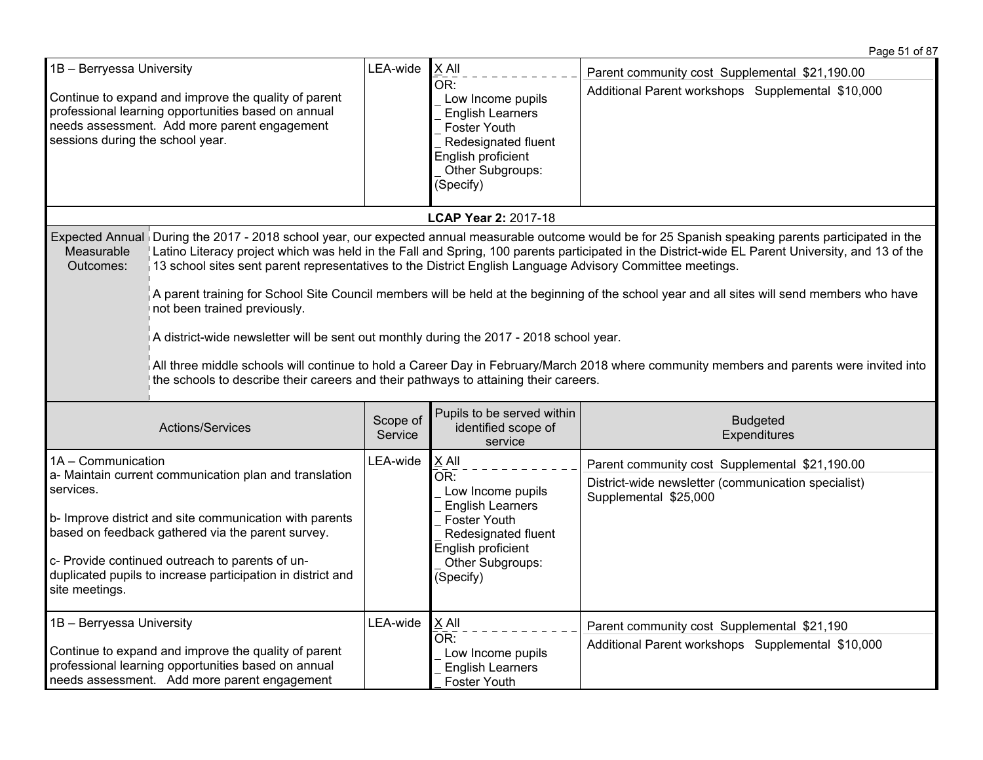| 1B - Berryessa University<br>Continue to expand and improve the quality of parent<br>professional learning opportunities based on annual<br>needs assessment. Add more parent engagement<br>sessions during the school year.                                                                                                                                                                                                                                                                                                                                                                                                                                                                                                                                                                                                                                                                                                                                      |                  | LEA-wide            | $X$ All<br>OR:<br>Low Income pupils<br><b>English Learners</b><br><b>Foster Youth</b><br>Redesignated fluent<br>English proficient<br>Other Subgroups:<br>(Specify)                      | Parent community cost Supplemental \$21,190.00<br>Additional Parent workshops Supplemental \$10,000                            |
|-------------------------------------------------------------------------------------------------------------------------------------------------------------------------------------------------------------------------------------------------------------------------------------------------------------------------------------------------------------------------------------------------------------------------------------------------------------------------------------------------------------------------------------------------------------------------------------------------------------------------------------------------------------------------------------------------------------------------------------------------------------------------------------------------------------------------------------------------------------------------------------------------------------------------------------------------------------------|------------------|---------------------|------------------------------------------------------------------------------------------------------------------------------------------------------------------------------------------|--------------------------------------------------------------------------------------------------------------------------------|
|                                                                                                                                                                                                                                                                                                                                                                                                                                                                                                                                                                                                                                                                                                                                                                                                                                                                                                                                                                   |                  |                     | LCAP Year 2: 2017-18                                                                                                                                                                     |                                                                                                                                |
| Expected Annual During the 2017 - 2018 school year, our expected annual measurable outcome would be for 25 Spanish speaking parents participated in the<br>Latino Literacy project which was held in the Fall and Spring, 100 parents participated in the District-wide EL Parent University, and 13 of the<br>Measurable<br>13 school sites sent parent representatives to the District English Language Advisory Committee meetings.<br>Outcomes:<br>A parent training for School Site Council members will be held at the beginning of the school year and all sites will send members who have<br>not been trained previously.<br>A district-wide newsletter will be sent out monthly during the 2017 - 2018 school year.<br>All three middle schools will continue to hold a Career Day in February/March 2018 where community members and parents were invited into<br>the schools to describe their careers and their pathways to attaining their careers. |                  |                     |                                                                                                                                                                                          |                                                                                                                                |
|                                                                                                                                                                                                                                                                                                                                                                                                                                                                                                                                                                                                                                                                                                                                                                                                                                                                                                                                                                   | Actions/Services | Scope of<br>Service | Pupils to be served within<br>identified scope of<br>service                                                                                                                             | <b>Budgeted</b><br>Expenditures                                                                                                |
| 1A - Communication<br>a- Maintain current communication plan and translation<br>services.<br>b- Improve district and site communication with parents<br>based on feedback gathered via the parent survey.<br>c- Provide continued outreach to parents of un-<br>duplicated pupils to increase participation in district and<br>site meetings.                                                                                                                                                                                                                                                                                                                                                                                                                                                                                                                                                                                                                     |                  | LEA-wide            | X All<br>$\overline{\mathsf{OR}}$ :<br>Low Income pupils<br><b>English Learners</b><br><b>Foster Youth</b><br>Redesignated fluent<br>English proficient<br>Other Subgroups:<br>(Specify) | Parent community cost Supplemental \$21,190.00<br>District-wide newsletter (communication specialist)<br>Supplemental \$25,000 |
| 1B - Berryessa University<br>Continue to expand and improve the quality of parent<br>professional learning opportunities based on annual<br>needs assessment. Add more parent engagement                                                                                                                                                                                                                                                                                                                                                                                                                                                                                                                                                                                                                                                                                                                                                                          |                  | LEA-wide            | X All<br>OR:<br>Low Income pupils<br><b>English Learners</b><br>Foster Youth                                                                                                             | Parent community cost Supplemental \$21,190<br>Additional Parent workshops Supplemental \$10,000                               |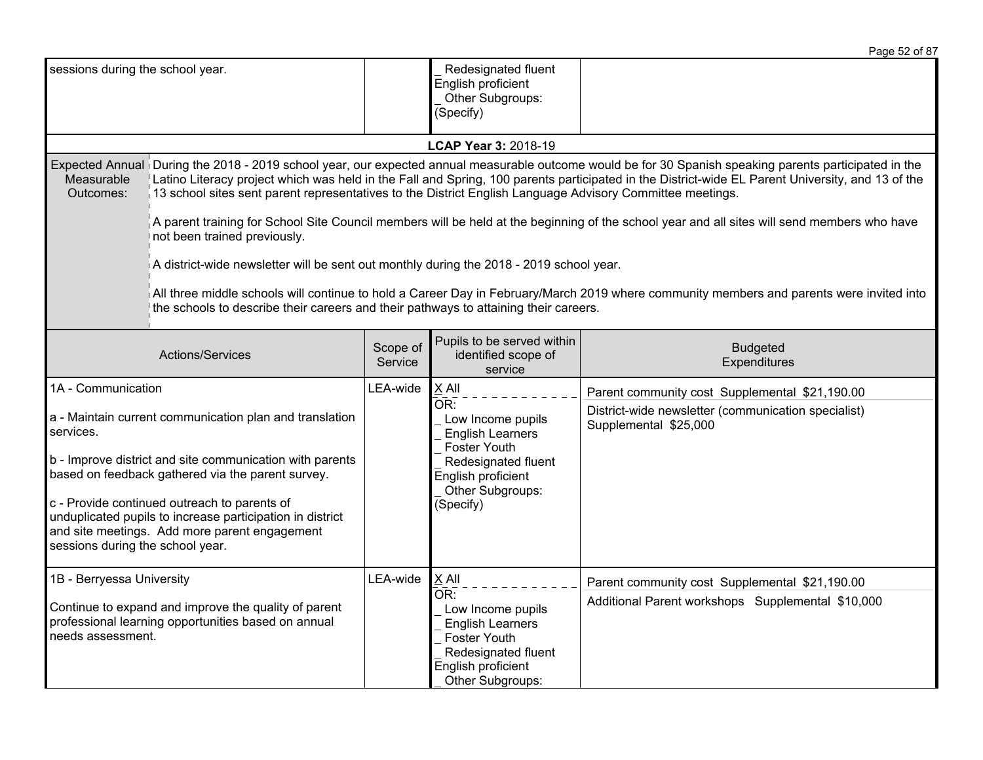|                                                                                                                                                                                                                                                                                                                                                                                                               |                                                                                                                                                                                                                                                                                                                                                                                                                                                                                                                                                                                                                                                                                                                                                                                                                                                                                                                                        |          |                                                                                                                                                                                   | Page 52 of 87                                                                                                                  |
|---------------------------------------------------------------------------------------------------------------------------------------------------------------------------------------------------------------------------------------------------------------------------------------------------------------------------------------------------------------------------------------------------------------|----------------------------------------------------------------------------------------------------------------------------------------------------------------------------------------------------------------------------------------------------------------------------------------------------------------------------------------------------------------------------------------------------------------------------------------------------------------------------------------------------------------------------------------------------------------------------------------------------------------------------------------------------------------------------------------------------------------------------------------------------------------------------------------------------------------------------------------------------------------------------------------------------------------------------------------|----------|-----------------------------------------------------------------------------------------------------------------------------------------------------------------------------------|--------------------------------------------------------------------------------------------------------------------------------|
| sessions during the school year.                                                                                                                                                                                                                                                                                                                                                                              |                                                                                                                                                                                                                                                                                                                                                                                                                                                                                                                                                                                                                                                                                                                                                                                                                                                                                                                                        |          | Redesignated fluent<br>English proficient<br>Other Subgroups:<br>(Specify)                                                                                                        |                                                                                                                                |
|                                                                                                                                                                                                                                                                                                                                                                                                               |                                                                                                                                                                                                                                                                                                                                                                                                                                                                                                                                                                                                                                                                                                                                                                                                                                                                                                                                        |          | LCAP Year 3: 2018-19                                                                                                                                                              |                                                                                                                                |
| Measurable<br>Outcomes:                                                                                                                                                                                                                                                                                                                                                                                       | Expected Annual During the 2018 - 2019 school year, our expected annual measurable outcome would be for 30 Spanish speaking parents participated in the<br>Latino Literacy project which was held in the Fall and Spring, 100 parents participated in the District-wide EL Parent University, and 13 of the<br>13 school sites sent parent representatives to the District English Language Advisory Committee meetings.<br>A parent training for School Site Council members will be held at the beginning of the school year and all sites will send members who have<br>not been trained previously.<br>A district-wide newsletter will be sent out monthly during the 2018 - 2019 school year.<br>All three middle schools will continue to hold a Career Day in February/March 2019 where community members and parents were invited into<br>the schools to describe their careers and their pathways to attaining their careers. |          |                                                                                                                                                                                   |                                                                                                                                |
| Pupils to be served within<br>Scope of<br>Actions/Services<br>identified scope of<br>Service<br>service                                                                                                                                                                                                                                                                                                       |                                                                                                                                                                                                                                                                                                                                                                                                                                                                                                                                                                                                                                                                                                                                                                                                                                                                                                                                        |          | <b>Budgeted</b><br>Expenditures                                                                                                                                                   |                                                                                                                                |
| 1A - Communication<br>a - Maintain current communication plan and translation<br>services.<br>b - Improve district and site communication with parents<br>based on feedback gathered via the parent survey.<br>c - Provide continued outreach to parents of<br>unduplicated pupils to increase participation in district<br>and site meetings. Add more parent engagement<br>sessions during the school year. |                                                                                                                                                                                                                                                                                                                                                                                                                                                                                                                                                                                                                                                                                                                                                                                                                                                                                                                                        | LEA-wide | X All<br>$\overline{\mathsf{OR}}$ :<br>Low Income pupils<br><b>English Learners</b><br>Foster Youth<br>Redesignated fluent<br>English proficient<br>Other Subgroups:<br>(Specify) | Parent community cost Supplemental \$21,190.00<br>District-wide newsletter (communication specialist)<br>Supplemental \$25,000 |
| 1B - Berryessa University<br>Continue to expand and improve the quality of parent<br>professional learning opportunities based on annual<br>needs assessment.                                                                                                                                                                                                                                                 |                                                                                                                                                                                                                                                                                                                                                                                                                                                                                                                                                                                                                                                                                                                                                                                                                                                                                                                                        | LEA-wide | X All<br>OR:<br>Low Income pupils<br><b>English Learners</b><br>Foster Youth<br>Redesignated fluent<br>English proficient<br>Other Subgroups:                                     | Parent community cost Supplemental \$21,190.00<br>Additional Parent workshops Supplemental \$10,000                            |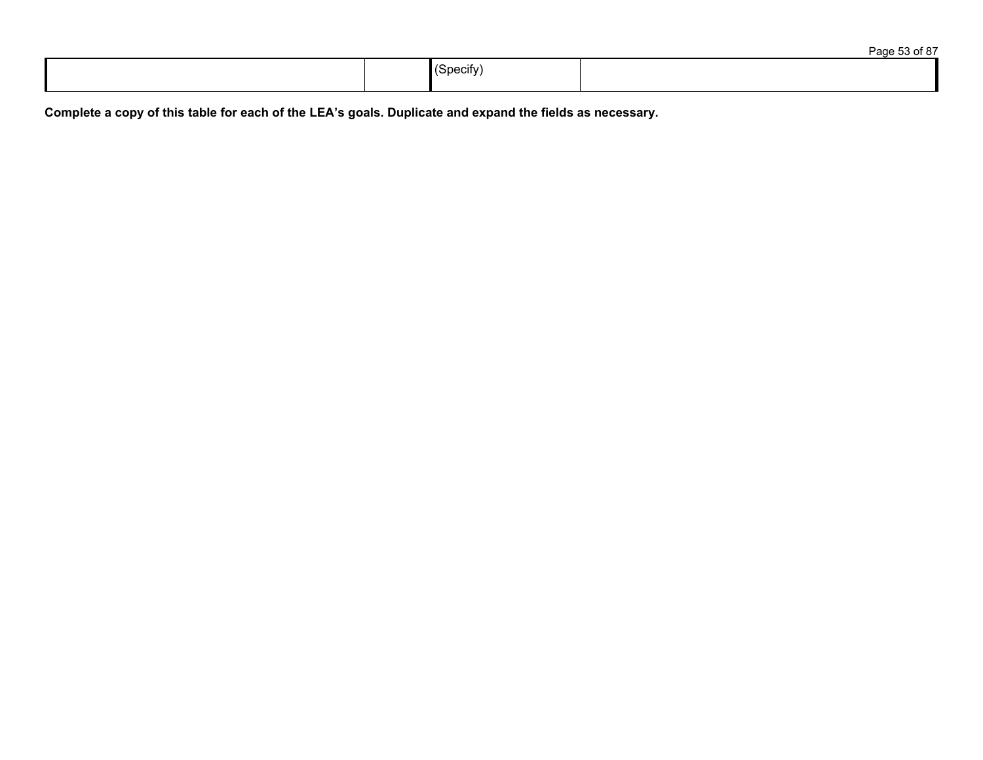|  |                                                     | $\sim$ $\sim$ $\sim$<br>$1 - \alpha$ |
|--|-----------------------------------------------------|--------------------------------------|
|  | $\cdot$ .<br>, pecify י<br>$\overline{\phantom{a}}$ |                                      |

Complete a copy of this table for each of the LEA's goals. Duplicate and expand the fields as necessary.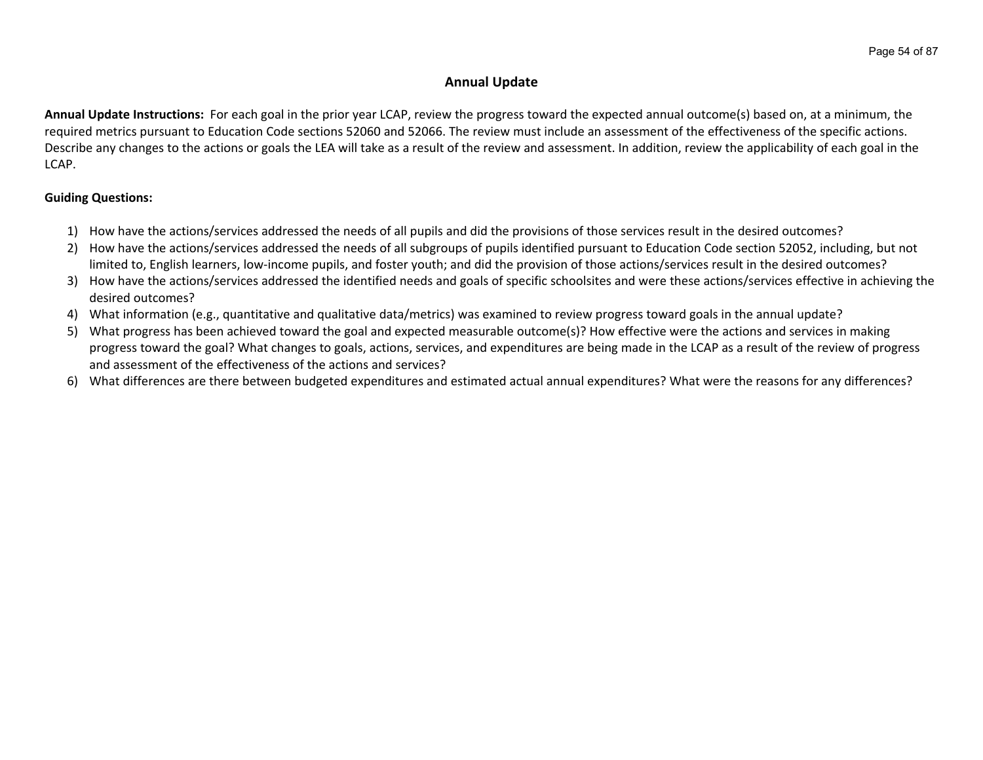## **Annual Update**

**Annual Update Instructions:** For each goal in the prior year LCAP, review the progress toward the expected annual outcome(s) based on, at a minimum, the required metrics pursuant to Education Code sections 52060 and 52066. The review must include an assessment of the effectiveness of the specific actions. Describe any changes to the actions or goals the LEA will take as a result of the review and assessment. In addition, review the applicability of each goal in the LCAP.

## **Guiding Questions:**

- 1) How have the actions/services addressed the needs of all pupils and did the provisions of those services result in the desired outcomes?
- 2) How have the actions/services addressed the needs of all subgroups of pupils identified pursuant to Education Code section 52052, including, but not limited to, English learners, low-income pupils, and foster youth; and did the provision of those actions/services result in the desired outcomes?
- 3) How have the actions/services addressed the identified needs and goals of specific schoolsites and were these actions/services effective in achieving the desired outcomes?
- 4) What information (e.g., quantitative and qualitative data/metrics) was examined to review progress toward goals in the annual update?
- 5) What progress has been achieved toward the goal and expected measurable outcome(s)? How effective were the actions and services in making progress toward the goal? What changes to goals, actions, services, and expenditures are being made in the LCAP as a result of the review of progress and assessment of the effectiveness of the actions and services?
- 6) What differences are there between budgeted expenditures and estimated actual annual expenditures? What were the reasons for any differences?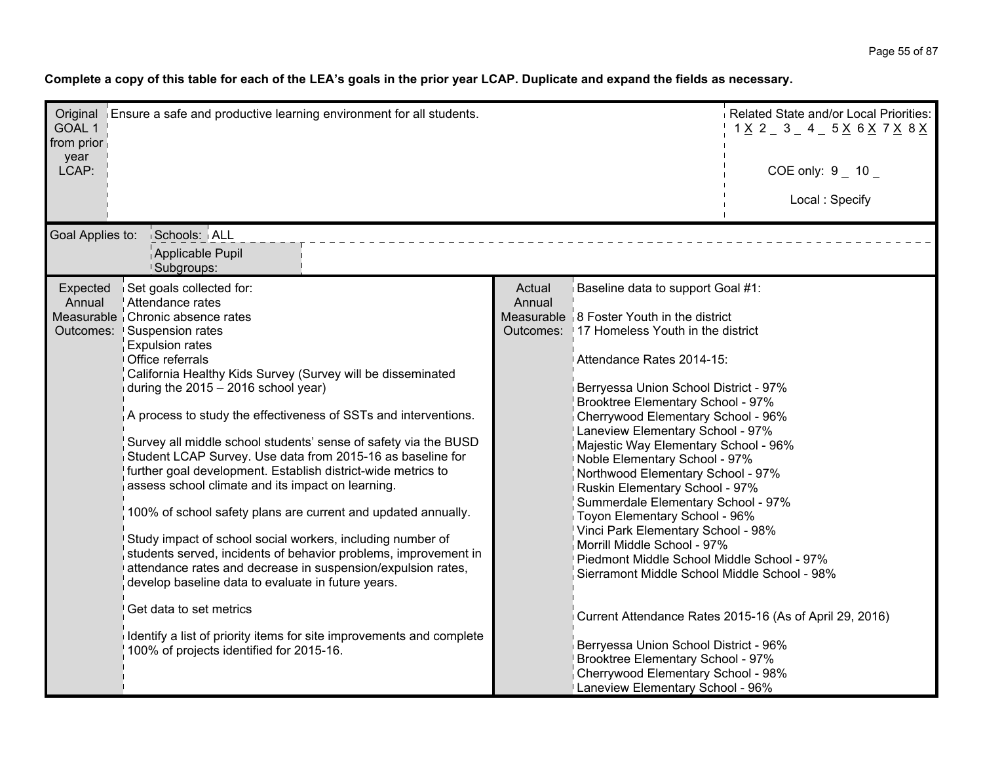Complete a copy of this table for each of the LEA's goals in the prior year LCAP. Duplicate and expand the fields as necessary.

| GOAL 1<br>from prior<br>year<br>LCAP: | Original Ensure a safe and productive learning environment for all students.                                                                                                                                                                                                                                                                                                                                                                                                                                                                                                                                                                                                                                                                                                                                                                                                                                                                                                                                                             | Related State and/or Local Priorities:<br>$1 \times 2 = 3 = 4 = 5 \times 6 \times 7 \times 8 \times 1$<br>COE only: $9 - 10$<br>Local: Specify |                                                                                                                                                                                                                                                                                                                                                                                                                                                                                                                                                                                                                                                                                                                                                                                                                                               |                                                         |
|---------------------------------------|------------------------------------------------------------------------------------------------------------------------------------------------------------------------------------------------------------------------------------------------------------------------------------------------------------------------------------------------------------------------------------------------------------------------------------------------------------------------------------------------------------------------------------------------------------------------------------------------------------------------------------------------------------------------------------------------------------------------------------------------------------------------------------------------------------------------------------------------------------------------------------------------------------------------------------------------------------------------------------------------------------------------------------------|------------------------------------------------------------------------------------------------------------------------------------------------|-----------------------------------------------------------------------------------------------------------------------------------------------------------------------------------------------------------------------------------------------------------------------------------------------------------------------------------------------------------------------------------------------------------------------------------------------------------------------------------------------------------------------------------------------------------------------------------------------------------------------------------------------------------------------------------------------------------------------------------------------------------------------------------------------------------------------------------------------|---------------------------------------------------------|
| Goal Applies to:<br>Expected          | Schools: ALL<br>Applicable Pupil<br>Subgroups:<br>Set goals collected for:                                                                                                                                                                                                                                                                                                                                                                                                                                                                                                                                                                                                                                                                                                                                                                                                                                                                                                                                                               | Actual                                                                                                                                         | Baseline data to support Goal #1:                                                                                                                                                                                                                                                                                                                                                                                                                                                                                                                                                                                                                                                                                                                                                                                                             |                                                         |
| Annual                                | Attendance rates<br>Measurable Chronic absence rates<br>Outcomes: Suspension rates<br><b>Expulsion rates</b><br>Office referrals<br>California Healthy Kids Survey (Survey will be disseminated<br>during the $2015 - 2016$ school year)<br>A process to study the effectiveness of SSTs and interventions.<br>Survey all middle school students' sense of safety via the BUSD<br>Student LCAP Survey. Use data from 2015-16 as baseline for<br>further goal development. Establish district-wide metrics to<br>assess school climate and its impact on learning.<br>100% of school safety plans are current and updated annually.<br>Study impact of school social workers, including number of<br>students served, incidents of behavior problems, improvement in<br>attendance rates and decrease in suspension/expulsion rates,<br>develop baseline data to evaluate in future years.<br>Get data to set metrics<br>Identify a list of priority items for site improvements and complete<br>100% of projects identified for 2015-16. | Annual                                                                                                                                         | Measurable $\frac{1}{2}$ 8 Foster Youth in the district<br>Outcomes: 17 Homeless Youth in the district<br>Attendance Rates 2014-15:<br>Berryessa Union School District - 97%<br>Brooktree Elementary School - 97%<br>Cherrywood Elementary School - 96%<br>Laneview Elementary School - 97%<br>Majestic Way Elementary School - 96%<br>Noble Elementary School - 97%<br>Northwood Elementary School - 97%<br>Ruskin Elementary School - 97%<br>Summerdale Elementary School - 97%<br>Toyon Elementary School - 96%<br>Vinci Park Elementary School - 98%<br>Morrill Middle School - 97%<br>Piedmont Middle School Middle School - 97%<br>Sierramont Middle School Middle School - 98%<br>Berryessa Union School District - 96%<br>Brooktree Elementary School - 97%<br>Cherrywood Elementary School - 98%<br>Laneview Elementary School - 96% | Current Attendance Rates 2015-16 (As of April 29, 2016) |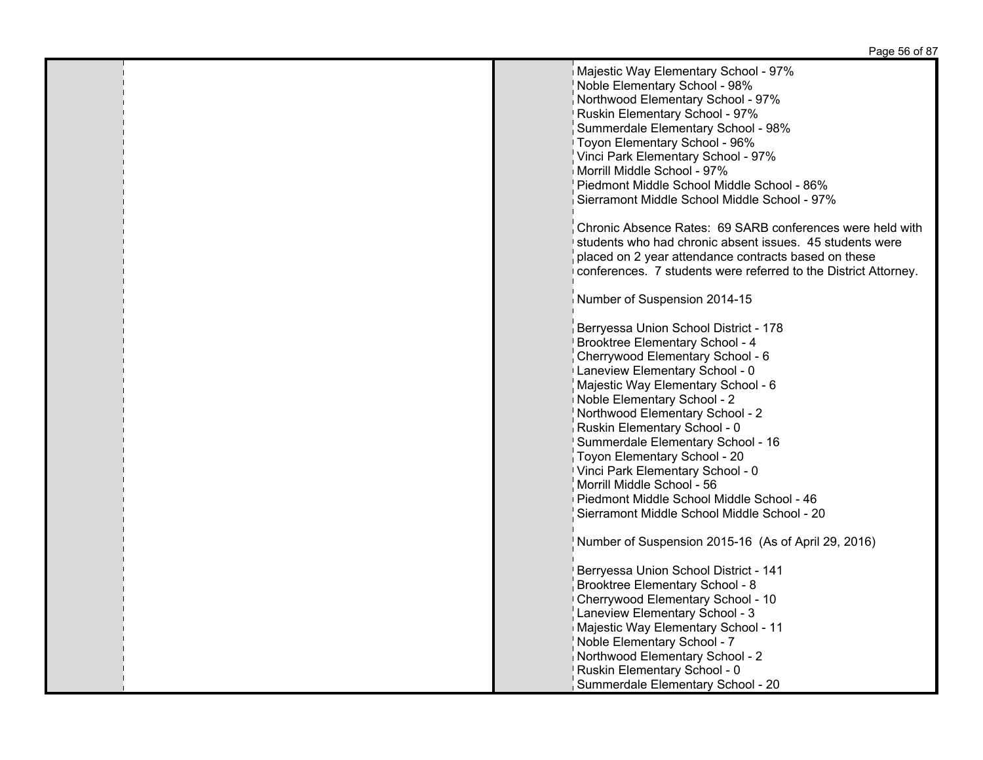| Majestic Way Elementary School - 97%                            |
|-----------------------------------------------------------------|
|                                                                 |
| Noble Elementary School - 98%                                   |
| Northwood Elementary School - 97%                               |
| Ruskin Elementary School - 97%                                  |
| Summerdale Elementary School - 98%                              |
|                                                                 |
| Toyon Elementary School - 96%                                   |
| Vinci Park Elementary School - 97%                              |
| Morrill Middle School - 97%                                     |
| Piedmont Middle School Middle School - 86%                      |
| Sierramont Middle School Middle School - 97%                    |
|                                                                 |
|                                                                 |
| Chronic Absence Rates: 69 SARB conferences were held with       |
| students who had chronic absent issues. 45 students were        |
| placed on 2 year attendance contracts based on these            |
| conferences. 7 students were referred to the District Attorney. |
|                                                                 |
|                                                                 |
| Number of Suspension 2014-15                                    |
|                                                                 |
| Berryessa Union School District - 178                           |
| <b>Brooktree Elementary School - 4</b>                          |
| Cherrywood Elementary School - 6                                |
| Laneview Elementary School - 0                                  |
|                                                                 |
| Majestic Way Elementary School - 6                              |
| Noble Elementary School - 2                                     |
| Northwood Elementary School - 2                                 |
| Ruskin Elementary School - 0                                    |
| Summerdale Elementary School - 16                               |
| Toyon Elementary School - 20                                    |
|                                                                 |
| Vinci Park Elementary School - 0                                |
| Morrill Middle School - 56                                      |
| Piedmont Middle School Middle School - 46                       |
| Sierramont Middle School Middle School - 20                     |
|                                                                 |
| Number of Suspension 2015-16 (As of April 29, 2016)             |
|                                                                 |
| Berryessa Union School District - 141                           |
|                                                                 |
| <b>Brooktree Elementary School - 8</b>                          |
| Cherrywood Elementary School - 10                               |
| Laneview Elementary School - 3                                  |
| Majestic Way Elementary School - 11                             |
| Noble Elementary School - 7                                     |
|                                                                 |
| Northwood Elementary School - 2                                 |
| Ruskin Elementary School - 0                                    |
| Summerdale Elementary School - 20                               |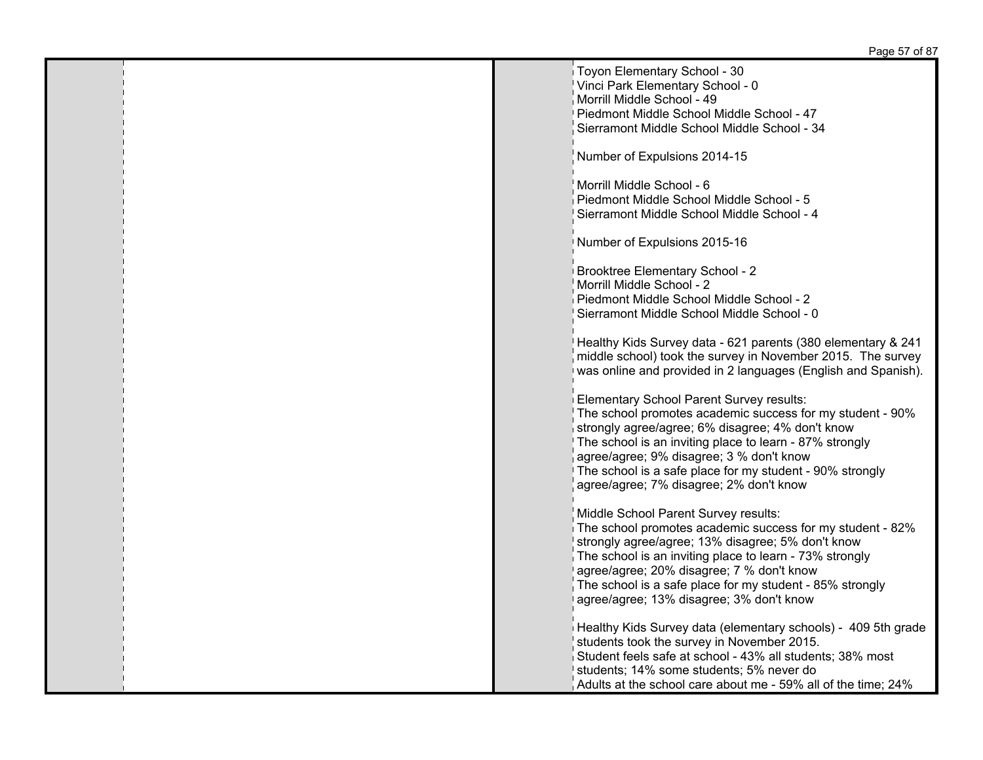| Toyon Elementary School - 30                                  |
|---------------------------------------------------------------|
|                                                               |
| Vinci Park Elementary School - 0                              |
|                                                               |
| Morrill Middle School - 49                                    |
| Piedmont Middle School Middle School - 47                     |
|                                                               |
| Sierramont Middle School Middle School - 34                   |
|                                                               |
|                                                               |
| Number of Expulsions 2014-15                                  |
|                                                               |
|                                                               |
| Morrill Middle School - 6                                     |
| Piedmont Middle School Middle School - 5                      |
| Sierramont Middle School Middle School - 4                    |
|                                                               |
|                                                               |
| Number of Expulsions 2015-16                                  |
|                                                               |
|                                                               |
| Brooktree Elementary School - 2                               |
|                                                               |
| Morrill Middle School - 2                                     |
| Piedmont Middle School Middle School - 2                      |
|                                                               |
| Sierramont Middle School Middle School - 0                    |
|                                                               |
|                                                               |
| Healthy Kids Survey data - 621 parents (380 elementary & 241  |
| middle school) took the survey in November 2015. The survey   |
| was online and provided in 2 languages (English and Spanish). |
|                                                               |
|                                                               |
| Elementary School Parent Survey results:                      |
|                                                               |
| The school promotes academic success for my student - 90%     |
| strongly agree/agree; 6% disagree; 4% don't know              |
|                                                               |
| The school is an inviting place to learn - 87% strongly       |
| agree/agree; 9% disagree; 3 % don't know                      |
|                                                               |
| The school is a safe place for my student - 90% strongly      |
| agree/agree; 7% disagree; 2% don't know                       |
|                                                               |
|                                                               |
| Middle School Parent Survey results:                          |
| The school promotes academic success for my student - 82%     |
|                                                               |
| strongly agree/agree; 13% disagree; 5% don't know             |
| The school is an inviting place to learn - 73% strongly       |
|                                                               |
| agree/agree; 20% disagree; 7 % don't know                     |
| The school is a safe place for my student - 85% strongly      |
| agree/agree; 13% disagree; 3% don't know                      |
|                                                               |
|                                                               |
| Healthy Kids Survey data (elementary schools) - 409 5th grade |
|                                                               |
| students took the survey in November 2015.                    |
| Student feels safe at school - 43% all students; 38% most     |
|                                                               |
| students; 14% some students; 5% never do                      |
| Adults at the school care about me - 59% all of the time; 24% |
|                                                               |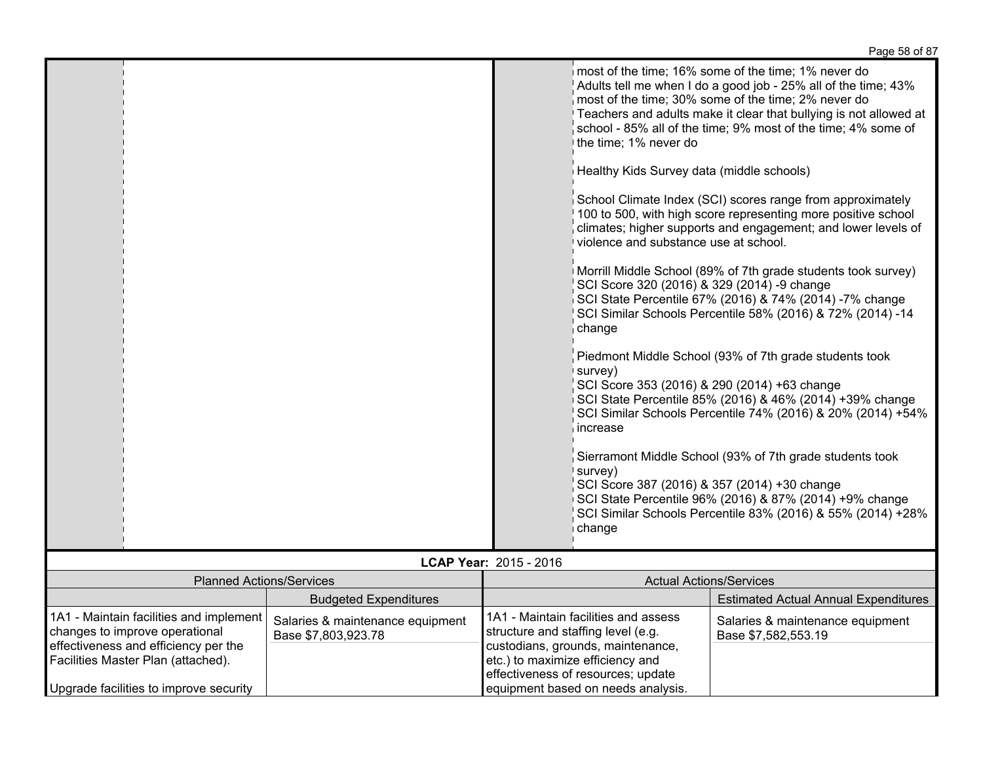|                                                                                                                   |                                                         |                                                                                                                                                                                                        | Paye 50 UI 07                                                                                                                                                                                                                                                                                                                                                                                                                                                                                                                                                                                                                                                                                                                                                                                                                                                                                                                                                                                                                                                                                                            |
|-------------------------------------------------------------------------------------------------------------------|---------------------------------------------------------|--------------------------------------------------------------------------------------------------------------------------------------------------------------------------------------------------------|--------------------------------------------------------------------------------------------------------------------------------------------------------------------------------------------------------------------------------------------------------------------------------------------------------------------------------------------------------------------------------------------------------------------------------------------------------------------------------------------------------------------------------------------------------------------------------------------------------------------------------------------------------------------------------------------------------------------------------------------------------------------------------------------------------------------------------------------------------------------------------------------------------------------------------------------------------------------------------------------------------------------------------------------------------------------------------------------------------------------------|
|                                                                                                                   |                                                         | the time; 1% never do<br>Healthy Kids Survey data (middle schools)<br>violence and substance use at school.<br>SCI Score 320 (2016) & 329 (2014) -9 change<br>change<br>survey)<br>increase<br>survey) | most of the time; 16% some of the time; 1% never do<br>Adults tell me when I do a good job - 25% all of the time; 43%<br>most of the time; 30% some of the time; 2% never do<br>Teachers and adults make it clear that bullying is not allowed at<br>school - 85% all of the time; 9% most of the time; 4% some of<br>School Climate Index (SCI) scores range from approximately<br>100 to 500, with high score representing more positive school<br>climates; higher supports and engagement; and lower levels of<br>Morrill Middle School (89% of 7th grade students took survey)<br>SCI State Percentile 67% (2016) & 74% (2014) -7% change<br>SCI Similar Schools Percentile 58% (2016) & 72% (2014) -14<br>Piedmont Middle School (93% of 7th grade students took<br>SCI Score 353 (2016) & 290 (2014) +63 change<br>SCI State Percentile 85% (2016) & 46% (2014) +39% change<br>SCI Similar Schools Percentile 74% (2016) & 20% (2014) +54%<br>Sierramont Middle School (93% of 7th grade students took<br>SCI Score 387 (2016) & 357 (2014) +30 change<br>SCI State Percentile 96% (2016) & 87% (2014) +9% change |
|                                                                                                                   |                                                         | change                                                                                                                                                                                                 | SCI Similar Schools Percentile 83% (2016) & 55% (2014) +28%                                                                                                                                                                                                                                                                                                                                                                                                                                                                                                                                                                                                                                                                                                                                                                                                                                                                                                                                                                                                                                                              |
|                                                                                                                   |                                                         | LCAP Year: 2015 - 2016                                                                                                                                                                                 |                                                                                                                                                                                                                                                                                                                                                                                                                                                                                                                                                                                                                                                                                                                                                                                                                                                                                                                                                                                                                                                                                                                          |
| <b>Planned Actions/Services</b>                                                                                   |                                                         |                                                                                                                                                                                                        | <b>Actual Actions/Services</b>                                                                                                                                                                                                                                                                                                                                                                                                                                                                                                                                                                                                                                                                                                                                                                                                                                                                                                                                                                                                                                                                                           |
|                                                                                                                   | <b>Budgeted Expenditures</b>                            |                                                                                                                                                                                                        | <b>Estimated Actual Annual Expenditures</b>                                                                                                                                                                                                                                                                                                                                                                                                                                                                                                                                                                                                                                                                                                                                                                                                                                                                                                                                                                                                                                                                              |
| 1A1 - Maintain facilities and implement<br>changes to improve operational<br>effectiveness and efficiency per the | Salaries & maintenance equipment<br>Base \$7,803,923.78 | 1A1 - Maintain facilities and assess<br>structure and staffing level (e.g.<br>custodians, grounds, maintenance,                                                                                        | Salaries & maintenance equipment<br>Base \$7,582,553.19                                                                                                                                                                                                                                                                                                                                                                                                                                                                                                                                                                                                                                                                                                                                                                                                                                                                                                                                                                                                                                                                  |

etc.) to maximize efficiency and effectiveness of resources; update equipment based on needs analysis.

Facilities Master Plan (attached).

Upgrade facilities to improve security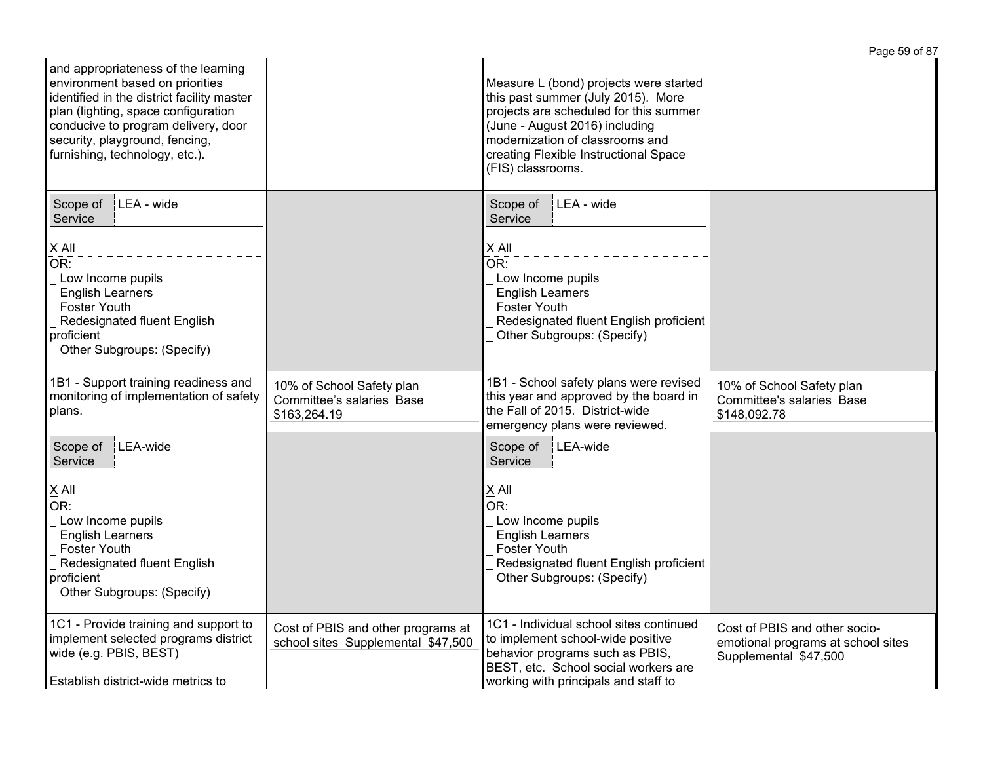|                                                                                                                                                                                                                                                                        |                                                                          |                                                                                                                                                                                                                                                           | Page 59 of 87                                                                                |
|------------------------------------------------------------------------------------------------------------------------------------------------------------------------------------------------------------------------------------------------------------------------|--------------------------------------------------------------------------|-----------------------------------------------------------------------------------------------------------------------------------------------------------------------------------------------------------------------------------------------------------|----------------------------------------------------------------------------------------------|
| and appropriateness of the learning<br>environment based on priorities<br>identified in the district facility master<br>plan (lighting, space configuration<br>conducive to program delivery, door<br>security, playground, fencing,<br>furnishing, technology, etc.). |                                                                          | Measure L (bond) projects were started<br>this past summer (July 2015). More<br>projects are scheduled for this summer<br>(June - August 2016) including<br>modernization of classrooms and<br>creating Flexible Instructional Space<br>(FIS) classrooms. |                                                                                              |
| LEA - wide<br>Scope of<br>Service<br>$X$ All<br>OR:<br>Low Income pupils<br><b>English Learners</b><br><b>Foster Youth</b><br>Redesignated fluent English<br>proficient<br>Other Subgroups: (Specify)                                                                  |                                                                          | Scope of<br>LEA - wide<br>Service<br>$X$ All<br>$\overline{\mathsf{OR}}$ :<br>Low Income pupils<br><b>English Learners</b><br><b>Foster Youth</b><br>Redesignated fluent English proficient<br>Other Subgroups: (Specify)                                 |                                                                                              |
| 1B1 - Support training readiness and<br>monitoring of implementation of safety<br>plans.                                                                                                                                                                               | 10% of School Safety plan<br>Committee's salaries Base<br>\$163,264.19   | 1B1 - School safety plans were revised<br>this year and approved by the board in<br>the Fall of 2015. District-wide<br>emergency plans were reviewed.                                                                                                     | 10% of School Safety plan<br>Committee's salaries Base<br>\$148,092.78                       |
| LEA-wide<br>Scope of<br>Service<br>$X$ All<br>OR:<br>Low Income pupils<br><b>English Learners</b><br><b>Foster Youth</b><br>Redesignated fluent English<br>proficient<br>_ Other Subgroups: (Specify)                                                                  |                                                                          | Scope of<br>LEA-wide<br>Service<br>X All<br>OR:<br>Low Income pupils<br><b>English Learners</b><br><b>Foster Youth</b><br>Redesignated fluent English proficient<br>Other Subgroups: (Specify)                                                            |                                                                                              |
| 1C1 - Provide training and support to<br>implement selected programs district<br>wide (e.g. PBIS, BEST)<br>Establish district-wide metrics to                                                                                                                          | Cost of PBIS and other programs at<br>school sites Supplemental \$47,500 | 1C1 - Individual school sites continued<br>to implement school-wide positive<br>behavior programs such as PBIS,<br>BEST, etc. School social workers are<br>working with principals and staff to                                                           | Cost of PBIS and other socio-<br>emotional programs at school sites<br>Supplemental \$47,500 |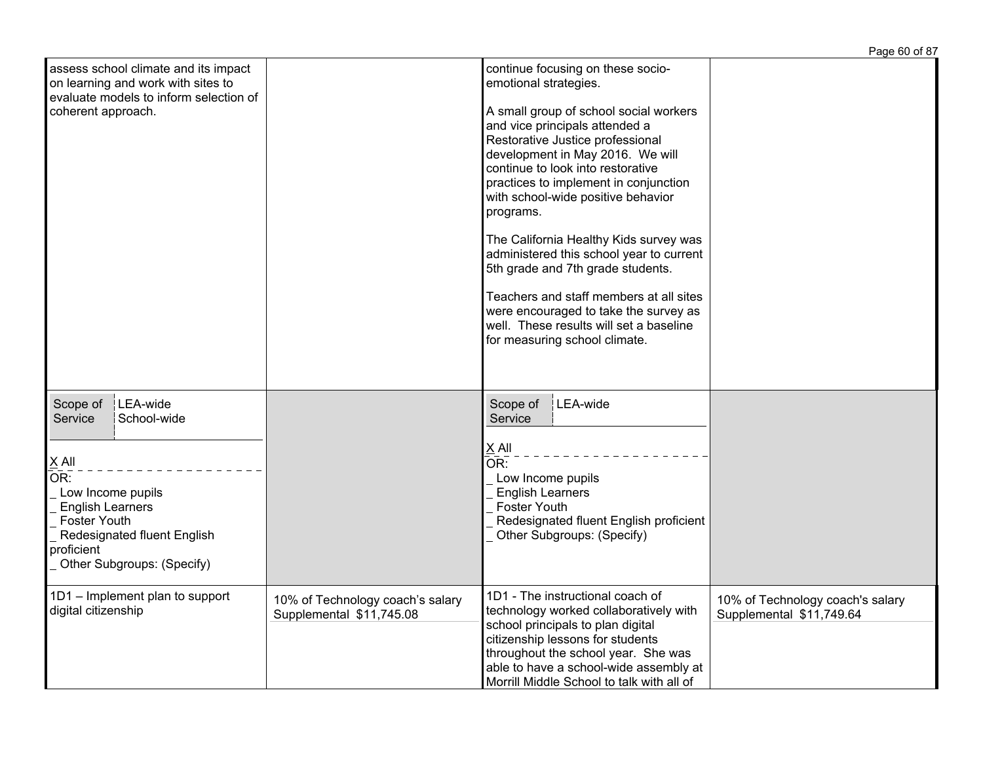|                                                                                                                                                                                                                  |                                                              |                                                                                                                                                                                                                                                                                                                                                                                                                                                                                                                                                                                                                                            | Page 60 of 87                                                |
|------------------------------------------------------------------------------------------------------------------------------------------------------------------------------------------------------------------|--------------------------------------------------------------|--------------------------------------------------------------------------------------------------------------------------------------------------------------------------------------------------------------------------------------------------------------------------------------------------------------------------------------------------------------------------------------------------------------------------------------------------------------------------------------------------------------------------------------------------------------------------------------------------------------------------------------------|--------------------------------------------------------------|
| assess school climate and its impact<br>on learning and work with sites to<br>evaluate models to inform selection of<br>coherent approach.                                                                       |                                                              | continue focusing on these socio-<br>emotional strategies.<br>A small group of school social workers<br>and vice principals attended a<br>Restorative Justice professional<br>development in May 2016. We will<br>continue to look into restorative<br>practices to implement in conjunction<br>with school-wide positive behavior<br>programs.<br>The California Healthy Kids survey was<br>administered this school year to current<br>5th grade and 7th grade students.<br>Teachers and staff members at all sites<br>were encouraged to take the survey as<br>well. These results will set a baseline<br>for measuring school climate. |                                                              |
| LEA-wide<br>Scope of<br>School-wide<br>Service<br>X All<br>OR:<br>Low Income pupils<br><b>English Learners</b><br><b>Foster Youth</b><br>Redesignated fluent English<br>proficient<br>Other Subgroups: (Specify) |                                                              | Scope of<br>LEA-wide<br>Service<br>$X$ All<br>OR:<br>Low Income pupils<br><b>English Learners</b><br><b>Foster Youth</b><br>Redesignated fluent English proficient<br>Other Subgroups: (Specify)                                                                                                                                                                                                                                                                                                                                                                                                                                           |                                                              |
| 1D1 - Implement plan to support<br>digital citizenship                                                                                                                                                           | 10% of Technology coach's salary<br>Supplemental \$11,745.08 | 1D1 - The instructional coach of<br>technology worked collaboratively with<br>school principals to plan digital<br>citizenship lessons for students<br>throughout the school year. She was<br>able to have a school-wide assembly at<br>Morrill Middle School to talk with all of                                                                                                                                                                                                                                                                                                                                                          | 10% of Technology coach's salary<br>Supplemental \$11,749.64 |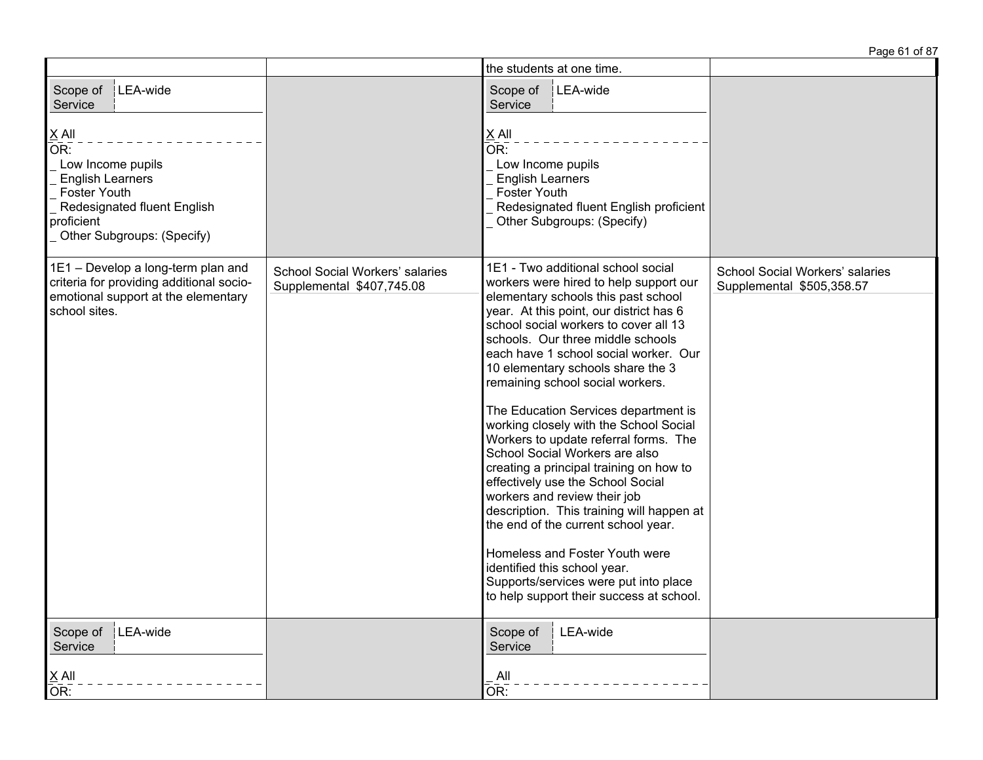|                                                                                                                                                                              |                                                              | the students at one time.                                                                                                                                                                                                                                                                                                                                     |                                                              |
|------------------------------------------------------------------------------------------------------------------------------------------------------------------------------|--------------------------------------------------------------|---------------------------------------------------------------------------------------------------------------------------------------------------------------------------------------------------------------------------------------------------------------------------------------------------------------------------------------------------------------|--------------------------------------------------------------|
| Scope of<br>LEA-wide<br>Service                                                                                                                                              |                                                              | LEA-wide<br>Scope of<br>Service                                                                                                                                                                                                                                                                                                                               |                                                              |
| $\underline{X}$ All<br>OR:<br>Low Income pupils<br><b>English Learners</b><br><b>Foster Youth</b><br>Redesignated fluent English<br>proficient<br>Other Subgroups: (Specify) |                                                              | $\underline{X}$ All<br>$\overline{\mathsf{OR}}$ :<br>Low Income pupils<br><b>English Learners</b><br><b>Foster Youth</b><br>Redesignated fluent English proficient<br>Other Subgroups: (Specify)                                                                                                                                                              |                                                              |
| 1E1 - Develop a long-term plan and<br>criteria for providing additional socio-                                                                                               | School Social Workers' salaries<br>Supplemental \$407,745.08 | 1E1 - Two additional school social<br>workers were hired to help support our                                                                                                                                                                                                                                                                                  | School Social Workers' salaries<br>Supplemental \$505,358.57 |
| emotional support at the elementary<br>school sites.                                                                                                                         |                                                              | elementary schools this past school<br>year. At this point, our district has 6<br>school social workers to cover all 13<br>schools. Our three middle schools<br>each have 1 school social worker. Our<br>10 elementary schools share the 3<br>remaining school social workers.                                                                                |                                                              |
|                                                                                                                                                                              |                                                              | The Education Services department is<br>working closely with the School Social<br>Workers to update referral forms. The<br>School Social Workers are also<br>creating a principal training on how to<br>effectively use the School Social<br>workers and review their job<br>description. This training will happen at<br>the end of the current school year. |                                                              |
|                                                                                                                                                                              |                                                              | Homeless and Foster Youth were<br>identified this school year.<br>Supports/services were put into place<br>to help support their success at school.                                                                                                                                                                                                           |                                                              |
| Scope of<br>LEA-wide<br>Service                                                                                                                                              |                                                              | Scope of<br>LEA-wide<br>Service                                                                                                                                                                                                                                                                                                                               |                                                              |
| $\underline{X}$ All<br>OR:                                                                                                                                                   |                                                              | All<br>OR:                                                                                                                                                                                                                                                                                                                                                    |                                                              |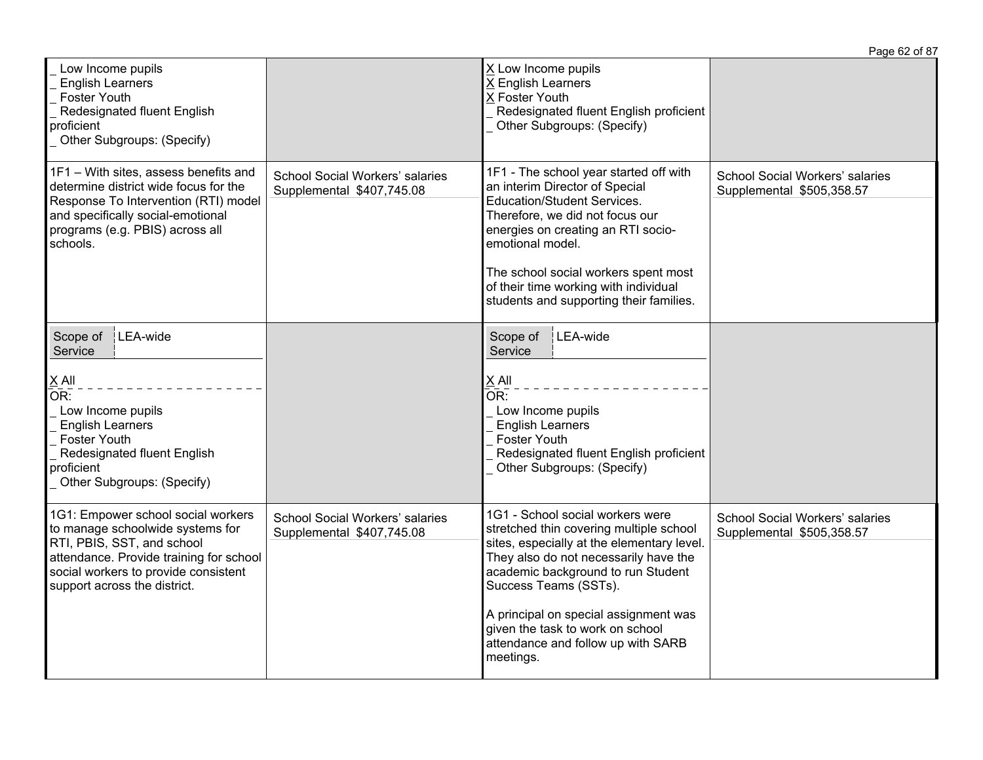|                                                                                                                                                                                                                         |                                                              |                                                                                                                                                                                                                                                                                                                                                                   | Page 62 of 87                                                       |
|-------------------------------------------------------------------------------------------------------------------------------------------------------------------------------------------------------------------------|--------------------------------------------------------------|-------------------------------------------------------------------------------------------------------------------------------------------------------------------------------------------------------------------------------------------------------------------------------------------------------------------------------------------------------------------|---------------------------------------------------------------------|
| Low Income pupils<br><b>English Learners</b><br><b>Foster Youth</b><br>Redesignated fluent English<br>proficient<br>Other Subgroups: (Specify)                                                                          |                                                              | X Low Income pupils<br>X English Learners<br>X Foster Youth<br>Redesignated fluent English proficient<br>Other Subgroups: (Specify)                                                                                                                                                                                                                               |                                                                     |
| 1F1 - With sites, assess benefits and<br>determine district wide focus for the<br>Response To Intervention (RTI) model<br>and specifically social-emotional<br>programs (e.g. PBIS) across all<br>schools.              | School Social Workers' salaries<br>Supplemental \$407,745.08 | 1F1 - The school year started off with<br>an interim Director of Special<br>Education/Student Services.<br>Therefore, we did not focus our<br>energies on creating an RTI socio-<br>emotional model.<br>The school social workers spent most<br>of their time working with individual<br>students and supporting their families.                                  | <b>School Social Workers' salaries</b><br>Supplemental \$505,358.57 |
| LEA-wide<br>Scope of<br>Service                                                                                                                                                                                         |                                                              | LEA-wide<br>Scope of<br>Service                                                                                                                                                                                                                                                                                                                                   |                                                                     |
| $X$ All<br>OR:<br>Low Income pupils<br><b>English Learners</b><br><b>Foster Youth</b><br>Redesignated fluent English<br>proficient<br>Other Subgroups: (Specify)                                                        |                                                              | X All<br>$\overline{\mathsf{OR}}$ :<br>Low Income pupils<br><b>English Learners</b><br>Foster Youth<br>Redesignated fluent English proficient<br>Other Subgroups: (Specify)                                                                                                                                                                                       |                                                                     |
| 1G1: Empower school social workers<br>to manage schoolwide systems for<br>RTI, PBIS, SST, and school<br>attendance. Provide training for school<br>social workers to provide consistent<br>support across the district. | School Social Workers' salaries<br>Supplemental \$407,745.08 | 1G1 - School social workers were<br>stretched thin covering multiple school<br>sites, especially at the elementary level.<br>They also do not necessarily have the<br>academic background to run Student<br>Success Teams (SSTs).<br>A principal on special assignment was<br>given the task to work on school<br>attendance and follow up with SARB<br>meetings. | <b>School Social Workers' salaries</b><br>Supplemental \$505,358.57 |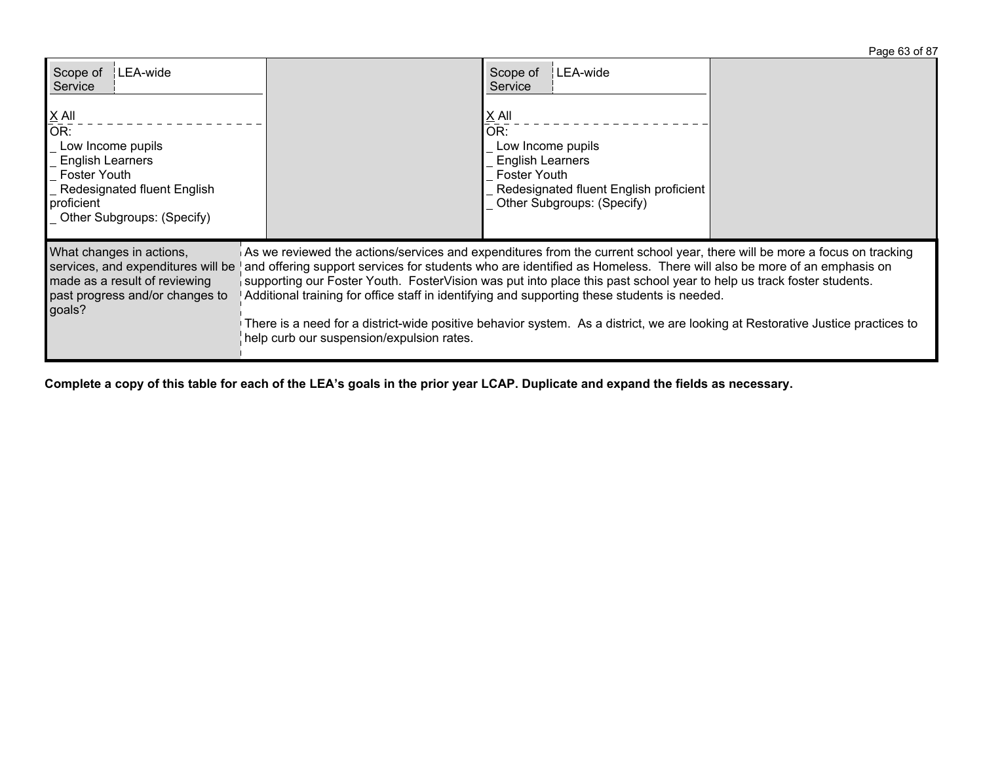| Scope of<br>∶LEA-wide<br>Service                                                                                                                                                           |                                                                                                                                                                                                                                                                                                                                                                                                                                                                                                                                                                                                                                                           | Scope of<br>LEA-wide<br>Service                                                                                                                                           |  |
|--------------------------------------------------------------------------------------------------------------------------------------------------------------------------------------------|-----------------------------------------------------------------------------------------------------------------------------------------------------------------------------------------------------------------------------------------------------------------------------------------------------------------------------------------------------------------------------------------------------------------------------------------------------------------------------------------------------------------------------------------------------------------------------------------------------------------------------------------------------------|---------------------------------------------------------------------------------------------------------------------------------------------------------------------------|--|
| $\underline{X}$ All<br>$\overline{OR}$ :<br>Low Income pupils<br><b>English Learners</b><br>Foster Youth<br><b>Redesignated fluent English</b><br>proficient<br>Other Subgroups: (Specify) |                                                                                                                                                                                                                                                                                                                                                                                                                                                                                                                                                                                                                                                           | $\underline{X}$ All<br>OR:<br>Low Income pupils<br><b>English Learners</b><br><b>Foster Youth</b><br>Redesignated fluent English proficient<br>Other Subgroups: (Specify) |  |
| What changes in actions,<br>services, and expenditures will be<br>made as a result of reviewing<br>past progress and/or changes to<br>goals?                                               | As we reviewed the actions/services and expenditures from the current school year, there will be more a focus on tracking<br>and offering support services for students who are identified as Homeless. There will also be more of an emphasis on<br>supporting our Foster Youth. FosterVision was put into place this past school year to help us track foster students.<br>Additional training for office staff in identifying and supporting these students is needed.<br>There is a need for a district-wide positive behavior system. As a district, we are looking at Restorative Justice practices to<br>help curb our suspension/expulsion rates. |                                                                                                                                                                           |  |

Complete a copy of this table for each of the LEA's goals in the prior year LCAP. Duplicate and expand the fields as necessary.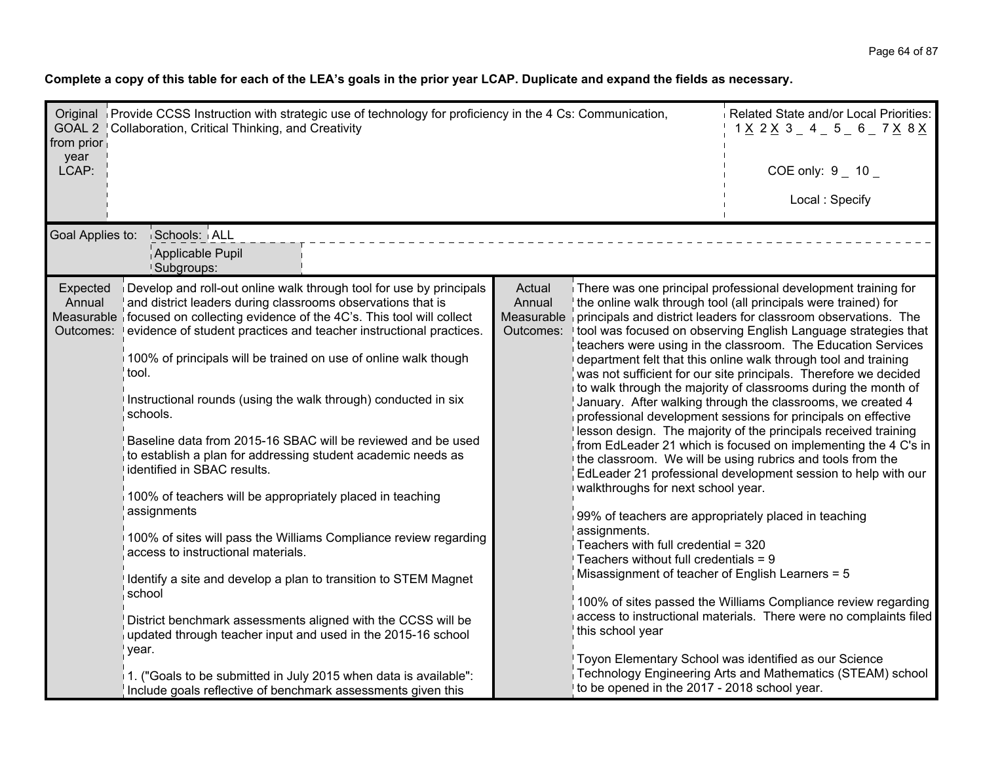Complete a copy of this table for each of the LEA's goals in the prior year LCAP. Duplicate and expand the fields as necessary.

| from prior<br>year              | Original Provide CCSS Instruction with strategic use of technology for proficiency in the 4 Cs: Communication,<br>GOAL 2   Collaboration, Critical Thinking, and Creativity                                                                                                                                                                                                                                                                                                                                                                                                                                                                                                                                                                                                                                                                                                                                                                                                                                                                                                                                                                                          |                                             |                                                                                                                                                                                                                                                                                                                      | Related State and/or Local Priorities:<br>$1 \times 2 \times 3 = 4 = 5 = 6 = 7 \times 8 \times 1$                                                                                                                                                                                                                                                                                                                                                                                                                                                                                                                                                                                                                                                                                                                                                                                                                                                                                                                                                                                                                                                                                                              |  |  |
|---------------------------------|----------------------------------------------------------------------------------------------------------------------------------------------------------------------------------------------------------------------------------------------------------------------------------------------------------------------------------------------------------------------------------------------------------------------------------------------------------------------------------------------------------------------------------------------------------------------------------------------------------------------------------------------------------------------------------------------------------------------------------------------------------------------------------------------------------------------------------------------------------------------------------------------------------------------------------------------------------------------------------------------------------------------------------------------------------------------------------------------------------------------------------------------------------------------|---------------------------------------------|----------------------------------------------------------------------------------------------------------------------------------------------------------------------------------------------------------------------------------------------------------------------------------------------------------------------|----------------------------------------------------------------------------------------------------------------------------------------------------------------------------------------------------------------------------------------------------------------------------------------------------------------------------------------------------------------------------------------------------------------------------------------------------------------------------------------------------------------------------------------------------------------------------------------------------------------------------------------------------------------------------------------------------------------------------------------------------------------------------------------------------------------------------------------------------------------------------------------------------------------------------------------------------------------------------------------------------------------------------------------------------------------------------------------------------------------------------------------------------------------------------------------------------------------|--|--|
| LCAP:                           |                                                                                                                                                                                                                                                                                                                                                                                                                                                                                                                                                                                                                                                                                                                                                                                                                                                                                                                                                                                                                                                                                                                                                                      |                                             |                                                                                                                                                                                                                                                                                                                      | COE only: $9 - 10$                                                                                                                                                                                                                                                                                                                                                                                                                                                                                                                                                                                                                                                                                                                                                                                                                                                                                                                                                                                                                                                                                                                                                                                             |  |  |
|                                 |                                                                                                                                                                                                                                                                                                                                                                                                                                                                                                                                                                                                                                                                                                                                                                                                                                                                                                                                                                                                                                                                                                                                                                      |                                             |                                                                                                                                                                                                                                                                                                                      | Local: Specify                                                                                                                                                                                                                                                                                                                                                                                                                                                                                                                                                                                                                                                                                                                                                                                                                                                                                                                                                                                                                                                                                                                                                                                                 |  |  |
|                                 | Goal Applies to:<br>Schools: ALL<br>Applicable Pupil<br><b>Subgroups:</b>                                                                                                                                                                                                                                                                                                                                                                                                                                                                                                                                                                                                                                                                                                                                                                                                                                                                                                                                                                                                                                                                                            |                                             |                                                                                                                                                                                                                                                                                                                      |                                                                                                                                                                                                                                                                                                                                                                                                                                                                                                                                                                                                                                                                                                                                                                                                                                                                                                                                                                                                                                                                                                                                                                                                                |  |  |
| Expected<br>Annual<br>Outcomes: | Develop and roll-out online walk through tool for use by principals<br>and district leaders during classrooms observations that is<br>Measurable if ocused on collecting evidence of the 4C's. This tool will collect<br>evidence of student practices and teacher instructional practices.<br>100% of principals will be trained on use of online walk though<br>tool.<br>Instructional rounds (using the walk through) conducted in six<br>schools.<br>Baseline data from 2015-16 SBAC will be reviewed and be used<br>to establish a plan for addressing student academic needs as<br>identified in SBAC results.<br>100% of teachers will be appropriately placed in teaching<br>assignments<br>100% of sites will pass the Williams Compliance review regarding<br>access to instructional materials.<br>Identify a site and develop a plan to transition to STEM Magnet<br>school<br>District benchmark assessments aligned with the CCSS will be<br>updated through teacher input and used in the 2015-16 school<br>year.<br>1. ("Goals to be submitted in July 2015 when data is available":<br>Include goals reflective of benchmark assessments given this | Actual<br>Annual<br>Measurable<br>Outcomes: | walkthroughs for next school year.<br>99% of teachers are appropriately placed in teaching<br>assignments.<br>Teachers with full credential = 320<br>Teachers without full credentials $= 9$<br>Misassignment of teacher of English Learners = 5<br>this school year<br>to be opened in the 2017 - 2018 school year. | There was one principal professional development training for<br>the online walk through tool (all principals were trained) for<br>principals and district leaders for classroom observations. The<br>tool was focused on observing English Language strategies that<br>teachers were using in the classroom. The Education Services<br>department felt that this online walk through tool and training<br>was not sufficient for our site principals. Therefore we decided<br>to walk through the majority of classrooms during the month of<br>January. After walking through the classrooms, we created 4<br>professional development sessions for principals on effective<br>lesson design. The majority of the principals received training<br>from EdLeader 21 which is focused on implementing the 4 C's in<br>the classroom. We will be using rubrics and tools from the<br>EdLeader 21 professional development session to help with our<br>100% of sites passed the Williams Compliance review regarding<br>access to instructional materials. There were no complaints filed<br>Toyon Elementary School was identified as our Science<br>Technology Engineering Arts and Mathematics (STEAM) school |  |  |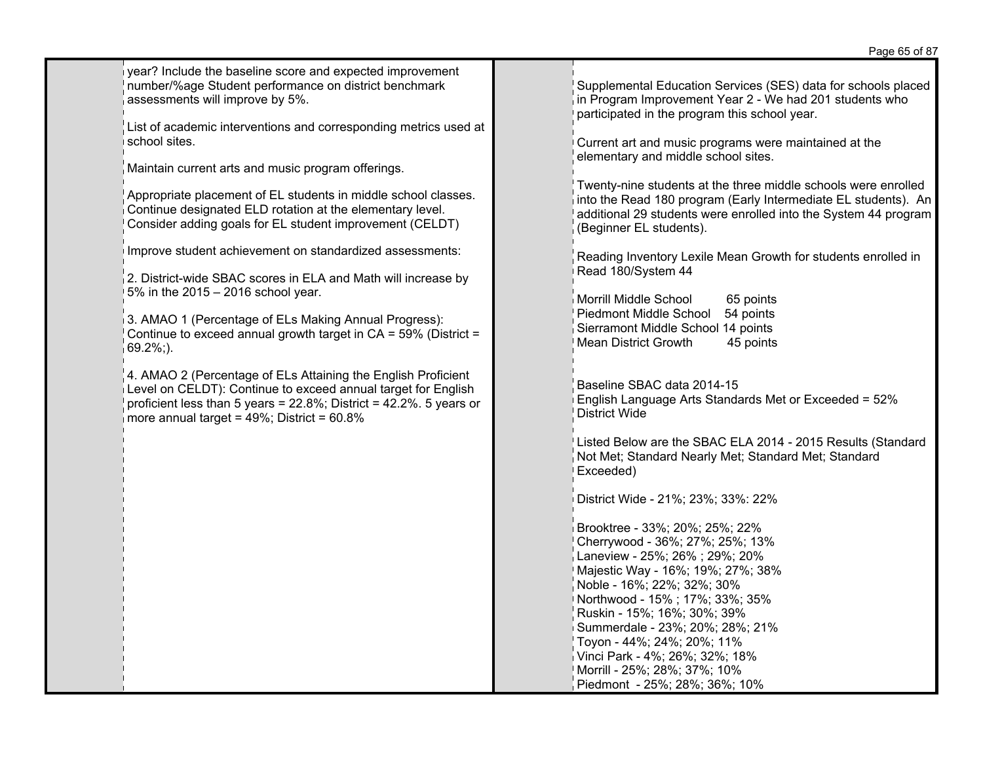year? Include the baseline score and expected improvement number/%age Student performance on district benchmark assessments will improve by 5%.

List of academic interventions and corresponding metrics used at school sites.

Maintain current arts and music program offerings.

Appropriate placement of EL students in middle school classes. Continue designated ELD rotation at the elementary level. Consider adding goals for EL student improvement (CELDT)

Improve student achievement on standardized assessments:

2. District-wide SBAC scores in ELA and Math will increase by 5% in the 2015 – 2016 school year.

3. AMAO 1 (Percentage of ELs Making Annual Progress): Continue to exceed annual growth target in  $CA = 59\%$  (District =  $69.2\%$ ;).

4. AMAO 2 (Percentage of ELs Attaining the English Proficient Level on CELDT): Continue to exceed annual target for English proficient less than 5 years = 22.8%; District = 42.2%. 5 years or more annual target = 49%; District = 60.8%

Supplemental Education Services (SES) data for schools placed in Program Improvement Year 2 - We had 201 students who participated in the program this school year.

Current art and music programs were maintained at the elementary and middle school sites.

Twenty-nine students at the three middle schools were enrolled into the Read 180 program (Early Intermediate EL students). An additional 29 students were enrolled into the System 44 program (Beginner EL students).

Reading Inventory Lexile Mean Growth for students enrolled in Read 180/System 44

Morrill Middle School 65 points Piedmont Middle School 54 points Sierramont Middle School 14 points Mean District Growth 45 points

Baseline SBAC data 2014-15 English Language Arts Standards Met or Exceeded = 52% District Wide

Listed Below are the SBAC ELA 2014 - 2015 Results (Standard Not Met; Standard Nearly Met; Standard Met; Standard Exceeded)

District Wide - 21%; 23%; 33%: 22%

Brooktree - 33%; 20%; 25%; 22% Cherrywood - 36%; 27%; 25%; 13% Laneview - 25%; 26% ; 29%; 20% Majestic Way - 16%; 19%; 27%; 38% Noble - 16%; 22%; 32%; 30% Northwood - 15% ; 17%; 33%; 35% Ruskin - 15%; 16%; 30%; 39% Summerdale - 23%; 20%; 28%; 21% Toyon - 44%; 24%; 20%; 11% Vinci Park - 4%; 26%; 32%; 18% Morrill - 25%; 28%; 37%; 10% Piedmont - 25%; 28%; 36%; 10%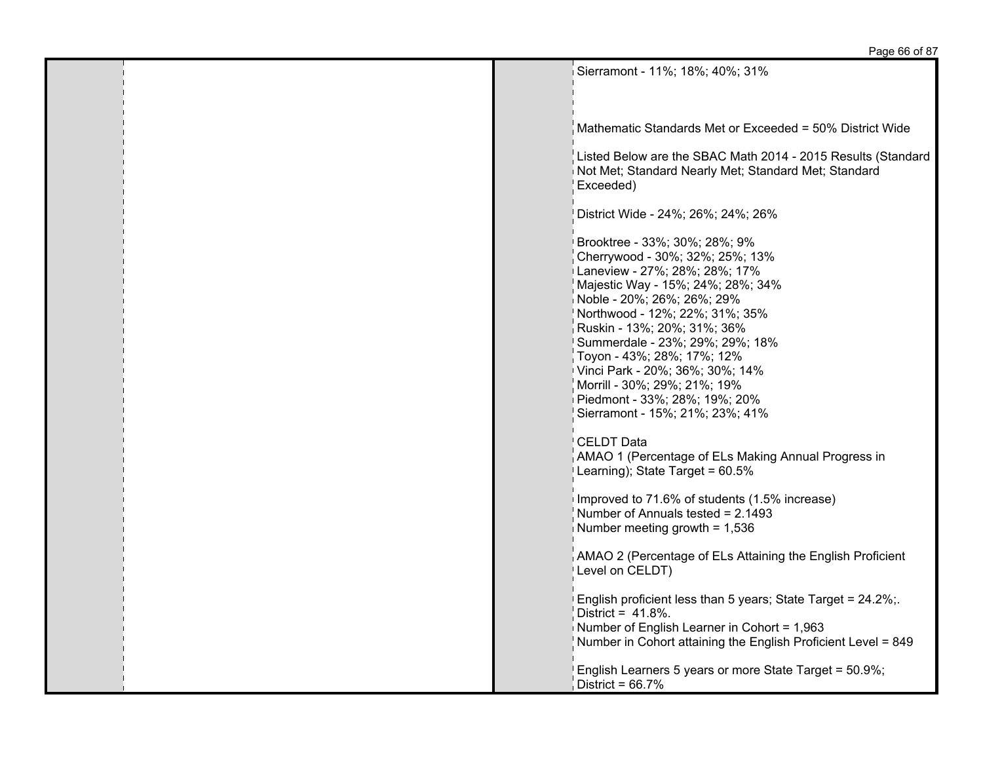## Page 66 of 87

 $\frac{1}{2}$ Sierramont - 11%; 18%; 40%; 31%

| 0/ OI CH ATTUITE - T T 70, TO 70, 40 70, J T 70                                                                                                                                                                                                                                                                                                                                                                                                                                                                                                        |
|--------------------------------------------------------------------------------------------------------------------------------------------------------------------------------------------------------------------------------------------------------------------------------------------------------------------------------------------------------------------------------------------------------------------------------------------------------------------------------------------------------------------------------------------------------|
| Mathematic Standards Met or Exceeded = 50% District Wide                                                                                                                                                                                                                                                                                                                                                                                                                                                                                               |
| Listed Below are the SBAC Math 2014 - 2015 Results (Standard<br>Not Met; Standard Nearly Met; Standard Met; Standard<br>Exceeded)                                                                                                                                                                                                                                                                                                                                                                                                                      |
| District Wide - 24%; 26%; 24%; 26%                                                                                                                                                                                                                                                                                                                                                                                                                                                                                                                     |
| Brooktree - 33%; 30%; 28%; 9%<br>Cherrywood - 30%; 32%; 25%; 13%<br>Laneview - 27%; 28%; 28%; 17%<br>Majestic Way - 15%; 24%; 28%; 34%<br>Noble - 20%; 26%; 26%; 29%<br>Northwood - 12%; 22%; 31%; 35%<br>Ruskin - 13%; 20%; 31%; 36%<br>Summerdale - 23%; 29%; 29%; 18%<br>Toyon - 43%; 28%; 17%; 12%<br>Vinci Park - 20%; 36%; 30%; 14%<br>Morrill - 30%; 29%; 21%; 19%]<br>Piedmont - 33%; 28%; 19%; 20%<br>Sierramont - 15%; 21%; 23%; 41%<br>CELDT Data<br>AMAO 1 (Percentage of ELs Making Annual Progress in<br>Learning); State Target = 60.5% |
| Improved to 71.6% of students (1.5% increase)<br>Number of Annuals tested = $2.1493$<br>Number meeting growth = $1,536$                                                                                                                                                                                                                                                                                                                                                                                                                                |
| AMAO 2 (Percentage of ELs Attaining the English Proficient<br>Level on CELDT)                                                                                                                                                                                                                                                                                                                                                                                                                                                                          |
| English proficient less than 5 years; State Target = 24.2%;<br>District = $41.8\%$ .<br>Number of English Learner in Cohort = 1,963<br>Number in Cohort attaining the English Proficient Level = 849                                                                                                                                                                                                                                                                                                                                                   |
| English Learners 5 years or more State Target = 50.9%;<br>District = $66.7\%$                                                                                                                                                                                                                                                                                                                                                                                                                                                                          |

п.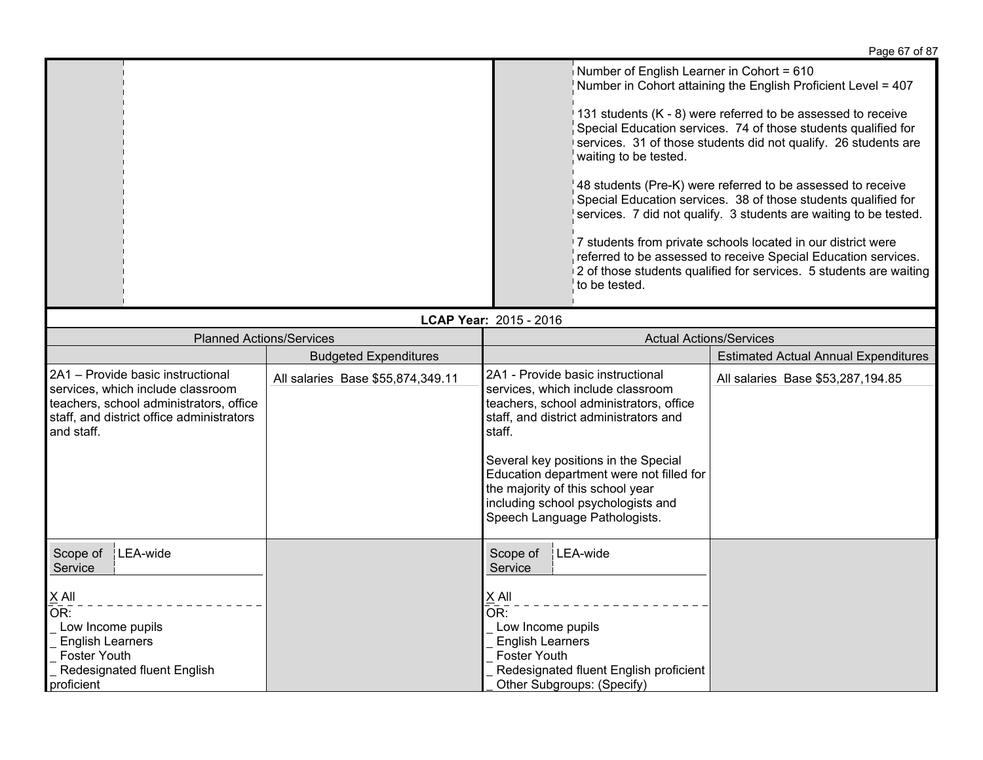|                                                                                                                                                                              |                                   |                                                                                                                                                                                                                                                                                                                                                                      | i ayu vi vi vi                                                                                                                                                                                                                                                                                                                                                                                                                                                                                                                                                                                                                                                                   |  |
|------------------------------------------------------------------------------------------------------------------------------------------------------------------------------|-----------------------------------|----------------------------------------------------------------------------------------------------------------------------------------------------------------------------------------------------------------------------------------------------------------------------------------------------------------------------------------------------------------------|----------------------------------------------------------------------------------------------------------------------------------------------------------------------------------------------------------------------------------------------------------------------------------------------------------------------------------------------------------------------------------------------------------------------------------------------------------------------------------------------------------------------------------------------------------------------------------------------------------------------------------------------------------------------------------|--|
|                                                                                                                                                                              |                                   | Number of English Learner in Cohort = 610<br>waiting to be tested.<br>to be tested.                                                                                                                                                                                                                                                                                  | Number in Cohort attaining the English Proficient Level = 407<br>131 students (K - 8) were referred to be assessed to receive<br>Special Education services. 74 of those students qualified for<br>services. 31 of those students did not qualify. 26 students are<br>48 students (Pre-K) were referred to be assessed to receive<br>Special Education services. 38 of those students qualified for<br>services. 7 did not qualify. 3 students are waiting to be tested.<br>7 students from private schools located in our district were<br>referred to be assessed to receive Special Education services.<br>2 of those students qualified for services. 5 students are waiting |  |
| LCAP Year: 2015 - 2016                                                                                                                                                       |                                   |                                                                                                                                                                                                                                                                                                                                                                      |                                                                                                                                                                                                                                                                                                                                                                                                                                                                                                                                                                                                                                                                                  |  |
| <b>Planned Actions/Services</b>                                                                                                                                              |                                   | <b>Actual Actions/Services</b>                                                                                                                                                                                                                                                                                                                                       |                                                                                                                                                                                                                                                                                                                                                                                                                                                                                                                                                                                                                                                                                  |  |
|                                                                                                                                                                              | <b>Budgeted Expenditures</b>      |                                                                                                                                                                                                                                                                                                                                                                      | <b>Estimated Actual Annual Expenditures</b>                                                                                                                                                                                                                                                                                                                                                                                                                                                                                                                                                                                                                                      |  |
| 2A1 - Provide basic instructional<br>services, which include classroom<br>teachers, school administrators, office<br>staff, and district office administrators<br>and staff. | All salaries Base \$55,874,349.11 | 2A1 - Provide basic instructional<br>services, which include classroom<br>teachers, school administrators, office<br>staff, and district administrators and<br>staff.<br>Several key positions in the Special<br>Education department were not filled for<br>the majority of this school year<br>including school psychologists and<br>Speech Language Pathologists. | All salaries Base \$53,287,194.85                                                                                                                                                                                                                                                                                                                                                                                                                                                                                                                                                                                                                                                |  |
| Scope of   LEA-wide<br>Service<br>$\times$ All<br>OR:<br>Low Income pupils<br><b>English Learners</b><br><b>Foster Youth</b><br>Redesignated fluent English<br>proficient    |                                   | Scope of<br>LEA-wide<br>Service<br>$X$ All<br>OR:<br>Low Income pupils<br><b>English Learners</b><br>Foster Youth<br>Redesignated fluent English proficient<br>Other Subgroups: (Specify)                                                                                                                                                                            |                                                                                                                                                                                                                                                                                                                                                                                                                                                                                                                                                                                                                                                                                  |  |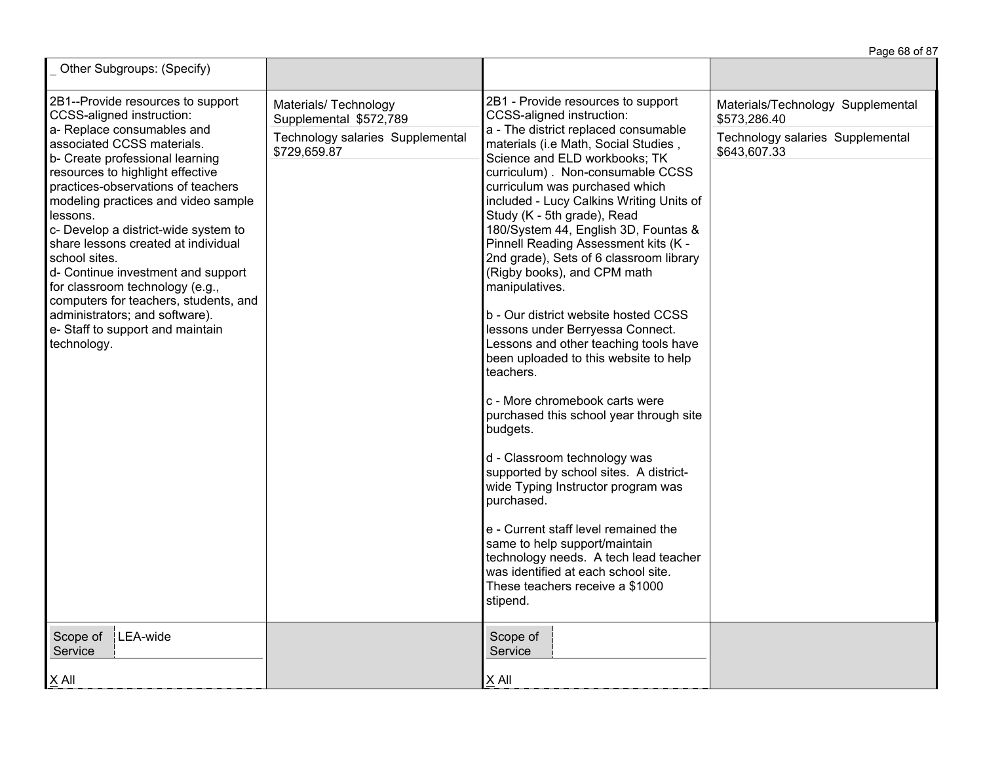|                                                                                                                                                                                                                                                                                                                                                                                                                                                                                                                                                                                                                           |                                                                                                     |                                                                                                                                                                                                                                                                                                                                                                                                                                                                                                                                                                                                                                                                                                                                                                                                                                                                                                                                                                                                                                                                                                                                     | Page 68 of 87                                                                                         |
|---------------------------------------------------------------------------------------------------------------------------------------------------------------------------------------------------------------------------------------------------------------------------------------------------------------------------------------------------------------------------------------------------------------------------------------------------------------------------------------------------------------------------------------------------------------------------------------------------------------------------|-----------------------------------------------------------------------------------------------------|-------------------------------------------------------------------------------------------------------------------------------------------------------------------------------------------------------------------------------------------------------------------------------------------------------------------------------------------------------------------------------------------------------------------------------------------------------------------------------------------------------------------------------------------------------------------------------------------------------------------------------------------------------------------------------------------------------------------------------------------------------------------------------------------------------------------------------------------------------------------------------------------------------------------------------------------------------------------------------------------------------------------------------------------------------------------------------------------------------------------------------------|-------------------------------------------------------------------------------------------------------|
| Other Subgroups: (Specify)                                                                                                                                                                                                                                                                                                                                                                                                                                                                                                                                                                                                |                                                                                                     |                                                                                                                                                                                                                                                                                                                                                                                                                                                                                                                                                                                                                                                                                                                                                                                                                                                                                                                                                                                                                                                                                                                                     |                                                                                                       |
| 2B1--Provide resources to support<br>CCSS-aligned instruction:<br>a- Replace consumables and<br>associated CCSS materials.<br>b- Create professional learning<br>resources to highlight effective<br>practices-observations of teachers<br>modeling practices and video sample<br>lessons.<br>c- Develop a district-wide system to<br>share lessons created at individual<br>school sites.<br>d- Continue investment and support<br>for classroom technology (e.g.,<br>computers for teachers, students, and<br>administrators; and software).<br>e- Staff to support and maintain<br>technology.<br>Scope of<br>LEA-wide | Materials/ Technology<br>Supplemental \$572,789<br>Technology salaries Supplemental<br>\$729,659.87 | 2B1 - Provide resources to support<br>CCSS-aligned instruction:<br>a - The district replaced consumable<br>materials (i.e Math, Social Studies,<br>Science and ELD workbooks; TK<br>curriculum). Non-consumable CCSS<br>curriculum was purchased which<br>included - Lucy Calkins Writing Units of<br>Study (K - 5th grade), Read<br>180/System 44, English 3D, Fountas &<br>Pinnell Reading Assessment kits (K -<br>2nd grade), Sets of 6 classroom library<br>(Rigby books), and CPM math<br>manipulatives.<br>b - Our district website hosted CCSS<br>lessons under Berryessa Connect.<br>Lessons and other teaching tools have<br>been uploaded to this website to help<br>teachers.<br>c - More chromebook carts were<br>purchased this school year through site<br>budgets.<br>d - Classroom technology was<br>supported by school sites. A district-<br>wide Typing Instructor program was<br>purchased.<br>e - Current staff level remained the<br>same to help support/maintain<br>technology needs. A tech lead teacher<br>was identified at each school site.<br>These teachers receive a \$1000<br>stipend.<br>Scope of | Materials/Technology Supplemental<br>\$573,286.40<br>Technology salaries Supplemental<br>\$643,607.33 |
| Service<br>$X$ All                                                                                                                                                                                                                                                                                                                                                                                                                                                                                                                                                                                                        |                                                                                                     | Service<br>X All                                                                                                                                                                                                                                                                                                                                                                                                                                                                                                                                                                                                                                                                                                                                                                                                                                                                                                                                                                                                                                                                                                                    |                                                                                                       |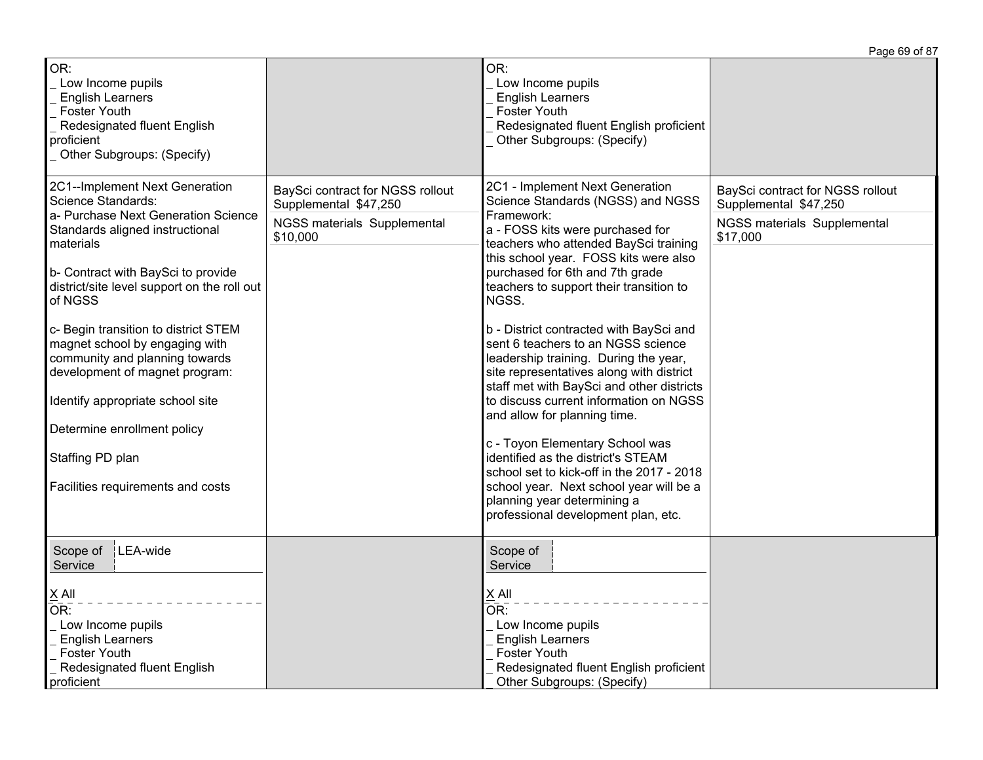|                                                                                                                                                                                                                                                                                                                                                                                                                                                                                                                       |                                                                                                      |                                                                                                                                                                                                                                                                                                                                                                                                                                                                                                                                                                                                                                                                                                                                                                                                                                     | Page 69 of 87                                                                                        |
|-----------------------------------------------------------------------------------------------------------------------------------------------------------------------------------------------------------------------------------------------------------------------------------------------------------------------------------------------------------------------------------------------------------------------------------------------------------------------------------------------------------------------|------------------------------------------------------------------------------------------------------|-------------------------------------------------------------------------------------------------------------------------------------------------------------------------------------------------------------------------------------------------------------------------------------------------------------------------------------------------------------------------------------------------------------------------------------------------------------------------------------------------------------------------------------------------------------------------------------------------------------------------------------------------------------------------------------------------------------------------------------------------------------------------------------------------------------------------------------|------------------------------------------------------------------------------------------------------|
| OR:<br>Low Income pupils<br><b>English Learners</b><br><b>Foster Youth</b><br>Redesignated fluent English<br>proficient<br>Other Subgroups: (Specify)                                                                                                                                                                                                                                                                                                                                                                 |                                                                                                      | OR:<br>Low Income pupils<br><b>English Learners</b><br><b>Foster Youth</b><br>Redesignated fluent English proficient<br>Other Subgroups: (Specify)                                                                                                                                                                                                                                                                                                                                                                                                                                                                                                                                                                                                                                                                                  |                                                                                                      |
| 2C1--Implement Next Generation<br>Science Standards:<br>a- Purchase Next Generation Science<br>Standards aligned instructional<br>materials<br>b- Contract with BaySci to provide<br>district/site level support on the roll out<br>of NGSS<br>c- Begin transition to district STEM<br>magnet school by engaging with<br>community and planning towards<br>development of magnet program:<br>Identify appropriate school site<br>Determine enrollment policy<br>Staffing PD plan<br>Facilities requirements and costs | BaySci contract for NGSS rollout<br>Supplemental \$47,250<br>NGSS materials Supplemental<br>\$10,000 | 2C1 - Implement Next Generation<br>Science Standards (NGSS) and NGSS<br>Framework:<br>a - FOSS kits were purchased for<br>teachers who attended BaySci training<br>this school year. FOSS kits were also<br>purchased for 6th and 7th grade<br>teachers to support their transition to<br>NGSS.<br>b - District contracted with BaySci and<br>sent 6 teachers to an NGSS science<br>leadership training. During the year,<br>site representatives along with district<br>staff met with BaySci and other districts<br>to discuss current information on NGSS<br>and allow for planning time.<br>c - Toyon Elementary School was<br>identified as the district's STEAM<br>school set to kick-off in the 2017 - 2018<br>school year. Next school year will be a<br>planning year determining a<br>professional development plan, etc. | BaySci contract for NGSS rollout<br>Supplemental \$47,250<br>NGSS materials Supplemental<br>\$17,000 |
| Scope of<br>$ LEA$ -wide<br>Service<br>$X$ All<br>OR:<br>Low Income pupils<br><b>English Learners</b><br>Foster Youth<br>Redesignated fluent English<br>proficient                                                                                                                                                                                                                                                                                                                                                    |                                                                                                      | Scope of<br>Service<br>X All<br>$\overline{\mathsf{OR}}$ :<br>Low Income pupils<br><b>English Learners</b><br><b>Foster Youth</b><br>Redesignated fluent English proficient<br>Other Subgroups: (Specify)                                                                                                                                                                                                                                                                                                                                                                                                                                                                                                                                                                                                                           |                                                                                                      |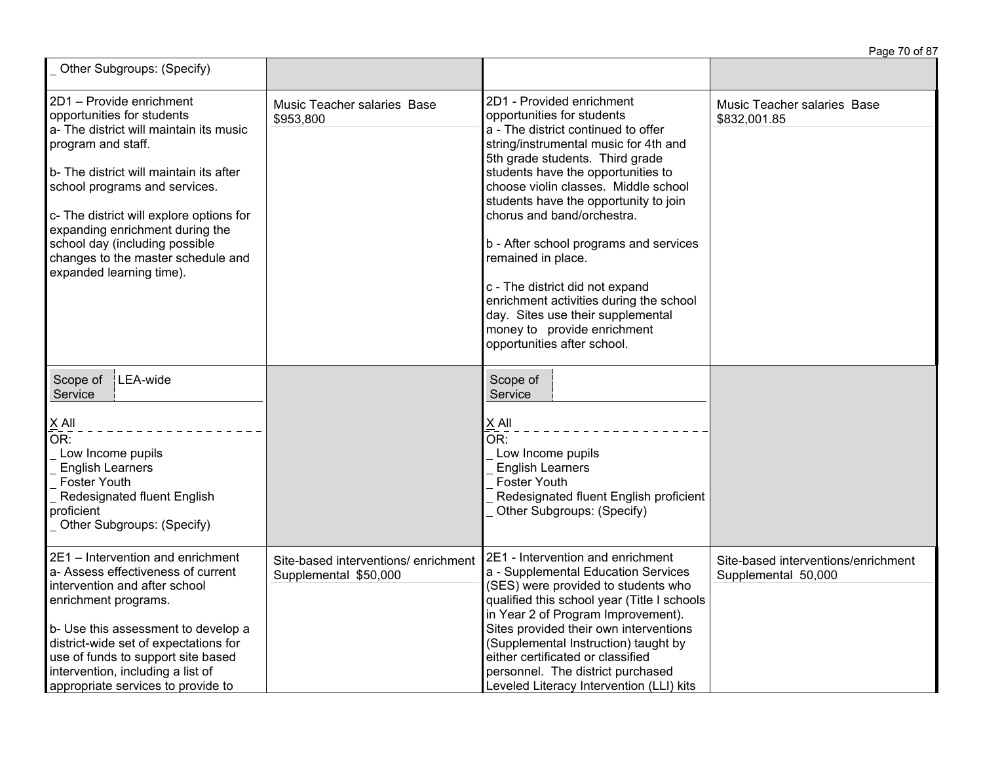|                                                                                                                                                                                                                                                                                                                                                                                        |                                                               |                                                                                                                                                                                                                                                                                                                                                                                                                                                                                                                                                                                  | Page 70 of 87                                              |
|----------------------------------------------------------------------------------------------------------------------------------------------------------------------------------------------------------------------------------------------------------------------------------------------------------------------------------------------------------------------------------------|---------------------------------------------------------------|----------------------------------------------------------------------------------------------------------------------------------------------------------------------------------------------------------------------------------------------------------------------------------------------------------------------------------------------------------------------------------------------------------------------------------------------------------------------------------------------------------------------------------------------------------------------------------|------------------------------------------------------------|
| Other Subgroups: (Specify)                                                                                                                                                                                                                                                                                                                                                             |                                                               |                                                                                                                                                                                                                                                                                                                                                                                                                                                                                                                                                                                  |                                                            |
| 2D1 - Provide enrichment<br>opportunities for students<br>a- The district will maintain its music<br>program and staff.<br>b- The district will maintain its after<br>school programs and services.<br>c- The district will explore options for<br>expanding enrichment during the<br>school day (including possible<br>changes to the master schedule and<br>expanded learning time). | Music Teacher salaries Base<br>\$953,800                      | 2D1 - Provided enrichment<br>opportunities for students<br>a - The district continued to offer<br>string/instrumental music for 4th and<br>5th grade students. Third grade<br>students have the opportunities to<br>choose violin classes. Middle school<br>students have the opportunity to join<br>chorus and band/orchestra.<br>b - After school programs and services<br>remained in place.<br>c - The district did not expand<br>enrichment activities during the school<br>day. Sites use their supplemental<br>money to provide enrichment<br>opportunities after school. | Music Teacher salaries Base<br>\$832,001.85                |
| LEA-wide<br>Scope of<br>Service<br>$X$ All<br>OR:<br>Low Income pupils<br><b>English Learners</b><br><b>Foster Youth</b><br>Redesignated fluent English<br>proficient<br>Other Subgroups: (Specify)                                                                                                                                                                                    |                                                               | Scope of<br>Service<br>X All<br>$\overline{\mathsf{OR}}$ :<br>Low Income pupils<br><b>English Learners</b><br><b>Foster Youth</b><br>Redesignated fluent English proficient<br>Other Subgroups: (Specify)                                                                                                                                                                                                                                                                                                                                                                        |                                                            |
| 2E1 - Intervention and enrichment<br>a- Assess effectiveness of current<br>intervention and after school<br>enrichment programs.<br>b- Use this assessment to develop a<br>district-wide set of expectations for<br>use of funds to support site based<br>intervention, including a list of<br>appropriate services to provide to                                                      | Site-based interventions/ enrichment<br>Supplemental \$50,000 | 2E1 - Intervention and enrichment<br>a - Supplemental Education Services<br>(SES) were provided to students who<br>qualified this school year (Title I schools<br>in Year 2 of Program Improvement).<br>Sites provided their own interventions<br>(Supplemental Instruction) taught by<br>either certificated or classified<br>personnel. The district purchased<br>Leveled Literacy Intervention (LLI) kits                                                                                                                                                                     | Site-based interventions/enrichment<br>Supplemental 50,000 |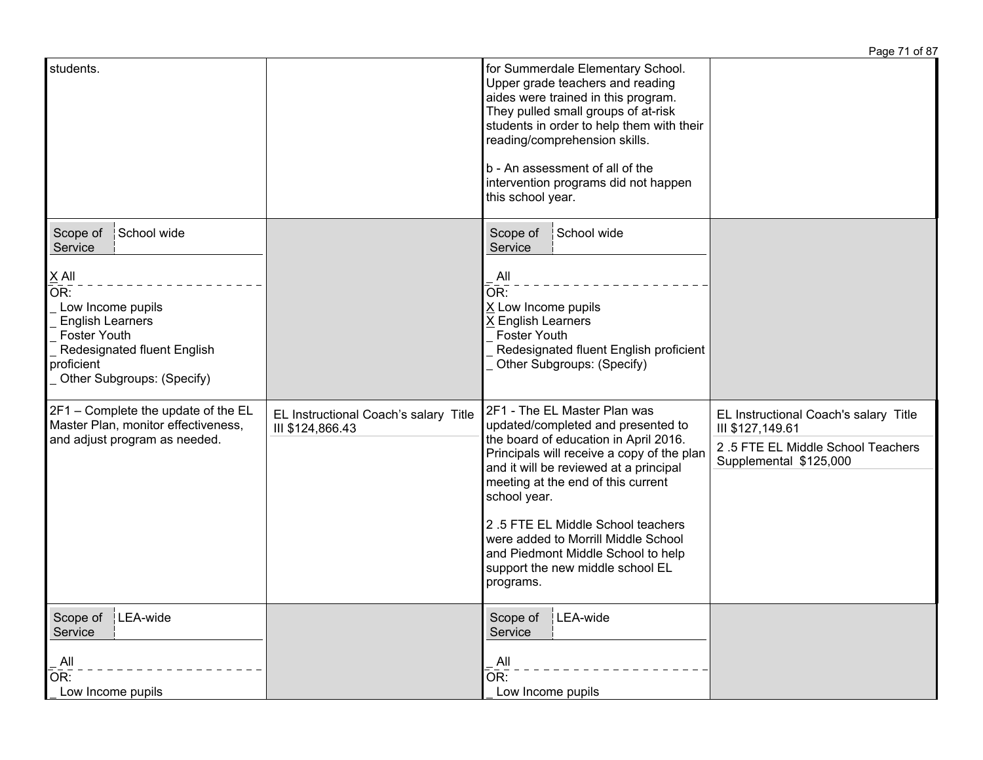|                                                                                                                                                                                                             |                                                           |                                                                                                                                                                                                                                                                                                                                                                                                                              | Page 71 of 87                                                                                                            |
|-------------------------------------------------------------------------------------------------------------------------------------------------------------------------------------------------------------|-----------------------------------------------------------|------------------------------------------------------------------------------------------------------------------------------------------------------------------------------------------------------------------------------------------------------------------------------------------------------------------------------------------------------------------------------------------------------------------------------|--------------------------------------------------------------------------------------------------------------------------|
| students.                                                                                                                                                                                                   |                                                           | for Summerdale Elementary School.<br>Upper grade teachers and reading<br>aides were trained in this program.<br>They pulled small groups of at-risk<br>students in order to help them with their<br>reading/comprehension skills.<br>b - An assessment of all of the<br>intervention programs did not happen<br>this school year.                                                                                            |                                                                                                                          |
| School wide<br>Scope of<br>Service<br>$\times$ All<br>OR:<br>Low Income pupils<br><b>English Learners</b><br><b>Foster Youth</b><br>Redesignated fluent English<br>proficient<br>Other Subgroups: (Specify) |                                                           | School wide<br>Scope of<br>Service<br>. All<br>OR:<br>X Low Income pupils<br>X English Learners<br><b>Foster Youth</b><br>Redesignated fluent English proficient<br>Other Subgroups: (Specify)                                                                                                                                                                                                                               |                                                                                                                          |
| 2F1 - Complete the update of the EL<br>Master Plan, monitor effectiveness,<br>and adjust program as needed.                                                                                                 | EL Instructional Coach's salary Title<br>III \$124,866.43 | 2F1 - The EL Master Plan was<br>updated/completed and presented to<br>the board of education in April 2016.<br>Principals will receive a copy of the plan<br>and it will be reviewed at a principal<br>meeting at the end of this current<br>school year.<br>2.5 FTE EL Middle School teachers<br>were added to Morrill Middle School<br>and Piedmont Middle School to help<br>support the new middle school EL<br>programs. | EL Instructional Coach's salary Title<br>III \$127,149.61<br>2.5 FTE EL Middle School Teachers<br>Supplemental \$125,000 |
| LEA-wide<br>Scope of<br>Service<br>All<br>OR:<br>Low Income pupils                                                                                                                                          |                                                           | LEA-wide<br>Scope of<br>Service<br>$\overline{A}$ ll<br>$\overline{OR}$ :<br>Low Income pupils                                                                                                                                                                                                                                                                                                                               |                                                                                                                          |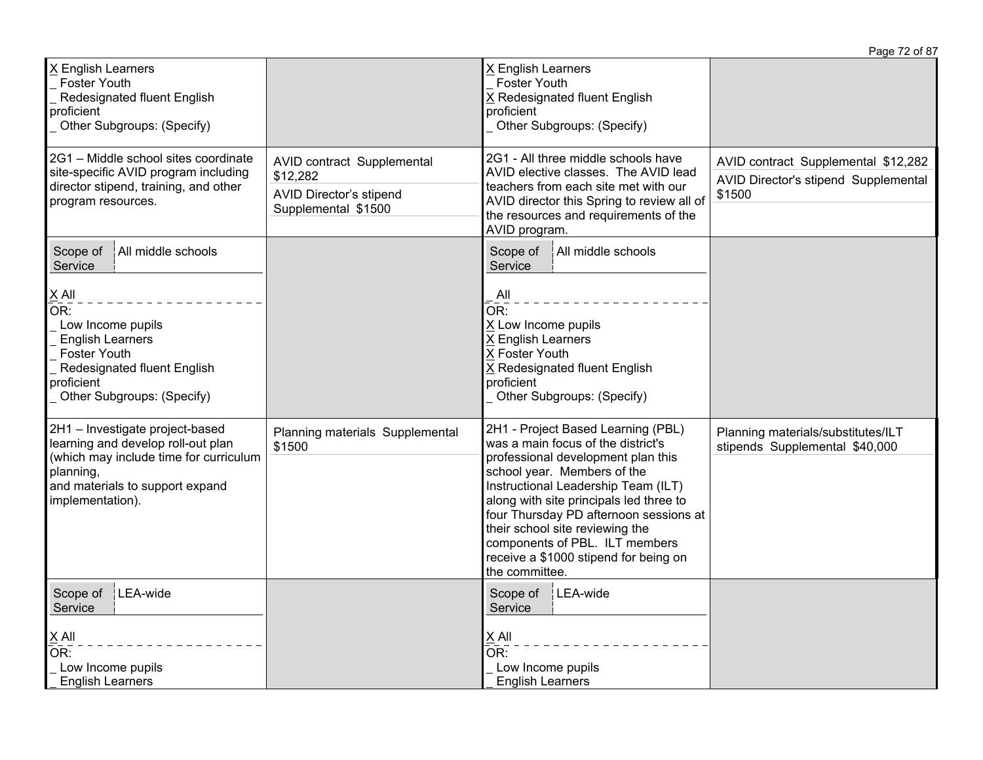|                                                                                                                                                                                                               |                                                                                                 |                                                                                                                                                                                                                                                                                                                                                                                                           | Page 72 of 87                                                                         |
|---------------------------------------------------------------------------------------------------------------------------------------------------------------------------------------------------------------|-------------------------------------------------------------------------------------------------|-----------------------------------------------------------------------------------------------------------------------------------------------------------------------------------------------------------------------------------------------------------------------------------------------------------------------------------------------------------------------------------------------------------|---------------------------------------------------------------------------------------|
| X English Learners<br><b>Foster Youth</b><br>Redesignated fluent English<br>proficient<br>Other Subgroups: (Specify)                                                                                          |                                                                                                 | X English Learners<br><b>Foster Youth</b><br>X Redesignated fluent English<br>proficient<br>Other Subgroups: (Specify)                                                                                                                                                                                                                                                                                    |                                                                                       |
| 2G1 - Middle school sites coordinate<br>site-specific AVID program including<br>director stipend, training, and other<br>program resources.                                                                   | AVID contract Supplemental<br>\$12,282<br><b>AVID Director's stipend</b><br>Supplemental \$1500 | 2G1 - All three middle schools have<br>AVID elective classes. The AVID lead<br>teachers from each site met with our<br>AVID director this Spring to review all of<br>the resources and requirements of the<br>AVID program.                                                                                                                                                                               | AVID contract Supplemental \$12,282<br>AVID Director's stipend Supplemental<br>\$1500 |
| All middle schools<br>Scope of<br>Service<br>$X$ All<br>OR:<br>Low Income pupils<br><b>English Learners</b><br><b>Foster Youth</b><br>Redesignated fluent English<br>proficient<br>Other Subgroups: (Specify) |                                                                                                 | Scope of<br>All middle schools<br>Service<br>All<br>OR:<br>X Low Income pupils<br>X English Learners<br>X Foster Youth<br>X Redesignated fluent English<br>proficient<br>Other Subgroups: (Specify)                                                                                                                                                                                                       |                                                                                       |
| 2H1 - Investigate project-based<br>learning and develop roll-out plan<br>(which may include time for curriculum<br>planning,<br>and materials to support expand<br>implementation).                           | Planning materials Supplemental<br>\$1500                                                       | 2H1 - Project Based Learning (PBL)<br>was a main focus of the district's<br>professional development plan this<br>school year. Members of the<br>Instructional Leadership Team (ILT)<br>along with site principals led three to<br>four Thursday PD afternoon sessions at<br>their school site reviewing the<br>components of PBL. ILT members<br>receive a \$1000 stipend for being on<br>the committee. | Planning materials/substitutes/ILT<br>stipends Supplemental \$40,000                  |
| LEA-wide<br>Scope of<br>Service<br>$X$ All<br>OR:<br>Low Income pupils<br><b>English Learners</b>                                                                                                             |                                                                                                 | Scope of<br>LEA-wide<br>Service<br>$\underline{X}$ All<br>$\overline{\mathsf{OR}}$ :<br>Low Income pupils<br><b>English Learners</b>                                                                                                                                                                                                                                                                      |                                                                                       |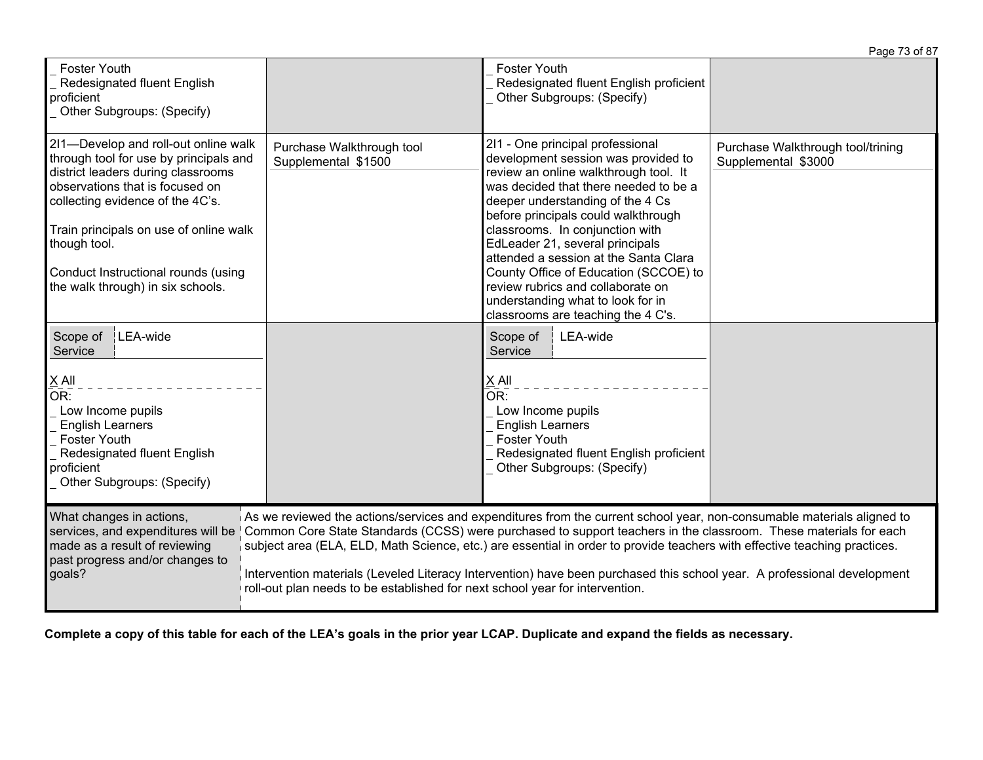|                                                                                                                                                                                                                                                                                                                                   |                                                                              |                                                                                                                                                                                                                                                                                                                                                                                                                                                                                                              | Page 73 of 87                                            |
|-----------------------------------------------------------------------------------------------------------------------------------------------------------------------------------------------------------------------------------------------------------------------------------------------------------------------------------|------------------------------------------------------------------------------|--------------------------------------------------------------------------------------------------------------------------------------------------------------------------------------------------------------------------------------------------------------------------------------------------------------------------------------------------------------------------------------------------------------------------------------------------------------------------------------------------------------|----------------------------------------------------------|
| <b>Foster Youth</b><br>Redesignated fluent English<br>proficient<br>Other Subgroups: (Specify)                                                                                                                                                                                                                                    |                                                                              | Foster Youth<br>Redesignated fluent English proficient<br>Other Subgroups: (Specify)                                                                                                                                                                                                                                                                                                                                                                                                                         |                                                          |
| 2I1-Develop and roll-out online walk<br>through tool for use by principals and<br>district leaders during classrooms<br>observations that is focused on<br>collecting evidence of the 4C's.<br>Train principals on use of online walk<br>though tool.<br>Conduct Instructional rounds (using<br>the walk through) in six schools. | Purchase Walkthrough tool<br>Supplemental \$1500                             | 211 - One principal professional<br>development session was provided to<br>review an online walkthrough tool. It<br>was decided that there needed to be a<br>deeper understanding of the 4 Cs<br>before principals could walkthrough<br>classrooms. In conjunction with<br>EdLeader 21, several principals<br>attended a session at the Santa Clara<br>County Office of Education (SCCOE) to<br>review rubrics and collaborate on<br>understanding what to look for in<br>classrooms are teaching the 4 C's. | Purchase Walkthrough tool/trining<br>Supplemental \$3000 |
| LEA-wide<br>Scope of<br>Service<br>$X$ All<br>OR:<br>Low Income pupils<br><b>English Learners</b><br><b>Foster Youth</b><br>Redesignated fluent English<br>proficient<br>Other Subgroups: (Specify)                                                                                                                               |                                                                              | Scope of<br>LEA-wide<br>Service<br>X All<br>$\overline{\mathsf{OR}}$ :<br>Low Income pupils<br><b>English Learners</b><br><b>Foster Youth</b><br>Redesignated fluent English proficient<br>Other Subgroups: (Specify)                                                                                                                                                                                                                                                                                        |                                                          |
| What changes in actions,<br>services, and expenditures will be<br>made as a result of reviewing<br>past progress and/or changes to<br>goals?                                                                                                                                                                                      | roll-out plan needs to be established for next school year for intervention. | As we reviewed the actions/services and expenditures from the current school year, non-consumable materials aligned to<br>Common Core State Standards (CCSS) were purchased to support teachers in the classroom. These materials for each<br>subject area (ELA, ELD, Math Science, etc.) are essential in order to provide teachers with effective teaching practices.<br>Intervention materials (Leveled Literacy Intervention) have been purchased this school year. A professional development           |                                                          |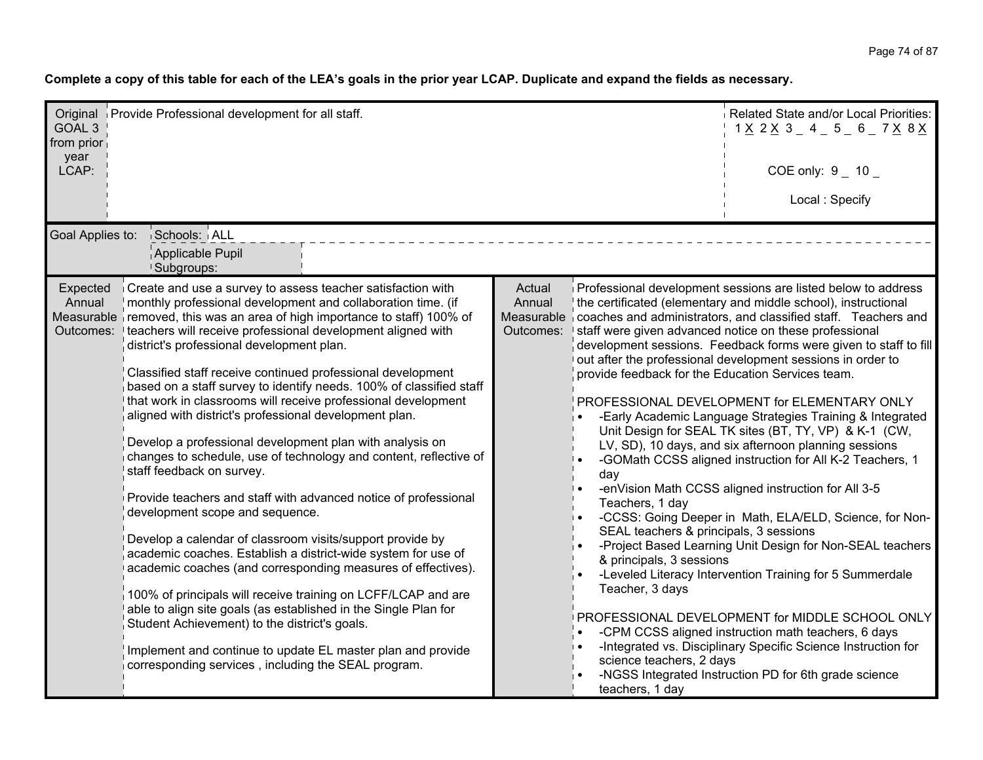| GOAL <sub>3</sub><br>from prior<br>year<br>LCAP: | Original Provide Professional development for all staff.                                                                                                                                                                                                                                                                                                                                                                                                                                                                                                                                                                                                                                                                                                                                                                                                                                                                                                                                                                                                                                                                                                                                                                                                                                                                                                                                |                               |                                                                                                                                                                                                                     | Related State and/or Local Priorities:<br>$1 \times 2 \times 3 = 4 = 5 = 6 = 7 \times 8 \times 1$<br>COE only: $9 - 10 -$                                                                                                                                                                                                                                                                                                                                                                                                                                                                                                                                                                                                                                                                                                                                                                                                                                                                                                                                                                                                                                                           |
|--------------------------------------------------|-----------------------------------------------------------------------------------------------------------------------------------------------------------------------------------------------------------------------------------------------------------------------------------------------------------------------------------------------------------------------------------------------------------------------------------------------------------------------------------------------------------------------------------------------------------------------------------------------------------------------------------------------------------------------------------------------------------------------------------------------------------------------------------------------------------------------------------------------------------------------------------------------------------------------------------------------------------------------------------------------------------------------------------------------------------------------------------------------------------------------------------------------------------------------------------------------------------------------------------------------------------------------------------------------------------------------------------------------------------------------------------------|-------------------------------|---------------------------------------------------------------------------------------------------------------------------------------------------------------------------------------------------------------------|-------------------------------------------------------------------------------------------------------------------------------------------------------------------------------------------------------------------------------------------------------------------------------------------------------------------------------------------------------------------------------------------------------------------------------------------------------------------------------------------------------------------------------------------------------------------------------------------------------------------------------------------------------------------------------------------------------------------------------------------------------------------------------------------------------------------------------------------------------------------------------------------------------------------------------------------------------------------------------------------------------------------------------------------------------------------------------------------------------------------------------------------------------------------------------------|
| Goal Applies to:                                 | Schools: ALL                                                                                                                                                                                                                                                                                                                                                                                                                                                                                                                                                                                                                                                                                                                                                                                                                                                                                                                                                                                                                                                                                                                                                                                                                                                                                                                                                                            |                               |                                                                                                                                                                                                                     | Local: Specify                                                                                                                                                                                                                                                                                                                                                                                                                                                                                                                                                                                                                                                                                                                                                                                                                                                                                                                                                                                                                                                                                                                                                                      |
|                                                  | Applicable Pupil<br><b>Subgroups:</b>                                                                                                                                                                                                                                                                                                                                                                                                                                                                                                                                                                                                                                                                                                                                                                                                                                                                                                                                                                                                                                                                                                                                                                                                                                                                                                                                                   |                               |                                                                                                                                                                                                                     |                                                                                                                                                                                                                                                                                                                                                                                                                                                                                                                                                                                                                                                                                                                                                                                                                                                                                                                                                                                                                                                                                                                                                                                     |
| Annual                                           | Expected Create and use a survey to assess teacher satisfaction with<br>monthly professional development and collaboration time. (if<br>Measurable removed, this was an area of high importance to staff) 100% of<br>Outcomes: I teachers will receive professional development aligned with<br>district's professional development plan.<br>Classified staff receive continued professional development<br>based on a staff survey to identify needs. 100% of classified staff<br>that work in classrooms will receive professional development<br>aligned with district's professional development plan.<br>Develop a professional development plan with analysis on<br>changes to schedule, use of technology and content, reflective of<br>staff feedback on survey.<br>Provide teachers and staff with advanced notice of professional<br>development scope and sequence.<br>Develop a calendar of classroom visits/support provide by<br>academic coaches. Establish a district-wide system for use of<br>academic coaches (and corresponding measures of effectives).<br>100% of principals will receive training on LCFF/LCAP and are<br>able to align site goals (as established in the Single Plan for<br>Student Achievement) to the district's goals.<br>Implement and continue to update EL master plan and provide<br>corresponding services, including the SEAL program. | Actual<br>Annual<br>Outcomes: | provide feedback for the Education Services team.<br>day<br>Teachers, 1 day<br>SEAL teachers & principals, 3 sessions<br>& principals, 3 sessions<br>Teacher, 3 days<br>science teachers, 2 days<br>teachers, 1 day | Professional development sessions are listed below to address<br>the certificated (elementary and middle school), instructional<br>Measurable coaches and administrators, and classified staff. Teachers and<br>staff were given advanced notice on these professional<br>development sessions. Feedback forms were given to staff to fill<br>out after the professional development sessions in order to<br>PROFESSIONAL DEVELOPMENT for ELEMENTARY ONLY<br>-Early Academic Language Strategies Training & Integrated<br>Unit Design for SEAL TK sites (BT, TY, VP) & K-1 (CW,<br>LV, SD), 10 days, and six afternoon planning sessions<br>-GOMath CCSS aligned instruction for All K-2 Teachers, 1<br>-enVision Math CCSS aligned instruction for All 3-5<br>-CCSS: Going Deeper in Math, ELA/ELD, Science, for Non-<br>-Project Based Learning Unit Design for Non-SEAL teachers<br>-Leveled Literacy Intervention Training for 5 Summerdale<br>PROFESSIONAL DEVELOPMENT for MIDDLE SCHOOL ONLY<br>-CPM CCSS aligned instruction math teachers, 6 days<br>-Integrated vs. Disciplinary Specific Science Instruction for<br>-NGSS Integrated Instruction PD for 6th grade science |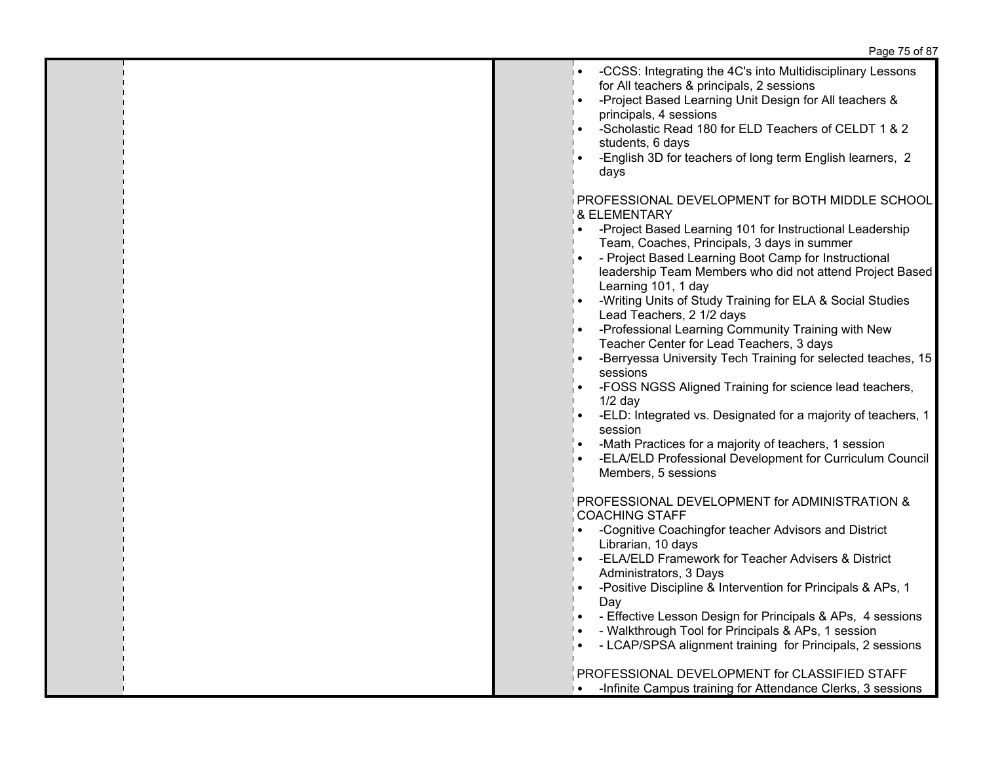| -CCSS: Integrating the 4C's into Multidisciplinary Lessons<br>∣∙<br>for All teachers & principals, 2 sessions<br>-Project Based Learning Unit Design for All teachers &<br>, ∙<br>principals, 4 sessions<br>-Scholastic Read 180 for ELD Teachers of CELDT 1 & 2<br>$\bullet$<br>students, 6 days<br>-English 3D for teachers of long term English learners, 2<br>days                                                                                                                                                                                                                                                               |
|--------------------------------------------------------------------------------------------------------------------------------------------------------------------------------------------------------------------------------------------------------------------------------------------------------------------------------------------------------------------------------------------------------------------------------------------------------------------------------------------------------------------------------------------------------------------------------------------------------------------------------------|
| PROFESSIONAL DEVELOPMENT for BOTH MIDDLE SCHOOL<br>& ELEMENTARY<br>-Project Based Learning 101 for Instructional Leadership<br>$\bullet$<br>Team, Coaches, Principals, 3 days in summer<br>- Project Based Learning Boot Camp for Instructional<br>leadership Team Members who did not attend Project Based<br>Learning 101, 1 day<br>-Writing Units of Study Training for ELA & Social Studies<br>$\bullet$<br>Lead Teachers, 2 1/2 days<br>-Professional Learning Community Training with New<br>Teacher Center for Lead Teachers, 3 days<br>-Berryessa University Tech Training for selected teaches, 15<br>$\bullet$<br>sessions |
| -FOSS NGSS Aligned Training for science lead teachers,<br>$1/2$ day<br>-ELD: Integrated vs. Designated for a majority of teachers, 1<br>$\bullet$<br>session<br>-Math Practices for a majority of teachers, 1 session<br>-ELA/ELD Professional Development for Curriculum Council<br>$\bullet$<br>Members, 5 sessions                                                                                                                                                                                                                                                                                                                |
| PROFESSIONAL DEVELOPMENT for ADMINISTRATION &<br><b>COACHING STAFF</b><br>-Cognitive Coachingfor teacher Advisors and District<br>$\bullet$<br>Librarian, 10 days<br>-ELA/ELD Framework for Teacher Advisers & District<br>Administrators, 3 Days<br>-Positive Discipline & Intervention for Principals & APs, 1<br>∣∙<br>Day<br>- Effective Lesson Design for Principals & APs, 4 sessions<br>$\bullet$<br>- Walkthrough Tool for Principals & APs, 1 session<br>$\bullet$<br>- LCAP/SPSA alignment training for Principals, 2 sessions<br>$\bullet$                                                                                |
| PROFESSIONAL DEVELOPMENT for CLASSIFIED STAFF<br>-Infinite Campus training for Attendance Clerks, 3 sessions<br>∣∙                                                                                                                                                                                                                                                                                                                                                                                                                                                                                                                   |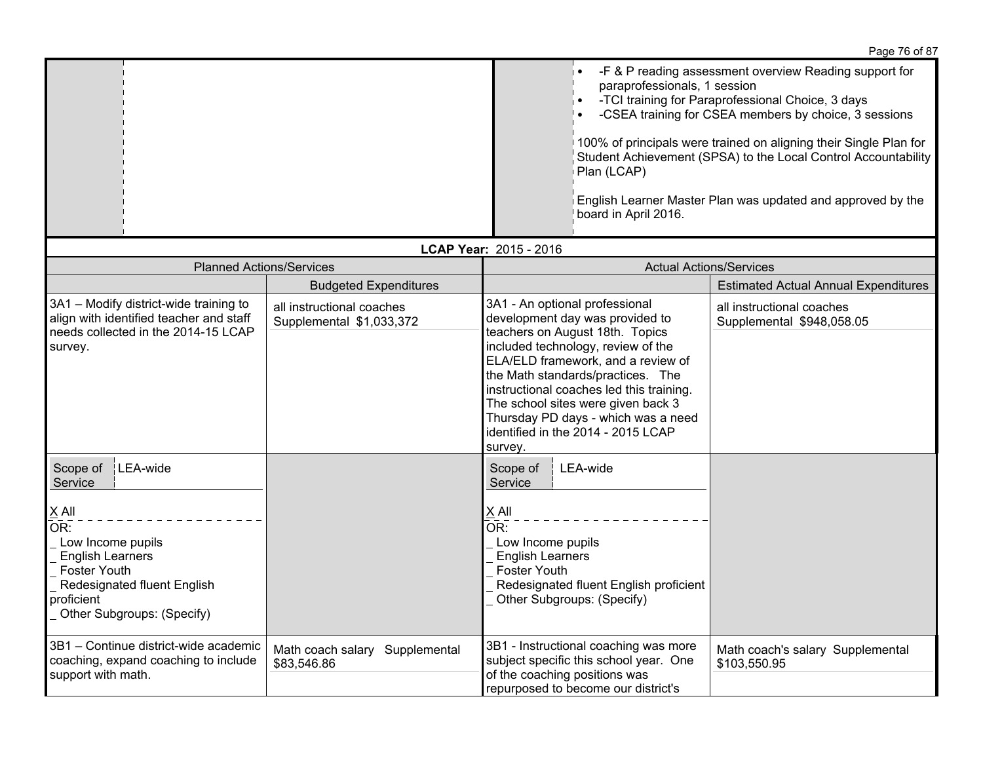|                                                                                                                                                                                                   |                                                       |                                                                                                                                                                                                                                                                                                                                                                                                 | paraprofessionals, 1 session                                                                                                                            | -F & P reading assessment overview Reading support for<br>-TCI training for Paraprofessional Choice, 3 days<br>-CSEA training for CSEA members by choice, 3 sessions<br>100% of principals were trained on aligning their Single Plan for |
|---------------------------------------------------------------------------------------------------------------------------------------------------------------------------------------------------|-------------------------------------------------------|-------------------------------------------------------------------------------------------------------------------------------------------------------------------------------------------------------------------------------------------------------------------------------------------------------------------------------------------------------------------------------------------------|---------------------------------------------------------------------------------------------------------------------------------------------------------|-------------------------------------------------------------------------------------------------------------------------------------------------------------------------------------------------------------------------------------------|
|                                                                                                                                                                                                   |                                                       |                                                                                                                                                                                                                                                                                                                                                                                                 | Plan (LCAP)<br>board in April 2016.                                                                                                                     | Student Achievement (SPSA) to the Local Control Accountability<br>English Learner Master Plan was updated and approved by the                                                                                                             |
|                                                                                                                                                                                                   |                                                       | LCAP Year: 2015 - 2016                                                                                                                                                                                                                                                                                                                                                                          |                                                                                                                                                         |                                                                                                                                                                                                                                           |
| <b>Planned Actions/Services</b>                                                                                                                                                                   |                                                       |                                                                                                                                                                                                                                                                                                                                                                                                 | <b>Actual Actions/Services</b>                                                                                                                          |                                                                                                                                                                                                                                           |
|                                                                                                                                                                                                   | <b>Budgeted Expenditures</b>                          |                                                                                                                                                                                                                                                                                                                                                                                                 |                                                                                                                                                         | <b>Estimated Actual Annual Expenditures</b>                                                                                                                                                                                               |
| 3A1 - Modify district-wide training to<br>align with identified teacher and staff<br>needs collected in the 2014-15 LCAP<br>survey.                                                               | all instructional coaches<br>Supplemental \$1,033,372 | 3A1 - An optional professional<br>development day was provided to<br>teachers on August 18th. Topics<br>included technology, review of the<br>ELA/ELD framework, and a review of<br>the Math standards/practices. The<br>instructional coaches led this training.<br>The school sites were given back 3<br>Thursday PD days - which was a need<br>identified in the 2014 - 2015 LCAP<br>survey. |                                                                                                                                                         | all instructional coaches<br>Supplemental \$948,058.05                                                                                                                                                                                    |
| LEA-wide<br>Scope of<br>Service<br>X All<br>OR:<br>Low Income pupils<br><b>English Learners</b><br><b>Foster Youth</b><br>Redesignated fluent English<br>proficient<br>Other Subgroups: (Specify) |                                                       | Scope of<br>Service<br>X All<br>OR:<br>Low Income pupils<br><b>English Learners</b><br><b>Foster Youth</b>                                                                                                                                                                                                                                                                                      | LEA-wide<br>Redesignated fluent English proficient<br>Other Subgroups: (Specify)                                                                        |                                                                                                                                                                                                                                           |
| 3B1 - Continue district-wide academic<br>coaching, expand coaching to include<br>support with math.                                                                                               | Math coach salary Supplemental<br>\$83,546.86         |                                                                                                                                                                                                                                                                                                                                                                                                 | 3B1 - Instructional coaching was more<br>subject specific this school year. One<br>of the coaching positions was<br>repurposed to become our district's | Math coach's salary Supplemental<br>\$103,550.95                                                                                                                                                                                          |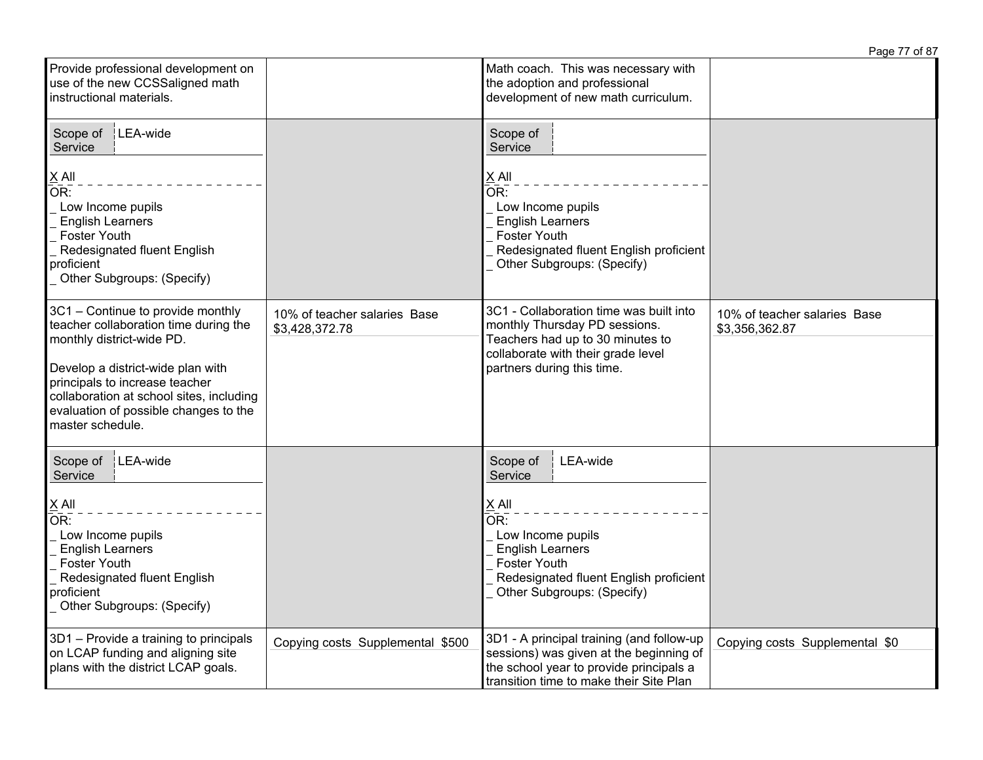|                                                                                                                                                                                                                                                                                         |                                                |                                                                                                                                                                                                        | Page 77 of 87                                  |
|-----------------------------------------------------------------------------------------------------------------------------------------------------------------------------------------------------------------------------------------------------------------------------------------|------------------------------------------------|--------------------------------------------------------------------------------------------------------------------------------------------------------------------------------------------------------|------------------------------------------------|
| Provide professional development on<br>use of the new CCSSaligned math<br>instructional materials.                                                                                                                                                                                      |                                                | Math coach. This was necessary with<br>the adoption and professional<br>development of new math curriculum.                                                                                            |                                                |
| Scope of<br>LEA-wide<br>Service<br>$X$ All<br>OR:<br>Low Income pupils<br><b>English Learners</b><br><b>Foster Youth</b><br>Redesignated fluent English<br>proficient<br>Other Subgroups: (Specify)                                                                                     |                                                | Scope of<br>Service<br>$X$ All<br>$\bar{\mathsf{OR}}$ :<br>Low Income pupils<br><b>English Learners</b><br><b>Foster Youth</b><br>Redesignated fluent English proficient<br>Other Subgroups: (Specify) |                                                |
| 3C1 - Continue to provide monthly<br>teacher collaboration time during the<br>monthly district-wide PD.<br>Develop a district-wide plan with<br>principals to increase teacher<br>collaboration at school sites, including<br>evaluation of possible changes to the<br>master schedule. | 10% of teacher salaries Base<br>\$3,428,372.78 | 3C1 - Collaboration time was built into<br>monthly Thursday PD sessions.<br>Teachers had up to 30 minutes to<br>collaborate with their grade level<br>partners during this time.                       | 10% of teacher salaries Base<br>\$3,356,362.87 |
| Scope of<br>LEA-wide<br>Service<br>$X$ All<br>OR:<br>Low Income pupils<br><b>English Learners</b><br>Foster Youth<br>Redesignated fluent English<br>proficient<br>Other Subgroups: (Specify)                                                                                            |                                                | LEA-wide<br>Scope of<br>Service<br>$X$ All<br>OR:<br>Low Income pupils<br><b>English Learners</b><br><b>Foster Youth</b><br>Redesignated fluent English proficient<br>Other Subgroups: (Specify)       |                                                |
| 3D1 - Provide a training to principals<br>on LCAP funding and aligning site<br>plans with the district LCAP goals.                                                                                                                                                                      | Copying costs Supplemental \$500               | 3D1 - A principal training (and follow-up<br>sessions) was given at the beginning of<br>the school year to provide principals a<br>transition time to make their Site Plan                             | Copying costs Supplemental \$0                 |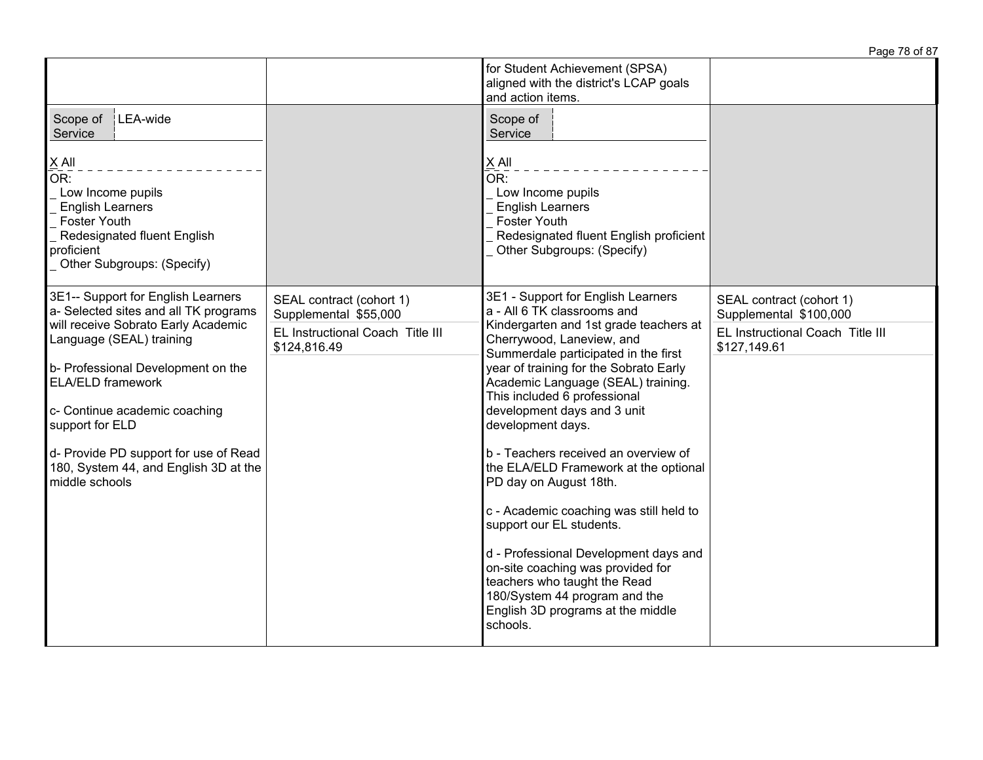|                                                                                                                                                                  |                                                   | for Student Achievement (SPSA)<br>aligned with the district's LCAP goals<br>and action items.                                                                                                |                                                    |
|------------------------------------------------------------------------------------------------------------------------------------------------------------------|---------------------------------------------------|----------------------------------------------------------------------------------------------------------------------------------------------------------------------------------------------|----------------------------------------------------|
| Scope of<br>LEA-wide<br>Service                                                                                                                                  |                                                   | Scope of<br>Service                                                                                                                                                                          |                                                    |
| $X$ All<br>OR:<br>Low Income pupils<br><b>English Learners</b><br><b>Foster Youth</b><br>Redesignated fluent English<br>proficient<br>Other Subgroups: (Specify) |                                                   | X All<br>OR:<br>Low Income pupils<br><b>English Learners</b><br><b>Foster Youth</b><br>Redesignated fluent English proficient<br>Other Subgroups: (Specify)                                  |                                                    |
| 3E1-- Support for English Learners<br>a- Selected sites and all TK programs                                                                                      | SEAL contract (cohort 1)<br>Supplemental \$55,000 | 3E1 - Support for English Learners<br>a - All 6 TK classrooms and                                                                                                                            | SEAL contract (cohort 1)<br>Supplemental \$100,000 |
| will receive Sobrato Early Academic<br>Language (SEAL) training                                                                                                  | EL Instructional Coach Title III<br>\$124,816.49  | Kindergarten and 1st grade teachers at<br>Cherrywood, Laneview, and<br>Summerdale participated in the first                                                                                  | EL Instructional Coach Title III<br>\$127,149.61   |
| b- Professional Development on the<br><b>ELA/ELD framework</b>                                                                                                   |                                                   | year of training for the Sobrato Early<br>Academic Language (SEAL) training.<br>This included 6 professional                                                                                 |                                                    |
| c- Continue academic coaching<br>support for ELD                                                                                                                 |                                                   | development days and 3 unit<br>development days.                                                                                                                                             |                                                    |
| d- Provide PD support for use of Read<br>180, System 44, and English 3D at the<br>middle schools                                                                 |                                                   | b - Teachers received an overview of<br>the ELA/ELD Framework at the optional<br>PD day on August 18th.                                                                                      |                                                    |
|                                                                                                                                                                  |                                                   | c - Academic coaching was still held to<br>support our EL students.                                                                                                                          |                                                    |
|                                                                                                                                                                  |                                                   | d - Professional Development days and<br>on-site coaching was provided for<br>teachers who taught the Read<br>180/System 44 program and the<br>English 3D programs at the middle<br>schools. |                                                    |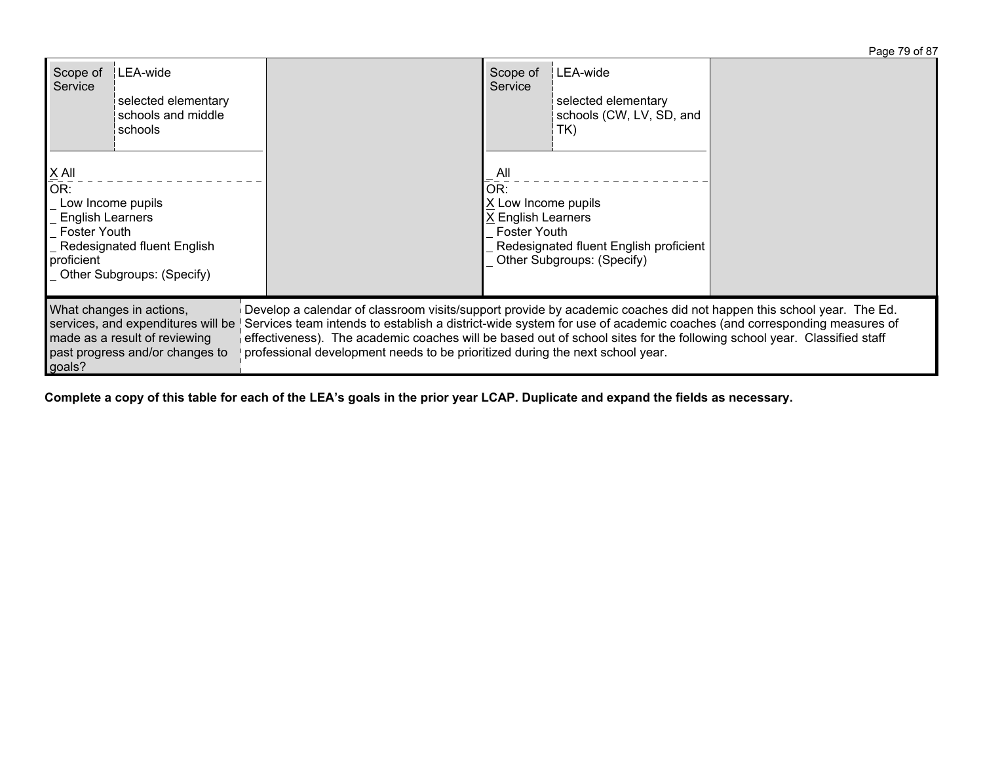| LEA-wide<br>Scope of<br>Service<br>selected elementary<br>schools and middle<br>schools                                                                         |                                                                                                                                                                                                                                                                                                                                                                                                                                                                      | Scope of<br>Service                                                                                                                                                 | LEA-wide<br>selected elementary<br>schools (CW, LV, SD, and<br>TK) |  |
|-----------------------------------------------------------------------------------------------------------------------------------------------------------------|----------------------------------------------------------------------------------------------------------------------------------------------------------------------------------------------------------------------------------------------------------------------------------------------------------------------------------------------------------------------------------------------------------------------------------------------------------------------|---------------------------------------------------------------------------------------------------------------------------------------------------------------------|--------------------------------------------------------------------|--|
| $X$ All<br>OR<br>Low Income pupils<br><b>English Learners</b><br><b>Foster Youth</b><br>Redesignated fluent English<br>proficient<br>Other Subgroups: (Specify) |                                                                                                                                                                                                                                                                                                                                                                                                                                                                      | <sub>-</sub> All<br>OR:<br>X Low Income pupils<br>X English Learners<br><b>Foster Youth</b><br>Redesignated fluent English proficient<br>Other Subgroups: (Specify) |                                                                    |  |
| What changes in actions,<br>services, and expenditures will be<br>made as a result of reviewing<br>past progress and/or changes to<br>goals?                    | Develop a calendar of classroom visits/support provide by academic coaches did not happen this school year. The Ed.<br>Services team intends to establish a district-wide system for use of academic coaches (and corresponding measures of<br>$\frac{1}{1}$ effectiveness). The academic coaches will be based out of school sites for the following school year. Classified staff<br>professional development needs to be prioritized during the next school year. |                                                                                                                                                                     |                                                                    |  |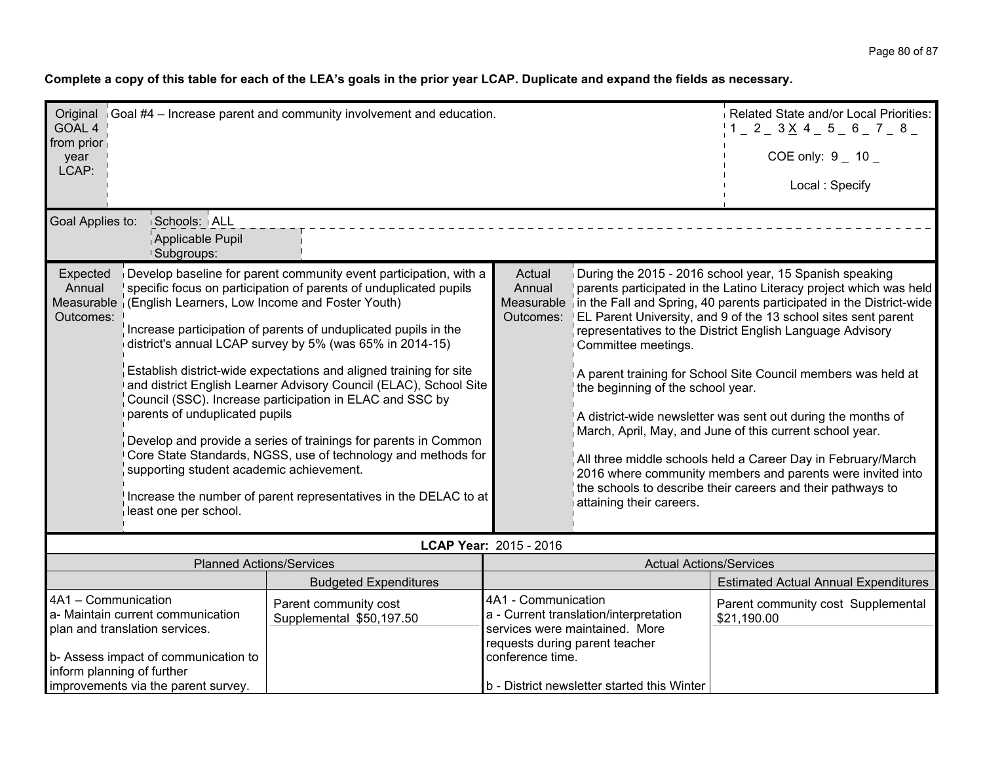| GOAL 4                                                                                                                                      | Original Goal #4 - Increase parent and community involvement and education.                                                                            |                                                                                                                                                                                                                                                                                                                                                                                                                                                                                                                                                                                                                                                                                      | Related State and/or Local Priorities:<br>$1 = 2 = 3 \times 4 = 5 = 6 = 7 = 8 =$ |                                                                                      |                                                                                                                                                                                                                                                                                                                                                                                                                                                                                                                                                                                                                                                                                                                                           |
|---------------------------------------------------------------------------------------------------------------------------------------------|--------------------------------------------------------------------------------------------------------------------------------------------------------|--------------------------------------------------------------------------------------------------------------------------------------------------------------------------------------------------------------------------------------------------------------------------------------------------------------------------------------------------------------------------------------------------------------------------------------------------------------------------------------------------------------------------------------------------------------------------------------------------------------------------------------------------------------------------------------|----------------------------------------------------------------------------------|--------------------------------------------------------------------------------------|-------------------------------------------------------------------------------------------------------------------------------------------------------------------------------------------------------------------------------------------------------------------------------------------------------------------------------------------------------------------------------------------------------------------------------------------------------------------------------------------------------------------------------------------------------------------------------------------------------------------------------------------------------------------------------------------------------------------------------------------|
| from prior<br>year<br>LCAP:                                                                                                                 |                                                                                                                                                        | COE only: $9 - 10$                                                                                                                                                                                                                                                                                                                                                                                                                                                                                                                                                                                                                                                                   |                                                                                  |                                                                                      |                                                                                                                                                                                                                                                                                                                                                                                                                                                                                                                                                                                                                                                                                                                                           |
|                                                                                                                                             |                                                                                                                                                        | Local: Specify                                                                                                                                                                                                                                                                                                                                                                                                                                                                                                                                                                                                                                                                       |                                                                                  |                                                                                      |                                                                                                                                                                                                                                                                                                                                                                                                                                                                                                                                                                                                                                                                                                                                           |
| Goal Applies to:                                                                                                                            | Schools: ALL                                                                                                                                           |                                                                                                                                                                                                                                                                                                                                                                                                                                                                                                                                                                                                                                                                                      |                                                                                  |                                                                                      |                                                                                                                                                                                                                                                                                                                                                                                                                                                                                                                                                                                                                                                                                                                                           |
|                                                                                                                                             | Applicable Pupil<br><sup>1</sup> Subgroups:                                                                                                            |                                                                                                                                                                                                                                                                                                                                                                                                                                                                                                                                                                                                                                                                                      |                                                                                  |                                                                                      |                                                                                                                                                                                                                                                                                                                                                                                                                                                                                                                                                                                                                                                                                                                                           |
| Expected<br>Annual<br>Measurable<br>Outcomes:                                                                                               | (English Learners, Low Income and Foster Youth)<br>parents of unduplicated pupils<br>supporting student academic achievement.<br>least one per school. | Develop baseline for parent community event participation, with a<br>specific focus on participation of parents of unduplicated pupils<br>Increase participation of parents of unduplicated pupils in the<br>district's annual LCAP survey by 5% (was 65% in 2014-15)<br>Establish district-wide expectations and aligned training for site<br>and district English Learner Advisory Council (ELAC), School Site<br>Council (SSC). Increase participation in ELAC and SSC by<br>Develop and provide a series of trainings for parents in Common<br>Core State Standards, NGSS, use of technology and methods for<br>Increase the number of parent representatives in the DELAC to at | Actual<br>Annual<br>Outcomes:                                                    | Committee meetings.<br>the beginning of the school year.<br>attaining their careers. | During the 2015 - 2016 school year, 15 Spanish speaking<br>parents participated in the Latino Literacy project which was held<br>Measurable in the Fall and Spring, 40 parents participated in the District-wide<br>EL Parent University, and 9 of the 13 school sites sent parent<br>representatives to the District English Language Advisory<br>A parent training for School Site Council members was held at<br>A district-wide newsletter was sent out during the months of<br>March, April, May, and June of this current school year.<br>All three middle schools held a Career Day in February/March<br>2016 where community members and parents were invited into<br>the schools to describe their careers and their pathways to |
|                                                                                                                                             |                                                                                                                                                        |                                                                                                                                                                                                                                                                                                                                                                                                                                                                                                                                                                                                                                                                                      | LCAP Year: 2015 - 2016                                                           |                                                                                      |                                                                                                                                                                                                                                                                                                                                                                                                                                                                                                                                                                                                                                                                                                                                           |
|                                                                                                                                             | <b>Planned Actions/Services</b>                                                                                                                        |                                                                                                                                                                                                                                                                                                                                                                                                                                                                                                                                                                                                                                                                                      |                                                                                  | <b>Actual Actions/Services</b>                                                       |                                                                                                                                                                                                                                                                                                                                                                                                                                                                                                                                                                                                                                                                                                                                           |
|                                                                                                                                             |                                                                                                                                                        | <b>Budgeted Expenditures</b>                                                                                                                                                                                                                                                                                                                                                                                                                                                                                                                                                                                                                                                         |                                                                                  | <b>Estimated Actual Annual Expenditures</b>                                          |                                                                                                                                                                                                                                                                                                                                                                                                                                                                                                                                                                                                                                                                                                                                           |
| 4A1 - Communication<br>Parent community cost<br>a- Maintain current communication<br>Supplemental \$50,197.50                               |                                                                                                                                                        | 4A1 - Communication<br>a - Current translation/interpretation<br>\$21,190.00<br>services were maintained. More<br>requests during parent teacher<br>conference time.<br>b - District newsletter started this Winter                                                                                                                                                                                                                                                                                                                                                                                                                                                                  |                                                                                  | Parent community cost Supplemental                                                   |                                                                                                                                                                                                                                                                                                                                                                                                                                                                                                                                                                                                                                                                                                                                           |
| plan and translation services.<br>b- Assess impact of communication to<br>inform planning of further<br>improvements via the parent survey. |                                                                                                                                                        |                                                                                                                                                                                                                                                                                                                                                                                                                                                                                                                                                                                                                                                                                      |                                                                                  |                                                                                      |                                                                                                                                                                                                                                                                                                                                                                                                                                                                                                                                                                                                                                                                                                                                           |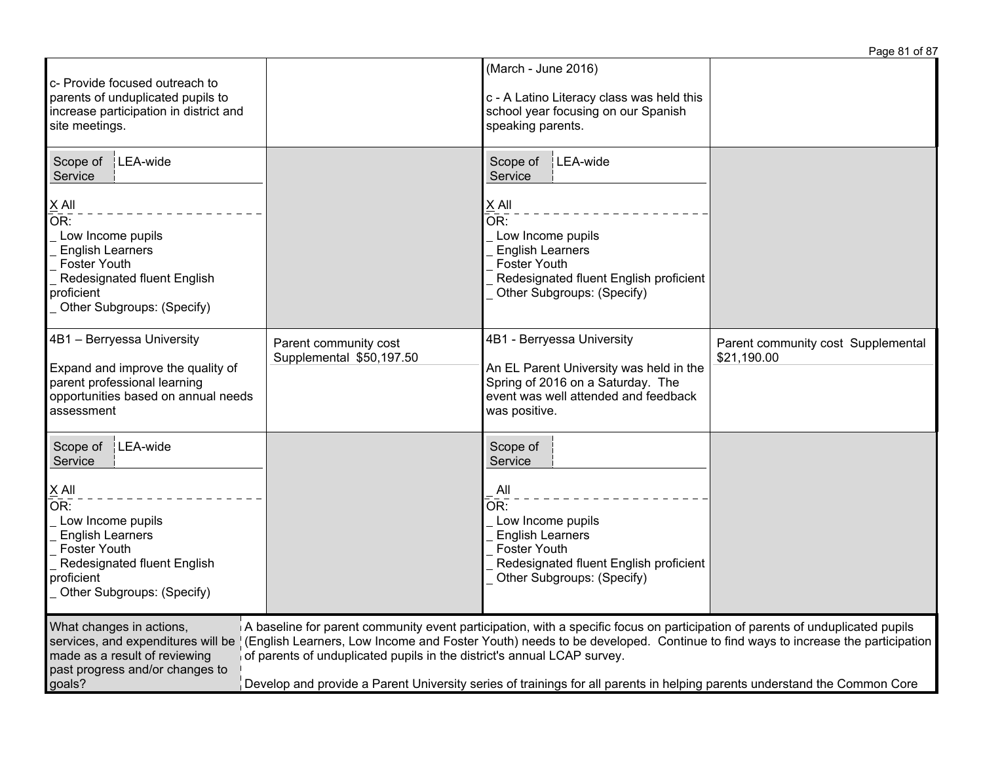|                                                                                                                                                                                                                                                                                                                                                                                                                                                                                                                                                                                                                     |                                                   |                                                                                                                                                                                                  | Page 81 of 87                                     |  |  |
|---------------------------------------------------------------------------------------------------------------------------------------------------------------------------------------------------------------------------------------------------------------------------------------------------------------------------------------------------------------------------------------------------------------------------------------------------------------------------------------------------------------------------------------------------------------------------------------------------------------------|---------------------------------------------------|--------------------------------------------------------------------------------------------------------------------------------------------------------------------------------------------------|---------------------------------------------------|--|--|
| c- Provide focused outreach to<br>parents of unduplicated pupils to<br>increase participation in district and<br>site meetings.                                                                                                                                                                                                                                                                                                                                                                                                                                                                                     |                                                   | (March - June 2016)<br>c - A Latino Literacy class was held this<br>school year focusing on our Spanish<br>speaking parents.                                                                     |                                                   |  |  |
| LEA-wide<br>Scope of<br>Service<br>$X$ All<br>$\overline{OR}$ :<br>Low Income pupils<br><b>English Learners</b><br><b>Foster Youth</b><br>Redesignated fluent English<br>proficient<br>Other Subgroups: (Specify)                                                                                                                                                                                                                                                                                                                                                                                                   |                                                   | LEA-wide<br>Scope of<br>Service<br>$X$ All<br>OR:<br>Low Income pupils<br><b>English Learners</b><br><b>Foster Youth</b><br>Redesignated fluent English proficient<br>Other Subgroups: (Specify) |                                                   |  |  |
| 4B1 - Berryessa University<br>Expand and improve the quality of<br>parent professional learning<br>opportunities based on annual needs<br>assessment                                                                                                                                                                                                                                                                                                                                                                                                                                                                | Parent community cost<br>Supplemental \$50,197.50 | 4B1 - Berryessa University<br>An EL Parent University was held in the<br>Spring of 2016 on a Saturday. The<br>event was well attended and feedback<br>was positive.                              | Parent community cost Supplemental<br>\$21,190.00 |  |  |
| LEA-wide<br>Scope of<br>Service<br>$\underline{X}$ All<br>OR:<br>Low Income pupils<br><b>English Learners</b><br><b>Foster Youth</b><br>Redesignated fluent English<br>proficient<br>Other Subgroups: (Specify)                                                                                                                                                                                                                                                                                                                                                                                                     |                                                   | Scope of<br>Service<br>All<br>OR:<br>Low Income pupils<br><b>English Learners</b><br><b>Foster Youth</b><br>Redesignated fluent English proficient<br>Other Subgroups: (Specify)                 |                                                   |  |  |
| What changes in actions,<br>A baseline for parent community event participation, with a specific focus on participation of parents of unduplicated pupils<br>(English Learners, Low Income and Foster Youth) needs to be developed. Continue to find ways to increase the participation<br>services, and expenditures will be<br>made as a result of reviewing<br>of parents of unduplicated pupils in the district's annual LCAP survey.<br>past progress and/or changes to<br>Develop and provide a Parent University series of trainings for all parents in helping parents understand the Common Core<br>goals? |                                                   |                                                                                                                                                                                                  |                                                   |  |  |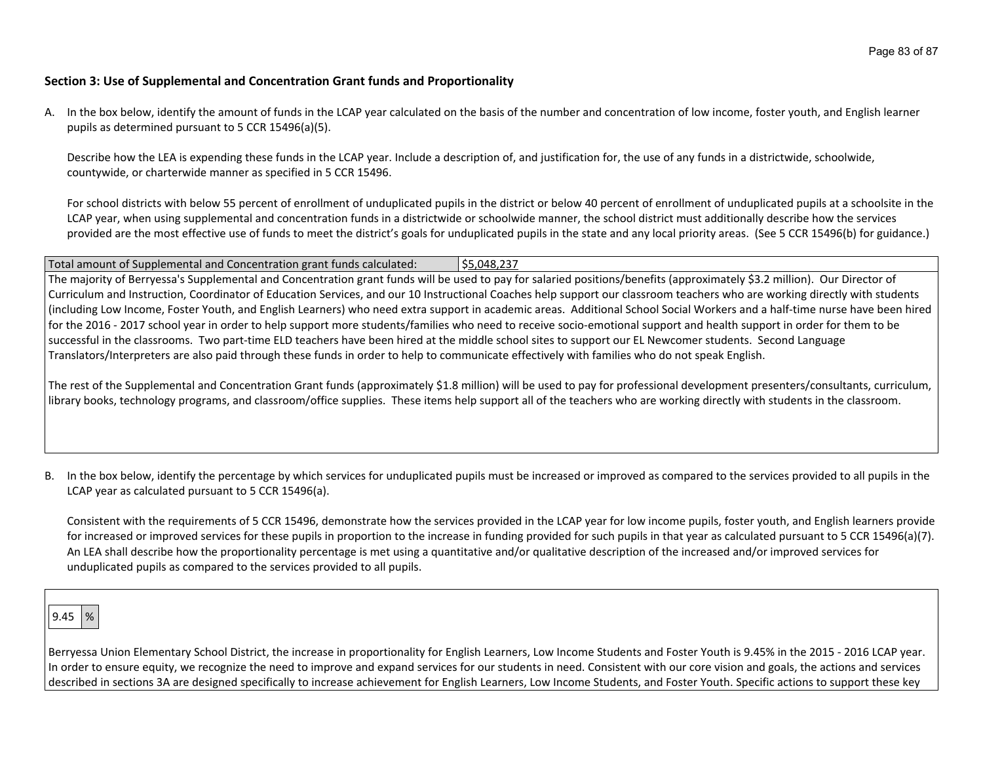## **Section 3: Use of Supplemental and Concentration Grant funds and Proportionality**

A. In the box below, identify the amount of funds in the LCAP year calculated on the basis of the number and concentration of low income, foster youth, and English learner pupils as determined pursuant to 5 CCR 15496(a)(5).

Describe how the LEA is expending these funds in the LCAP year. Include a description of, and justification for, the use of any funds in a districtwide, schoolwide, countywide, or charterwide manner as specified in 5 CCR 15496.

For school districts with below 55 percent of enrollment of unduplicated pupils in the district or below 40 percent of enrollment of unduplicated pupils at a schoolsite in the LCAP year, when using supplemental and concentration funds in a districtwide or schoolwide manner, the school district must additionally describe how the services provided are the most effective use of funds to meet the district's goals for unduplicated pupils in the state and any local priority areas. (See 5 CCR 15496(b) for guidance.)

Total amount of Supplemental and Concentration grant funds calculated: \$5,048,237 The majority of Berryessa's Supplemental and Concentration grant funds will be used to pay for salaried positions/benefits (approximately \$3.2 million). Our Director of Curriculum and Instruction, Coordinator of Education Services, and our 10 Instructional Coaches help support our classroom teachers who are working directly with students (including Low Income, Foster Youth, and English Learners) who need extra support in academic areas. Additional School Social Workers and a half-time nurse have been hired for the 2016 - 2017 school year in order to help support more students/families who need to receive socio-emotional support and health support in order for them to be successful in the classrooms. Two part-time ELD teachers have been hired at the middle school sites to support our EL Newcomer students. Second Language Translators/Interpreters are also paid through these funds in order to help to communicate effectively with families who do not speak English.

The rest of the Supplemental and Concentration Grant funds (approximately \$1.8 million) will be used to pay for professional development presenters/consultants, curriculum, library books, technology programs, and classroom/office supplies. These items help support all of the teachers who are working directly with students in the classroom.

B. In the box below, identify the percentage by which services for unduplicated pupils must be increased or improved as compared to the services provided to all pupils in the LCAP year as calculated pursuant to 5 CCR 15496(a).

Consistent with the requirements of 5 CCR 15496, demonstrate how the services provided in the LCAP year for low income pupils, foster youth, and English learners provide for increased or improved services for these pupils in proportion to the increase in funding provided for such pupils in that year as calculated pursuant to 5 CCR 15496(a)(7). An LEA shall describe how the proportionality percentage is met using a quantitative and/or qualitative description of the increased and/or improved services for unduplicated pupils as compared to the services provided to all pupils.

 $9.45 \mid %$ 

Berryessa Union Elementary School District, the increase in proportionality for English Learners, Low Income Students and Foster Youth is 9.45% in the 2015 - 2016 LCAP year. In order to ensure equity, we recognize the need to improve and expand services for our students in need. Consistent with our core vision and goals, the actions and services described in sections 3A are designed specifically to increase achievement for English Learners, Low Income Students, and Foster Youth. Specific actions to support these key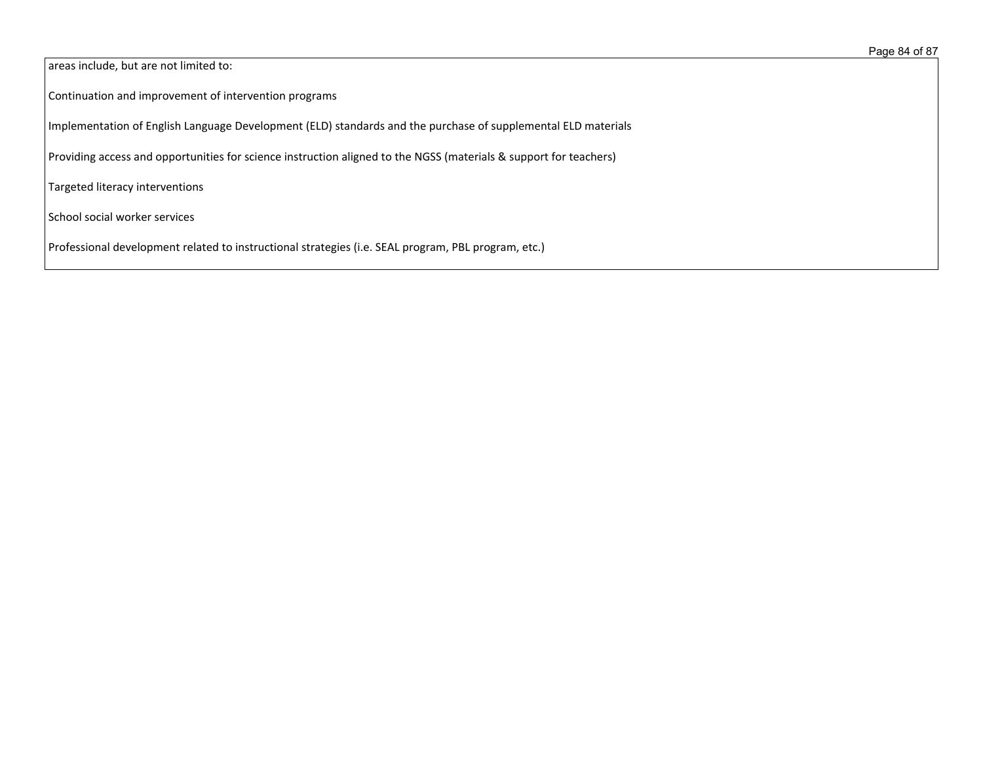areas include, but are not limited to:

Continuation and improvement of intervention programs

Implementation of English Language Development (ELD) standards and the purchase of supplemental ELD materials

Providing access and opportunities for science instruction aligned to the NGSS (materials & support for teachers)

Targeted literacy interventions

School social worker services

Professional development related to instructional strategies (i.e. SEAL program, PBL program, etc.)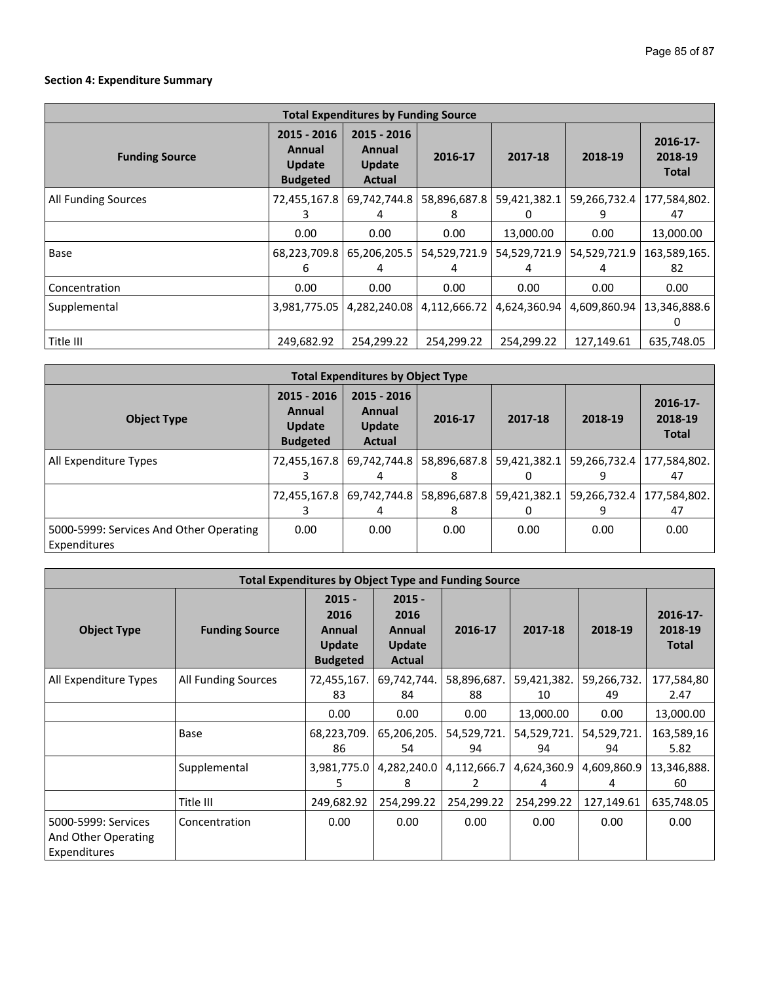## **Section 4: Expenditure Summary**

| <b>Total Expenditures by Funding Source</b> |                                                           |                                                  |                   |                   |                   |                                     |  |
|---------------------------------------------|-----------------------------------------------------------|--------------------------------------------------|-------------------|-------------------|-------------------|-------------------------------------|--|
| <b>Funding Source</b>                       | 2015 - 2016<br>Annual<br><b>Update</b><br><b>Budgeted</b> | 2015 - 2016<br>Annual<br><b>Update</b><br>Actual | 2016-17           | 2017-18           | 2018-19           | 2016-17-<br>2018-19<br><b>Total</b> |  |
| All Funding Sources                         | 72,455,167.8                                              | 69,742,744.8<br>4                                | 58,896,687.8<br>8 | 59,421,382.1      | 59,266,732.4<br>9 | 177,584,802.<br>47                  |  |
|                                             | 0.00                                                      | 0.00                                             | 0.00              | 13,000.00         | 0.00              | 13,000.00                           |  |
| Base                                        | 68,223,709.8<br>6                                         | 65,206,205.5<br>4                                | 54,529,721.9      | 54,529,721.9<br>4 | 54,529,721.9<br>4 | 163,589,165.<br>82                  |  |
| Concentration                               | 0.00                                                      | 0.00                                             | 0.00              | 0.00              | 0.00              | 0.00                                |  |
| Supplemental                                | 3,981,775.05                                              | 4,282,240.08                                     | 4,112,666.72      | 4,624,360.94      | 4,609,860.94      | 13,346,888.6                        |  |
| Title III                                   | 249,682.92                                                | 254,299.22                                       | 254,299.22        | 254,299.22        | 127,149.61        | 635,748.05                          |  |

| <b>Total Expenditures by Object Type</b>                |                                                    |                                                  |         |                           |                     |                                     |  |
|---------------------------------------------------------|----------------------------------------------------|--------------------------------------------------|---------|---------------------------|---------------------|-------------------------------------|--|
| <b>Object Type</b>                                      | 2015 - 2016<br>Annual<br>Update<br><b>Budgeted</b> | 2015 - 2016<br>Annual<br><b>Update</b><br>Actual | 2016-17 | 2017-18                   | 2018-19             | 2016-17-<br>2018-19<br><b>Total</b> |  |
| All Expenditure Types                                   | 72,455,167.8                                       | 69,742,744.8                                     | 8       | 58,896,687.8 59,421,382.1 | 59,266,732.4  <br>9 | 177,584,802.<br>47                  |  |
|                                                         |                                                    | 72,455,167.8   69,742,744.8  <br>4               | 8       | 58,896,687.8 59,421,382.1 | 59,266,732.4        | 177,584,802.<br>47                  |  |
| 5000-5999: Services And Other Operating<br>Expenditures | 0.00                                               | 0.00                                             | 0.00    | 0.00                      | 0.00                | 0.00                                |  |

| <b>Total Expenditures by Object Type and Funding Source</b> |                       |                                                         |                                                |                   |                   |                   |                                        |
|-------------------------------------------------------------|-----------------------|---------------------------------------------------------|------------------------------------------------|-------------------|-------------------|-------------------|----------------------------------------|
| <b>Object Type</b>                                          | <b>Funding Source</b> | $2015 -$<br>2016<br>Annual<br>Update<br><b>Budgeted</b> | $2015 -$<br>2016<br>Annual<br>Update<br>Actual | 2016-17           | 2017-18           | 2018-19           | $2016 - 17$<br>2018-19<br><b>Total</b> |
| All Expenditure Types                                       | All Funding Sources   | 72,455,167.<br>83                                       | 69,742,744.<br>84                              | 58,896,687.<br>88 | 59,421,382.<br>10 | 59,266,732.<br>49 | 177,584,80<br>2.47                     |
|                                                             |                       | 0.00                                                    | 0.00                                           | 0.00              | 13,000.00         | 0.00              | 13,000.00                              |
|                                                             | Base                  | 68,223,709.<br>86                                       | 65,206,205.<br>54                              | 54,529,721.<br>94 | 54,529,721.<br>94 | 54,529,721.<br>94 | 163,589,16<br>5.82                     |
|                                                             | Supplemental          | 3,981,775.0<br>5.                                       | 4,282,240.0<br>8                               | 4,112,666.7<br>2  | 4,624,360.9<br>4  | 4,609,860.9<br>4  | 13,346,888.<br>60                      |
|                                                             | Title III             | 249,682.92                                              | 254,299.22                                     | 254,299.22        | 254,299.22        | 127,149.61        | 635,748.05                             |
| 5000-5999: Services<br>And Other Operating<br>Expenditures  | Concentration         | 0.00                                                    | 0.00                                           | 0.00              | 0.00              | 0.00              | 0.00                                   |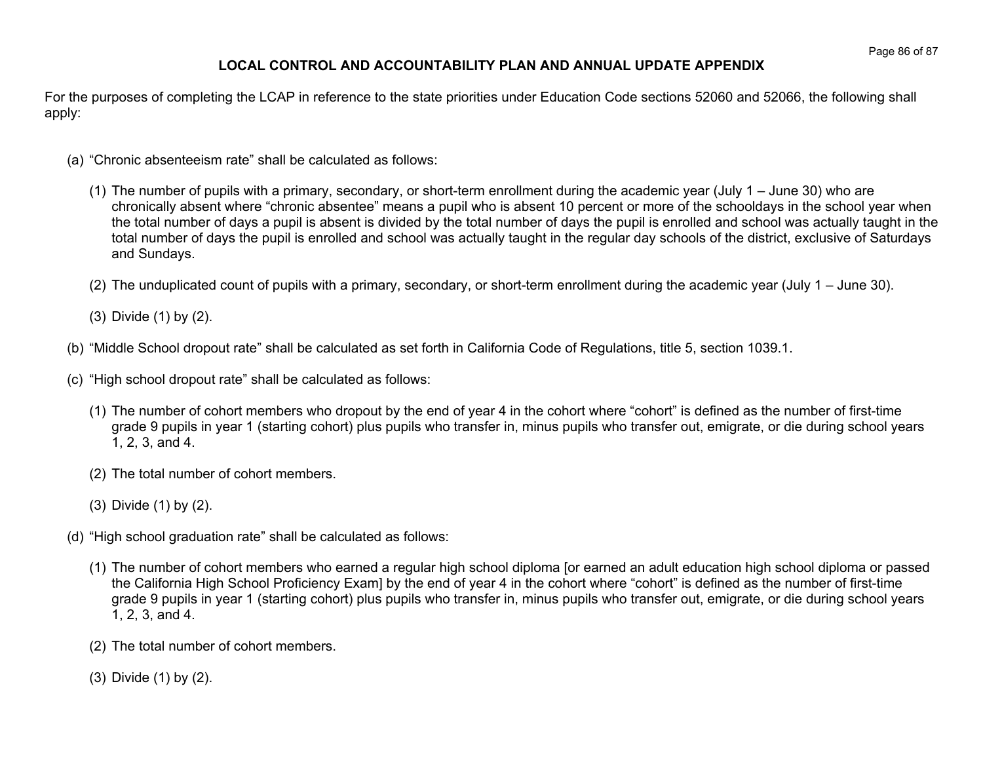## **LOCAL CONTROL AND ACCOUNTABILITY PLAN AND ANNUAL UPDATE APPENDIX**

For the purposes of completing the LCAP in reference to the state priorities under Education Code sections 52060 and 52066, the following shall apply:

- (a) "Chronic absenteeism rate" shall be calculated as follows:
	- (1) The number of pupils with a primary, secondary, or short-term enrollment during the academic year (July 1 June 30) who are chronically absent where "chronic absentee" means a pupil who is absent 10 percent or more of the schooldays in the school year when the total number of days a pupil is absent is divided by the total number of days the pupil is enrolled and school was actually taught in the total number of days the pupil is enrolled and school was actually taught in the regular day schools of the district, exclusive of Saturdays and Sundays.
	- (2) The unduplicated count of pupils with a primary, secondary, or short-term enrollment during the academic year (July 1 June 30).
	- (3) Divide (1) by (2).
- (b) "Middle School dropout rate" shall be calculated as set forth in California Code of Regulations, title 5, section 1039.1.
- (c) "High school dropout rate" shall be calculated as follows:
	- (1) The number of cohort members who dropout by the end of year 4 in the cohort where "cohort" is defined as the number of first-time grade 9 pupils in year 1 (starting cohort) plus pupils who transfer in, minus pupils who transfer out, emigrate, or die during school years 1, 2, 3, and 4.
	- (2) The total number of cohort members.
	- (3) Divide (1) by (2).
- (d) "High school graduation rate" shall be calculated as follows:
	- (1) The number of cohort members who earned a regular high school diploma [or earned an adult education high school diploma or passed the California High School Proficiency Exam] by the end of year 4 in the cohort where "cohort" is defined as the number of first-time grade 9 pupils in year 1 (starting cohort) plus pupils who transfer in, minus pupils who transfer out, emigrate, or die during school years 1, 2, 3, and 4.
	- (2) The total number of cohort members.
	- (3) Divide (1) by (2).